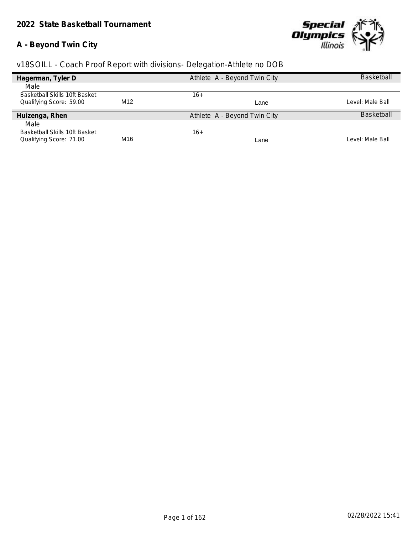# **A - Beyond Twin City**



| Hagerman, Tyler D             |                 | Athlete A - Beyond Twin City | <b>Basketball</b> |
|-------------------------------|-----------------|------------------------------|-------------------|
| Male                          |                 |                              |                   |
| Basketball Skills 10ft Basket |                 | 16+                          |                   |
| Qualifying Score: 59.00       | M <sub>12</sub> | Lane                         | Level: Male Ball  |
| Huizenga, Rhen                |                 | Athlete A - Beyond Twin City | <b>Basketball</b> |
| Male                          |                 |                              |                   |
| Basketball Skills 10ft Basket |                 | $16+$                        |                   |
| Qualifying Score: 71.00       | M16             | Lane                         | Level: Male Ball  |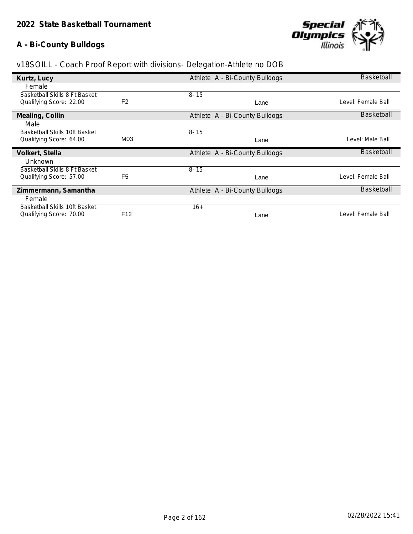# **A - Bi-County Bulldogs**



|                               |                 |                                | Basketball         |
|-------------------------------|-----------------|--------------------------------|--------------------|
| Kurtz, Lucy                   |                 | Athlete A - Bi-County Bulldogs |                    |
| Female                        |                 |                                |                    |
| Basketball Skills 8 Ft Basket |                 | $8 - 15$                       |                    |
| Qualifying Score: 22.00       | F <sub>2</sub>  | Lane                           | Level: Female Ball |
| Mealing, Collin               |                 | Athlete A - Bi-County Bulldogs | <b>Basketball</b>  |
| Male                          |                 |                                |                    |
| Basketball Skills 10ft Basket |                 | $8 - 15$                       |                    |
| Qualifying Score: 64.00       | M03             | Lane                           | Level: Male Ball   |
| Volkert, Stella               |                 | Athlete A - Bi-County Bulldogs | Basketball         |
| Unknown                       |                 |                                |                    |
| Basketball Skills 8 Ft Basket |                 | $8 - 15$                       |                    |
| Qualifying Score: 57.00       | F <sub>5</sub>  | Lane                           | Level: Female Ball |
| Zimmermann, Samantha          |                 | Athlete A - Bi-County Bulldogs | <b>Basketball</b>  |
| Female                        |                 |                                |                    |
| Basketball Skills 10ft Basket |                 | $16+$                          |                    |
| Qualifying Score: 70.00       | F <sub>12</sub> | Lane                           | Level: Female Ball |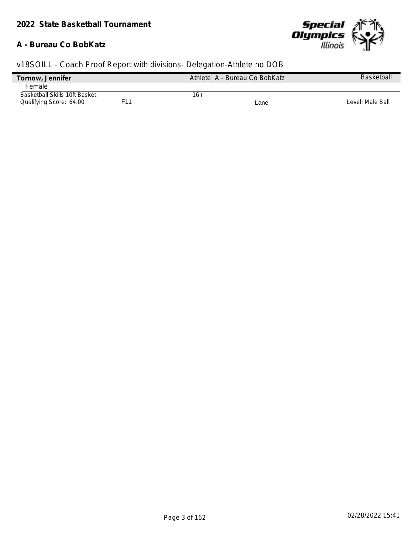### **A - Bureau Co BobKatz**



| Tornow, Jennifer              |     | Athlete A - Bureau Co BobKatz | <b>Basketball</b> |
|-------------------------------|-----|-------------------------------|-------------------|
| Female                        |     |                               |                   |
| Basketball Skills 10ft Basket |     | 16+                           |                   |
| Qualifying Score: 64.00       | F11 | Lane                          | Level: Male Ball  |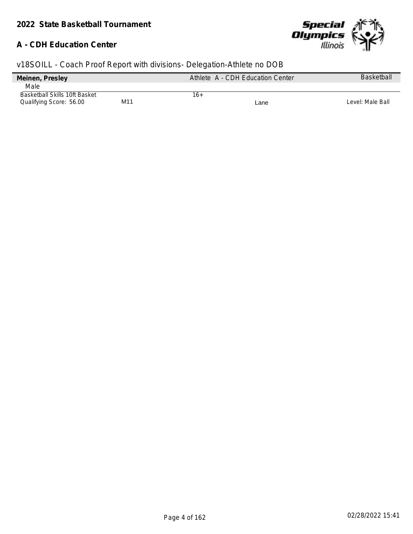## **A - CDH Education Center**



| Meinen, Presley                      |     | Athlete A - CDH Education Center | Basketball       |
|--------------------------------------|-----|----------------------------------|------------------|
| Male                                 |     |                                  |                  |
| <b>Basketball Skills 10ft Basket</b> |     | 16+                              |                  |
| Qualifying Score: 56.00              | M11 | Lane                             | Level: Male Ball |
|                                      |     |                                  |                  |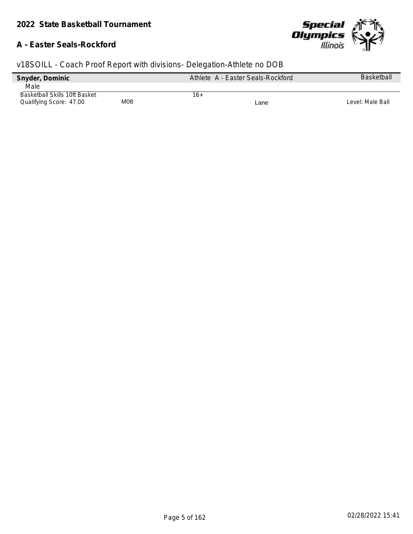### **A - Easter Seals-Rockford**



| Snyder, Dominic                      |     | Athlete A - Easter Seals-Rockford | <b>Basketball</b> |
|--------------------------------------|-----|-----------------------------------|-------------------|
| Male                                 |     |                                   |                   |
| <b>Basketball Skills 10ft Basket</b> |     | 16+                               |                   |
| Qualifying Score: 47.00              | M08 | Lane                              | Level: Male Ball  |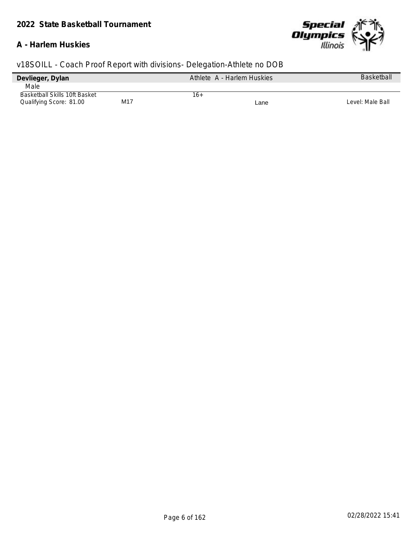### **A - Harlem Huskies**



| Devlieger, Dylan              |     | Athlete A - Harlem Huskies |      | <b>Basketball</b> |
|-------------------------------|-----|----------------------------|------|-------------------|
| Male                          |     |                            |      |                   |
| Basketball Skills 10ft Basket |     | 16+                        |      |                   |
| Qualifying Score: 81.00       | M17 |                            | Lane | Level: Male Ball  |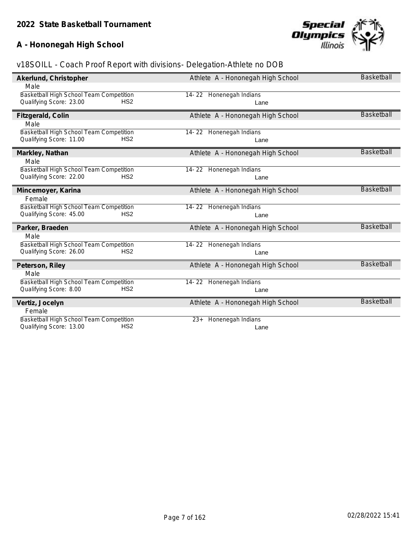# **A - Hononegah High School**



| Akerlund, Christopher                      | Athlete A - Hononegah High School | <b>Basketball</b> |
|--------------------------------------------|-----------------------------------|-------------------|
| Male                                       |                                   |                   |
| Basketball High School Team Competition    | 14-22 Honenegah Indians           |                   |
| Qualifying Score: 23.00<br>HS <sub>2</sub> | Lane                              |                   |
| Fitzgerald, Colin                          | Athlete A - Hononegah High School | <b>Basketball</b> |
| Male                                       |                                   |                   |
| Basketball High School Team Competition    | 14-22 Honenegah Indians           |                   |
| HS <sub>2</sub><br>Qualifying Score: 11.00 | Lane                              |                   |
| Markley, Nathan                            | Athlete A - Hononegah High School | <b>Basketball</b> |
| Male                                       |                                   |                   |
| Basketball High School Team Competition    | 14-22 Honenegah Indians           |                   |
| HS <sub>2</sub><br>Qualifying Score: 22.00 | Lane                              |                   |
| Mincemoyer, Karina                         | Athlete A - Hononegah High School | <b>Basketball</b> |
| Female                                     |                                   |                   |
| Basketball High School Team Competition    | 14-22 Honenegah Indians           |                   |
| Qualifying Score: 45.00<br>HS <sub>2</sub> | Lane                              |                   |
| Parker, Braeden                            | Athlete A - Hononegah High School | <b>Basketball</b> |
| Male                                       |                                   |                   |
| Basketball High School Team Competition    | 14-22 Honenegah Indians           |                   |
| Qualifying Score: 26.00<br>HS <sub>2</sub> | Lane                              |                   |
| Peterson, Riley                            | Athlete A - Hononegah High School | <b>Basketball</b> |
| Male                                       |                                   |                   |
| Basketball High School Team Competition    | 14-22 Honenegah Indians           |                   |
| Qualifying Score: 8.00<br>HS <sub>2</sub>  | Lane                              |                   |
| Vertiz, Jocelyn                            | Athlete A - Hononegah High School | Basketball        |
| Female                                     |                                   |                   |
| Basketball High School Team Competition    | Honenegah Indians<br>$23+$        |                   |
| HS <sub>2</sub><br>Qualifying Score: 13.00 | Lane                              |                   |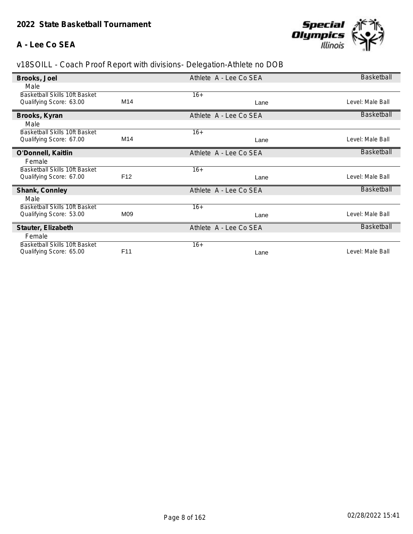# **A - Lee Co SEA**



| Brooks, Joel                         |                 | Athlete A - Lee Co SEA | <b>Basketball</b> |
|--------------------------------------|-----------------|------------------------|-------------------|
| Male                                 |                 |                        |                   |
| <b>Basketball Skills 10ft Basket</b> |                 | $16+$                  |                   |
| Qualifying Score: 63.00              | M14             | Lane                   | Level: Male Ball  |
| Brooks, Kyran                        |                 | Athlete A - Lee Co SEA | Basketball        |
| Male                                 |                 |                        |                   |
| <b>Basketball Skills 10ft Basket</b> |                 | $16+$                  |                   |
| Qualifying Score: 67.00              | M14             | Lane                   | Level: Male Ball  |
| O'Donnell, Kaitlin                   |                 | Athlete A - Lee Co SEA | <b>Basketball</b> |
| Female                               |                 |                        |                   |
| <b>Basketball Skills 10ft Basket</b> |                 | $16+$                  |                   |
| Qualifying Score: 67.00              | F <sub>12</sub> | Lane                   | Level: Male Ball  |
| Shank, Connley                       |                 | Athlete A - Lee Co SEA | <b>Basketball</b> |
| Male                                 |                 |                        |                   |
| <b>Basketball Skills 10ft Basket</b> |                 | $16+$                  |                   |
| Qualifying Score: 53.00              | M09             | Lane                   | Level: Male Ball  |
| Stauter, Elizabeth                   |                 | Athlete A - Lee Co SEA | Basketball        |
| Female                               |                 |                        |                   |
| <b>Basketball Skills 10ft Basket</b> |                 | $16+$                  |                   |
| Qualifying Score: 65.00              | F <sub>11</sub> | Lane                   | Level: Male Ball  |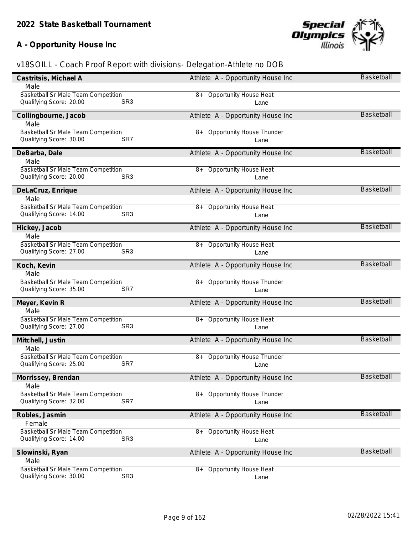# **A - Opportunity House Inc**



| Castritsis, Michael A                      | Athlete A - Opportunity House Inc        | Basketball        |
|--------------------------------------------|------------------------------------------|-------------------|
| Male                                       |                                          |                   |
| <b>Basketball Sr Male Team Competition</b> | 8+ Opportunity House Heat                |                   |
| SR <sub>3</sub><br>Qualifying Score: 20.00 | Lane                                     |                   |
| Collingbourne, Jacob                       | Athlete A - Opportunity House Inc        | <b>Basketball</b> |
| Male                                       |                                          |                   |
| Basketball Sr Male Team Competition        | <b>Opportunity House Thunder</b><br>8+   |                   |
| Qualifying Score: 30.00<br>SR7             | Lane                                     |                   |
| DeBarba, Dale                              | Athlete A - Opportunity House Inc        | <b>Basketball</b> |
| Male                                       |                                          |                   |
| Basketball Sr Male Team Competition        | 8+ Opportunity House Heat                |                   |
| Qualifying Score: 20.00<br>SR <sub>3</sub> | Lane                                     |                   |
| DeLaCruz, Enrique                          | Athlete A - Opportunity House Inc        | <b>Basketball</b> |
| Male                                       |                                          |                   |
| Basketball Sr Male Team Competition        | 8+ Opportunity House Heat                |                   |
| Qualifying Score: 14.00<br>SR <sub>3</sub> | Lane                                     |                   |
| Hickey, Jacob                              | Athlete A - Opportunity House Inc        | <b>Basketball</b> |
| Male                                       |                                          |                   |
| Basketball Sr Male Team Competition        | <b>Opportunity House Heat</b><br>8+      |                   |
| Qualifying Score: 27.00<br>SR <sub>3</sub> | Lane                                     |                   |
| Koch, Kevin                                | Athlete A - Opportunity House Inc        | <b>Basketball</b> |
| Male                                       |                                          |                   |
| Basketball Sr Male Team Competition        | 8+ Opportunity House Thunder             |                   |
| Qualifying Score: 35.00<br>SR7             | Lane                                     |                   |
| Meyer, Kevin R                             | Athlete A - Opportunity House Inc        | <b>Basketball</b> |
| Male                                       |                                          |                   |
| <b>Basketball Sr Male Team Competition</b> | 8+ Opportunity House Heat                |                   |
| Qualifying Score: 27.00<br>SR <sub>3</sub> | Lane                                     |                   |
| Mitchell, Justin                           | Athlete A - Opportunity House Inc        | <b>Basketball</b> |
| Male                                       |                                          |                   |
| Basketball Sr Male Team Competition        | <b>Opportunity House Thunder</b><br>8+   |                   |
| Qualifying Score: 25.00<br>SR7             | Lane                                     |                   |
| Morrissey, Brendan                         | Athlete A - Opportunity House Inc        | <b>Basketball</b> |
| Male                                       |                                          |                   |
| <b>Basketball Sr Male Team Competition</b> | <b>Opportunity House Thunder</b><br>$8+$ |                   |
| SR7<br>Qualifying Score: 32.00             | Lane                                     |                   |
| Robles, Jasmin                             | Athlete A - Opportunity House Inc        | <b>Basketball</b> |
| Female                                     |                                          |                   |
| Basketball Sr Male Team Competition        | <b>Opportunity House Heat</b><br>8+      |                   |
| SR <sub>3</sub><br>Qualifying Score: 14.00 | Lane                                     |                   |
| Slowinski, Ryan                            | Athlete A - Opportunity House Inc        | <b>Basketball</b> |
| Male                                       |                                          |                   |
| <b>Basketball Sr Male Team Competition</b> | <b>Opportunity House Heat</b><br>8+      |                   |
| SR <sub>3</sub><br>Qualifying Score: 30.00 | Lane                                     |                   |
|                                            |                                          |                   |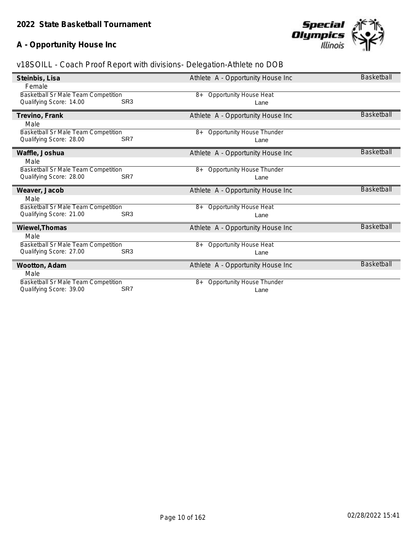# **A - Opportunity House Inc**



|                                                                       |                 |                                                | <b>Basketball</b> |
|-----------------------------------------------------------------------|-----------------|------------------------------------------------|-------------------|
| Steinbis, Lisa                                                        |                 | Athlete A - Opportunity House Inc              |                   |
| Female                                                                |                 |                                                |                   |
| Basketball Sr Male Team Competition                                   |                 | <b>Opportunity House Heat</b><br>$8+$          |                   |
| Qualifying Score: 14.00                                               | SR <sub>3</sub> | Lane                                           |                   |
|                                                                       |                 |                                                |                   |
| Trevino, Frank                                                        |                 | Athlete A - Opportunity House Inc              | <b>Basketball</b> |
| Male                                                                  |                 |                                                |                   |
| Basketball Sr Male Team Competition                                   |                 | Opportunity House Thunder<br>$8+$              |                   |
| Qualifying Score: 28.00                                               | SR7             |                                                |                   |
|                                                                       |                 | Lane                                           |                   |
| Waffle, Joshua                                                        |                 | Athlete A - Opportunity House Inc              | <b>Basketball</b> |
| Male                                                                  |                 |                                                |                   |
|                                                                       |                 |                                                |                   |
| Basketball Sr Male Team Competition                                   |                 | <b>Opportunity House Thunder</b><br>8+         |                   |
| Qualifying Score: 28.00                                               | SR <sub>7</sub> | Lane                                           |                   |
|                                                                       |                 |                                                |                   |
|                                                                       |                 |                                                |                   |
| Weaver, Jacob                                                         |                 | Athlete A - Opportunity House Inc              | <b>Basketball</b> |
| Male                                                                  |                 |                                                |                   |
| <b>Basketball Sr Male Team Competition</b>                            |                 | <b>Opportunity House Heat</b><br>$8+$          |                   |
| Qualifying Score: 21.00                                               | SR <sub>3</sub> | Lane                                           |                   |
|                                                                       |                 |                                                | <b>Basketball</b> |
| Wiewel, Thomas                                                        |                 | Athlete A - Opportunity House Inc              |                   |
| Male                                                                  |                 |                                                |                   |
| <b>Basketball Sr Male Team Competition</b>                            |                 | <b>Opportunity House Heat</b><br>8+            |                   |
| Qualifying Score: 27.00                                               | SR <sub>3</sub> | Lane                                           |                   |
|                                                                       |                 |                                                | <b>Basketball</b> |
| Wootton, Adam                                                         |                 | Athlete A - Opportunity House Inc              |                   |
| Male                                                                  |                 |                                                |                   |
| <b>Basketball Sr Male Team Competition</b><br>Qualifying Score: 39.00 | SR7             | <b>Opportunity House Thunder</b><br>8+<br>Lane |                   |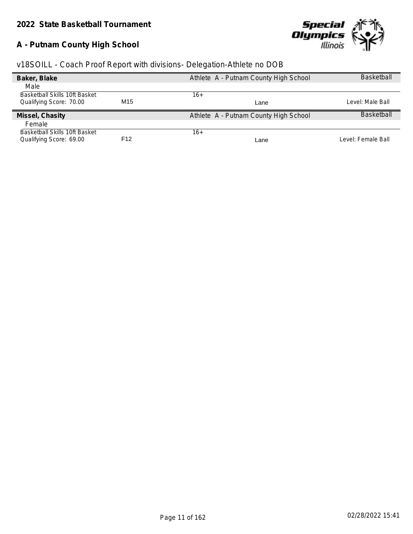# **A - Putnam County High School**



|  | v18SOILL - Coach Proof Report with divisions- Delegation-Athlete no DOB |  |  |
|--|-------------------------------------------------------------------------|--|--|
|  |                                                                         |  |  |
|  |                                                                         |  |  |

| Baker, Blake                  |     | Athlete A - Putnam County High School | <b>Basketball</b>  |
|-------------------------------|-----|---------------------------------------|--------------------|
| Male                          |     |                                       |                    |
| Basketball Skills 10ft Basket |     | $16+$                                 |                    |
| Qualifying Score: 70.00       | M15 | Lane                                  | Level: Male Ball   |
| Missel, Chasity               |     | Athlete A - Putnam County High School | <b>Baskethall</b>  |
| Female                        |     |                                       |                    |
| Basketball Skills 10ft Basket |     | $16+$                                 |                    |
| Qualifying Score: 69.00       | F12 | Lane                                  | Level: Female Ball |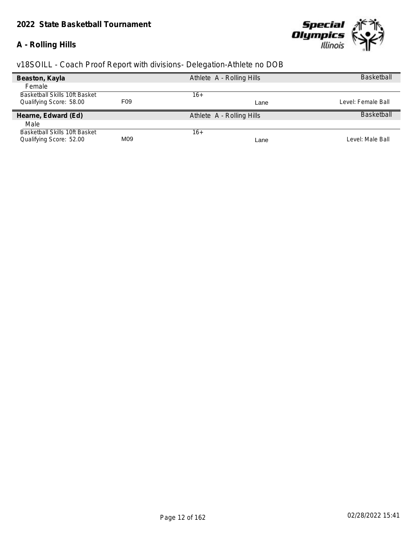## *2022 State Basketball Tournament*

# **A - Rolling Hills**



| Beaston, Kayla                |     | Athlete A - Rolling Hills | <b>Basketball</b>  |
|-------------------------------|-----|---------------------------|--------------------|
| Female                        |     |                           |                    |
| Basketball Skills 10ft Basket |     | 16+                       |                    |
| Qualifying Score: 58.00       | F09 | Lane                      | Level: Female Ball |
| Hearne, Edward (Ed)           |     | Athlete A - Rolling Hills | <b>Basketball</b>  |
| Male                          |     |                           |                    |
| Basketball Skills 10ft Basket |     | $16+$                     |                    |
| Qualifying Score: 52.00       | M09 | Lane                      | Level: Male Ball   |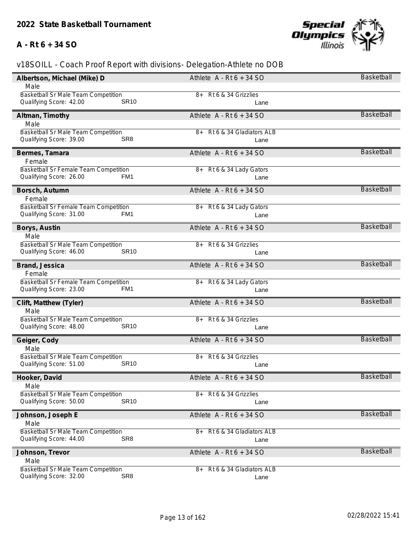# **A - Rt 6 + 34 SO**



| Albertson, Michael (Mike) D                                                          | Athlete $A - Rt6 + 34 SO$      | Basketball        |
|--------------------------------------------------------------------------------------|--------------------------------|-------------------|
| Male                                                                                 |                                |                   |
| <b>Basketball Sr Male Team Competition</b>                                           | 8+ Rt 6 & 34 Grizzlies         |                   |
| <b>SR10</b><br>Qualifying Score: 42.00                                               | Lane                           |                   |
| Altman, Timothy                                                                      | Athlete $A - Rt6 + 34 SO$      | Basketball        |
| Male                                                                                 |                                |                   |
| <b>Basketball Sr Male Team Competition</b>                                           | Rt 6 & 34 Gladiators ALB<br>8+ |                   |
| Qualifying Score: 39.00<br>SR <sub>8</sub>                                           | Lane                           |                   |
| Bermes, Tamara                                                                       | Athlete $A - Rt6 + 34 SO$      | Basketball        |
| Female                                                                               |                                |                   |
| Basketball Sr Female Team Competition                                                | 8+ Rt 6 & 34 Lady Gators       |                   |
| Qualifying Score: 26.00<br>FM1                                                       | Lane                           |                   |
|                                                                                      |                                |                   |
| Borsch, Autumn                                                                       | Athlete $A - Rt6 + 34 SO$      | <b>Basketball</b> |
| Female                                                                               |                                |                   |
| Basketball Sr Female Team Competition<br>Qualifying Score: 31.00<br>FM1              | 8+ Rt 6 & 34 Lady Gators       |                   |
|                                                                                      | Lane                           |                   |
| Borys, Austin                                                                        | Athlete $A - Rt6 + 34 SO$      | <b>Basketball</b> |
| Male                                                                                 |                                |                   |
| Basketball Sr Male Team Competition                                                  | 8+ Rt 6 & 34 Grizzlies         |                   |
| Qualifying Score: 46.00<br><b>SR10</b>                                               | Lane                           |                   |
| Brand, Jessica                                                                       | Athlete $A - Rt6 + 34 SO$      | Basketball        |
| Female                                                                               |                                |                   |
| Basketball Sr Female Team Competition                                                | 8+ Rt 6 & 34 Lady Gators       |                   |
| Qualifying Score: 23.00<br>FM1                                                       | Lane                           |                   |
| Clift, Matthew (Tyler)                                                               | Athlete $A - Rt6 + 34 SO$      | <b>Basketball</b> |
| Male                                                                                 |                                |                   |
| Basketball Sr Male Team Competition                                                  | Rt 6 & 34 Grizzlies<br>8+      |                   |
| Qualifying Score: 48.00<br><b>SR10</b>                                               | Lane                           |                   |
|                                                                                      | Athlete $A - Rt6 + 34 SO$      | <b>Basketball</b> |
| Geiger, Cody<br>Male                                                                 |                                |                   |
| Basketball Sr Male Team Competition                                                  | Rt 6 & 34 Grizzlies<br>8+      |                   |
| <b>SR10</b><br>Qualifying Score: 51.00                                               | Lane                           |                   |
|                                                                                      |                                | Basketball        |
| Hooker, David                                                                        | Athlete $A - Rt6 + 34 SO$      |                   |
| Male                                                                                 |                                |                   |
| <b>Basketball Sr Male Team Competition</b><br><b>SR10</b><br>Qualifying Score: 50.00 | 8+ Rt 6 & 34 Grizzlies<br>Lane |                   |
|                                                                                      |                                |                   |
| Johnson, Joseph E                                                                    | Athlete $A - Rt6 + 34 SO$      | <b>Basketball</b> |
| Male                                                                                 |                                |                   |
| <b>Basketball Sr Male Team Competition</b>                                           | Rt 6 & 34 Gladiators ALB<br>8+ |                   |
| SR <sub>8</sub><br>Qualifying Score: 44.00                                           | Lane                           |                   |
| Johnson, Trevor                                                                      | Athlete $A - Rt6 + 34 SO$      | <b>Basketball</b> |
| Male                                                                                 |                                |                   |
| Basketball Sr Male Team Competition                                                  | Rt 6 & 34 Gladiators ALB<br>8+ |                   |
| SR <sub>8</sub><br>Qualifying Score: 32.00                                           | Lane                           |                   |
|                                                                                      |                                |                   |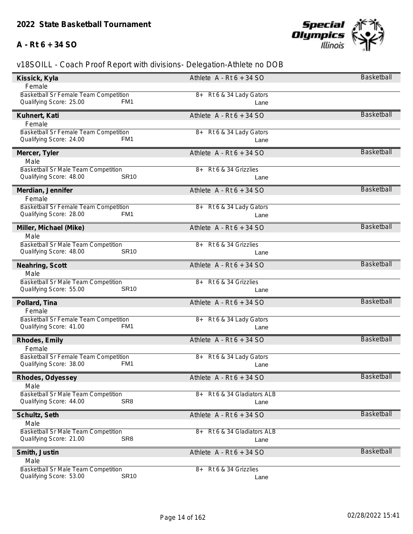# **A - Rt 6 + 34 SO**



| Kissick, Kyla                              | Athlete $A - Rt6 + 34 SO$      | Basketball        |
|--------------------------------------------|--------------------------------|-------------------|
| Female                                     |                                |                   |
| Basketball Sr Female Team Competition      | 8+ Rt 6 & 34 Lady Gators       |                   |
| Qualifying Score: 25.00<br>FM1             | Lane                           |                   |
| Kuhnert, Kati                              | Athlete $A - Rt6 + 34 SO$      | Basketball        |
| Female                                     |                                |                   |
| Basketball Sr Female Team Competition      | Rt 6 & 34 Lady Gators<br>8+    |                   |
| Qualifying Score: 24.00<br>FM1             | Lane                           |                   |
| Mercer, Tyler                              | Athlete $A - Rt6 + 34 SO$      | Basketball        |
| Male                                       |                                |                   |
| Basketball Sr Male Team Competition        | Rt 6 & 34 Grizzlies<br>8+      |                   |
| <b>SR10</b><br>Qualifying Score: 48.00     | Lane                           |                   |
| Merdian, Jennifer                          | Athlete $A - Rt6 + 34 SO$      | <b>Basketball</b> |
| Female                                     |                                |                   |
| Basketball Sr Female Team Competition      | 8+ Rt 6 & 34 Lady Gators       |                   |
| Qualifying Score: 28.00<br>FM1             | Lane                           |                   |
| Miller, Michael (Mike)                     | Athlete $A - Rt6 + 34 SO$      | <b>Basketball</b> |
| Male                                       |                                |                   |
| <b>Basketball Sr Male Team Competition</b> | Rt 6 & 34 Grizzlies<br>8+      |                   |
| Qualifying Score: 48.00<br><b>SR10</b>     | Lane                           |                   |
| Neahring, Scott                            | Athlete $A - Rt6 + 34 SO$      | <b>Basketball</b> |
| Male                                       |                                |                   |
| Basketball Sr Male Team Competition        | Rt 6 & 34 Grizzlies<br>8+      |                   |
| Qualifying Score: 55.00<br><b>SR10</b>     | Lane                           |                   |
| Pollard, Tina                              | Athlete $A - Rt6 + 34 SO$      | <b>Basketball</b> |
| Female                                     |                                |                   |
| Basketball Sr Female Team Competition      | 8+ Rt 6 & 34 Lady Gators       |                   |
| Qualifying Score: 41.00<br>FM <sub>1</sub> | Lane                           |                   |
| Rhodes, Emily                              | Athlete $A - Rt6 + 34 SO$      | <b>Basketball</b> |
| Female                                     |                                |                   |
| Basketball Sr Female Team Competition      | 8+ Rt 6 & 34 Lady Gators       |                   |
| Qualifying Score: 38.00<br>FM1             | Lane                           |                   |
| Rhodes, Odyessey                           | Athlete $A - Rt6 + 34 SO$      | Basketball        |
| Male                                       |                                |                   |
| Basketball Sr Male Team Competition        | Rt 6 & 34 Gladiators ALB<br>8+ |                   |
| SR <sub>8</sub><br>Qualifying Score: 44.00 | Lane                           |                   |
| Schultz, Seth                              | Athlete $A - Rt6 + 34 SO$      | Basketball        |
| Male                                       |                                |                   |
| Basketball Sr Male Team Competition        | Rt 6 & 34 Gladiators ALB<br>8+ |                   |
| SR <sub>8</sub><br>Qualifying Score: 21.00 | Lane                           |                   |
|                                            |                                | Basketball        |
| Smith, Justin<br>Male                      | Athlete $A - Rt6 + 34 SO$      |                   |
| Basketball Sr Male Team Competition        | Rt 6 & 34 Grizzlies<br>8+      |                   |
| <b>SR10</b><br>Qualifying Score: 53.00     | Lane                           |                   |
|                                            |                                |                   |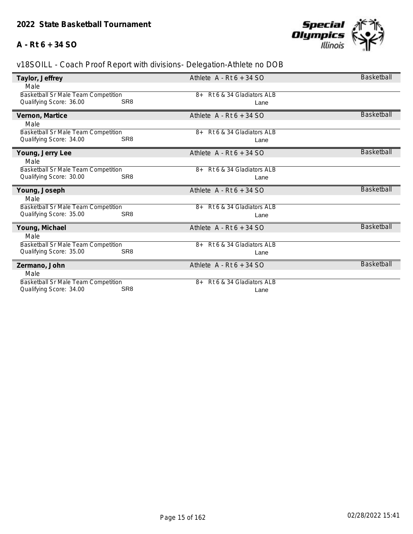# **A - Rt 6 + 34 SO**



| Taylor, Jeffrey                                                       |                 | Athlete $A - Rt6 + 34 SO$        | Basketball        |
|-----------------------------------------------------------------------|-----------------|----------------------------------|-------------------|
| Male                                                                  |                 |                                  |                   |
| Basketball Sr Male Team Competition                                   |                 | 8+ Rt 6 & 34 Gladiators ALB      |                   |
| Qualifying Score: 36.00                                               | SR <sub>8</sub> | Lane                             |                   |
| Vernon, Martice                                                       |                 | Athlete $A - Rt6 + 34 SO$        | Basketball        |
| Male                                                                  |                 |                                  |                   |
| <b>Basketball Sr Male Team Competition</b>                            |                 | Rt 6 & 34 Gladiators ALB<br>$8+$ |                   |
| Qualifying Score: 34.00                                               | SR <sub>8</sub> | Lane                             |                   |
| Young, Jerry Lee                                                      |                 | Athlete $A - Rt6 + 34 SO$        | <b>Basketball</b> |
| Male                                                                  |                 |                                  |                   |
| Basketball Sr Male Team Competition                                   |                 | Rt 6 & 34 Gladiators ALB<br>$8+$ |                   |
| Qualifying Score: 30.00                                               | SR <sub>8</sub> | Lane                             |                   |
|                                                                       |                 |                                  |                   |
| Young, Joseph                                                         |                 | Athlete $A - Rt6 + 34 SO$        | <b>Basketball</b> |
| Male                                                                  |                 |                                  |                   |
| <b>Basketball Sr Male Team Competition</b>                            |                 | Rt 6 & 34 Gladiators ALB<br>$8+$ |                   |
| Qualifying Score: 35.00                                               | SR <sub>8</sub> | Lane                             |                   |
| Young, Michael                                                        |                 | Athlete $A - Rt6 + 34 SO$        | <b>Basketball</b> |
| Male                                                                  |                 |                                  |                   |
| Basketball Sr Male Team Competition                                   |                 | Rt 6 & 34 Gladiators ALB<br>$8+$ |                   |
| Qualifying Score: 35.00                                               | SR <sub>8</sub> | Lane                             |                   |
| Zermano, John                                                         |                 | Athlete $A - Rt6 + 34 SO$        | <b>Basketball</b> |
| Male                                                                  |                 |                                  |                   |
| <b>Basketball Sr Male Team Competition</b><br>Qualifying Score: 34.00 | SR <sub>8</sub> | Rt 6 & 34 Gladiators ALB<br>$8+$ |                   |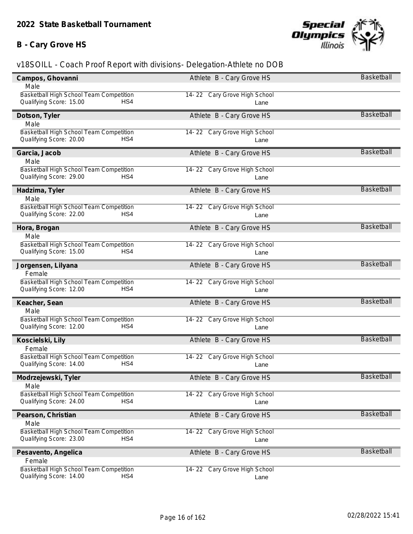# **B - Cary Grove HS**



| Campos, Ghovanni                        | Athlete B - Cary Grove HS    | Basketball        |
|-----------------------------------------|------------------------------|-------------------|
| Male                                    |                              |                   |
| Basketball High School Team Competition | 14-22 Cary Grove High School |                   |
| Qualifying Score: 15.00<br>HS4          | Lane                         |                   |
| Dotson, Tyler                           | Athlete B - Cary Grove HS    | <b>Basketball</b> |
| Male                                    |                              |                   |
| Basketball High School Team Competition | 14-22 Cary Grove High School |                   |
| Qualifying Score: 20.00<br>HS4          | Lane                         |                   |
| Garcia, Jacob                           | Athlete B - Cary Grove HS    | <b>Basketball</b> |
| Male                                    |                              |                   |
| Basketball High School Team Competition | 14-22 Cary Grove High School |                   |
| Qualifying Score: 29.00<br>HS4          | Lane                         |                   |
| Hadzima, Tyler                          | Athlete B - Cary Grove HS    | <b>Basketball</b> |
| Male                                    |                              |                   |
| Basketball High School Team Competition | 14-22 Cary Grove High School |                   |
| Qualifying Score: 22.00<br>HS4          | Lane                         |                   |
| Hora, Brogan                            | Athlete B - Cary Grove HS    | Basketball        |
| Male                                    |                              |                   |
| Basketball High School Team Competition | 14-22 Cary Grove High School |                   |
| Qualifying Score: 15.00<br>HS4          | Lane                         |                   |
| Jorgensen, Lilyana                      | Athlete B - Cary Grove HS    | <b>Basketball</b> |
| Female                                  |                              |                   |
| Basketball High School Team Competition | 14-22 Cary Grove High School |                   |
| Qualifying Score: 12.00<br>HS4          | Lane                         |                   |
| Keacher, Sean                           | Athlete B - Cary Grove HS    | <b>Basketball</b> |
| Male                                    |                              |                   |
| Basketball High School Team Competition | 14-22 Cary Grove High School |                   |
| Qualifying Score: 12.00<br>HS4          | Lane                         |                   |
| Koscielski, Lily                        | Athlete B - Cary Grove HS    | <b>Basketball</b> |
| Female                                  |                              |                   |
| Basketball High School Team Competition | 14-22 Cary Grove High School |                   |
| Qualifying Score: 14.00<br>HS4          | Lane                         |                   |
| Modrzejewski, Tyler                     | Athlete B - Cary Grove HS    | <b>Basketball</b> |
| Male                                    |                              |                   |
| Basketball High School Team Competition | 14-22 Cary Grove High School |                   |
| HS4<br>Qualifying Score: 24.00          | Lane                         |                   |
| Pearson, Christian                      | Athlete B - Cary Grove HS    | Basketball        |
| Male                                    |                              |                   |
| Basketball High School Team Competition | 14-22 Cary Grove High School |                   |
| Qualifying Score: 23.00<br>HS4          | Lane                         |                   |
|                                         |                              | <b>Basketball</b> |
| Pesavento, Angelica<br>Female           | Athlete B - Cary Grove HS    |                   |
| Basketball High School Team Competition | 14-22 Cary Grove High School |                   |
| Qualifying Score: 14.00<br>HS4          | Lane                         |                   |
|                                         |                              |                   |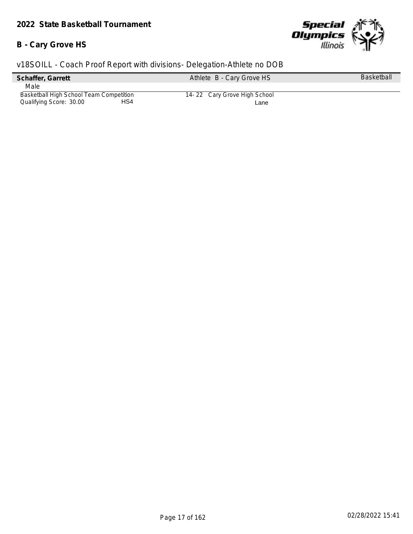# **B - Cary Grove HS**



| Schaffer, Garrett                       |     | Athlete B - Cary Grove HS    | <b>Basketball</b> |
|-----------------------------------------|-----|------------------------------|-------------------|
| Male                                    |     |                              |                   |
| Basketball High School Team Competition |     | 14-22 Cary Grove High School |                   |
| Qualifying Score: 30.00                 | HS4 | Lane                         |                   |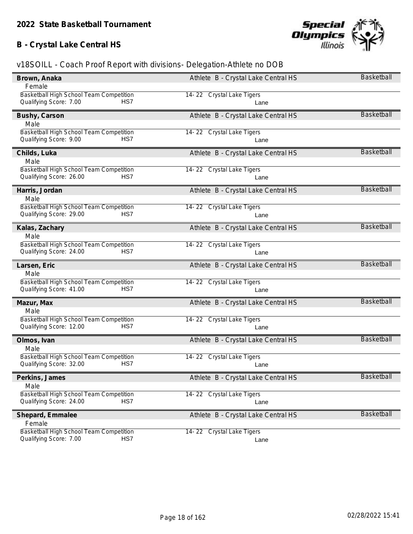# **B - Crystal Lake Central HS**



| Brown, Anaka                                                             | Athlete B - Crystal Lake Central HS | Basketball        |
|--------------------------------------------------------------------------|-------------------------------------|-------------------|
| Female                                                                   |                                     |                   |
| Basketball High School Team Competition                                  | 14-22 Crystal Lake Tigers           |                   |
| Qualifying Score: 7.00<br>HS7                                            | Lane                                |                   |
| Bushy, Carson                                                            | Athlete B - Crystal Lake Central HS | <b>Basketball</b> |
| Male                                                                     |                                     |                   |
| Basketball High School Team Competition                                  | 14-22 Crystal Lake Tigers           |                   |
| Qualifying Score: 9.00<br>HS7                                            | Lane                                |                   |
| Childs, Luka                                                             | Athlete B - Crystal Lake Central HS | <b>Basketball</b> |
| Male                                                                     |                                     |                   |
| Basketball High School Team Competition                                  | 14-22 Crystal Lake Tigers           |                   |
| Qualifying Score: 26.00<br>HS7                                           | Lane                                |                   |
| Harris, Jordan                                                           | Athlete B - Crystal Lake Central HS | <b>Basketball</b> |
| Male                                                                     |                                     |                   |
| Basketball High School Team Competition                                  | 14-22 Crystal Lake Tigers           |                   |
| Qualifying Score: 29.00<br>HS7                                           | Lane                                |                   |
| Kalas, Zachary                                                           | Athlete B - Crystal Lake Central HS | <b>Basketball</b> |
| Male                                                                     |                                     |                   |
| Basketball High School Team Competition                                  | 14-22 Crystal Lake Tigers           |                   |
| Qualifying Score: 24.00<br>HS7                                           | Lane                                |                   |
|                                                                          |                                     |                   |
| Larsen, Eric                                                             | Athlete B - Crystal Lake Central HS | <b>Basketball</b> |
| Male                                                                     |                                     |                   |
| Basketball High School Team Competition                                  | 14-22 Crystal Lake Tigers           |                   |
| Qualifying Score: 41.00<br>HS7                                           | Lane                                |                   |
| Mazur, Max                                                               | Athlete B - Crystal Lake Central HS | <b>Basketball</b> |
| Male                                                                     |                                     |                   |
| Basketball High School Team Competition                                  | 14-22 Crystal Lake Tigers           |                   |
| Qualifying Score: 12.00<br>HS7                                           | Lane                                |                   |
| Olmos, Ivan                                                              | Athlete B - Crystal Lake Central HS | <b>Basketball</b> |
| Male                                                                     |                                     |                   |
| Basketball High School Team Competition                                  | 14-22 Crystal Lake Tigers           |                   |
| HS7<br>Qualifying Score: 32.00                                           | Lane                                |                   |
| Perkins, James                                                           | Athlete B - Crystal Lake Central HS | Basketball        |
| Male                                                                     |                                     |                   |
| Basketball High School Team Competition                                  | 14-22 Crystal Lake Tigers           |                   |
| HS7<br>Qualifying Score: 24.00                                           | Lane                                |                   |
| Shepard, Emmalee                                                         | Athlete B - Crystal Lake Central HS | <b>Basketball</b> |
| Female                                                                   |                                     |                   |
| Basketball High School Team Competition<br>Qualifying Score: 7.00<br>HS7 | 14-22 Crystal Lake Tigers           |                   |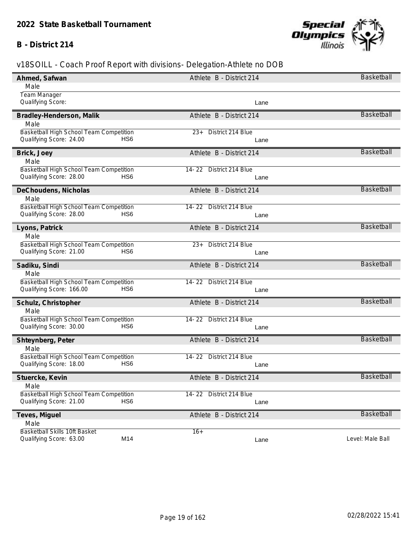### **B - District 214**



| Ahmed, Safwan                               | Athlete B - District 214       | Basketball        |
|---------------------------------------------|--------------------------------|-------------------|
| Male                                        |                                |                   |
| Team Manager                                |                                |                   |
| Qualifying Score:                           | Lane                           |                   |
| Bradley-Henderson, Malik                    | Athlete B - District 214       | <b>Basketball</b> |
| Male                                        |                                |                   |
| Basketball High School Team Competition     | District 214 Blue<br>$23+$     |                   |
| Qualifying Score: 24.00<br>HS <sub>6</sub>  | Lane                           |                   |
| Brick, Joey                                 | Athlete B - District 214       | <b>Basketball</b> |
| Male                                        |                                |                   |
| Basketball High School Team Competition     | 14-22 District 214 Blue        |                   |
| Qualifying Score: 28.00<br>HS6              | Lane                           |                   |
| DeChoudens, Nicholas                        | Athlete B - District 214       | <b>Basketball</b> |
| Male                                        |                                |                   |
| Basketball High School Team Competition     | 14-22 District 214 Blue        |                   |
| Qualifying Score: 28.00<br>HS6              | Lane                           |                   |
| Lyons, Patrick                              | Athlete B - District 214       | <b>Basketball</b> |
| Male                                        |                                |                   |
| Basketball High School Team Competition     | District 214 Blue<br>$23+$     |                   |
| Qualifying Score: 21.00<br>HS6              | Lane                           |                   |
| Sadiku, Sindi                               | Athlete B - District 214       | <b>Basketball</b> |
| Male                                        |                                |                   |
| Basketball High School Team Competition     | 14-22 District 214 Blue        |                   |
| Qualifying Score: 166.00<br>HS <sub>6</sub> | Lane                           |                   |
| Schulz, Christopher                         | Athlete B - District 214       | <b>Basketball</b> |
| Male                                        |                                |                   |
| Basketball High School Team Competition     | 14-22 District 214 Blue        |                   |
| Qualifying Score: 30.00<br>HS <sub>6</sub>  | Lane                           |                   |
| Shteynberg, Peter                           | Athlete B - District 214       | <b>Basketball</b> |
| Male                                        |                                |                   |
| Basketball High School Team Competition     | 14-22 District 214 Blue        |                   |
| Qualifying Score: 18.00<br>HS6              | Lane                           |                   |
| Stuercke, Kevin                             | Athlete B - District 214       | <b>Basketball</b> |
| Male                                        |                                |                   |
| Basketball High School Team Competition     | $14 - 22$<br>District 214 Blue |                   |
| Qualifying Score: 21.00<br>HS <sub>6</sub>  | Lane                           |                   |
| Teves, Miguel                               | Athlete B - District 214       | <b>Basketball</b> |
| Male                                        |                                |                   |
| Basketball Skills 10ft Basket               | $16+$                          |                   |
| M14<br>Qualifying Score: 63.00              | Lane                           | Level: Male Ball  |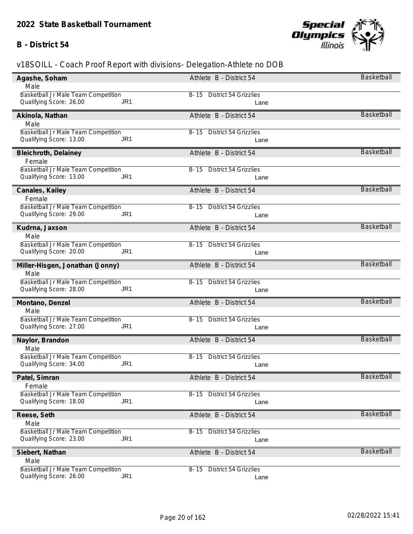## **B - District 54**



| Agashe, Soham                              | Athlete B - District 54               | Basketball        |
|--------------------------------------------|---------------------------------------|-------------------|
| Male                                       |                                       |                   |
| Basketball Jr Male Team Competition        | 8-15 District 54 Grizzlies            |                   |
| Qualifying Score: 26.00<br>JR1             | Lane                                  |                   |
| Akinola, Nathan                            | Athlete B - District 54               | <b>Basketball</b> |
| Male                                       |                                       |                   |
| Basketball Jr Male Team Competition        | 8-15 District 54 Grizzlies            |                   |
| Qualifying Score: 13.00<br>JR1             | Lane                                  |                   |
| Bleichroth, Delainey                       | Athlete B - District 54               | Basketball        |
| Female                                     |                                       |                   |
| Basketball Jr Male Team Competition        | <b>District 54 Grizzlies</b><br>8- 15 |                   |
| Qualifying Score: 13.00<br>JR <sub>1</sub> | Lane                                  |                   |
| Canales, Kailey                            | Athlete B - District 54               | <b>Basketball</b> |
| Female                                     |                                       |                   |
| Basketball Jr Male Team Competition        | 8-15 District 54 Grizzlies            |                   |
| Qualifying Score: 29.00<br>JR <sub>1</sub> | Lane                                  |                   |
| Kudrna, Jaxson                             | Athlete B - District 54               | <b>Basketball</b> |
| Male                                       |                                       |                   |
| Basketball Jr Male Team Competition        | <b>District 54 Grizzlies</b><br>8- 15 |                   |
| Qualifying Score: 20.00<br>JR <sub>1</sub> | Lane                                  |                   |
| Miller-Hisgen, Jonathan (Jonny)            | Athlete B - District 54               | Basketball        |
| Male                                       |                                       |                   |
| Basketball Jr Male Team Competition        | 8-15 District 54 Grizzlies            |                   |
| Qualifying Score: 28.00<br>JR <sub>1</sub> | Lane                                  |                   |
| Montano, Denzel                            | Athlete B - District 54               | <b>Basketball</b> |
| Male                                       |                                       |                   |
| Basketball Jr Male Team Competition        | 8-15 District 54 Grizzlies            |                   |
| Qualifying Score: 27.00<br>JR <sub>1</sub> | Lane                                  |                   |
| Naylor, Brandon                            | Athlete B - District 54               | <b>Basketball</b> |
| Male                                       |                                       |                   |
| Basketball Jr Male Team Competition        | <b>District 54 Grizzlies</b><br>8-15  |                   |
| Qualifying Score: 34.00<br>JR <sub>1</sub> | Lane                                  |                   |
| Patel, Simran                              | Athlete B - District 54               | Basketball        |
| Female                                     |                                       |                   |
| Basketball Jr Male Team Competition        | 8-15 District 54 Grizzlies            |                   |
| Qualifying Score: 18.00<br>JR1             | Lane                                  |                   |
| Reese, Seth                                | Athlete B - District 54               | <b>Basketball</b> |
| Male                                       |                                       |                   |
| Basketball Jr Male Team Competition        | <b>District 54 Grizzlies</b><br>8- 15 |                   |
| JR <sub>1</sub><br>Qualifying Score: 23.00 | Lane                                  |                   |
| Siebert, Nathan                            | Athlete B - District 54               | Basketball        |
| Male                                       |                                       |                   |
| Basketball Jr Male Team Competition        | <b>District 54 Grizzlies</b><br>8-15  |                   |
| JR <sub>1</sub><br>Qualifying Score: 26.00 | Lane                                  |                   |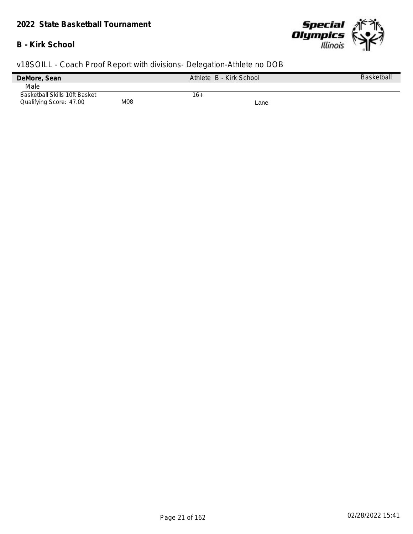## **B - Kirk School**



| DeMore, Sean                         |            | Athlete B - Kirk School | <b>Basketball</b> |
|--------------------------------------|------------|-------------------------|-------------------|
| Male                                 |            |                         |                   |
| <b>Basketball Skills 10ft Basket</b> |            | 16+                     |                   |
| Qualifying Score: 47.00              | <b>M08</b> | Lane                    |                   |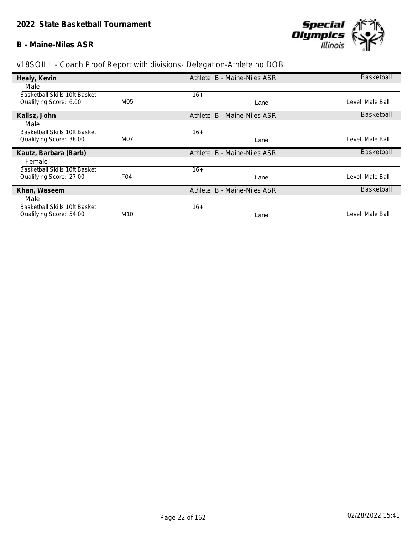#### **B - Maine-Niles ASR**



| Healy, Kevin                  |                  | Athlete B - Maine-Niles ASR | <b>Basketball</b> |
|-------------------------------|------------------|-----------------------------|-------------------|
| Male                          |                  |                             |                   |
| Basketball Skills 10ft Basket |                  | $16+$                       |                   |
| Qualifying Score: 6.00        | M05              | Lane                        | Level: Male Ball  |
| Kalisz, John                  |                  | Athlete B - Maine-Niles ASR | Basketball        |
| Male                          |                  |                             |                   |
| Basketball Skills 10ft Basket |                  | $16+$                       |                   |
| Qualifying Score: 38.00       | M <sub>0</sub> 7 | Lane                        | Level: Male Ball  |
| Kautz, Barbara (Barb)         |                  | Athlete B - Maine-Niles ASR | Basketball        |
| Female                        |                  |                             |                   |
| Basketball Skills 10ft Basket |                  | $16+$                       |                   |
| Qualifying Score: 27.00       | F04              | Lane                        | Level: Male Ball  |
| Khan, Waseem                  |                  | Athlete B - Maine-Niles ASR | Basketball        |
| Male                          |                  |                             |                   |
| Basketball Skills 10ft Basket |                  | $16+$                       |                   |
| Qualifying Score: 54.00       | M <sub>10</sub>  | Lane                        | Level: Male Ball  |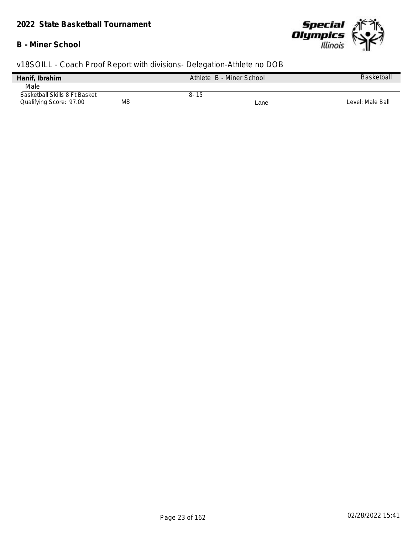### **B - Miner School**



| Hanif, Ibrahim                            | Athlete B - Miner School | <b>Basketball</b> |
|-------------------------------------------|--------------------------|-------------------|
| Male                                      |                          |                   |
| Basketball Skills 8 Ft Basket             | 8-15                     |                   |
| M <sub>8</sub><br>Qualifying Score: 97.00 | Lane                     | Level: Male Ball  |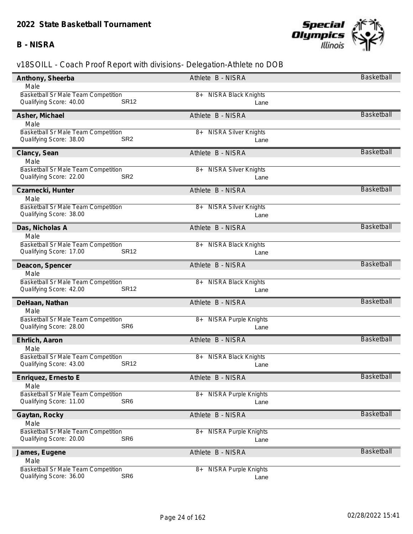### **B - NISRA**



| Anthony, Sheerba                           | Athlete B - NISRA                   | <b>Basketball</b> |
|--------------------------------------------|-------------------------------------|-------------------|
| Male                                       |                                     |                   |
| <b>Basketball Sr Male Team Competition</b> | <b>NISRA Black Knights</b><br>8+    |                   |
| <b>SR12</b><br>Qualifying Score: 40.00     | Lane                                |                   |
| Asher, Michael                             | Athlete B - NISRA                   | <b>Basketball</b> |
| Male                                       |                                     |                   |
| Basketball Sr Male Team Competition        | <b>NISRA Silver Knights</b><br>8+   |                   |
| SR <sub>2</sub><br>Qualifying Score: 38.00 | Lane                                |                   |
| Clancy, Sean                               | Athlete B - NISRA                   | <b>Basketball</b> |
| Male                                       |                                     |                   |
| Basketball Sr Male Team Competition        | <b>NISRA Silver Knights</b><br>8+   |                   |
| Qualifying Score: 22.00<br>SR <sub>2</sub> | Lane                                |                   |
| Czarnecki, Hunter                          | Athlete B - NISRA                   | <b>Basketball</b> |
| Male                                       |                                     |                   |
| Basketball Sr Male Team Competition        | 8+ NISRA Silver Knights             |                   |
| Qualifying Score: 38.00                    | Lane                                |                   |
| Das, Nicholas A                            | Athlete B - NISRA                   | <b>Basketball</b> |
| Male                                       |                                     |                   |
| Basketball Sr Male Team Competition        | <b>NISRA Black Knights</b><br>8+    |                   |
| Qualifying Score: 17.00<br><b>SR12</b>     | Lane                                |                   |
| Deacon, Spencer                            | Athlete B - NISRA                   | <b>Basketball</b> |
| Male                                       |                                     |                   |
| Basketball Sr Male Team Competition        | <b>NISRA Black Knights</b><br>8+    |                   |
| Qualifying Score: 42.00<br><b>SR12</b>     | Lane                                |                   |
| DeHaan, Nathan                             | Athlete B - NISRA                   | <b>Basketball</b> |
| Male                                       |                                     |                   |
| Basketball Sr Male Team Competition        | <b>NISRA Purple Knights</b><br>8+   |                   |
| SR <sub>6</sub><br>Qualifying Score: 28.00 | Lane                                |                   |
| Ehrlich, Aaron                             | Athlete B - NISRA                   | <b>Basketball</b> |
| Male                                       |                                     |                   |
| Basketball Sr Male Team Competition        | <b>NISRA Black Knights</b><br>8+    |                   |
| Qualifying Score: 43.00<br><b>SR12</b>     | Lane                                |                   |
| Enriquez, Ernesto E                        | Athlete B - NISRA                   | Basketball        |
| Male                                       |                                     |                   |
| Basketball Sr Male Team Competition        | <b>NISRA Purple Knights</b><br>$8+$ |                   |
| SR <sub>6</sub><br>Qualifying Score: 11.00 | Lane                                |                   |
| Gaytan, Rocky                              | Athlete B - NISRA                   | <b>Basketball</b> |
| Male                                       |                                     |                   |
| Basketball Sr Male Team Competition        | <b>NISRA Purple Knights</b><br>8+   |                   |
| SR <sub>6</sub><br>Qualifying Score: 20.00 | Lane                                |                   |
| James, Eugene                              | Athlete B - NISRA                   | Basketball        |
| Male                                       |                                     |                   |
| <b>Basketball Sr Male Team Competition</b> | <b>NISRA Purple Knights</b><br>8+   |                   |
| SR <sub>6</sub><br>Qualifying Score: 36.00 | Lane                                |                   |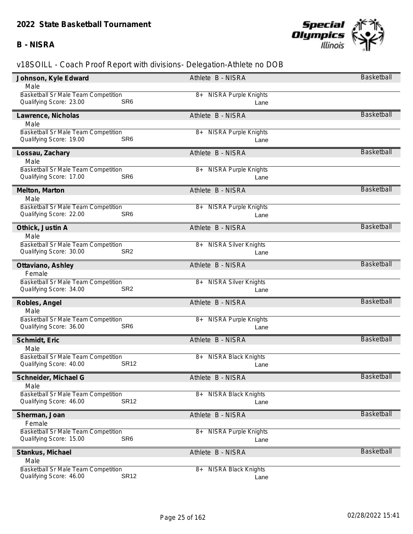### **B - NISRA**



| Johnson, Kyle Edward                       | Athlete B - NISRA                 | <b>Basketball</b> |
|--------------------------------------------|-----------------------------------|-------------------|
| Male                                       |                                   |                   |
| Basketball Sr Male Team Competition        | 8+ NISRA Purple Knights           |                   |
| SR <sub>6</sub><br>Qualifying Score: 23.00 | Lane                              |                   |
| Lawrence, Nicholas                         | Athlete B - NISRA                 | <b>Basketball</b> |
| Male                                       |                                   |                   |
| Basketball Sr Male Team Competition        | <b>NISRA Purple Knights</b><br>8+ |                   |
| SR <sub>6</sub><br>Qualifying Score: 19.00 | Lane                              |                   |
| Lossau, Zachary                            | Athlete B - NISRA                 | <b>Basketball</b> |
| Male                                       |                                   |                   |
| Basketball Sr Male Team Competition        | <b>NISRA Purple Knights</b><br>8+ |                   |
| Qualifying Score: 17.00<br>SR <sub>6</sub> | Lane                              |                   |
| Melton, Marton                             | Athlete B - NISRA                 | <b>Basketball</b> |
| Male                                       |                                   |                   |
| <b>Basketball Sr Male Team Competition</b> | 8+ NISRA Purple Knights           |                   |
| SR <sub>6</sub><br>Qualifying Score: 22.00 | Lane                              |                   |
| Othick, Justin A                           | Athlete B - NISRA                 | <b>Basketball</b> |
| Male                                       |                                   |                   |
| Basketball Sr Male Team Competition        | <b>NISRA Silver Knights</b><br>8+ |                   |
| Qualifying Score: 30.00<br>SR <sub>2</sub> | Lane                              |                   |
| Ottaviano, Ashley                          | Athlete B - NISRA                 | <b>Basketball</b> |
| Female                                     |                                   |                   |
| Basketball Sr Male Team Competition        | <b>NISRA Silver Knights</b><br>8+ |                   |
| Qualifying Score: 34.00<br>SR <sub>2</sub> | Lane                              |                   |
| Robles, Angel                              | Athlete B - NISRA                 | <b>Basketball</b> |
| Male                                       |                                   |                   |
| <b>Basketball Sr Male Team Competition</b> | 8+ NISRA Purple Knights           |                   |
| SR <sub>6</sub><br>Qualifying Score: 36.00 | Lane                              |                   |
| Schmidt, Eric                              | Athlete B - NISRA                 | <b>Basketball</b> |
| Male                                       |                                   |                   |
| Basketball Sr Male Team Competition        | <b>NISRA Black Knights</b><br>8+  |                   |
| <b>SR12</b><br>Qualifying Score: 40.00     | Lane                              |                   |
| Schneider, Michael G                       | Athlete B - NISRA                 | Basketball        |
| Male                                       |                                   |                   |
| Basketball Sr Male Team Competition        | <b>NISRA Black Knights</b><br>8+  |                   |
| <b>SR12</b><br>Qualifying Score: 46.00     | Lane                              |                   |
| Sherman, Joan                              | Athlete B - NISRA                 | <b>Basketball</b> |
| Female                                     |                                   |                   |
| Basketball Sr Male Team Competition        | <b>NISRA Purple Knights</b><br>8+ |                   |
| SR <sub>6</sub><br>Qualifying Score: 15.00 | Lane                              |                   |
| Stankus, Michael                           | Athlete B - NISRA                 | <b>Basketball</b> |
| Male                                       |                                   |                   |
| <b>Basketball Sr Male Team Competition</b> | NISRA Black Knights<br>8+         |                   |
| <b>SR12</b><br>Qualifying Score: 46.00     | Lane                              |                   |
|                                            |                                   |                   |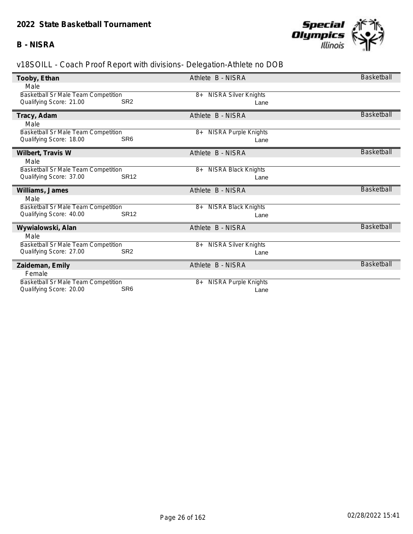## **B - NISRA**



| Tooby, Ethan                                                          |                 | Athlete B - NISRA                   | Basketball        |
|-----------------------------------------------------------------------|-----------------|-------------------------------------|-------------------|
| Male                                                                  |                 |                                     |                   |
| <b>Basketball Sr Male Team Competition</b>                            |                 | 8+ NISRA Silver Knights             |                   |
| Qualifying Score: 21.00                                               | SR <sub>2</sub> | Lane                                |                   |
| Tracy, Adam                                                           |                 | Athlete B - NISRA                   | Basketball        |
| Male                                                                  |                 |                                     |                   |
| <b>Basketball Sr Male Team Competition</b>                            |                 | <b>NISRA Purple Knights</b><br>$8+$ |                   |
| Qualifying Score: 18.00                                               | SR <sub>6</sub> | Lane                                |                   |
| Wilbert, Travis W                                                     |                 | Athlete B - NISRA                   | <b>Basketball</b> |
| Male                                                                  |                 |                                     |                   |
| Basketball Sr Male Team Competition                                   |                 | <b>NISRA Black Knights</b><br>$8+$  |                   |
| Qualifying Score: 37.00                                               | <b>SR12</b>     | Lane                                |                   |
|                                                                       |                 |                                     |                   |
| Williams, James                                                       |                 | Athlete B - NISRA                   | Basketball        |
| Male                                                                  |                 |                                     |                   |
| Basketball Sr Male Team Competition                                   |                 | <b>NISRA Black Knights</b><br>8+    |                   |
| Qualifying Score: 40.00                                               | <b>SR12</b>     | Lane                                |                   |
| Wywialowski, Alan                                                     |                 | Athlete B - NISRA                   | Basketball        |
| Male                                                                  |                 |                                     |                   |
| Basketball Sr Male Team Competition                                   |                 | <b>NISRA Silver Knights</b><br>8+   |                   |
| Qualifying Score: 27.00                                               | SR <sub>2</sub> | Lane                                |                   |
| Zaideman, Emily                                                       |                 | Athlete B - NISRA                   | <b>Basketball</b> |
| Female                                                                |                 |                                     |                   |
| <b>Basketball Sr Male Team Competition</b><br>Qualifying Score: 20.00 | SR <sub>6</sub> | <b>NISRA Purple Knights</b><br>8+   |                   |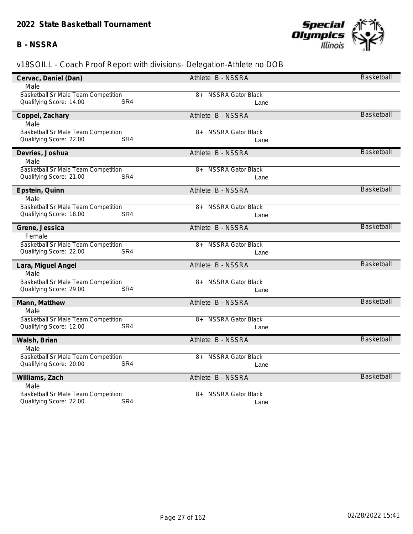### **B - NSSRA**



| Cervac, Daniel (Dan)                       | Athlete B - NSSRA                | <b>Basketball</b> |
|--------------------------------------------|----------------------------------|-------------------|
| Male                                       |                                  |                   |
| Basketball Sr Male Team Competition        | <b>NSSRA Gator Black</b><br>8+   |                   |
| Qualifying Score: 14.00<br>SR <sub>4</sub> | Lane                             |                   |
| Coppel, Zachary                            | Athlete B - NSSRA                | <b>Basketball</b> |
| Male                                       |                                  |                   |
| Basketball Sr Male Team Competition        | <b>NSSRA Gator Black</b><br>8+   |                   |
| SR <sub>4</sub><br>Qualifying Score: 22.00 | Lane                             |                   |
|                                            |                                  |                   |
| Devries, Joshua                            | Athlete B - NSSRA                | <b>Basketball</b> |
| Male                                       |                                  |                   |
| Basketball Sr Male Team Competition        | <b>NSSRA Gator Black</b><br>8+   |                   |
| SR <sub>4</sub><br>Qualifying Score: 21.00 | Lane                             |                   |
| Epstein, Quinn                             | Athlete B - NSSRA                | <b>Basketball</b> |
| Male                                       |                                  |                   |
| Basketball Sr Male Team Competition        | <b>NSSRA Gator Black</b><br>8+   |                   |
| Qualifying Score: 18.00<br>SR <sub>4</sub> | Lane                             |                   |
|                                            |                                  |                   |
| Grene, Jessica                             | Athlete B - NSSRA                | <b>Basketball</b> |
| Female                                     |                                  |                   |
| Basketball Sr Male Team Competition        | <b>NSSRA Gator Black</b><br>8+   |                   |
| Qualifying Score: 22.00<br>SR4             | Lane                             |                   |
| Lara, Miguel Angel                         | Athlete B - NSSRA                | Basketball        |
| Male                                       |                                  |                   |
| Basketball Sr Male Team Competition        | <b>NSSRA Gator Black</b><br>8+   |                   |
| Qualifying Score: 29.00<br>SR <sub>4</sub> | Lane                             |                   |
| Mann, Matthew                              | Athlete B - NSSRA                | <b>Basketball</b> |
| Male                                       |                                  |                   |
| Basketball Sr Male Team Competition        | <b>NSSRA Gator Black</b><br>8+   |                   |
| Qualifying Score: 12.00<br>SR4             | Lane                             |                   |
|                                            |                                  |                   |
| Walsh, Brian                               | Athlete B - NSSRA                | <b>Basketball</b> |
| Male                                       |                                  |                   |
| Basketball Sr Male Team Competition        | $8+$<br><b>NSSRA Gator Black</b> |                   |
| Qualifying Score: 20.00<br>SR4             | Lane                             |                   |
| Williams, Zach                             | Athlete B - NSSRA                | <b>Basketball</b> |
| Male                                       |                                  |                   |
| Basketball Sr Male Team Competition        | <b>NSSRA Gator Black</b><br>$8+$ |                   |
| SR4<br>Qualifying Score: 22.00             | Lane                             |                   |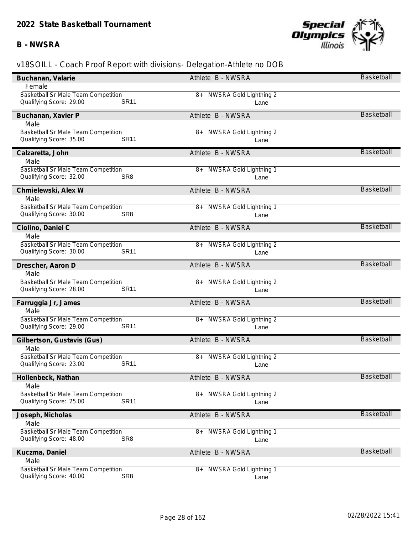### **B - NWSRA**



| Buchanan, Valarie                          | Athlete B - NWSRA                   | <b>Basketball</b> |
|--------------------------------------------|-------------------------------------|-------------------|
| Female                                     |                                     |                   |
| Basketball Sr Male Team Competition        | NWSRA Gold Lightning 2<br>8+        |                   |
| <b>SR11</b><br>Qualifying Score: 29.00     | Lane                                |                   |
| Buchanan, Xavier P                         | Athlete B - NWSRA                   | <b>Basketball</b> |
| Male                                       |                                     |                   |
| Basketball Sr Male Team Competition        | NWSRA Gold Lightning 2<br>8+        |                   |
| <b>SR11</b><br>Qualifying Score: 35.00     | Lane                                |                   |
| Calzaretta, John                           | Athlete B - NWSRA                   | <b>Basketball</b> |
| Male                                       |                                     |                   |
| Basketball Sr Male Team Competition        | NWSRA Gold Lightning 1<br>8+        |                   |
| Qualifying Score: 32.00<br>SR <sub>8</sub> | Lane                                |                   |
| Chmielewski, Alex W                        | Athlete B - NWSRA                   | <b>Basketball</b> |
| Male                                       |                                     |                   |
| Basketball Sr Male Team Competition        | <b>NWSRA Gold Lightning 1</b><br>8+ |                   |
| Qualifying Score: 30.00<br>SR <sub>8</sub> | Lane                                |                   |
| Ciolino, Daniel C                          | Athlete B - NWSRA                   | <b>Basketball</b> |
| Male                                       |                                     |                   |
| <b>Basketball Sr Male Team Competition</b> | NWSRA Gold Lightning 2<br>8+        |                   |
| Qualifying Score: 30.00<br><b>SR11</b>     | Lane                                |                   |
| Drescher, Aaron D                          | Athlete B - NWSRA                   | <b>Basketball</b> |
| Male                                       |                                     |                   |
| Basketball Sr Male Team Competition        | NWSRA Gold Lightning 2<br>8+        |                   |
| Qualifying Score: 28.00<br><b>SR11</b>     | Lane                                |                   |
| Farruggia Jr, James                        | Athlete B - NWSRA                   | <b>Basketball</b> |
| Male                                       |                                     |                   |
| <b>Basketball Sr Male Team Competition</b> | NWSRA Gold Lightning 2<br>8+        |                   |
| <b>SR11</b><br>Qualifying Score: 29.00     | Lane                                |                   |
| Gilbertson, Gustavis (Gus)                 | Athlete B - NWSRA                   | <b>Basketball</b> |
| Male                                       |                                     |                   |
| <b>Basketball Sr Male Team Competition</b> | NWSRA Gold Lightning 2<br>8+        |                   |
| <b>SR11</b><br>Qualifying Score: 23.00     | Lane                                |                   |
| Hollenbeck, Nathan                         | Athlete B - NWSRA                   | Basketball        |
| Male                                       |                                     |                   |
| <b>Basketball Sr Male Team Competition</b> | NWSRA Gold Lightning 2<br>8+        |                   |
| <b>SR11</b><br>Qualifying Score: 25.00     | Lane                                |                   |
| Joseph, Nicholas                           | Athlete B - NWSRA                   | <b>Basketball</b> |
| Male                                       |                                     |                   |
| Basketball Sr Male Team Competition        | NWSRA Gold Lightning 1<br>8+        |                   |
| SR <sub>8</sub><br>Qualifying Score: 48.00 | Lane                                |                   |
| Kuczma, Daniel                             | Athlete B - NWSRA                   | <b>Basketball</b> |
| Male                                       |                                     |                   |
| <b>Basketball Sr Male Team Competition</b> | NWSRA Gold Lightning 1<br>8+        |                   |
| SR <sub>8</sub><br>Qualifying Score: 40.00 | Lane                                |                   |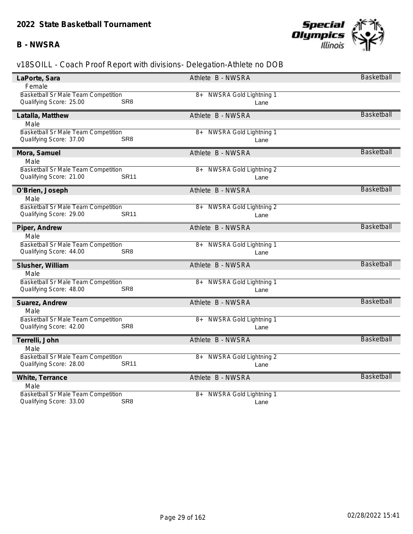## **B - NWSRA**



| LaPorte, Sara                                                                     | Athlete B - NWSRA                   | Basketball        |
|-----------------------------------------------------------------------------------|-------------------------------------|-------------------|
| Female                                                                            |                                     |                   |
| <b>Basketball Sr Male Team Competition</b>                                        | NWSRA Gold Lightning 1<br>8+        |                   |
| Qualifying Score: 25.00<br>SR <sub>8</sub>                                        | Lane                                |                   |
| Latalla, Matthew                                                                  | Athlete B - NWSRA                   | <b>Basketball</b> |
| Male                                                                              |                                     |                   |
| <b>Basketball Sr Male Team Competition</b>                                        | <b>NWSRA Gold Lightning 1</b><br>8+ |                   |
| Qualifying Score: 37.00<br>SR <sub>8</sub>                                        | Lane                                |                   |
|                                                                                   |                                     |                   |
| Mora, Samuel                                                                      | Athlete B - NWSRA                   | <b>Basketball</b> |
| Male                                                                              |                                     |                   |
| Basketball Sr Male Team Competition                                               | NWSRA Gold Lightning 2<br>8+        |                   |
| Qualifying Score: 21.00<br><b>SR11</b>                                            | Lane                                |                   |
| O'Brien, Joseph                                                                   | Athlete B - NWSRA                   | <b>Basketball</b> |
| Male                                                                              |                                     |                   |
| <b>Basketball Sr Male Team Competition</b>                                        | NWSRA Gold Lightning 2<br>8+        |                   |
| Qualifying Score: 29.00<br><b>SR11</b>                                            | Lane                                |                   |
|                                                                                   |                                     |                   |
| Piper, Andrew                                                                     | Athlete B - NWSRA                   | <b>Basketball</b> |
| Male                                                                              |                                     |                   |
| Basketball Sr Male Team Competition                                               | NWSRA Gold Lightning 1<br>8+        |                   |
| Qualifying Score: 44.00<br>SR <sub>8</sub>                                        | Lane                                |                   |
| Slusher, William                                                                  | Athlete B - NWSRA                   | <b>Basketball</b> |
| Male                                                                              |                                     |                   |
| Basketball Sr Male Team Competition                                               | 8+ NWSRA Gold Lightning 1           |                   |
| Qualifying Score: 48.00<br>SR <sub>8</sub>                                        | Lane                                |                   |
|                                                                                   |                                     | <b>Basketball</b> |
| Suarez, Andrew                                                                    | Athlete B - NWSRA                   |                   |
| Male                                                                              |                                     |                   |
| <b>Basketball Sr Male Team Competition</b>                                        | NWSRA Gold Lightning 1<br>8+        |                   |
| Qualifying Score: 42.00<br>SR <sub>8</sub>                                        | Lane                                |                   |
| Terrelli, John                                                                    | Athlete B - NWSRA                   | Basketball        |
| Male                                                                              |                                     |                   |
| Basketball Sr Male Team Competition                                               | NWSRA Gold Lightning 2<br>8+        |                   |
| Qualifying Score: 28.00<br><b>SR11</b>                                            | Lane                                |                   |
|                                                                                   |                                     | <b>Basketball</b> |
| White, Terrance                                                                   | Athlete B - NWSRA                   |                   |
| Male                                                                              |                                     |                   |
| Basketball Sr Male Team Competition<br>SR <sub>8</sub><br>Qualifying Score: 33.00 | NWSRA Gold Lightning 1<br>8+        |                   |
|                                                                                   | Lane                                |                   |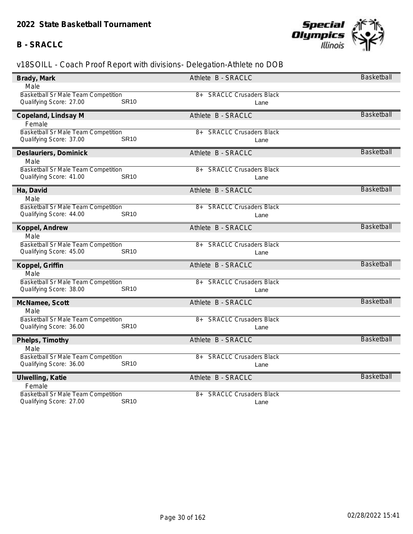# **B - SRACLC**



| Brady, Mark                            | Athlete B - SRACLC                    | Basketball        |
|----------------------------------------|---------------------------------------|-------------------|
| Male                                   |                                       |                   |
| Basketball Sr Male Team Competition    | <b>SRACLC Crusaders Black</b><br>8+   |                   |
| <b>SR10</b><br>Qualifying Score: 27.00 | Lane                                  |                   |
| Copeland, Lindsay M                    | Athlete B - SRACLC                    | <b>Basketball</b> |
| Female                                 |                                       |                   |
| Basketball Sr Male Team Competition    | <b>SRACLC Crusaders Black</b><br>$8+$ |                   |
| Qualifying Score: 37.00<br><b>SR10</b> | Lane                                  |                   |
| Deslauriers, Dominick                  | Athlete B - SRACLC                    | <b>Basketball</b> |
| Male                                   |                                       |                   |
| Basketball Sr Male Team Competition    | <b>SRACLC Crusaders Black</b><br>8+   |                   |
| Qualifying Score: 41.00<br><b>SR10</b> | Lane                                  |                   |
| Ha, David                              | Athlete B - SRACLC                    | Basketball        |
| Male                                   |                                       |                   |
| Basketball Sr Male Team Competition    | <b>SRACLC Crusaders Black</b><br>$8+$ |                   |
| <b>SR10</b><br>Qualifying Score: 44.00 | Lane                                  |                   |
| Koppel, Andrew                         | Athlete B - SRACLC                    | <b>Basketball</b> |
| Male                                   |                                       |                   |
| Basketball Sr Male Team Competition    | <b>SRACLC Crusaders Black</b><br>8+   |                   |
| Qualifying Score: 45.00<br><b>SR10</b> | Lane                                  |                   |
| Koppel, Griffin                        | Athlete B - SRACLC                    | Basketball        |
| Male                                   |                                       |                   |
| Basketball Sr Male Team Competition    | <b>SRACLC Crusaders Black</b><br>8+   |                   |
| Qualifying Score: 38.00<br><b>SR10</b> | Lane                                  |                   |
| McNamee, Scott                         | Athlete B - SRACLC                    | <b>Basketball</b> |
| Male                                   |                                       |                   |
| Basketball Sr Male Team Competition    | <b>SRACLC Crusaders Black</b><br>8+   |                   |
| Qualifying Score: 36.00<br><b>SR10</b> | Lane                                  |                   |
| Phelps, Timothy                        | Athlete B - SRACLC                    | <b>Basketball</b> |
| Male                                   |                                       |                   |
| Basketball Sr Male Team Competition    | <b>SRACLC Crusaders Black</b><br>8+   |                   |
| Qualifying Score: 36.00<br><b>SR10</b> | Lane                                  |                   |
| Ulwelling, Katie                       | Athlete B - SRACLC                    | <b>Basketball</b> |
| Female                                 |                                       |                   |
| Basketball Sr Male Team Competition    | <b>SRACLC Crusaders Black</b><br>8+   |                   |
| <b>SR10</b><br>Qualifying Score: 27.00 | Lane                                  |                   |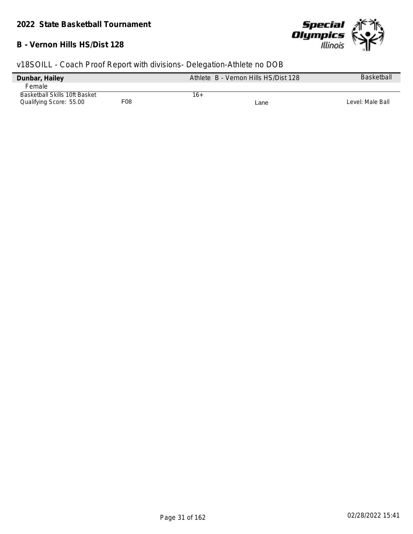#### **B - Vernon Hills HS/Dist 128**



| Dunbar, Hailey                       |     | Athlete B - Vernon Hills HS/Dist 128 | <b>Basketball</b> |
|--------------------------------------|-----|--------------------------------------|-------------------|
| <b>Female</b>                        |     |                                      |                   |
| <b>Basketball Skills 10ft Basket</b> |     | 16+                                  |                   |
| Qualifying Score: 55.00              | F08 | Lane                                 | Level: Male Ball  |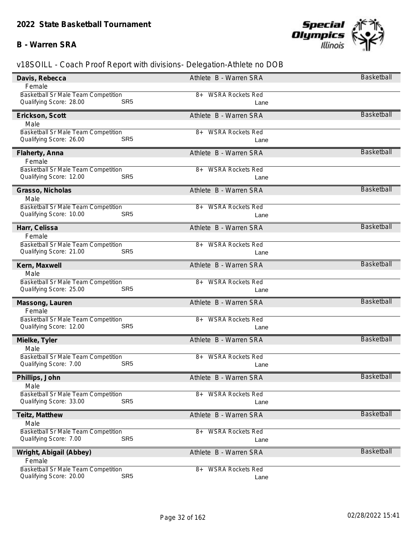## **B - Warren SRA**



| Davis, Rebecca                             | Athlete B - Warren SRA        | Basketball        |
|--------------------------------------------|-------------------------------|-------------------|
| Female                                     |                               |                   |
| <b>Basketball Sr Male Team Competition</b> | 8+ WSRA Rockets Red           |                   |
| Qualifying Score: 28.00                    | SR <sub>5</sub><br>Lane       |                   |
| Erickson, Scott                            | Athlete B - Warren SRA        | <b>Basketball</b> |
| Male                                       |                               |                   |
| <b>Basketball Sr Male Team Competition</b> | <b>WSRA Rockets Red</b><br>8+ |                   |
| Qualifying Score: 26.00                    | SR <sub>5</sub><br>Lane       |                   |
| Flaherty, Anna                             | Athlete B - Warren SRA        | <b>Basketball</b> |
| Female                                     |                               |                   |
| Basketball Sr Male Team Competition        | <b>WSRA Rockets Red</b><br>8+ |                   |
| Qualifying Score: 12.00                    | SR <sub>5</sub><br>Lane       |                   |
| Grasso, Nicholas                           | Athlete B - Warren SRA        | Basketball        |
| Male                                       |                               |                   |
| <b>Basketball Sr Male Team Competition</b> | 8+ WSRA Rockets Red           |                   |
| Qualifying Score: 10.00                    | SR <sub>5</sub><br>Lane       |                   |
| Harr, Celissa                              | Athlete B - Warren SRA        | <b>Basketball</b> |
| Female                                     |                               |                   |
| Basketball Sr Male Team Competition        | <b>WSRA Rockets Red</b><br>8+ |                   |
| Qualifying Score: 21.00                    | SR <sub>5</sub><br>Lane       |                   |
| Kern, Maxwell                              | Athlete B - Warren SRA        | Basketball        |
| Male                                       |                               |                   |
| <b>Basketball Sr Male Team Competition</b> | <b>WSRA Rockets Red</b><br>8+ |                   |
| Qualifying Score: 25.00                    | SR <sub>5</sub><br>Lane       |                   |
| Massong, Lauren                            | Athlete B - Warren SRA        | <b>Basketball</b> |
| Female                                     |                               |                   |
| Basketball Sr Male Team Competition        | 8+ WSRA Rockets Red           |                   |
| Qualifying Score: 12.00                    | SR <sub>5</sub><br>Lane       |                   |
| Mielke, Tyler                              | Athlete B - Warren SRA        | <b>Basketball</b> |
| Male                                       |                               |                   |
| Basketball Sr Male Team Competition        | <b>WSRA Rockets Red</b><br>8+ |                   |
| Qualifying Score: 7.00                     | SR <sub>5</sub><br>Lane       |                   |
| Phillips, John                             | Athlete B - Warren SRA        | Basketball        |
| Male                                       |                               |                   |
| <b>Basketball Sr Male Team Competition</b> | <b>WSRA Rockets Red</b><br>8+ |                   |
| Qualifying Score: 33.00                    | SR <sub>5</sub><br>Lane       |                   |
| Teitz, Matthew                             | Athlete B - Warren SRA        | Basketball        |
| Male                                       |                               |                   |
| <b>Basketball Sr Male Team Competition</b> | <b>WSRA Rockets Red</b><br>8+ |                   |
| Qualifying Score: 7.00                     | SR <sub>5</sub><br>Lane       |                   |
| Wright, Abigail (Abbey)                    | Athlete B - Warren SRA        | <b>Basketball</b> |
| Female                                     |                               |                   |
| <b>Basketball Sr Male Team Competition</b> | <b>WSRA Rockets Red</b><br>8+ |                   |
| Qualifying Score: 20.00                    | SR <sub>5</sub><br>Lane       |                   |
|                                            |                               |                   |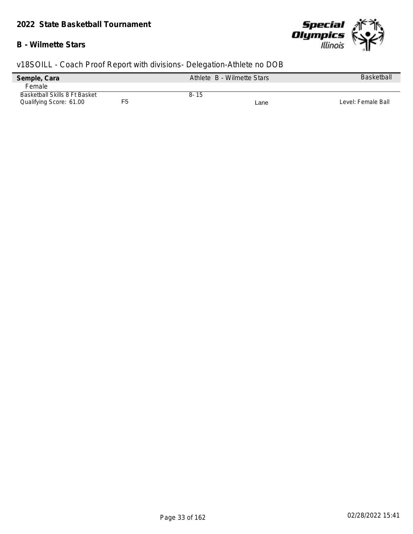## **B - Wilmette Stars**



| Semple, Cara                  |    | Athlete B - Wilmette Stars |      | <b>Basketball</b>  |
|-------------------------------|----|----------------------------|------|--------------------|
| Female                        |    |                            |      |                    |
| Basketball Skills 8 Ft Basket |    | $8 - 15$                   |      |                    |
| Qualifying Score: 61.00       | F5 |                            | Lane | Level: Female Ball |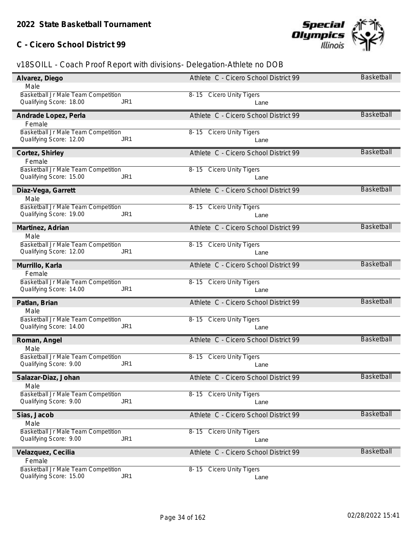# **C - Cicero School District 99**



| Alvarez, Diego                             | Athlete C - Cicero School District 99 | Basketball        |
|--------------------------------------------|---------------------------------------|-------------------|
| Male                                       |                                       |                   |
| <b>Basketball Jr Male Team Competition</b> | 8-15 Cicero Unity Tigers              |                   |
| Qualifying Score: 18.00<br>JR <sub>1</sub> | Lane                                  |                   |
| Andrade Lopez, Perla                       | Athlete C - Cicero School District 99 | Basketball        |
| Female                                     |                                       |                   |
| Basketball Jr Male Team Competition        | 8-15 Cicero Unity Tigers              |                   |
| Qualifying Score: 12.00<br>JR <sub>1</sub> | Lane                                  |                   |
| Cortez, Shirley                            | Athlete C - Cicero School District 99 | <b>Basketball</b> |
| Female                                     |                                       |                   |
| Basketball Jr Male Team Competition        | 8-15 Cicero Unity Tigers              |                   |
| Qualifying Score: 15.00<br>JR <sub>1</sub> | Lane                                  |                   |
| Diaz-Vega, Garrett                         | Athlete C - Cicero School District 99 | <b>Basketball</b> |
| Male                                       |                                       |                   |
| Basketball Jr Male Team Competition        | 8-15 Cicero Unity Tigers              |                   |
| Qualifying Score: 19.00<br>JR <sub>1</sub> | Lane                                  |                   |
| Martinez, Adrian                           | Athlete C - Cicero School District 99 | <b>Basketball</b> |
| Male                                       |                                       |                   |
| Basketball Jr Male Team Competition        | 8-15 Cicero Unity Tigers              |                   |
| Qualifying Score: 12.00<br>JR1             | Lane                                  |                   |
| Murrillo, Karla                            | Athlete C - Cicero School District 99 | Basketball        |
| Female                                     |                                       |                   |
| Basketball Jr Male Team Competition        | 8-15 Cicero Unity Tigers              |                   |
| Qualifying Score: 14.00<br>JR <sub>1</sub> | Lane                                  |                   |
| Patlan, Brian                              | Athlete C - Cicero School District 99 | <b>Basketball</b> |
| Male                                       |                                       |                   |
| Basketball Jr Male Team Competition        | 8-15 Cicero Unity Tigers              |                   |
| Qualifying Score: 14.00<br>JR <sub>1</sub> | Lane                                  |                   |
| Roman, Angel                               | Athlete C - Cicero School District 99 | <b>Basketball</b> |
| Male                                       |                                       |                   |
| Basketball Jr Male Team Competition        | 8-15 Cicero Unity Tigers              |                   |
| Qualifying Score: 9.00<br>JR <sub>1</sub>  | Lane                                  |                   |
| Salazar-Diaz, Johan                        | Athlete C - Cicero School District 99 | Basketball        |
| Male                                       |                                       |                   |
| Basketball Jr Male Team Competition        | 8-15 Cicero Unity Tigers              |                   |
| Qualifying Score: 9.00<br>JR <sub>1</sub>  | Lane                                  |                   |
| Sias, Jacob                                | Athlete C - Cicero School District 99 | <b>Basketball</b> |
| Male                                       |                                       |                   |
| Basketball Jr Male Team Competition        | 8-15 Cicero Unity Tigers              |                   |
| Qualifying Score: 9.00<br>JR <sub>1</sub>  | Lane                                  |                   |
| Velazquez, Cecilia                         | Athlete C - Cicero School District 99 | <b>Basketball</b> |
| Female                                     |                                       |                   |
| Basketball Jr Male Team Competition        | 8-15 Cicero Unity Tigers              |                   |
| Qualifying Score: 15.00<br>JR <sub>1</sub> | Lane                                  |                   |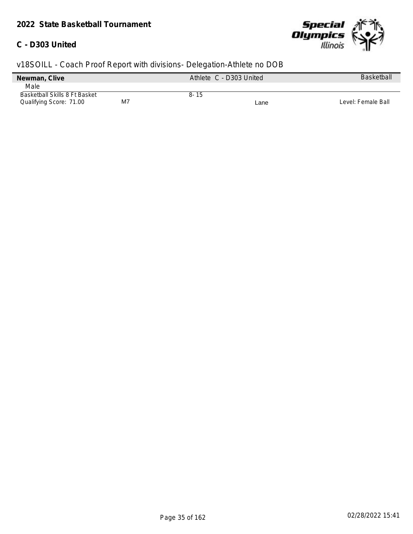## **C - D303 United**



| Newman, Clive                 |    | Athlete C - D303 United |      | Basketball         |
|-------------------------------|----|-------------------------|------|--------------------|
| Male                          |    |                         |      |                    |
| Basketball Skills 8 Ft Basket |    | $8 - 15$                |      |                    |
| Qualifying Score: 71.00       | M7 |                         | Lane | Level: Female Ball |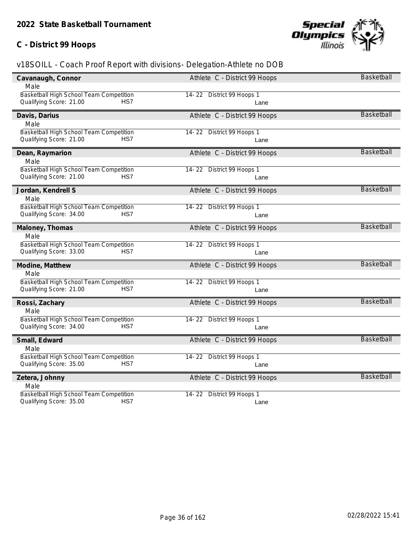# **C - District 99 Hoops**



| Cavanaugh, Connor                       | Athlete C - District 99 Hoops | <b>Basketball</b> |
|-----------------------------------------|-------------------------------|-------------------|
| Male                                    |                               |                   |
| Basketball High School Team Competition | 14-22 District 99 Hoops 1     |                   |
| HS7<br>Qualifying Score: 21.00          | Lane                          |                   |
| Davis, Darius                           | Athlete C - District 99 Hoops | <b>Basketball</b> |
| Male                                    |                               |                   |
| Basketball High School Team Competition | 14-22 District 99 Hoops 1     |                   |
| Qualifying Score: 21.00<br>HS7          | Lane                          |                   |
| Dean, Raymarion                         | Athlete C - District 99 Hoops | <b>Basketball</b> |
| Male                                    |                               |                   |
| Basketball High School Team Competition | 14-22 District 99 Hoops 1     |                   |
| HS7<br>Qualifying Score: 21.00          | Lane                          |                   |
| Jordan, Kendrell S                      | Athlete C - District 99 Hoops | <b>Basketball</b> |
| Male                                    |                               |                   |
| Basketball High School Team Competition | 14-22 District 99 Hoops 1     |                   |
| Qualifying Score: 34.00<br>HS7          | Lane                          |                   |
| Maloney, Thomas                         | Athlete C - District 99 Hoops | Basketball        |
| Male                                    |                               |                   |
| Basketball High School Team Competition | 14-22 District 99 Hoops 1     |                   |
| Qualifying Score: 33.00<br>HS7          | Lane                          |                   |
| Modine, Matthew                         | Athlete C - District 99 Hoops | Basketball        |
| Male                                    |                               |                   |
| Basketball High School Team Competition | 14-22 District 99 Hoops 1     |                   |
| Qualifying Score: 21.00<br>HS7          | Lane                          |                   |
| Rossi, Zachary                          | Athlete C - District 99 Hoops | <b>Basketball</b> |
| Male                                    |                               |                   |
| Basketball High School Team Competition | 14-22 District 99 Hoops 1     |                   |
| Qualifying Score: 34.00<br>HS7          | Lane                          |                   |
| Small, Edward                           | Athlete C - District 99 Hoops | <b>Basketball</b> |
| Male                                    |                               |                   |
| Basketball High School Team Competition | 14-22 District 99 Hoops 1     |                   |
| HS7<br>Qualifying Score: 35.00          | Lane                          |                   |
| Zetera, Johnny                          | Athlete C - District 99 Hoops | Basketball        |
| Male                                    |                               |                   |
| Basketball High School Team Competition | 14-22 District 99 Hoops 1     |                   |
| HS7<br>Qualifying Score: 35.00          | Lane                          |                   |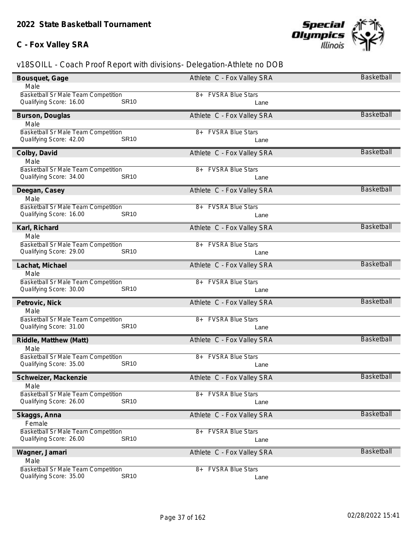### **C - Fox Valley SRA**



| Bousquet, Gage                                                                | Athlete C - Fox Valley SRA      | Basketball        |
|-------------------------------------------------------------------------------|---------------------------------|-------------------|
| Male                                                                          |                                 |                   |
| <b>Basketball Sr Male Team Competition</b>                                    | <b>FVSRA Blue Stars</b><br>8+   |                   |
| <b>SR10</b><br>Qualifying Score: 16.00                                        | Lane                            |                   |
| Burson, Douglas                                                               | Athlete C - Fox Valley SRA      | Basketball        |
| Male                                                                          |                                 |                   |
| Basketball Sr Male Team Competition                                           | <b>FVSRA Blue Stars</b><br>$8+$ |                   |
| <b>SR10</b><br>Qualifying Score: 42.00                                        | Lane                            |                   |
| Colby, David                                                                  | Athlete C - Fox Valley SRA      | <b>Basketball</b> |
| Male                                                                          |                                 |                   |
| Basketball Sr Male Team Competition                                           | <b>FVSRA Blue Stars</b><br>8+   |                   |
| Qualifying Score: 34.00<br><b>SR10</b>                                        | Lane                            |                   |
| Deegan, Casey                                                                 | Athlete C - Fox Valley SRA      | <b>Basketball</b> |
| Male                                                                          |                                 |                   |
| <b>Basketball Sr Male Team Competition</b>                                    | 8+ FVSRA Blue Stars             |                   |
| <b>SR10</b><br>Qualifying Score: 16.00                                        | Lane                            |                   |
| Karl, Richard                                                                 | Athlete C - Fox Valley SRA      | <b>Basketball</b> |
| Male                                                                          |                                 |                   |
| Basketball Sr Male Team Competition                                           | <b>FVSRA Blue Stars</b><br>8+   |                   |
| Qualifying Score: 29.00<br><b>SR10</b>                                        | Lane                            |                   |
| Lachat, Michael                                                               | Athlete C - Fox Valley SRA      | Basketball        |
| Male                                                                          |                                 |                   |
| Basketball Sr Male Team Competition                                           | <b>FVSRA Blue Stars</b><br>8+   |                   |
| Qualifying Score: 30.00<br><b>SR10</b>                                        | Lane                            |                   |
| Petrovic, Nick                                                                | Athlete C - Fox Valley SRA      | <b>Basketball</b> |
| Male                                                                          |                                 |                   |
| <b>Basketball Sr Male Team Competition</b><br><b>SR10</b>                     | 8+ FVSRA Blue Stars             |                   |
| Qualifying Score: 31.00                                                       | Lane                            |                   |
| Riddle, Matthew (Matt)                                                        | Athlete C - Fox Valley SRA      | <b>Basketball</b> |
| Male                                                                          |                                 |                   |
| <b>Basketball Sr Male Team Competition</b><br><b>SR10</b>                     | <b>FVSRA Blue Stars</b><br>8+   |                   |
| Qualifying Score: 35.00                                                       | Lane                            |                   |
| Schweizer, Mackenzie                                                          | Athlete C - Fox Valley SRA      | Basketball        |
| Male                                                                          |                                 |                   |
| <b>Basketball Sr Male Team Competition</b><br><b>SR10</b>                     | <b>FVSRA Blue Stars</b><br>8+   |                   |
| Qualifying Score: 26.00                                                       | Lane                            |                   |
| Skaggs, Anna                                                                  | Athlete C - Fox Valley SRA      | Basketball        |
| Female                                                                        |                                 |                   |
| Basketball Sr Male Team Competition<br><b>SR10</b><br>Qualifying Score: 26.00 | <b>FVSRA Blue Stars</b><br>8+   |                   |
|                                                                               | Lane                            |                   |
| Wagner, Jamari                                                                | Athlete C - Fox Valley SRA      | Basketball        |
| Male                                                                          |                                 |                   |
| Basketball Sr Male Team Competition<br><b>SR10</b>                            | <b>FVSRA Blue Stars</b><br>8+   |                   |
| Qualifying Score: 35.00                                                       | Lane                            |                   |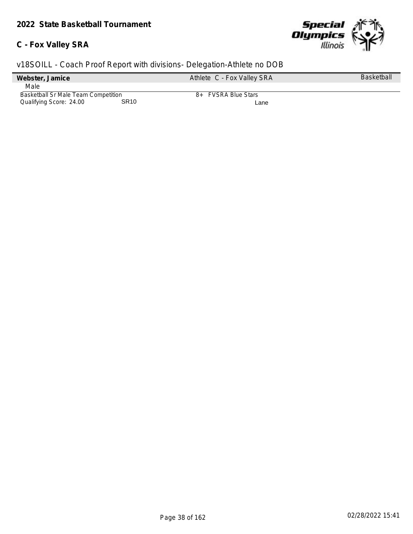### **C - Fox Valley SRA**



| Webster, Jamice                     |                  | Athlete C - Fox Valley SRA | <b>Basketball</b> |
|-------------------------------------|------------------|----------------------------|-------------------|
| Male                                |                  |                            |                   |
| Basketball Sr Male Team Competition |                  | 8+ FVSRA Blue Stars        |                   |
| Qualifying Score: 24.00             | SR <sub>10</sub> | Lane                       |                   |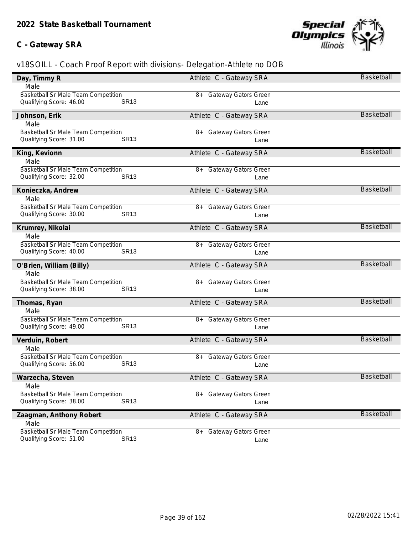### **C - Gateway SRA**



| Day, Timmy R                                                                  | Athlete C - Gateway SRA                     | Basketball        |
|-------------------------------------------------------------------------------|---------------------------------------------|-------------------|
| Male                                                                          |                                             |                   |
| Basketball Sr Male Team Competition                                           | <b>Gateway Gators Green</b><br>8+           |                   |
| <b>SR13</b><br>Qualifying Score: 46.00                                        | Lane                                        |                   |
| Johnson, Erik                                                                 | Athlete C - Gateway SRA                     | Basketball        |
| Male                                                                          |                                             |                   |
| Basketball Sr Male Team Competition                                           | <b>Gateway Gators Green</b><br>8+           |                   |
| <b>SR13</b><br>Qualifying Score: 31.00                                        | Lane                                        |                   |
| King, Kevionn                                                                 | Athlete C - Gateway SRA                     | Basketball        |
| Male                                                                          |                                             |                   |
| Basketball Sr Male Team Competition                                           | <b>Gateway Gators Green</b><br>8+           |                   |
| Qualifying Score: 32.00<br><b>SR13</b>                                        | Lane                                        |                   |
| Konieczka, Andrew                                                             | Athlete C - Gateway SRA                     | Basketball        |
| Male                                                                          |                                             |                   |
| Basketball Sr Male Team Competition                                           | 8+ Gateway Gators Green                     |                   |
| <b>SR13</b><br>Qualifying Score: 30.00                                        | Lane                                        |                   |
| Krumrey, Nikolai                                                              | Athlete C - Gateway SRA                     | <b>Basketball</b> |
| Male                                                                          |                                             |                   |
| Basketball Sr Male Team Competition                                           | <b>Gateway Gators Green</b><br>8+           |                   |
| Qualifying Score: 40.00<br><b>SR13</b>                                        | Lane                                        |                   |
|                                                                               |                                             |                   |
| O'Brien, William (Billy)                                                      | Athlete C - Gateway SRA                     | Basketball        |
| Male                                                                          |                                             |                   |
| Basketball Sr Male Team Competition                                           | <b>Gateway Gators Green</b><br>8+           |                   |
| Qualifying Score: 38.00<br><b>SR13</b>                                        | Lane                                        |                   |
| Thomas, Ryan                                                                  | Athlete C - Gateway SRA                     | Basketball        |
| Male                                                                          |                                             |                   |
| <b>Basketball Sr Male Team Competition</b>                                    | 8+ Gateway Gators Green                     |                   |
| <b>SR13</b><br>Qualifying Score: 49.00                                        | Lane                                        |                   |
| Verduin, Robert                                                               | Athlete C - Gateway SRA                     | Basketball        |
| Male                                                                          |                                             |                   |
| Basketball Sr Male Team Competition                                           | Gateway Gators Green<br>8+                  |                   |
| <b>SR13</b><br>Qualifying Score: 56.00                                        | Lane                                        |                   |
| Warzecha, Steven                                                              | Athlete C - Gateway SRA                     | Basketball        |
| Male                                                                          |                                             |                   |
| <b>Basketball Sr Male Team Competition</b>                                    | Gateway Gators Green<br>8+                  |                   |
| <b>SR13</b><br>Qualifying Score: 38.00                                        | Lane                                        |                   |
| Zaagman, Anthony Robert                                                       | Athlete C - Gateway SRA                     | Basketball        |
| Male                                                                          |                                             |                   |
| Basketball Sr Male Team Competition<br><b>SR13</b><br>Qualifying Score: 51.00 | <b>Gateway Gators Green</b><br>$8+$<br>Lane |                   |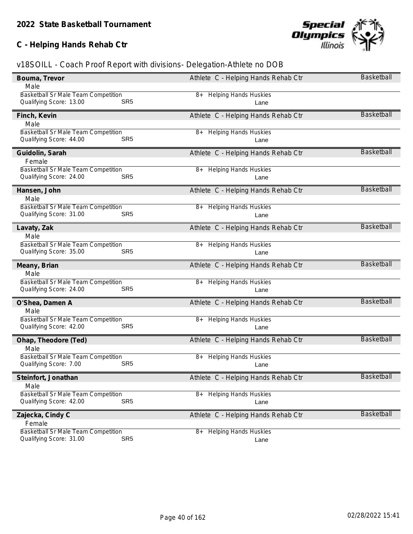### **C - Helping Hands Rehab Ctr**



| Bouma, Trevor                                                                            | Athlete C - Helping Hands Rehab Ctr        | <b>Basketball</b> |
|------------------------------------------------------------------------------------------|--------------------------------------------|-------------------|
| Male                                                                                     |                                            |                   |
| <b>Basketball Sr Male Team Competition</b><br>Qualifying Score: 13.00<br>SR <sub>5</sub> | <b>Helping Hands Huskies</b><br>8+<br>Lane |                   |
| Finch, Kevin                                                                             | Athlete C - Helping Hands Rehab Ctr        | <b>Basketball</b> |
| Male                                                                                     |                                            |                   |
| <b>Basketball Sr Male Team Competition</b>                                               | <b>Helping Hands Huskies</b><br>8+         |                   |
| SR <sub>5</sub><br>Qualifying Score: 44.00                                               | Lane                                       |                   |
| Guidolin, Sarah                                                                          | Athlete C - Helping Hands Rehab Ctr        | <b>Basketball</b> |
| Female                                                                                   |                                            |                   |
| Basketball Sr Male Team Competition                                                      | <b>Helping Hands Huskies</b><br>8+         |                   |
| Qualifying Score: 24.00<br>SR <sub>5</sub>                                               | Lane                                       |                   |
| Hansen, John                                                                             | Athlete C - Helping Hands Rehab Ctr        | Basketball        |
| Male                                                                                     |                                            |                   |
| <b>Basketball Sr Male Team Competition</b>                                               | <b>Helping Hands Huskies</b><br>8+         |                   |
| Qualifying Score: 31.00<br>SR <sub>5</sub>                                               | Lane                                       |                   |
| Lavaty, Zak                                                                              | Athlete C - Helping Hands Rehab Ctr        | <b>Basketball</b> |
| Male                                                                                     |                                            |                   |
| Basketball Sr Male Team Competition                                                      | <b>Helping Hands Huskies</b><br>8+         |                   |
| Qualifying Score: 35.00<br>SR <sub>5</sub>                                               | Lane                                       |                   |
|                                                                                          |                                            | <b>Basketball</b> |
| Meany, Brian<br>Male                                                                     | Athlete C - Helping Hands Rehab Ctr        |                   |
| Basketball Sr Male Team Competition                                                      | <b>Helping Hands Huskies</b><br>8+         |                   |
| Qualifying Score: 24.00<br>SR <sub>5</sub>                                               | Lane                                       |                   |
|                                                                                          |                                            |                   |
| O'Shea, Damen A                                                                          | Athlete C - Helping Hands Rehab Ctr        | <b>Basketball</b> |
| Male                                                                                     |                                            |                   |
| <b>Basketball Sr Male Team Competition</b>                                               | <b>Helping Hands Huskies</b><br>8+         |                   |
| Qualifying Score: 42.00<br>SR <sub>5</sub>                                               | Lane                                       |                   |
| Ohap, Theodore (Ted)                                                                     | Athlete C - Helping Hands Rehab Ctr        | <b>Basketball</b> |
| Male                                                                                     |                                            |                   |
| Basketball Sr Male Team Competition                                                      | <b>Helping Hands Huskies</b><br>8+         |                   |
| SR <sub>5</sub><br>Qualifying Score: 7.00                                                | Lane                                       |                   |
| Steinfort, Jonathan                                                                      | Athlete C - Helping Hands Rehab Ctr        | <b>Basketball</b> |
| Male                                                                                     |                                            |                   |
| <b>Basketball Sr Male Team Competition</b>                                               | <b>Helping Hands Huskies</b><br>8+         |                   |
| SR <sub>5</sub><br>Qualifying Score: 42.00                                               | Lane                                       |                   |
| Zajecka, Cindy C                                                                         | Athlete C - Helping Hands Rehab Ctr        | <b>Basketball</b> |
| Female                                                                                   |                                            |                   |
|                                                                                          |                                            |                   |
|                                                                                          | 8+                                         |                   |
| Basketball Sr Male Team Competition<br>SR <sub>5</sub><br>Qualifying Score: 31.00        | <b>Helping Hands Huskies</b><br>Lane       |                   |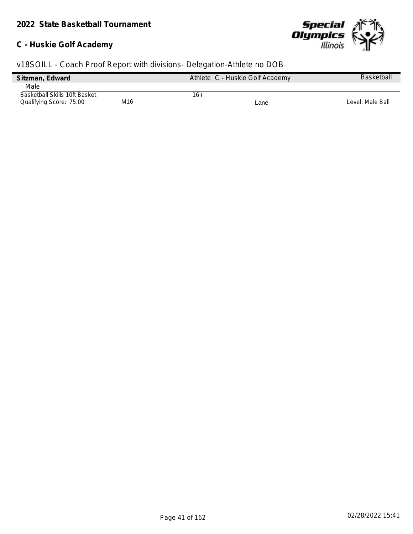### **C - Huskie Golf Academy**



| Sitzman, Edward               |     | Athlete C - Huskie Golf Academy | <b>Basketball</b> |
|-------------------------------|-----|---------------------------------|-------------------|
| Male                          |     |                                 |                   |
| Basketball Skills 10ft Basket |     | 16+                             |                   |
| Qualifying Score: 75.00       | M16 | Lane                            | Level: Male Ball  |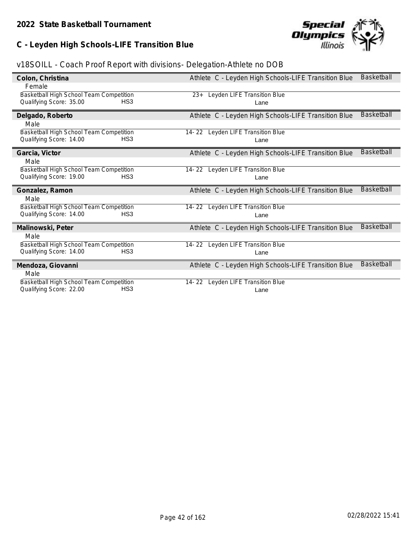## **C - Leyden High Schools-LIFE Transition Blue**



| Colon, Christina                                                   |                 | Athlete C - Leyden High Schools-LIFE Transition Blue | Basketball        |
|--------------------------------------------------------------------|-----------------|------------------------------------------------------|-------------------|
| Female                                                             |                 |                                                      |                   |
| Basketball High School Team Competition                            |                 | 23+ Leyden LIFE Transition Blue                      |                   |
| Qualifying Score: 35.00                                            | HS <sub>3</sub> | Lane                                                 |                   |
| Delgado, Roberto                                                   |                 | Athlete C - Leyden High Schools-LIFE Transition Blue | Basketball        |
| Male                                                               |                 |                                                      |                   |
| Basketball High School Team Competition                            |                 | Leyden LIFE Transition Blue<br>14- 22                |                   |
| Qualifying Score: 14.00                                            | HS3             | Lane                                                 |                   |
| Garcia, Victor                                                     |                 | Athlete C - Leyden High Schools-LIFE Transition Blue | <b>Basketball</b> |
| Male                                                               |                 |                                                      |                   |
| Basketball High School Team Competition                            |                 | 14-22 Leyden LIFE Transition Blue                    |                   |
| Qualifying Score: 19.00                                            | HS3             | Lane                                                 |                   |
|                                                                    |                 |                                                      |                   |
| Gonzalez, Ramon                                                    |                 | Athlete C - Leyden High Schools-LIFE Transition Blue | Basketball        |
| Male                                                               |                 |                                                      |                   |
| Basketball High School Team Competition                            |                 | 14-22 Leyden LIFE Transition Blue                    |                   |
| Qualifying Score: 14.00                                            | HS <sub>3</sub> | Lane                                                 |                   |
| Malinowski, Peter                                                  |                 | Athlete C - Leyden High Schools-LIFE Transition Blue | <b>Basketball</b> |
| Male                                                               |                 |                                                      |                   |
| Basketball High School Team Competition                            |                 | Leyden LIFE Transition Blue<br>14-22                 |                   |
| Qualifying Score: 14.00                                            | HS <sub>3</sub> | Lane                                                 |                   |
| Mendoza, Giovanni                                                  |                 | Athlete C - Leyden High Schools-LIFE Transition Blue | <b>Basketball</b> |
| Male                                                               |                 |                                                      |                   |
| Basketball High School Team Competition<br>Qualifying Score: 22.00 | HS <sub>3</sub> | 14-22 Leyden LIFE Transition Blue                    |                   |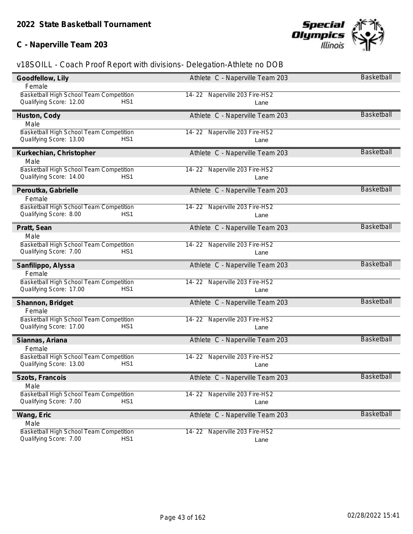## **C - Naperville Team 203**



| Goodfellow, Lily                                                                     | Athlete C - Naperville Team 203       | <b>Basketball</b> |
|--------------------------------------------------------------------------------------|---------------------------------------|-------------------|
| Female                                                                               |                                       |                   |
| Basketball High School Team Competition                                              | 14-22 Naperville 203 Fire-HS2         |                   |
| Qualifying Score: 12.00<br>HS <sub>1</sub>                                           | Lane                                  |                   |
| Huston, Cody                                                                         | Athlete C - Naperville Team 203       | <b>Basketball</b> |
| Male                                                                                 |                                       |                   |
| Basketball High School Team Competition                                              | 14-22 Naperville 203 Fire-HS2         |                   |
| Qualifying Score: 13.00<br>HS <sub>1</sub>                                           | Lane                                  |                   |
| Kurkechian, Christopher                                                              | Athlete C - Naperville Team 203       | <b>Basketball</b> |
| Male                                                                                 |                                       |                   |
| Basketball High School Team Competition                                              | 14-22 Naperville 203 Fire-HS2         |                   |
| Qualifying Score: 14.00<br>HS <sub>1</sub>                                           | Lane                                  |                   |
| Peroutka, Gabrielle                                                                  | Athlete C - Naperville Team 203       | <b>Basketball</b> |
| Female                                                                               |                                       |                   |
| Basketball High School Team Competition                                              | 14-22 Naperville 203 Fire-HS2         |                   |
| Qualifying Score: 8.00<br>HS1                                                        | Lane                                  |                   |
| Pratt, Sean                                                                          | Athlete C - Naperville Team 203       | <b>Basketball</b> |
| Male                                                                                 |                                       |                   |
| Basketball High School Team Competition                                              | 14-22 Naperville 203 Fire-HS2         |                   |
| Qualifying Score: 7.00<br>HS <sub>1</sub>                                            | Lane                                  |                   |
| Sanfilippo, Alyssa                                                                   | Athlete C - Naperville Team 203       | <b>Basketball</b> |
| Female                                                                               |                                       |                   |
| Basketball High School Team Competition                                              | 14-22 Naperville 203 Fire-HS2         |                   |
| Qualifying Score: 17.00<br>HS <sub>1</sub>                                           | Lane                                  |                   |
| Shannon, Bridget                                                                     | Athlete C - Naperville Team 203       | <b>Basketball</b> |
| Female                                                                               |                                       |                   |
| Basketball High School Team Competition                                              |                                       |                   |
|                                                                                      |                                       |                   |
| Qualifying Score: 17.00<br>HS <sub>1</sub>                                           | 14-22 Naperville 203 Fire-HS2<br>Lane |                   |
|                                                                                      |                                       | <b>Basketball</b> |
| Siannas, Ariana<br>Female                                                            | Athlete C - Naperville Team 203       |                   |
| Basketball High School Team Competition                                              | 14-22 Naperville 203 Fire-HS2         |                   |
| Qualifying Score: 13.00<br>HS <sub>1</sub>                                           | Lane                                  |                   |
|                                                                                      |                                       | <b>Basketball</b> |
| Szots, Francois<br>Male                                                              | Athlete C - Naperville Team 203       |                   |
| Basketball High School Team Competition                                              | 14-22 Naperville 203 Fire-HS2         |                   |
| Qualifying Score: 7.00<br>HS <sub>1</sub>                                            | Lane                                  |                   |
|                                                                                      | Athlete C - Naperville Team 203       | <b>Basketball</b> |
| Wang, Eric<br>Male                                                                   |                                       |                   |
| Basketball High School Team Competition<br>HS <sub>1</sub><br>Qualifying Score: 7.00 | 14-22 Naperville 203 Fire-HS2         |                   |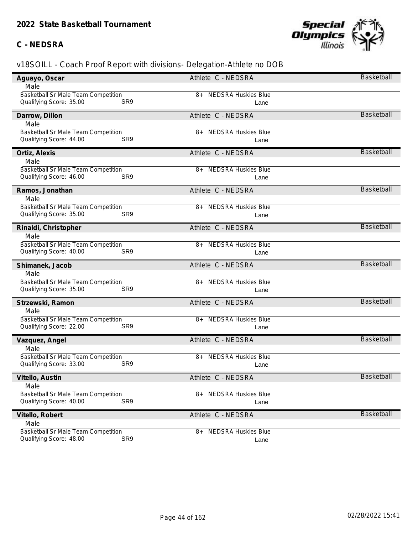### **C - NEDSRA**



| Aguayo, Oscar                                                                | Athlete C - NEDSRA                       | Basketball        |
|------------------------------------------------------------------------------|------------------------------------------|-------------------|
| Male                                                                         |                                          |                   |
| Basketball Sr Male Team Competition                                          | <b>NEDSRA Huskies Blue</b><br>8+         |                   |
| SR <sub>9</sub><br>Qualifying Score: 35.00                                   | Lane                                     |                   |
| Darrow, Dillon                                                               | Athlete C - NEDSRA                       | <b>Basketball</b> |
| Male                                                                         |                                          |                   |
| <b>Basketball Sr Male Team Competition</b>                                   | <b>NEDSRA Huskies Blue</b><br>8+         |                   |
| SR <sub>9</sub><br>Qualifying Score: 44.00                                   | Lane                                     |                   |
| Ortiz, Alexis                                                                | Athlete C - NEDSRA                       | <b>Basketball</b> |
| Male                                                                         |                                          |                   |
| Basketball Sr Male Team Competition                                          | <b>NEDSRA Huskies Blue</b><br>8+         |                   |
| Qualifying Score: 46.00<br>SR <sub>9</sub>                                   | Lane                                     |                   |
| Ramos, Jonathan                                                              | Athlete C - NEDSRA                       | Basketball        |
| Male                                                                         |                                          |                   |
| <b>Basketball Sr Male Team Competition</b>                                   | <b>NEDSRA Huskies Blue</b><br>8+         |                   |
| Qualifying Score: 35.00<br>SR <sub>9</sub>                                   | Lane                                     |                   |
| Rinaldi, Christopher                                                         | Athlete C - NEDSRA                       | <b>Basketball</b> |
| Male                                                                         |                                          |                   |
| Basketball Sr Male Team Competition                                          | <b>NEDSRA Huskies Blue</b><br>8+         |                   |
| Qualifying Score: 40.00<br>SR <sub>9</sub>                                   | Lane                                     |                   |
|                                                                              |                                          |                   |
| Shimanek, Jacob                                                              | Athlete C - NEDSRA                       | <b>Basketball</b> |
| Male                                                                         |                                          |                   |
| Basketball Sr Male Team Competition                                          | <b>NEDSRA Huskies Blue</b><br>8+         |                   |
| Qualifying Score: 35.00<br>SR <sub>9</sub>                                   | Lane                                     |                   |
| Strzewski, Ramon                                                             | Athlete C - NEDSRA                       | <b>Basketball</b> |
| Male                                                                         |                                          |                   |
| Basketball Sr Male Team Competition                                          | <b>NEDSRA Huskies Blue</b><br>$8+$       |                   |
| Qualifying Score: 22.00<br>SR <sub>9</sub>                                   | Lane                                     |                   |
| Vazquez, Angel                                                               | Athlete C - NEDSRA                       | <b>Basketball</b> |
| Male                                                                         |                                          |                   |
| <b>Basketball Sr Male Team Competition</b>                                   | <b>NEDSRA Huskies Blue</b><br>8+         |                   |
| Qualifying Score: 33.00<br>SR <sub>9</sub>                                   | Lane                                     |                   |
| Vitello, Austin                                                              | Athlete C - NEDSRA                       | <b>Basketball</b> |
| Male                                                                         |                                          |                   |
| <b>Basketball Sr Male Team Competition</b>                                   | <b>NEDSRA Huskies Blue</b><br>8+         |                   |
| SR <sub>9</sub><br>Qualifying Score: 40.00                                   | Lane                                     |                   |
| Vitello, Robert                                                              | Athlete C - NEDSRA                       | Basketball        |
| Male                                                                         |                                          |                   |
| <b>Basketball Sr Male Team Competition</b><br>SR9<br>Qualifying Score: 48.00 | <b>NEDSRA Huskies Blue</b><br>8+<br>Lane |                   |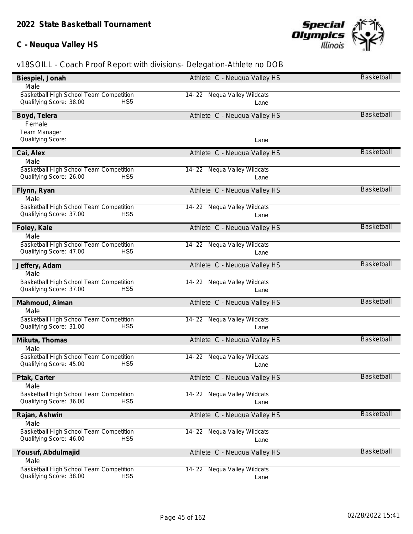## **C - Neuqua Valley HS**



| Male<br>Basketball High School Team Competition<br>14-22 Nequa Valley Wildcats<br>Qualifying Score: 38.00<br>HS <sub>5</sub><br>Lane<br><b>Basketball</b><br>Athlete C - Neuqua Valley HS<br>Boyd, Telera<br>Female<br>Team Manager<br>Qualifying Score:<br>Lane<br><b>Basketball</b><br>Athlete C - Neuqua Valley HS<br>Cai, Alex<br>Male<br>Basketball High School Team Competition<br>14-22 Nequa Valley Wildcats<br>Qualifying Score: 26.00<br>HS <sub>5</sub><br>Lane<br><b>Basketball</b><br>Flynn, Ryan<br>Athlete C - Neuqua Valley HS<br>Male<br>Basketball High School Team Competition<br>14-22 Nequa Valley Wildcats<br>Qualifying Score: 37.00<br>HS <sub>5</sub><br>Lane<br><b>Basketball</b><br>Foley, Kale<br>Athlete C - Neuqua Valley HS<br>Male<br>Basketball High School Team Competition<br>14-22 Nequa Valley Wildcats<br>Qualifying Score: 47.00<br>HS <sub>5</sub><br>Lane<br><b>Basketball</b><br>Jeffery, Adam<br>Athlete C - Neuqua Valley HS<br>Male<br>Basketball High School Team Competition<br>14-22 Nequa Valley Wildcats<br>Qualifying Score: 37.00<br>HS <sub>5</sub><br>Lane<br><b>Basketball</b><br>Athlete C - Neuqua Valley HS<br>Mahmoud, Aiman<br>Male<br>Basketball High School Team Competition<br>14-22 Nequa Valley Wildcats<br>Qualifying Score: 31.00<br>HS <sub>5</sub><br>Lane<br><b>Basketball</b><br>Mikuta, Thomas<br>Athlete C - Neuqua Valley HS<br>Male<br>Basketball High School Team Competition<br>14-22 Nequa Valley Wildcats<br>Qualifying Score: 45.00<br>HS <sub>5</sub><br>Lane<br><b>Basketball</b><br>Athlete C - Neuqua Valley HS<br>Ptak, Carter<br>Male<br>14-22 Nequa Valley Wildcats<br>Basketball High School Team Competition<br>Qualifying Score: 36.00<br>HS <sub>5</sub><br>Lane<br><b>Basketball</b><br>Athlete C - Neuqua Valley HS<br>Rajan, Ashwin<br>Male<br>Basketball High School Team Competition<br>14-22 Nequa Valley Wildcats<br>Qualifying Score: 46.00<br>HS <sub>5</sub><br>Lane<br><b>Basketball</b><br>Yousuf, Abdulmajid<br>Athlete C - Neuqua Valley HS<br>Male<br>Basketball High School Team Competition<br>14-22 Nequa Valley Wildcats<br>Qualifying Score: 38.00<br>HS <sub>5</sub><br>Lane | Biespiel, Jonah | Athlete C - Neugua Valley HS | Basketball |
|----------------------------------------------------------------------------------------------------------------------------------------------------------------------------------------------------------------------------------------------------------------------------------------------------------------------------------------------------------------------------------------------------------------------------------------------------------------------------------------------------------------------------------------------------------------------------------------------------------------------------------------------------------------------------------------------------------------------------------------------------------------------------------------------------------------------------------------------------------------------------------------------------------------------------------------------------------------------------------------------------------------------------------------------------------------------------------------------------------------------------------------------------------------------------------------------------------------------------------------------------------------------------------------------------------------------------------------------------------------------------------------------------------------------------------------------------------------------------------------------------------------------------------------------------------------------------------------------------------------------------------------------------------------------------------------------------------------------------------------------------------------------------------------------------------------------------------------------------------------------------------------------------------------------------------------------------------------------------------------------------------------------------------------------------------------------------------------------------------------------------------------------------------------------------------------------|-----------------|------------------------------|------------|
|                                                                                                                                                                                                                                                                                                                                                                                                                                                                                                                                                                                                                                                                                                                                                                                                                                                                                                                                                                                                                                                                                                                                                                                                                                                                                                                                                                                                                                                                                                                                                                                                                                                                                                                                                                                                                                                                                                                                                                                                                                                                                                                                                                                              |                 |                              |            |
|                                                                                                                                                                                                                                                                                                                                                                                                                                                                                                                                                                                                                                                                                                                                                                                                                                                                                                                                                                                                                                                                                                                                                                                                                                                                                                                                                                                                                                                                                                                                                                                                                                                                                                                                                                                                                                                                                                                                                                                                                                                                                                                                                                                              |                 |                              |            |
|                                                                                                                                                                                                                                                                                                                                                                                                                                                                                                                                                                                                                                                                                                                                                                                                                                                                                                                                                                                                                                                                                                                                                                                                                                                                                                                                                                                                                                                                                                                                                                                                                                                                                                                                                                                                                                                                                                                                                                                                                                                                                                                                                                                              |                 |                              |            |
|                                                                                                                                                                                                                                                                                                                                                                                                                                                                                                                                                                                                                                                                                                                                                                                                                                                                                                                                                                                                                                                                                                                                                                                                                                                                                                                                                                                                                                                                                                                                                                                                                                                                                                                                                                                                                                                                                                                                                                                                                                                                                                                                                                                              |                 |                              |            |
|                                                                                                                                                                                                                                                                                                                                                                                                                                                                                                                                                                                                                                                                                                                                                                                                                                                                                                                                                                                                                                                                                                                                                                                                                                                                                                                                                                                                                                                                                                                                                                                                                                                                                                                                                                                                                                                                                                                                                                                                                                                                                                                                                                                              |                 |                              |            |
|                                                                                                                                                                                                                                                                                                                                                                                                                                                                                                                                                                                                                                                                                                                                                                                                                                                                                                                                                                                                                                                                                                                                                                                                                                                                                                                                                                                                                                                                                                                                                                                                                                                                                                                                                                                                                                                                                                                                                                                                                                                                                                                                                                                              |                 |                              |            |
|                                                                                                                                                                                                                                                                                                                                                                                                                                                                                                                                                                                                                                                                                                                                                                                                                                                                                                                                                                                                                                                                                                                                                                                                                                                                                                                                                                                                                                                                                                                                                                                                                                                                                                                                                                                                                                                                                                                                                                                                                                                                                                                                                                                              |                 |                              |            |
|                                                                                                                                                                                                                                                                                                                                                                                                                                                                                                                                                                                                                                                                                                                                                                                                                                                                                                                                                                                                                                                                                                                                                                                                                                                                                                                                                                                                                                                                                                                                                                                                                                                                                                                                                                                                                                                                                                                                                                                                                                                                                                                                                                                              |                 |                              |            |
|                                                                                                                                                                                                                                                                                                                                                                                                                                                                                                                                                                                                                                                                                                                                                                                                                                                                                                                                                                                                                                                                                                                                                                                                                                                                                                                                                                                                                                                                                                                                                                                                                                                                                                                                                                                                                                                                                                                                                                                                                                                                                                                                                                                              |                 |                              |            |
|                                                                                                                                                                                                                                                                                                                                                                                                                                                                                                                                                                                                                                                                                                                                                                                                                                                                                                                                                                                                                                                                                                                                                                                                                                                                                                                                                                                                                                                                                                                                                                                                                                                                                                                                                                                                                                                                                                                                                                                                                                                                                                                                                                                              |                 |                              |            |
|                                                                                                                                                                                                                                                                                                                                                                                                                                                                                                                                                                                                                                                                                                                                                                                                                                                                                                                                                                                                                                                                                                                                                                                                                                                                                                                                                                                                                                                                                                                                                                                                                                                                                                                                                                                                                                                                                                                                                                                                                                                                                                                                                                                              |                 |                              |            |
|                                                                                                                                                                                                                                                                                                                                                                                                                                                                                                                                                                                                                                                                                                                                                                                                                                                                                                                                                                                                                                                                                                                                                                                                                                                                                                                                                                                                                                                                                                                                                                                                                                                                                                                                                                                                                                                                                                                                                                                                                                                                                                                                                                                              |                 |                              |            |
|                                                                                                                                                                                                                                                                                                                                                                                                                                                                                                                                                                                                                                                                                                                                                                                                                                                                                                                                                                                                                                                                                                                                                                                                                                                                                                                                                                                                                                                                                                                                                                                                                                                                                                                                                                                                                                                                                                                                                                                                                                                                                                                                                                                              |                 |                              |            |
|                                                                                                                                                                                                                                                                                                                                                                                                                                                                                                                                                                                                                                                                                                                                                                                                                                                                                                                                                                                                                                                                                                                                                                                                                                                                                                                                                                                                                                                                                                                                                                                                                                                                                                                                                                                                                                                                                                                                                                                                                                                                                                                                                                                              |                 |                              |            |
|                                                                                                                                                                                                                                                                                                                                                                                                                                                                                                                                                                                                                                                                                                                                                                                                                                                                                                                                                                                                                                                                                                                                                                                                                                                                                                                                                                                                                                                                                                                                                                                                                                                                                                                                                                                                                                                                                                                                                                                                                                                                                                                                                                                              |                 |                              |            |
|                                                                                                                                                                                                                                                                                                                                                                                                                                                                                                                                                                                                                                                                                                                                                                                                                                                                                                                                                                                                                                                                                                                                                                                                                                                                                                                                                                                                                                                                                                                                                                                                                                                                                                                                                                                                                                                                                                                                                                                                                                                                                                                                                                                              |                 |                              |            |
|                                                                                                                                                                                                                                                                                                                                                                                                                                                                                                                                                                                                                                                                                                                                                                                                                                                                                                                                                                                                                                                                                                                                                                                                                                                                                                                                                                                                                                                                                                                                                                                                                                                                                                                                                                                                                                                                                                                                                                                                                                                                                                                                                                                              |                 |                              |            |
|                                                                                                                                                                                                                                                                                                                                                                                                                                                                                                                                                                                                                                                                                                                                                                                                                                                                                                                                                                                                                                                                                                                                                                                                                                                                                                                                                                                                                                                                                                                                                                                                                                                                                                                                                                                                                                                                                                                                                                                                                                                                                                                                                                                              |                 |                              |            |
|                                                                                                                                                                                                                                                                                                                                                                                                                                                                                                                                                                                                                                                                                                                                                                                                                                                                                                                                                                                                                                                                                                                                                                                                                                                                                                                                                                                                                                                                                                                                                                                                                                                                                                                                                                                                                                                                                                                                                                                                                                                                                                                                                                                              |                 |                              |            |
|                                                                                                                                                                                                                                                                                                                                                                                                                                                                                                                                                                                                                                                                                                                                                                                                                                                                                                                                                                                                                                                                                                                                                                                                                                                                                                                                                                                                                                                                                                                                                                                                                                                                                                                                                                                                                                                                                                                                                                                                                                                                                                                                                                                              |                 |                              |            |
|                                                                                                                                                                                                                                                                                                                                                                                                                                                                                                                                                                                                                                                                                                                                                                                                                                                                                                                                                                                                                                                                                                                                                                                                                                                                                                                                                                                                                                                                                                                                                                                                                                                                                                                                                                                                                                                                                                                                                                                                                                                                                                                                                                                              |                 |                              |            |
|                                                                                                                                                                                                                                                                                                                                                                                                                                                                                                                                                                                                                                                                                                                                                                                                                                                                                                                                                                                                                                                                                                                                                                                                                                                                                                                                                                                                                                                                                                                                                                                                                                                                                                                                                                                                                                                                                                                                                                                                                                                                                                                                                                                              |                 |                              |            |
|                                                                                                                                                                                                                                                                                                                                                                                                                                                                                                                                                                                                                                                                                                                                                                                                                                                                                                                                                                                                                                                                                                                                                                                                                                                                                                                                                                                                                                                                                                                                                                                                                                                                                                                                                                                                                                                                                                                                                                                                                                                                                                                                                                                              |                 |                              |            |
|                                                                                                                                                                                                                                                                                                                                                                                                                                                                                                                                                                                                                                                                                                                                                                                                                                                                                                                                                                                                                                                                                                                                                                                                                                                                                                                                                                                                                                                                                                                                                                                                                                                                                                                                                                                                                                                                                                                                                                                                                                                                                                                                                                                              |                 |                              |            |
|                                                                                                                                                                                                                                                                                                                                                                                                                                                                                                                                                                                                                                                                                                                                                                                                                                                                                                                                                                                                                                                                                                                                                                                                                                                                                                                                                                                                                                                                                                                                                                                                                                                                                                                                                                                                                                                                                                                                                                                                                                                                                                                                                                                              |                 |                              |            |
|                                                                                                                                                                                                                                                                                                                                                                                                                                                                                                                                                                                                                                                                                                                                                                                                                                                                                                                                                                                                                                                                                                                                                                                                                                                                                                                                                                                                                                                                                                                                                                                                                                                                                                                                                                                                                                                                                                                                                                                                                                                                                                                                                                                              |                 |                              |            |
|                                                                                                                                                                                                                                                                                                                                                                                                                                                                                                                                                                                                                                                                                                                                                                                                                                                                                                                                                                                                                                                                                                                                                                                                                                                                                                                                                                                                                                                                                                                                                                                                                                                                                                                                                                                                                                                                                                                                                                                                                                                                                                                                                                                              |                 |                              |            |
|                                                                                                                                                                                                                                                                                                                                                                                                                                                                                                                                                                                                                                                                                                                                                                                                                                                                                                                                                                                                                                                                                                                                                                                                                                                                                                                                                                                                                                                                                                                                                                                                                                                                                                                                                                                                                                                                                                                                                                                                                                                                                                                                                                                              |                 |                              |            |
|                                                                                                                                                                                                                                                                                                                                                                                                                                                                                                                                                                                                                                                                                                                                                                                                                                                                                                                                                                                                                                                                                                                                                                                                                                                                                                                                                                                                                                                                                                                                                                                                                                                                                                                                                                                                                                                                                                                                                                                                                                                                                                                                                                                              |                 |                              |            |
|                                                                                                                                                                                                                                                                                                                                                                                                                                                                                                                                                                                                                                                                                                                                                                                                                                                                                                                                                                                                                                                                                                                                                                                                                                                                                                                                                                                                                                                                                                                                                                                                                                                                                                                                                                                                                                                                                                                                                                                                                                                                                                                                                                                              |                 |                              |            |
|                                                                                                                                                                                                                                                                                                                                                                                                                                                                                                                                                                                                                                                                                                                                                                                                                                                                                                                                                                                                                                                                                                                                                                                                                                                                                                                                                                                                                                                                                                                                                                                                                                                                                                                                                                                                                                                                                                                                                                                                                                                                                                                                                                                              |                 |                              |            |
|                                                                                                                                                                                                                                                                                                                                                                                                                                                                                                                                                                                                                                                                                                                                                                                                                                                                                                                                                                                                                                                                                                                                                                                                                                                                                                                                                                                                                                                                                                                                                                                                                                                                                                                                                                                                                                                                                                                                                                                                                                                                                                                                                                                              |                 |                              |            |
|                                                                                                                                                                                                                                                                                                                                                                                                                                                                                                                                                                                                                                                                                                                                                                                                                                                                                                                                                                                                                                                                                                                                                                                                                                                                                                                                                                                                                                                                                                                                                                                                                                                                                                                                                                                                                                                                                                                                                                                                                                                                                                                                                                                              |                 |                              |            |
|                                                                                                                                                                                                                                                                                                                                                                                                                                                                                                                                                                                                                                                                                                                                                                                                                                                                                                                                                                                                                                                                                                                                                                                                                                                                                                                                                                                                                                                                                                                                                                                                                                                                                                                                                                                                                                                                                                                                                                                                                                                                                                                                                                                              |                 |                              |            |
|                                                                                                                                                                                                                                                                                                                                                                                                                                                                                                                                                                                                                                                                                                                                                                                                                                                                                                                                                                                                                                                                                                                                                                                                                                                                                                                                                                                                                                                                                                                                                                                                                                                                                                                                                                                                                                                                                                                                                                                                                                                                                                                                                                                              |                 |                              |            |
|                                                                                                                                                                                                                                                                                                                                                                                                                                                                                                                                                                                                                                                                                                                                                                                                                                                                                                                                                                                                                                                                                                                                                                                                                                                                                                                                                                                                                                                                                                                                                                                                                                                                                                                                                                                                                                                                                                                                                                                                                                                                                                                                                                                              |                 |                              |            |
|                                                                                                                                                                                                                                                                                                                                                                                                                                                                                                                                                                                                                                                                                                                                                                                                                                                                                                                                                                                                                                                                                                                                                                                                                                                                                                                                                                                                                                                                                                                                                                                                                                                                                                                                                                                                                                                                                                                                                                                                                                                                                                                                                                                              |                 |                              |            |
|                                                                                                                                                                                                                                                                                                                                                                                                                                                                                                                                                                                                                                                                                                                                                                                                                                                                                                                                                                                                                                                                                                                                                                                                                                                                                                                                                                                                                                                                                                                                                                                                                                                                                                                                                                                                                                                                                                                                                                                                                                                                                                                                                                                              |                 |                              |            |
|                                                                                                                                                                                                                                                                                                                                                                                                                                                                                                                                                                                                                                                                                                                                                                                                                                                                                                                                                                                                                                                                                                                                                                                                                                                                                                                                                                                                                                                                                                                                                                                                                                                                                                                                                                                                                                                                                                                                                                                                                                                                                                                                                                                              |                 |                              |            |
|                                                                                                                                                                                                                                                                                                                                                                                                                                                                                                                                                                                                                                                                                                                                                                                                                                                                                                                                                                                                                                                                                                                                                                                                                                                                                                                                                                                                                                                                                                                                                                                                                                                                                                                                                                                                                                                                                                                                                                                                                                                                                                                                                                                              |                 |                              |            |
|                                                                                                                                                                                                                                                                                                                                                                                                                                                                                                                                                                                                                                                                                                                                                                                                                                                                                                                                                                                                                                                                                                                                                                                                                                                                                                                                                                                                                                                                                                                                                                                                                                                                                                                                                                                                                                                                                                                                                                                                                                                                                                                                                                                              |                 |                              |            |
|                                                                                                                                                                                                                                                                                                                                                                                                                                                                                                                                                                                                                                                                                                                                                                                                                                                                                                                                                                                                                                                                                                                                                                                                                                                                                                                                                                                                                                                                                                                                                                                                                                                                                                                                                                                                                                                                                                                                                                                                                                                                                                                                                                                              |                 |                              |            |
|                                                                                                                                                                                                                                                                                                                                                                                                                                                                                                                                                                                                                                                                                                                                                                                                                                                                                                                                                                                                                                                                                                                                                                                                                                                                                                                                                                                                                                                                                                                                                                                                                                                                                                                                                                                                                                                                                                                                                                                                                                                                                                                                                                                              |                 |                              |            |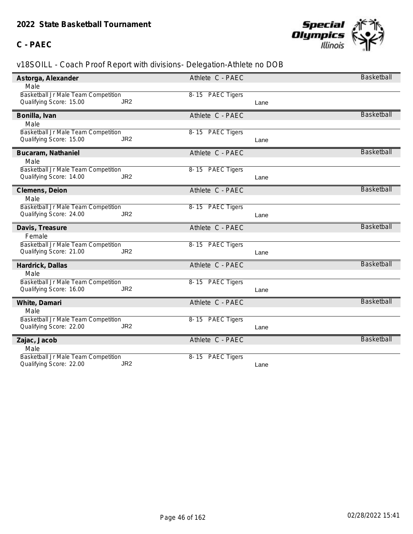### **C - PAEC**



| Astorga, Alexander                  |                 | Athlete C - PAEC |      | Basketball        |
|-------------------------------------|-----------------|------------------|------|-------------------|
| Male                                |                 |                  |      |                   |
| Basketball Jr Male Team Competition |                 | 8-15 PAEC Tigers |      |                   |
| Qualifying Score: 15.00             | JR <sub>2</sub> |                  | Lane |                   |
| Bonilla, Ivan                       |                 | Athlete C - PAEC |      | <b>Basketball</b> |
| Male                                |                 |                  |      |                   |
| Basketball Jr Male Team Competition |                 | 8-15 PAEC Tigers |      |                   |
| Qualifying Score: 15.00             | JR <sub>2</sub> |                  | Lane |                   |
| Bucaram, Nathaniel                  |                 | Athlete C - PAEC |      | <b>Basketball</b> |
| Male                                |                 |                  |      |                   |
| Basketball Jr Male Team Competition |                 | 8-15 PAEC Tigers |      |                   |
| Qualifying Score: 14.00             | JR <sub>2</sub> |                  | Lane |                   |
| Clemens, Deion                      |                 | Athlete C - PAEC |      | <b>Basketball</b> |
| Male                                |                 |                  |      |                   |
| Basketball Jr Male Team Competition |                 | 8-15 PAEC Tigers |      |                   |
| Qualifying Score: 24.00             | JR <sub>2</sub> |                  | Lane |                   |
| Davis, Treasure                     |                 | Athlete C - PAEC |      | <b>Basketball</b> |
| Female                              |                 |                  |      |                   |
| Basketball Jr Male Team Competition |                 | 8-15 PAEC Tigers |      |                   |
| Qualifying Score: 21.00             | JR <sub>2</sub> |                  | Lane |                   |
| Hardrick, Dallas                    |                 | Athlete C - PAEC |      | <b>Basketball</b> |
| Male                                |                 |                  |      |                   |
| Basketball Jr Male Team Competition |                 | 8-15 PAEC Tigers |      |                   |
| Qualifying Score: 16.00             | JR <sub>2</sub> |                  | Lane |                   |
| White, Damari                       |                 | Athlete C - PAEC |      | Basketball        |
| Male                                |                 |                  |      |                   |
| Basketball Jr Male Team Competition |                 | 8-15 PAEC Tigers |      |                   |
| Qualifying Score: 22.00             | JR <sub>2</sub> |                  | Lane |                   |
| Zajac, Jacob                        |                 | Athlete C - PAEC |      | <b>Basketball</b> |
| Male                                |                 |                  |      |                   |
| Basketball Jr Male Team Competition |                 | 8-15 PAEC Tigers |      |                   |
| Qualifying Score: 22.00             | JR <sub>2</sub> |                  | Lane |                   |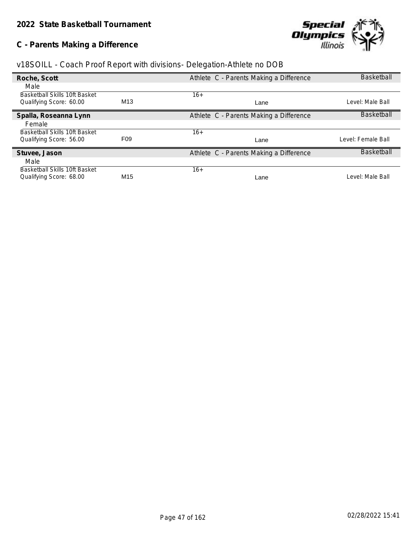## **C - Parents Making a Difference**



| v18SOILL - Coach Proof Report with divisions- Delegation-Athlete no DOB |  |  |  |
|-------------------------------------------------------------------------|--|--|--|
|                                                                         |  |  |  |
|                                                                         |  |  |  |

| Roche, Scott                         |                 | Athlete C - Parents Making a Difference | <b>Basketball</b>  |
|--------------------------------------|-----------------|-----------------------------------------|--------------------|
| Male                                 |                 |                                         |                    |
| <b>Basketball Skills 10ft Basket</b> |                 | 16+                                     |                    |
| Qualifying Score: 60.00              | M <sub>13</sub> | Lane                                    | Level: Male Ball   |
| Spalla, Roseanna Lynn                |                 | Athlete C - Parents Making a Difference | <b>Basketball</b>  |
| Female                               |                 |                                         |                    |
| Basketball Skills 10ft Basket        |                 | 16+                                     |                    |
| Qualifying Score: 56.00              | F <sub>09</sub> | Lane                                    | Level: Female Ball |
| Stuvee, Jason                        |                 | Athlete C - Parents Making a Difference | <b>Basketball</b>  |
| Male                                 |                 |                                         |                    |
| Basketball Skills 10ft Basket        |                 | 16+                                     |                    |
| Qualifying Score: 68.00              | M <sub>15</sub> | Lane                                    | Level: Male Ball   |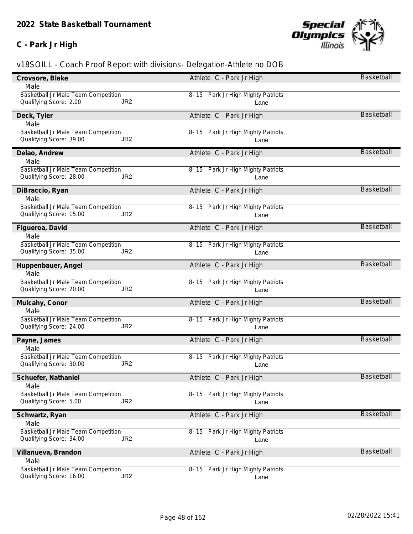### **C - Park Jr High**



| Crovsore, Blake                            | Athlete C - Park Jr High              | Basketball        |
|--------------------------------------------|---------------------------------------|-------------------|
| Male                                       |                                       |                   |
| Basketball Jr Male Team Competition        | 8-15 Park Jr High Mighty Patriots     |                   |
| Qualifying Score: 2.00<br>JR <sub>2</sub>  | Lane                                  |                   |
| Deck, Tyler                                | Athlete C - Park Jr High              | Basketball        |
| Male                                       |                                       |                   |
| Basketball Jr Male Team Competition        | 8-15 Park Jr High Mighty Patriots     |                   |
| JR <sub>2</sub><br>Qualifying Score: 39.00 | Lane                                  |                   |
| Delao, Andrew                              | Athlete C - Park Jr High              | <b>Basketball</b> |
| Male                                       |                                       |                   |
| Basketball Jr Male Team Competition        | 8-15 Park Jr High Mighty Patriots     |                   |
| Qualifying Score: 28.00<br>JR <sub>2</sub> | Lane                                  |                   |
| DiBraccio, Ryan                            | Athlete C - Park Jr High              | Basketball        |
| Male                                       |                                       |                   |
| Basketball Jr Male Team Competition        | 8-15 Park Jr High Mighty Patriots     |                   |
| Qualifying Score: 15.00<br>JR <sub>2</sub> | Lane                                  |                   |
| Figueroa, David                            | Athlete C - Park Jr High              | <b>Basketball</b> |
| Male                                       |                                       |                   |
| Basketball Jr Male Team Competition        | 8-15 Park Jr High Mighty Patriots     |                   |
| Qualifying Score: 35.00<br>JR <sub>2</sub> | Lane                                  |                   |
| Huppenbauer, Angel                         | Athlete C - Park Jr High              | Basketball        |
| Male                                       |                                       |                   |
| Basketball Jr Male Team Competition        | 8-15 Park Jr High Mighty Patriots     |                   |
| Qualifying Score: 20.00<br>JR <sub>2</sub> | Lane                                  |                   |
| Mulcahy, Conor                             | Athlete C - Park Jr High              | <b>Basketball</b> |
| Male                                       |                                       |                   |
| Basketball Jr Male Team Competition        | 8-15 Park Jr High Mighty Patriots     |                   |
| Qualifying Score: 24.00<br>JR <sub>2</sub> | Lane                                  |                   |
| Payne, James                               | Athlete C - Park Jr High              | <b>Basketball</b> |
| Male                                       |                                       |                   |
| Basketball Jr Male Team Competition        | 8-15 Park Jr High Mighty Patriots     |                   |
| JR <sub>2</sub><br>Qualifying Score: 30.00 | Lane                                  |                   |
| Schuefer, Nathaniel                        | Athlete C - Park Jr High              | Basketball        |
| Male                                       |                                       |                   |
| Basketball Jr Male Team Competition        | 8-15 Park Jr High Mighty Patriots     |                   |
| JR <sub>2</sub><br>Qualifying Score: 5.00  | Lane                                  |                   |
| Schwartz, Ryan                             | Athlete C - Park Jr High              | Basketball        |
| Male                                       |                                       |                   |
| Basketball Jr Male Team Competition        | Park Jr High Mighty Patriots<br>8- 15 |                   |
| JR <sub>2</sub><br>Qualifying Score: 34.00 | Lane                                  |                   |
| Villanueva, Brandon                        | Athlete C - Park Jr High              | <b>Basketball</b> |
| Male                                       |                                       |                   |
| Basketball Jr Male Team Competition        | 8-15 Park Jr High Mighty Patriots     |                   |
| JR <sub>2</sub><br>Qualifying Score: 16.00 | Lane                                  |                   |
|                                            |                                       |                   |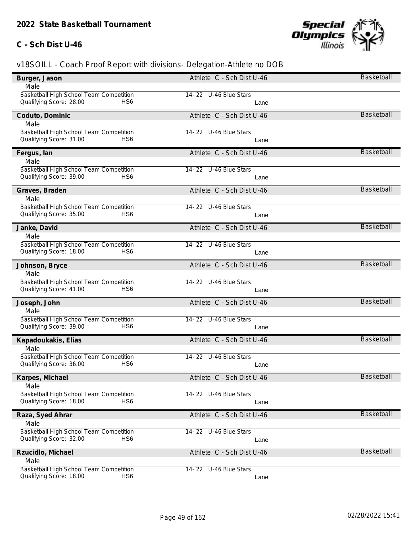#### **C - Sch Dist U-46**



| Burger, Jason                              | Athlete C - Sch Dist U-46 | Basketball        |
|--------------------------------------------|---------------------------|-------------------|
| Male                                       |                           |                   |
| Basketball High School Team Competition    | 14-22 U-46 Blue Stars     |                   |
| Qualifying Score: 28.00<br>HS6             | Lane                      |                   |
| Coduto, Dominic                            | Athlete C - Sch Dist U-46 | <b>Basketball</b> |
| Male                                       |                           |                   |
| Basketball High School Team Competition    | 14-22 U-46 Blue Stars     |                   |
| Qualifying Score: 31.00<br>HS6             | Lane                      |                   |
| Fergus, lan                                | Athlete C - Sch Dist U-46 | Basketball        |
| Male                                       |                           |                   |
| Basketball High School Team Competition    | 14-22 U-46 Blue Stars     |                   |
| Qualifying Score: 39.00<br>HS <sub>6</sub> | Lane                      |                   |
| Graves, Braden                             | Athlete C - Sch Dist U-46 | <b>Basketball</b> |
| Male                                       |                           |                   |
| Basketball High School Team Competition    | 14-22 U-46 Blue Stars     |                   |
| Qualifying Score: 35.00<br>HS6             | Lane                      |                   |
| Janke, David                               | Athlete C - Sch Dist U-46 | <b>Basketball</b> |
| Male                                       |                           |                   |
| Basketball High School Team Competition    | 14-22 U-46 Blue Stars     |                   |
| Qualifying Score: 18.00<br>HS <sub>6</sub> | Lane                      |                   |
| Johnson, Bryce                             | Athlete C - Sch Dist U-46 | Basketball        |
| Male                                       |                           |                   |
| Basketball High School Team Competition    | 14-22 U-46 Blue Stars     |                   |
| Qualifying Score: 41.00<br>HS <sub>6</sub> | Lane                      |                   |
| Joseph, John                               | Athlete C - Sch Dist U-46 | <b>Basketball</b> |
| Male                                       |                           |                   |
| Basketball High School Team Competition    | 14-22 U-46 Blue Stars     |                   |
| Qualifying Score: 39.00<br>HS <sub>6</sub> | Lane                      |                   |
| Kapadoukakis, Elias                        | Athlete C - Sch Dist U-46 | <b>Basketball</b> |
| Male                                       |                           |                   |
| Basketball High School Team Competition    | 14-22 U-46 Blue Stars     |                   |
| Qualifying Score: 36.00<br>HS <sub>6</sub> | Lane                      |                   |
| Karpes, Michael                            | Athlete C - Sch Dist U-46 | Basketball        |
| Male                                       |                           |                   |
| Basketball High School Team Competition    | 14-22 U-46 Blue Stars     |                   |
| Qualifying Score: 18.00<br>HS <sub>6</sub> | Lane                      |                   |
| Raza, Syed Ahrar                           | Athlete C - Sch Dist U-46 | Basketball        |
| Male                                       |                           |                   |
| Basketball High School Team Competition    | 14-22 U-46 Blue Stars     |                   |
| HS <sub>6</sub><br>Qualifying Score: 32.00 | Lane                      |                   |
| Rzucidlo, Michael                          | Athlete C - Sch Dist U-46 | Basketball        |
| Male                                       |                           |                   |
| Basketball High School Team Competition    | 14-22 U-46 Blue Stars     |                   |
| Qualifying Score: 18.00<br>HS <sub>6</sub> | Lane                      |                   |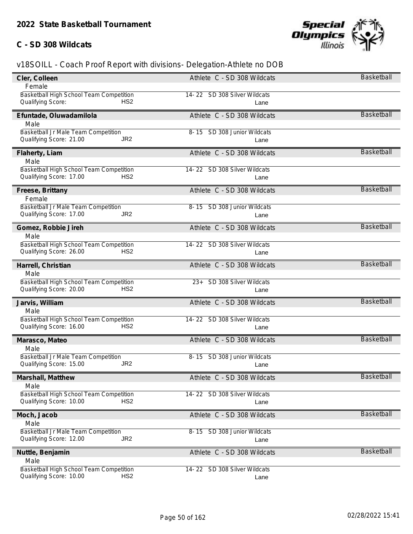#### **C - SD 308 Wildcats**



| Cler, Colleen                              | Athlete C - SD 308 Wildcats     | Basketball        |
|--------------------------------------------|---------------------------------|-------------------|
| Female                                     |                                 |                   |
| Basketball High School Team Competition    | 14-22 SD 308 Silver Wildcats    |                   |
| Qualifying Score:<br>HS <sub>2</sub>       | Lane                            |                   |
| Efuntade, Oluwadamilola                    | Athlete C - SD 308 Wildcats     | <b>Basketball</b> |
| Male                                       |                                 |                   |
| Basketball Jr Male Team Competition        | 8-15 SD 308 Junior Wildcats     |                   |
| JR <sub>2</sub><br>Qualifying Score: 21.00 | Lane                            |                   |
| Flaherty, Liam                             | Athlete C - SD 308 Wildcats     | <b>Basketball</b> |
| Male                                       |                                 |                   |
| Basketball High School Team Competition    | 14-22 SD 308 Silver Wildcats    |                   |
| HS <sub>2</sub><br>Qualifying Score: 17.00 | Lane                            |                   |
| Freese, Brittany                           | Athlete C - SD 308 Wildcats     | <b>Basketball</b> |
| Female                                     |                                 |                   |
| Basketball Jr Male Team Competition        | 8-15 SD 308 Junior Wildcats     |                   |
| Qualifying Score: 17.00<br>JR <sub>2</sub> | Lane                            |                   |
| Gomez, Robbie Jireh                        | Athlete C - SD 308 Wildcats     | <b>Basketball</b> |
| Male                                       |                                 |                   |
| Basketball High School Team Competition    | 14-22 SD 308 Silver Wildcats    |                   |
| Qualifying Score: 26.00<br>HS <sub>2</sub> | Lane                            |                   |
| Harrell, Christian                         | Athlete C - SD 308 Wildcats     | Basketball        |
| Male                                       |                                 |                   |
| Basketball High School Team Competition    | SD 308 Silver Wildcats<br>$23+$ |                   |
| Qualifying Score: 20.00<br>HS <sub>2</sub> | Lane                            |                   |
| Jarvis, William                            | Athlete C - SD 308 Wildcats     | <b>Basketball</b> |
| Male                                       |                                 |                   |
| Basketball High School Team Competition    | 14-22 SD 308 Silver Wildcats    |                   |
| Qualifying Score: 16.00<br>HS <sub>2</sub> | Lane                            |                   |
| Marasco, Mateo                             | Athlete C - SD 308 Wildcats     | <b>Basketball</b> |
| Male                                       |                                 |                   |
| Basketball Jr Male Team Competition        | 8-15 SD 308 Junior Wildcats     |                   |
| Qualifying Score: 15.00<br>JR <sub>2</sub> | Lane                            |                   |
| Marshall, Matthew                          | Athlete C - SD 308 Wildcats     | Basketball        |
| Male                                       |                                 |                   |
| Basketball High School Team Competition    | 14-22 SD 308 Silver Wildcats    |                   |
| Qualifying Score: 10.00<br>HS <sub>2</sub> | Lane                            |                   |
| Moch, Jacob                                | Athlete C - SD 308 Wildcats     | Basketball        |
| Male                                       |                                 |                   |
| Basketball Jr Male Team Competition        | 8-15 SD 308 Junior Wildcats     |                   |
| JR <sub>2</sub><br>Qualifying Score: 12.00 | Lane                            |                   |
| Nuttle, Benjamin                           | Athlete C - SD 308 Wildcats     | Basketball        |
| Male                                       |                                 |                   |
| Basketball High School Team Competition    | 14-22 SD 308 Silver Wildcats    |                   |
| Qualifying Score: 10.00<br>HS <sub>2</sub> | Lane                            |                   |
|                                            |                                 |                   |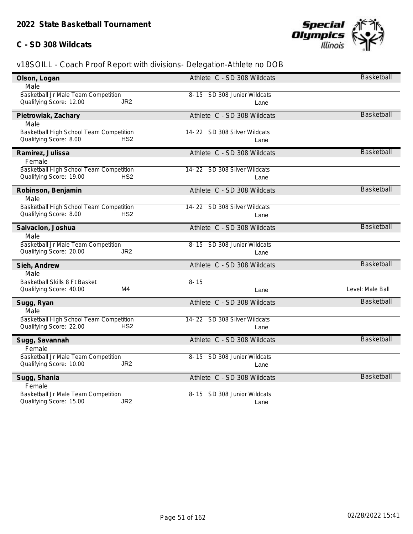#### **C - SD 308 Wildcats**



| Olson, Logan                               | Athlete C - SD 308 Wildcats    | <b>Basketball</b> |
|--------------------------------------------|--------------------------------|-------------------|
| Male                                       |                                |                   |
| Basketball Jr Male Team Competition        | 8-15 SD 308 Junior Wildcats    |                   |
| Qualifying Score: 12.00<br>JR <sub>2</sub> | Lane                           |                   |
| Pietrowiak, Zachary                        | Athlete C - SD 308 Wildcats    | <b>Basketball</b> |
| Male                                       |                                |                   |
| Basketball High School Team Competition    | 14-22 SD 308 Silver Wildcats   |                   |
| Qualifying Score: 8.00<br>HS <sub>2</sub>  | Lane                           |                   |
| Ramirez, Julissa                           | Athlete C - SD 308 Wildcats    | <b>Basketball</b> |
| Female                                     |                                |                   |
| Basketball High School Team Competition    | 14-22 SD 308 Silver Wildcats   |                   |
| Qualifying Score: 19.00<br>HS <sub>2</sub> | Lane                           |                   |
| Robinson, Benjamin                         | Athlete C - SD 308 Wildcats    | Basketball        |
| Male                                       |                                |                   |
| Basketball High School Team Competition    | 14-22 SD 308 Silver Wildcats   |                   |
| Qualifying Score: 8.00<br>HS <sub>2</sub>  | Lane                           |                   |
| Salvacion, Joshua                          | Athlete C - SD 308 Wildcats    | Basketball        |
| Male                                       |                                |                   |
| Basketball Jr Male Team Competition        | 8-15 SD 308 Junior Wildcats    |                   |
| Qualifying Score: 20.00<br>JR <sub>2</sub> | Lane                           |                   |
| Sieh, Andrew                               | Athlete C - SD 308 Wildcats    | Basketball        |
| Male                                       |                                |                   |
| Basketball Skills 8 Ft Basket              | $8 - 15$                       |                   |
| M4<br>Qualifying Score: 40.00              | Lane                           | Level: Male Ball  |
| Sugg, Ryan                                 | Athlete C - SD 308 Wildcats    | <b>Basketball</b> |
| Male                                       |                                |                   |
| Basketball High School Team Competition    | 14-22 SD 308 Silver Wildcats   |                   |
| Qualifying Score: 22.00<br>HS <sub>2</sub> | Lane                           |                   |
| Sugg, Savannah                             | Athlete C - SD 308 Wildcats    | <b>Basketball</b> |
| Female                                     |                                |                   |
| Basketball Jr Male Team Competition        | SD 308 Junior Wildcats<br>8-15 |                   |
| Qualifying Score: 10.00<br>JR <sub>2</sub> | Lane                           |                   |
| Sugg, Shania                               | Athlete C - SD 308 Wildcats    | <b>Basketball</b> |
| Female                                     |                                |                   |
| Basketball Jr Male Team Competition        | 8-15 SD 308 Junior Wildcats    |                   |
| JR <sub>2</sub><br>Qualifying Score: 15.00 | Lane                           |                   |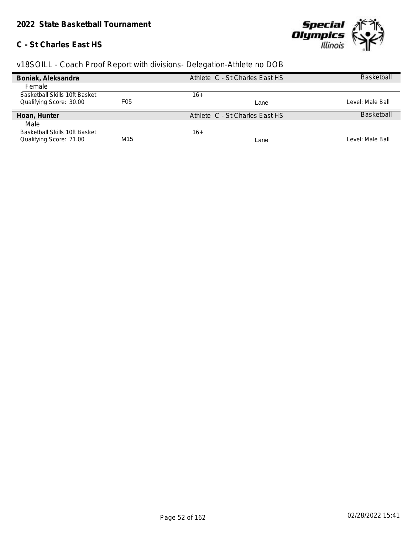#### **C - St Charles East HS**



| Boniak, Aleksandra            |                  | Athlete C - St Charles East HS | <b>Basketball</b> |
|-------------------------------|------------------|--------------------------------|-------------------|
| Female                        |                  |                                |                   |
| Basketball Skills 10ft Basket |                  | 16+                            |                   |
| Qualifying Score: 30.00       | F <sub>0</sub> 5 | Lane                           | _evel: Male Ball  |
| Hoan, Hunter                  |                  | Athlete C - St Charles East HS | <b>Basketball</b> |
| Male                          |                  |                                |                   |
| Basketball Skills 10ft Basket |                  | 16+                            |                   |
| Qualifying Score: 71.00       | M15              | Lane                           | evel: Male Ball   |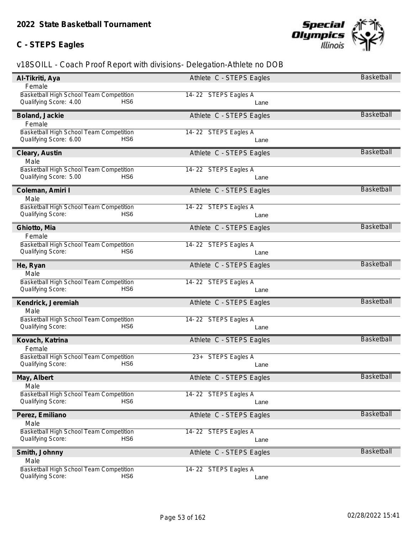## **C - STEPS Eagles**



| Female<br>Basketball High School Team Competition<br>14-22 STEPS Eagles A<br>Qualifying Score: 4.00<br>HS <sub>6</sub><br>Lane<br>Basketball<br>Athlete C - STEPS Eagles<br>Boland, Jackie<br>Female<br>Basketball High School Team Competition<br>14-22 STEPS Eagles A<br>Qualifying Score: 6.00<br>HS <sub>6</sub><br>Lane<br><b>Basketball</b><br>Cleary, Austin<br>Athlete C - STEPS Eagles<br>Male<br>Basketball High School Team Competition<br>14-22 STEPS Eagles A<br>Qualifying Score: 5.00<br>HS <sub>6</sub><br>Lane<br><b>Basketball</b><br>Coleman, Amiri I<br>Athlete C - STEPS Eagles<br>Male<br>Basketball High School Team Competition<br>14-22 STEPS Eagles A<br>Qualifying Score:<br>HS <sub>6</sub><br>Lane<br>Basketball<br>Ghiotto, Mia<br>Athlete C - STEPS Eagles<br>Female<br>Basketball High School Team Competition<br>14-22 STEPS Eagles A<br>Qualifying Score:<br>HS6<br>Lane<br><b>Basketball</b><br>He, Ryan<br>Athlete C - STEPS Eagles<br>Male<br>Basketball High School Team Competition<br>14-22 STEPS Eagles A<br>Qualifying Score:<br>HS <sub>6</sub><br>Lane<br><b>Basketball</b><br>Kendrick, Jeremiah<br>Athlete C - STEPS Eagles<br>Male<br>Basketball High School Team Competition<br>14-22 STEPS Eagles A<br>Qualifying Score:<br>HS <sub>6</sub><br>Lane<br><b>Basketball</b><br>Kovach, Katrina<br>Athlete C - STEPS Eagles<br>Female<br>Basketball High School Team Competition<br>23+ STEPS Eagles A<br>Qualifying Score:<br>HS6<br>Lane<br>Basketball<br>May, Albert<br>Athlete C - STEPS Eagles<br>Male<br>Basketball High School Team Competition<br>14-22 STEPS Eagles A<br>Qualifying Score:<br>HS <sub>6</sub><br>Lane<br>Basketball<br>Athlete C - STEPS Eagles<br>Perez, Emiliano<br>Male<br>Basketball High School Team Competition<br>14-22 STEPS Eagles A<br>HS6<br>Qualifying Score:<br>Lane<br><b>Basketball</b><br>Smith, Johnny<br>Athlete C - STEPS Eagles<br>Male<br>Basketball High School Team Competition<br>14-22 STEPS Eagles A<br>Qualifying Score:<br>HS6<br>Lane | Al-Tikriti, Aya | Athlete C - STEPS Eagles | Basketball |
|------------------------------------------------------------------------------------------------------------------------------------------------------------------------------------------------------------------------------------------------------------------------------------------------------------------------------------------------------------------------------------------------------------------------------------------------------------------------------------------------------------------------------------------------------------------------------------------------------------------------------------------------------------------------------------------------------------------------------------------------------------------------------------------------------------------------------------------------------------------------------------------------------------------------------------------------------------------------------------------------------------------------------------------------------------------------------------------------------------------------------------------------------------------------------------------------------------------------------------------------------------------------------------------------------------------------------------------------------------------------------------------------------------------------------------------------------------------------------------------------------------------------------------------------------------------------------------------------------------------------------------------------------------------------------------------------------------------------------------------------------------------------------------------------------------------------------------------------------------------------------------------------------------------------------------------------------------------------------------------------------------------------------------------|-----------------|--------------------------|------------|
|                                                                                                                                                                                                                                                                                                                                                                                                                                                                                                                                                                                                                                                                                                                                                                                                                                                                                                                                                                                                                                                                                                                                                                                                                                                                                                                                                                                                                                                                                                                                                                                                                                                                                                                                                                                                                                                                                                                                                                                                                                          |                 |                          |            |
|                                                                                                                                                                                                                                                                                                                                                                                                                                                                                                                                                                                                                                                                                                                                                                                                                                                                                                                                                                                                                                                                                                                                                                                                                                                                                                                                                                                                                                                                                                                                                                                                                                                                                                                                                                                                                                                                                                                                                                                                                                          |                 |                          |            |
|                                                                                                                                                                                                                                                                                                                                                                                                                                                                                                                                                                                                                                                                                                                                                                                                                                                                                                                                                                                                                                                                                                                                                                                                                                                                                                                                                                                                                                                                                                                                                                                                                                                                                                                                                                                                                                                                                                                                                                                                                                          |                 |                          |            |
|                                                                                                                                                                                                                                                                                                                                                                                                                                                                                                                                                                                                                                                                                                                                                                                                                                                                                                                                                                                                                                                                                                                                                                                                                                                                                                                                                                                                                                                                                                                                                                                                                                                                                                                                                                                                                                                                                                                                                                                                                                          |                 |                          |            |
|                                                                                                                                                                                                                                                                                                                                                                                                                                                                                                                                                                                                                                                                                                                                                                                                                                                                                                                                                                                                                                                                                                                                                                                                                                                                                                                                                                                                                                                                                                                                                                                                                                                                                                                                                                                                                                                                                                                                                                                                                                          |                 |                          |            |
|                                                                                                                                                                                                                                                                                                                                                                                                                                                                                                                                                                                                                                                                                                                                                                                                                                                                                                                                                                                                                                                                                                                                                                                                                                                                                                                                                                                                                                                                                                                                                                                                                                                                                                                                                                                                                                                                                                                                                                                                                                          |                 |                          |            |
|                                                                                                                                                                                                                                                                                                                                                                                                                                                                                                                                                                                                                                                                                                                                                                                                                                                                                                                                                                                                                                                                                                                                                                                                                                                                                                                                                                                                                                                                                                                                                                                                                                                                                                                                                                                                                                                                                                                                                                                                                                          |                 |                          |            |
|                                                                                                                                                                                                                                                                                                                                                                                                                                                                                                                                                                                                                                                                                                                                                                                                                                                                                                                                                                                                                                                                                                                                                                                                                                                                                                                                                                                                                                                                                                                                                                                                                                                                                                                                                                                                                                                                                                                                                                                                                                          |                 |                          |            |
|                                                                                                                                                                                                                                                                                                                                                                                                                                                                                                                                                                                                                                                                                                                                                                                                                                                                                                                                                                                                                                                                                                                                                                                                                                                                                                                                                                                                                                                                                                                                                                                                                                                                                                                                                                                                                                                                                                                                                                                                                                          |                 |                          |            |
|                                                                                                                                                                                                                                                                                                                                                                                                                                                                                                                                                                                                                                                                                                                                                                                                                                                                                                                                                                                                                                                                                                                                                                                                                                                                                                                                                                                                                                                                                                                                                                                                                                                                                                                                                                                                                                                                                                                                                                                                                                          |                 |                          |            |
|                                                                                                                                                                                                                                                                                                                                                                                                                                                                                                                                                                                                                                                                                                                                                                                                                                                                                                                                                                                                                                                                                                                                                                                                                                                                                                                                                                                                                                                                                                                                                                                                                                                                                                                                                                                                                                                                                                                                                                                                                                          |                 |                          |            |
|                                                                                                                                                                                                                                                                                                                                                                                                                                                                                                                                                                                                                                                                                                                                                                                                                                                                                                                                                                                                                                                                                                                                                                                                                                                                                                                                                                                                                                                                                                                                                                                                                                                                                                                                                                                                                                                                                                                                                                                                                                          |                 |                          |            |
|                                                                                                                                                                                                                                                                                                                                                                                                                                                                                                                                                                                                                                                                                                                                                                                                                                                                                                                                                                                                                                                                                                                                                                                                                                                                                                                                                                                                                                                                                                                                                                                                                                                                                                                                                                                                                                                                                                                                                                                                                                          |                 |                          |            |
|                                                                                                                                                                                                                                                                                                                                                                                                                                                                                                                                                                                                                                                                                                                                                                                                                                                                                                                                                                                                                                                                                                                                                                                                                                                                                                                                                                                                                                                                                                                                                                                                                                                                                                                                                                                                                                                                                                                                                                                                                                          |                 |                          |            |
|                                                                                                                                                                                                                                                                                                                                                                                                                                                                                                                                                                                                                                                                                                                                                                                                                                                                                                                                                                                                                                                                                                                                                                                                                                                                                                                                                                                                                                                                                                                                                                                                                                                                                                                                                                                                                                                                                                                                                                                                                                          |                 |                          |            |
|                                                                                                                                                                                                                                                                                                                                                                                                                                                                                                                                                                                                                                                                                                                                                                                                                                                                                                                                                                                                                                                                                                                                                                                                                                                                                                                                                                                                                                                                                                                                                                                                                                                                                                                                                                                                                                                                                                                                                                                                                                          |                 |                          |            |
|                                                                                                                                                                                                                                                                                                                                                                                                                                                                                                                                                                                                                                                                                                                                                                                                                                                                                                                                                                                                                                                                                                                                                                                                                                                                                                                                                                                                                                                                                                                                                                                                                                                                                                                                                                                                                                                                                                                                                                                                                                          |                 |                          |            |
|                                                                                                                                                                                                                                                                                                                                                                                                                                                                                                                                                                                                                                                                                                                                                                                                                                                                                                                                                                                                                                                                                                                                                                                                                                                                                                                                                                                                                                                                                                                                                                                                                                                                                                                                                                                                                                                                                                                                                                                                                                          |                 |                          |            |
|                                                                                                                                                                                                                                                                                                                                                                                                                                                                                                                                                                                                                                                                                                                                                                                                                                                                                                                                                                                                                                                                                                                                                                                                                                                                                                                                                                                                                                                                                                                                                                                                                                                                                                                                                                                                                                                                                                                                                                                                                                          |                 |                          |            |
|                                                                                                                                                                                                                                                                                                                                                                                                                                                                                                                                                                                                                                                                                                                                                                                                                                                                                                                                                                                                                                                                                                                                                                                                                                                                                                                                                                                                                                                                                                                                                                                                                                                                                                                                                                                                                                                                                                                                                                                                                                          |                 |                          |            |
|                                                                                                                                                                                                                                                                                                                                                                                                                                                                                                                                                                                                                                                                                                                                                                                                                                                                                                                                                                                                                                                                                                                                                                                                                                                                                                                                                                                                                                                                                                                                                                                                                                                                                                                                                                                                                                                                                                                                                                                                                                          |                 |                          |            |
|                                                                                                                                                                                                                                                                                                                                                                                                                                                                                                                                                                                                                                                                                                                                                                                                                                                                                                                                                                                                                                                                                                                                                                                                                                                                                                                                                                                                                                                                                                                                                                                                                                                                                                                                                                                                                                                                                                                                                                                                                                          |                 |                          |            |
|                                                                                                                                                                                                                                                                                                                                                                                                                                                                                                                                                                                                                                                                                                                                                                                                                                                                                                                                                                                                                                                                                                                                                                                                                                                                                                                                                                                                                                                                                                                                                                                                                                                                                                                                                                                                                                                                                                                                                                                                                                          |                 |                          |            |
|                                                                                                                                                                                                                                                                                                                                                                                                                                                                                                                                                                                                                                                                                                                                                                                                                                                                                                                                                                                                                                                                                                                                                                                                                                                                                                                                                                                                                                                                                                                                                                                                                                                                                                                                                                                                                                                                                                                                                                                                                                          |                 |                          |            |
|                                                                                                                                                                                                                                                                                                                                                                                                                                                                                                                                                                                                                                                                                                                                                                                                                                                                                                                                                                                                                                                                                                                                                                                                                                                                                                                                                                                                                                                                                                                                                                                                                                                                                                                                                                                                                                                                                                                                                                                                                                          |                 |                          |            |
|                                                                                                                                                                                                                                                                                                                                                                                                                                                                                                                                                                                                                                                                                                                                                                                                                                                                                                                                                                                                                                                                                                                                                                                                                                                                                                                                                                                                                                                                                                                                                                                                                                                                                                                                                                                                                                                                                                                                                                                                                                          |                 |                          |            |
|                                                                                                                                                                                                                                                                                                                                                                                                                                                                                                                                                                                                                                                                                                                                                                                                                                                                                                                                                                                                                                                                                                                                                                                                                                                                                                                                                                                                                                                                                                                                                                                                                                                                                                                                                                                                                                                                                                                                                                                                                                          |                 |                          |            |
|                                                                                                                                                                                                                                                                                                                                                                                                                                                                                                                                                                                                                                                                                                                                                                                                                                                                                                                                                                                                                                                                                                                                                                                                                                                                                                                                                                                                                                                                                                                                                                                                                                                                                                                                                                                                                                                                                                                                                                                                                                          |                 |                          |            |
|                                                                                                                                                                                                                                                                                                                                                                                                                                                                                                                                                                                                                                                                                                                                                                                                                                                                                                                                                                                                                                                                                                                                                                                                                                                                                                                                                                                                                                                                                                                                                                                                                                                                                                                                                                                                                                                                                                                                                                                                                                          |                 |                          |            |
|                                                                                                                                                                                                                                                                                                                                                                                                                                                                                                                                                                                                                                                                                                                                                                                                                                                                                                                                                                                                                                                                                                                                                                                                                                                                                                                                                                                                                                                                                                                                                                                                                                                                                                                                                                                                                                                                                                                                                                                                                                          |                 |                          |            |
|                                                                                                                                                                                                                                                                                                                                                                                                                                                                                                                                                                                                                                                                                                                                                                                                                                                                                                                                                                                                                                                                                                                                                                                                                                                                                                                                                                                                                                                                                                                                                                                                                                                                                                                                                                                                                                                                                                                                                                                                                                          |                 |                          |            |
|                                                                                                                                                                                                                                                                                                                                                                                                                                                                                                                                                                                                                                                                                                                                                                                                                                                                                                                                                                                                                                                                                                                                                                                                                                                                                                                                                                                                                                                                                                                                                                                                                                                                                                                                                                                                                                                                                                                                                                                                                                          |                 |                          |            |
|                                                                                                                                                                                                                                                                                                                                                                                                                                                                                                                                                                                                                                                                                                                                                                                                                                                                                                                                                                                                                                                                                                                                                                                                                                                                                                                                                                                                                                                                                                                                                                                                                                                                                                                                                                                                                                                                                                                                                                                                                                          |                 |                          |            |
|                                                                                                                                                                                                                                                                                                                                                                                                                                                                                                                                                                                                                                                                                                                                                                                                                                                                                                                                                                                                                                                                                                                                                                                                                                                                                                                                                                                                                                                                                                                                                                                                                                                                                                                                                                                                                                                                                                                                                                                                                                          |                 |                          |            |
|                                                                                                                                                                                                                                                                                                                                                                                                                                                                                                                                                                                                                                                                                                                                                                                                                                                                                                                                                                                                                                                                                                                                                                                                                                                                                                                                                                                                                                                                                                                                                                                                                                                                                                                                                                                                                                                                                                                                                                                                                                          |                 |                          |            |
|                                                                                                                                                                                                                                                                                                                                                                                                                                                                                                                                                                                                                                                                                                                                                                                                                                                                                                                                                                                                                                                                                                                                                                                                                                                                                                                                                                                                                                                                                                                                                                                                                                                                                                                                                                                                                                                                                                                                                                                                                                          |                 |                          |            |
|                                                                                                                                                                                                                                                                                                                                                                                                                                                                                                                                                                                                                                                                                                                                                                                                                                                                                                                                                                                                                                                                                                                                                                                                                                                                                                                                                                                                                                                                                                                                                                                                                                                                                                                                                                                                                                                                                                                                                                                                                                          |                 |                          |            |
|                                                                                                                                                                                                                                                                                                                                                                                                                                                                                                                                                                                                                                                                                                                                                                                                                                                                                                                                                                                                                                                                                                                                                                                                                                                                                                                                                                                                                                                                                                                                                                                                                                                                                                                                                                                                                                                                                                                                                                                                                                          |                 |                          |            |
|                                                                                                                                                                                                                                                                                                                                                                                                                                                                                                                                                                                                                                                                                                                                                                                                                                                                                                                                                                                                                                                                                                                                                                                                                                                                                                                                                                                                                                                                                                                                                                                                                                                                                                                                                                                                                                                                                                                                                                                                                                          |                 |                          |            |
|                                                                                                                                                                                                                                                                                                                                                                                                                                                                                                                                                                                                                                                                                                                                                                                                                                                                                                                                                                                                                                                                                                                                                                                                                                                                                                                                                                                                                                                                                                                                                                                                                                                                                                                                                                                                                                                                                                                                                                                                                                          |                 |                          |            |
|                                                                                                                                                                                                                                                                                                                                                                                                                                                                                                                                                                                                                                                                                                                                                                                                                                                                                                                                                                                                                                                                                                                                                                                                                                                                                                                                                                                                                                                                                                                                                                                                                                                                                                                                                                                                                                                                                                                                                                                                                                          |                 |                          |            |
|                                                                                                                                                                                                                                                                                                                                                                                                                                                                                                                                                                                                                                                                                                                                                                                                                                                                                                                                                                                                                                                                                                                                                                                                                                                                                                                                                                                                                                                                                                                                                                                                                                                                                                                                                                                                                                                                                                                                                                                                                                          |                 |                          |            |
|                                                                                                                                                                                                                                                                                                                                                                                                                                                                                                                                                                                                                                                                                                                                                                                                                                                                                                                                                                                                                                                                                                                                                                                                                                                                                                                                                                                                                                                                                                                                                                                                                                                                                                                                                                                                                                                                                                                                                                                                                                          |                 |                          |            |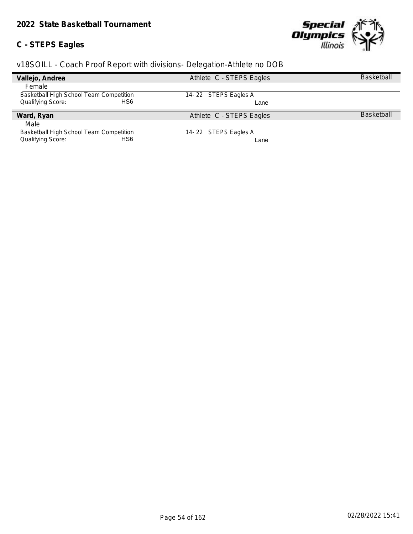### **C - STEPS Eagles**



| Vallejo, Andrea                             | Athlete C - STEPS Eagles | <b>Basketball</b> |
|---------------------------------------------|--------------------------|-------------------|
| Female                                      |                          |                   |
| Basketball High School Team Competition     | 14-22 STEPS Eagles A     |                   |
| HS <sub>6</sub><br><b>Qualifying Score:</b> | Lane                     |                   |
|                                             |                          |                   |
| Ward, Ryan                                  | Athlete C - STEPS Eagles | <b>Basketball</b> |
| Male                                        |                          |                   |
| Basketball High School Team Competition     | 14-22 STEPS Eagles A     |                   |
| Qualifying Score:<br>HS6                    | Lane                     |                   |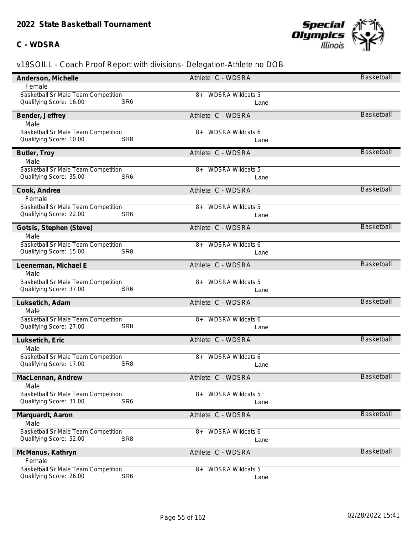### **C - WDSRA**



| Anderson, Michelle                         | Athlete C - WDSRA             | Basketball        |
|--------------------------------------------|-------------------------------|-------------------|
| Female                                     |                               |                   |
| <b>Basketball Sr Male Team Competition</b> | <b>WDSRA Wildcats 5</b><br>8+ |                   |
| Qualifying Score: 16.00<br>SR <sub>6</sub> | Lane                          |                   |
| Bender, Jeffrey                            | Athlete C - WDSRA             | <b>Basketball</b> |
| Male                                       |                               |                   |
| Basketball Sr Male Team Competition        | <b>WDSRA Wildcats 6</b><br>8+ |                   |
| Qualifying Score: 10.00<br>SR <sub>8</sub> | Lane                          |                   |
| Butler, Troy                               | Athlete C - WDSRA             | <b>Basketball</b> |
| Male                                       |                               |                   |
| Basketball Sr Male Team Competition        | <b>WDSRA Wildcats 5</b><br>8+ |                   |
| SR <sub>6</sub><br>Qualifying Score: 35.00 | Lane                          |                   |
| Cook, Andrea                               | Athlete C - WDSRA             | <b>Basketball</b> |
| Female                                     |                               |                   |
| Basketball Sr Male Team Competition        | <b>WDSRA Wildcats 5</b><br>8+ |                   |
| Qualifying Score: 22.00<br>SR <sub>6</sub> | Lane                          |                   |
| Gotsis, Stephen (Steve)                    | Athlete C - WDSRA             | <b>Basketball</b> |
| Male                                       |                               |                   |
| Basketball Sr Male Team Competition        | <b>WDSRA Wildcats 6</b><br>8+ |                   |
| Qualifying Score: 15.00<br>SR <sub>8</sub> | Lane                          |                   |
| Leenerman, Michael E                       | Athlete C - WDSRA             | <b>Basketball</b> |
| Male                                       |                               |                   |
| Basketball Sr Male Team Competition        | <b>WDSRA Wildcats 5</b><br>8+ |                   |
| Qualifying Score: 37.00<br>SR <sub>6</sub> | Lane                          |                   |
| Luksetich, Adam                            | Athlete C - WDSRA             | <b>Basketball</b> |
| Male                                       |                               |                   |
| <b>Basketball Sr Male Team Competition</b> | <b>WDSRA Wildcats 6</b><br>8+ |                   |
| SR <sub>8</sub><br>Qualifying Score: 27.00 | Lane                          |                   |
| Luksetich, Eric                            | Athlete C - WDSRA             | <b>Basketball</b> |
| Male                                       |                               |                   |
| Basketball Sr Male Team Competition        | <b>WDSRA Wildcats 6</b><br>8+ |                   |
| SR <sub>8</sub><br>Qualifying Score: 17.00 | Lane                          |                   |
| MacLennan, Andrew                          | Athlete C - WDSRA             | Basketball        |
| Male                                       |                               |                   |
| <b>Basketball Sr Male Team Competition</b> | <b>WDSRA Wildcats 5</b><br>8+ |                   |
| SR <sub>6</sub><br>Qualifying Score: 31.00 | Lane                          |                   |
| Marquardt, Aaron                           | Athlete C - WDSRA             | <b>Basketball</b> |
| Male                                       |                               |                   |
| <b>Basketball Sr Male Team Competition</b> | <b>WDSRA Wildcats 6</b><br>8+ |                   |
| SR <sub>8</sub><br>Qualifying Score: 52.00 | Lane                          |                   |
|                                            |                               | Basketball        |
| McManus, Kathryn<br>Female                 | Athlete C - WDSRA             |                   |
| Basketball Sr Male Team Competition        | <b>WDSRA Wildcats 5</b><br>8+ |                   |
| SR <sub>6</sub><br>Qualifying Score: 26.00 | Lane                          |                   |
|                                            |                               |                   |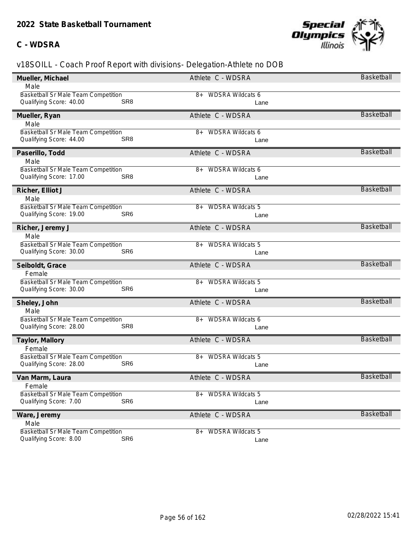### **C - WDSRA**



| Mueller, Michael                                                                 | Athlete C - WDSRA             | <b>Basketball</b> |
|----------------------------------------------------------------------------------|-------------------------------|-------------------|
| Male                                                                             |                               |                   |
| Basketball Sr Male Team Competition                                              | <b>WDSRA Wildcats 6</b><br>8+ |                   |
| Qualifying Score: 40.00<br>SR <sub>8</sub>                                       | Lane                          |                   |
| Mueller, Ryan                                                                    | Athlete C - WDSRA             | <b>Basketball</b> |
| Male                                                                             |                               |                   |
| Basketball Sr Male Team Competition                                              | <b>WDSRA Wildcats 6</b><br>8+ |                   |
| Qualifying Score: 44.00<br>SR <sub>8</sub>                                       | Lane                          |                   |
| Paserillo, Todd                                                                  | Athlete C - WDSRA             | <b>Basketball</b> |
| Male                                                                             |                               |                   |
| Basketball Sr Male Team Competition                                              | <b>WDSRA Wildcats 6</b><br>8+ |                   |
| SR <sub>8</sub><br>Qualifying Score: 17.00                                       | Lane                          |                   |
| Richer, Elliot J                                                                 | Athlete C - WDSRA             | <b>Basketball</b> |
| Male                                                                             |                               |                   |
| <b>Basketball Sr Male Team Competition</b>                                       | <b>WDSRA Wildcats 5</b><br>8+ |                   |
| SR <sub>6</sub><br>Qualifying Score: 19.00                                       | Lane                          |                   |
| Richer, Jeremy J                                                                 | Athlete C - WDSRA             | <b>Basketball</b> |
| Male                                                                             |                               |                   |
| Basketball Sr Male Team Competition                                              | <b>WDSRA Wildcats 5</b><br>8+ |                   |
| Qualifying Score: 30.00<br>SR <sub>6</sub>                                       | Lane                          |                   |
|                                                                                  |                               |                   |
| Seiboldt, Grace                                                                  | Athlete C - WDSRA             | <b>Basketball</b> |
| Female                                                                           |                               |                   |
| Basketball Sr Male Team Competition                                              | <b>WDSRA Wildcats 5</b><br>8+ |                   |
| Qualifying Score: 30.00<br>SR <sub>6</sub>                                       | Lane                          |                   |
|                                                                                  | Athlete C - WDSRA             | <b>Basketball</b> |
| Sheley, John<br>Male                                                             |                               |                   |
| <b>Basketball Sr Male Team Competition</b>                                       | <b>WDSRA Wildcats 6</b><br>8+ |                   |
| SR <sub>8</sub><br>Qualifying Score: 28.00                                       | Lane                          |                   |
|                                                                                  | Athlete C - WDSRA             | <b>Basketball</b> |
| Taylor, Mallory<br>Female                                                        |                               |                   |
| Basketball Sr Male Team Competition                                              | <b>WDSRA Wildcats 5</b><br>8+ |                   |
| SR <sub>6</sub><br>Qualifying Score: 28.00                                       | Lane                          |                   |
|                                                                                  |                               | Basketball        |
| Van Marm, Laura<br>Female                                                        | Athlete C - WDSRA             |                   |
| <b>Basketball Sr Male Team Competition</b>                                       | <b>WDSRA Wildcats 5</b><br>8+ |                   |
| SR <sub>6</sub><br>Qualifying Score: 7.00                                        | Lane                          |                   |
|                                                                                  | Athlete C - WDSRA             | <b>Basketball</b> |
| Ware, Jeremy<br>Male                                                             |                               |                   |
| Basketball Sr Male Team Competition<br>SR <sub>6</sub><br>Qualifying Score: 8.00 | <b>WDSRA Wildcats 5</b><br>8+ |                   |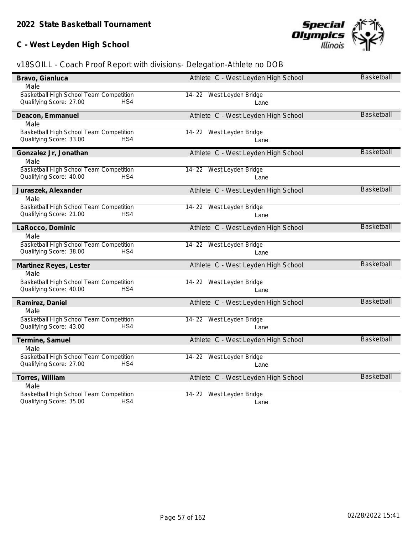## **C - West Leyden High School**



| Bravo, Gianluca                         | Athlete C - West Leyden High School | Basketball        |
|-----------------------------------------|-------------------------------------|-------------------|
| Male                                    |                                     |                   |
| Basketball High School Team Competition | 14-22 West Leyden Bridge            |                   |
| Qualifying Score: 27.00<br>HS4          | Lane                                |                   |
| Deacon, Emmanuel                        | Athlete C - West Leyden High School | <b>Basketball</b> |
| Male                                    |                                     |                   |
| Basketball High School Team Competition | 14-22 West Leyden Bridge            |                   |
| Qualifying Score: 33.00<br>HS4          | Lane                                |                   |
| Gonzalez Jr, Jonathan                   | Athlete C - West Leyden High School | <b>Basketball</b> |
| Male                                    |                                     |                   |
| Basketball High School Team Competition | 14-22 West Leyden Bridge            |                   |
| Qualifying Score: 40.00<br>HS4          | Lane                                |                   |
| Juraszek, Alexander                     | Athlete C - West Leyden High School | <b>Basketball</b> |
| Male                                    |                                     |                   |
| Basketball High School Team Competition | 14-22 West Leyden Bridge            |                   |
| Qualifying Score: 21.00<br>HS4          | Lane                                |                   |
| LaRocco, Dominic                        | Athlete C - West Leyden High School | Basketball        |
| Male                                    |                                     |                   |
| Basketball High School Team Competition | 14-22 West Leyden Bridge            |                   |
| Qualifying Score: 38.00<br>HS4          | Lane                                |                   |
| Martinez Reyes, Lester                  | Athlete C - West Leyden High School | <b>Basketball</b> |
| Male                                    |                                     |                   |
| Basketball High School Team Competition | 14-22 West Leyden Bridge            |                   |
| Qualifying Score: 40.00<br>HS4          | Lane                                |                   |
| Ramirez, Daniel                         | Athlete C - West Leyden High School | <b>Basketball</b> |
| Male                                    |                                     |                   |
| Basketball High School Team Competition | 14-22 West Leyden Bridge            |                   |
| Qualifying Score: 43.00<br>HS4          | Lane                                |                   |
| Termine, Samuel                         | Athlete C - West Leyden High School | Basketball        |
| Male                                    |                                     |                   |
| Basketball High School Team Competition | 14-22 West Leyden Bridge            |                   |
| HS4<br>Qualifying Score: 27.00          | Lane                                |                   |
| Torres, William                         | Athlete C - West Leyden High School | Basketball        |
| Male                                    |                                     |                   |
| Basketball High School Team Competition | 14-22 West Leyden Bridge            |                   |
| HS4<br>Qualifying Score: 35.00          | Lane                                |                   |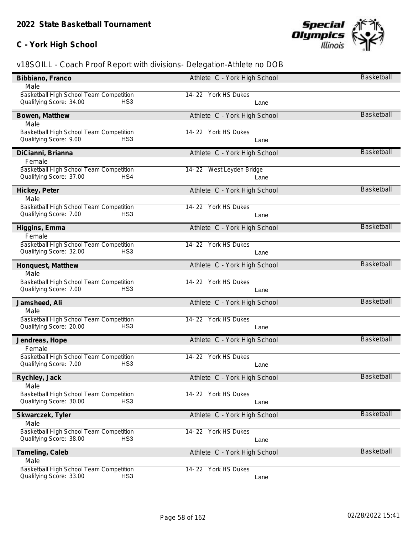## **C - York High School**



| Bibbiano, Franco                           | Athlete C - York High School | Basketball        |
|--------------------------------------------|------------------------------|-------------------|
| Male                                       |                              |                   |
| Basketball High School Team Competition    | 14-22 York HS Dukes          |                   |
| Qualifying Score: 34.00<br>HS <sub>3</sub> | Lane                         |                   |
| Bowen, Matthew                             | Athlete C - York High School | <b>Basketball</b> |
| Male                                       |                              |                   |
| Basketball High School Team Competition    | 14-22 York HS Dukes          |                   |
| HS <sub>3</sub><br>Qualifying Score: 9.00  | Lane                         |                   |
| DiCianni, Brianna                          | Athlete C - York High School | <b>Basketball</b> |
| Female                                     |                              |                   |
| Basketball High School Team Competition    | 14-22 West Leyden Bridge     |                   |
| Qualifying Score: 37.00<br>HS4             | Lane                         |                   |
| Hickey, Peter                              | Athlete C - York High School | <b>Basketball</b> |
| Male                                       |                              |                   |
| Basketball High School Team Competition    | 14-22 York HS Dukes          |                   |
| Qualifying Score: 7.00<br>HS <sub>3</sub>  | Lane                         |                   |
| Higgins, Emma                              | Athlete C - York High School | <b>Basketball</b> |
| Female                                     |                              |                   |
| Basketball High School Team Competition    | 14-22 York HS Dukes          |                   |
| Qualifying Score: 32.00<br>HS <sub>3</sub> | Lane                         |                   |
| Honquest, Matthew                          | Athlete C - York High School | <b>Basketball</b> |
| Male                                       |                              |                   |
| Basketball High School Team Competition    | 14-22 York HS Dukes          |                   |
| Qualifying Score: 7.00<br>HS <sub>3</sub>  | Lane                         |                   |
| Jamsheed, Ali                              | Athlete C - York High School | <b>Basketball</b> |
| Male                                       |                              |                   |
| Basketball High School Team Competition    | 14-22 York HS Dukes          |                   |
| Qualifying Score: 20.00<br>HS <sub>3</sub> | Lane                         |                   |
| Jendreas, Hope                             | Athlete C - York High School | <b>Basketball</b> |
| Female                                     |                              |                   |
| Basketball High School Team Competition    | 14-22 York HS Dukes          |                   |
| Qualifying Score: 7.00<br>HS <sub>3</sub>  | Lane                         |                   |
| Rychley, Jack                              | Athlete C - York High School | <b>Basketball</b> |
| Male                                       |                              |                   |
| Basketball High School Team Competition    | 14-22 York HS Dukes          |                   |
| HS <sub>3</sub><br>Qualifying Score: 30.00 | Lane                         |                   |
| Skwarczek, Tyler                           | Athlete C - York High School | Basketball        |
| Male                                       |                              |                   |
| Basketball High School Team Competition    | 14-22 York HS Dukes          |                   |
| Qualifying Score: 38.00<br>HS <sub>3</sub> | Lane                         |                   |
| Tameling, Caleb                            | Athlete C - York High School | Basketball        |
| Male                                       |                              |                   |
| Basketball High School Team Competition    | 14-22 York HS Dukes          |                   |
| Qualifying Score: 33.00<br>HS <sub>3</sub> | Lane                         |                   |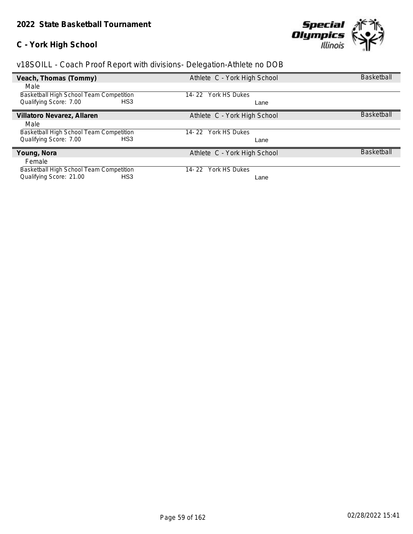### **C - York High School**



| Veach, Thomas (Tommy)                     | Athlete C - York High School | <b>Basketball</b> |
|-------------------------------------------|------------------------------|-------------------|
| Male                                      |                              |                   |
| Basketball High School Team Competition   | York HS Dukes<br>14-22       |                   |
| Qualifying Score: 7.00<br>HS <sub>3</sub> | Lane                         |                   |
| Villatoro Nevarez, Allaren                | Athlete C - York High School | <b>Basketball</b> |
| Male                                      |                              |                   |
| Basketball High School Team Competition   | York HS Dukes<br>14-22       |                   |
| Qualifying Score: 7.00<br>HS3             | Lane                         |                   |
| Young, Nora                               | Athlete C - York High School | <b>Basketball</b> |
| Female                                    |                              |                   |
| Basketball High School Team Competition   | York HS Dukes<br>14-22       |                   |
| Qualifying Score: 21.00<br>HS3            | Lane                         |                   |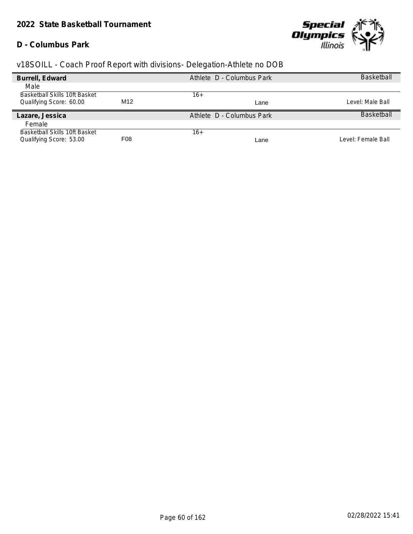#### **D - Columbus Park**



| Burrell, Edward                      |                  | Athlete D - Columbus Park | <b>Basketball</b>  |
|--------------------------------------|------------------|---------------------------|--------------------|
| Male                                 |                  |                           |                    |
| <b>Basketball Skills 10ft Basket</b> |                  | 16+                       |                    |
| Qualifying Score: 60.00              | M12              | Lane                      | Level: Male Ball   |
| Lazare, Jessica                      |                  | Athlete D - Columbus Park | <b>Basketball</b>  |
| Female                               |                  |                           |                    |
| Basketball Skills 10ft Basket        |                  | 16+                       |                    |
| Qualifying Score: 53.00              | F <sub>0</sub> 8 | Lane                      | Level: Female Ball |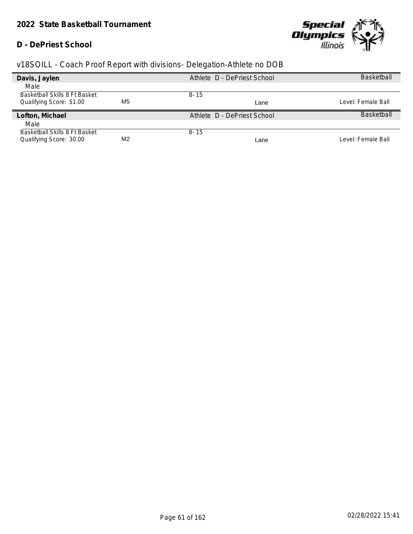#### **D - DePriest School**



| Davis, Jaylen                 |                | Athlete D - DePriest School | <b>Basketball</b>  |
|-------------------------------|----------------|-----------------------------|--------------------|
| Male                          |                |                             |                    |
| Basketball Skills 8 Ft Basket |                | $8 - 15$                    |                    |
| Qualifying Score: 51.00       | M <sub>5</sub> | Lane                        | Level: Female Ball |
| Lofton, Michael               |                | Athlete D - DePriest School | <b>Basketball</b>  |
| Male                          |                |                             |                    |
| Basketball Skills 8 Ft Basket |                | $8 - 15$                    |                    |
| Qualifying Score: 30.00       | M <sub>2</sub> | Lane                        | Level: Female Ball |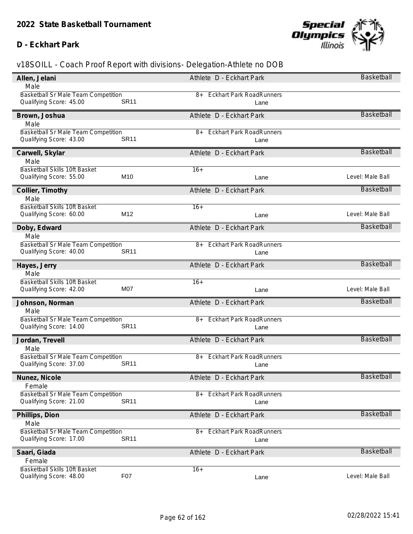#### **D - Eckhart Park**



| Male                                                                   | Athlete D - Eckhart Park                | <b>Basketball</b> |
|------------------------------------------------------------------------|-----------------------------------------|-------------------|
|                                                                        |                                         |                   |
| <b>Basketball Sr Male Team Competition</b><br><b>SR11</b>              | <b>Eckhart Park RoadRunners</b><br>8+   |                   |
| Qualifying Score: 45.00                                                | Lane                                    |                   |
| Brown, Joshua                                                          | Athlete D - Eckhart Park                | <b>Basketball</b> |
| Male                                                                   |                                         |                   |
| Basketball Sr Male Team Competition                                    | <b>Eckhart Park RoadRunners</b><br>$8+$ |                   |
| <b>SR11</b><br>Qualifying Score: 43.00                                 | Lane                                    |                   |
| Carwell, Skylar                                                        | Athlete D - Eckhart Park                | <b>Basketball</b> |
| Male                                                                   |                                         |                   |
| Basketball Skills 10ft Basket                                          | $16+$                                   |                   |
| M10<br>Qualifying Score: 55.00                                         | Lane                                    | Level: Male Ball  |
| Collier, Timothy                                                       | Athlete D - Eckhart Park                | <b>Basketball</b> |
| Male                                                                   |                                         |                   |
| Basketball Skills 10ft Basket                                          | $16+$                                   |                   |
| M12<br>Qualifying Score: 60.00                                         | Lane                                    | Level: Male Ball  |
| Doby, Edward                                                           | Athlete D - Eckhart Park                | Basketball        |
| Male                                                                   |                                         |                   |
| Basketball Sr Male Team Competition                                    | <b>Eckhart Park RoadRunners</b><br>8+   |                   |
| Qualifying Score: 40.00<br><b>SR11</b>                                 | Lane                                    |                   |
| Hayes, Jerry                                                           | Athlete D - Eckhart Park                | <b>Basketball</b> |
| Male                                                                   |                                         |                   |
| Basketball Skills 10ft Basket                                          | $16+$                                   |                   |
|                                                                        |                                         |                   |
| Qualifying Score: 42.00<br>M07                                         | Lane                                    | Level: Male Ball  |
|                                                                        |                                         |                   |
| Johnson, Norman                                                        | Athlete D - Eckhart Park                | <b>Basketball</b> |
| Male                                                                   |                                         |                   |
| Basketball Sr Male Team Competition                                    | <b>Eckhart Park RoadRunners</b><br>8+   |                   |
| <b>SR11</b><br>Qualifying Score: 14.00                                 | Lane                                    |                   |
| Jordan, Trevell                                                        | Athlete D - Eckhart Park                | <b>Basketball</b> |
| Male                                                                   |                                         |                   |
| Basketball Sr Male Team Competition                                    | <b>Eckhart Park RoadRunners</b><br>$8+$ |                   |
| <b>SR11</b><br>Qualifying Score: 37.00                                 | Lane                                    |                   |
| Nunez, Nicole                                                          | Athlete D - Eckhart Park                | Basketball        |
| Female                                                                 |                                         |                   |
| <b>Basketball Sr Male Team Competition</b>                             | <b>Eckhart Park RoadRunners</b><br>8+   |                   |
| <b>SR11</b><br>Qualifying Score: 21.00                                 | Lane                                    |                   |
|                                                                        | Athlete D - Eckhart Park                | <b>Basketball</b> |
| Phillips, Dion<br>Male                                                 |                                         |                   |
| Basketball Sr Male Team Competition                                    | <b>Eckhart Park RoadRunners</b><br>8+   |                   |
| <b>SR11</b><br>Qualifying Score: 17.00                                 | Lane                                    |                   |
|                                                                        |                                         | <b>Basketball</b> |
| Saari, Giada<br>Female                                                 | Athlete D - Eckhart Park                |                   |
| <b>Basketball Skills 10ft Basket</b><br>F07<br>Qualifying Score: 48.00 | $16+$                                   |                   |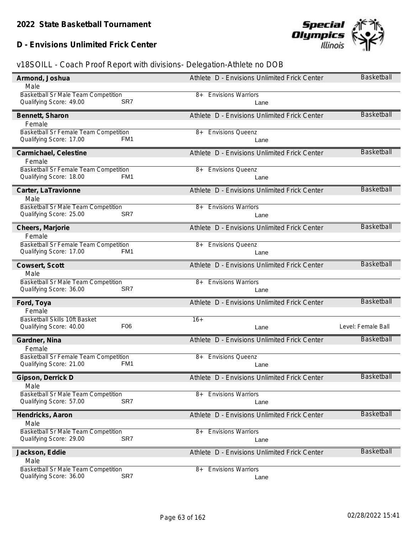## **D - Envisions Unlimited Frick Center**



| Armond, Joshua                                                                      | Athlete D - Envisions Unlimited Frick Center | Basketball         |
|-------------------------------------------------------------------------------------|----------------------------------------------|--------------------|
| Male                                                                                |                                              |                    |
| <b>Basketball Sr Male Team Competition</b>                                          | <b>Envisions Warriors</b><br>8+              |                    |
| Qualifying Score: 49.00<br>SR7                                                      | Lane                                         |                    |
| Bennett, Sharon                                                                     | Athlete D - Envisions Unlimited Frick Center | <b>Basketball</b>  |
| Female                                                                              |                                              |                    |
| Basketball Sr Female Team Competition<br>Qualifying Score: 17.00<br>FM <sub>1</sub> | <b>Envisions Queenz</b><br>8+                |                    |
|                                                                                     | Lane                                         |                    |
| Carmichael, Celestine                                                               | Athlete D - Envisions Unlimited Frick Center | <b>Basketball</b>  |
| Female                                                                              |                                              |                    |
| Basketball Sr Female Team Competition<br>Qualifying Score: 18.00<br>FM <sub>1</sub> | <b>Envisions Queenz</b><br>8+                |                    |
|                                                                                     | Lane                                         |                    |
| Carter, LaTravionne                                                                 | Athlete D - Envisions Unlimited Frick Center | <b>Basketball</b>  |
| Male                                                                                |                                              |                    |
| <b>Basketball Sr Male Team Competition</b><br>Qualifying Score: 25.00<br>SR7        | <b>Envisions Warriors</b><br>8+              |                    |
|                                                                                     | Lane                                         |                    |
| Cheers, Marjorie                                                                    | Athlete D - Envisions Unlimited Frick Center | <b>Basketball</b>  |
| Female                                                                              |                                              |                    |
| Basketball Sr Female Team Competition<br>Qualifying Score: 17.00<br>FM <sub>1</sub> | <b>Envisions Queenz</b><br>8+                |                    |
|                                                                                     | Lane                                         |                    |
| Cowsert, Scott                                                                      | Athlete D - Envisions Unlimited Frick Center | <b>Basketball</b>  |
| Male                                                                                |                                              |                    |
| Basketball Sr Male Team Competition<br>Qualifying Score: 36.00<br>SR7               | <b>Envisions Warriors</b><br>8+              |                    |
|                                                                                     | Lane                                         |                    |
| Ford, Toya                                                                          | Athlete D - Envisions Unlimited Frick Center | <b>Basketball</b>  |
| Female                                                                              |                                              |                    |
| Basketball Skills 10ft Basket<br>Qualifying Score: 40.00<br>F <sub>06</sub>         | $16+$<br>Lane                                | Level: Female Ball |
|                                                                                     |                                              |                    |
| Gardner, Nina                                                                       | Athlete D - Envisions Unlimited Frick Center | Basketball         |
| Female                                                                              |                                              |                    |
| Basketball Sr Female Team Competition<br>Qualifying Score: 21.00<br>FM <sub>1</sub> | <b>Envisions Queenz</b><br>8+<br>Lane        |                    |
|                                                                                     |                                              |                    |
| Gipson, Derrick D                                                                   | Athlete D - Envisions Unlimited Frick Center | <b>Basketball</b>  |
| Male<br>Basketball Sr Male Team Competition                                         |                                              |                    |
|                                                                                     |                                              |                    |
|                                                                                     | <b>Envisions Warriors</b><br>8+              |                    |
| SR7<br>Qualifying Score: 57.00                                                      | Lane                                         |                    |
| Hendricks, Aaron                                                                    | Athlete D - Envisions Unlimited Frick Center | Basketball         |
| Male                                                                                |                                              |                    |
| Basketball Sr Male Team Competition                                                 | <b>Envisions Warriors</b><br>8+              |                    |
| SR7<br>Qualifying Score: 29.00                                                      | Lane                                         |                    |
| Jackson, Eddie                                                                      | Athlete D - Envisions Unlimited Frick Center | <b>Basketball</b>  |
| Male                                                                                |                                              |                    |
| <b>Basketball Sr Male Team Competition</b><br>Qualifying Score: 36.00<br>SR7        | <b>Envisions Warriors</b><br>8+<br>Lane      |                    |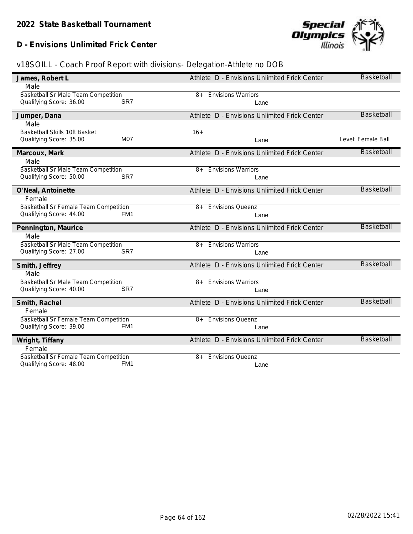**D - Envisions Unlimited Frick Center**



| James, Robert L<br>Male                                                             | Athlete D - Envisions Unlimited Frick Center | <b>Basketball</b>  |
|-------------------------------------------------------------------------------------|----------------------------------------------|--------------------|
| Basketball Sr Male Team Competition                                                 | <b>Envisions Warriors</b><br>8+              |                    |
| Qualifying Score: 36.00<br>SR7                                                      | Lane                                         |                    |
| Jumper, Dana                                                                        | Athlete D - Envisions Unlimited Frick Center | <b>Basketball</b>  |
| Male<br>Basketball Skills 10ft Basket                                               | $16+$                                        |                    |
| M07<br>Qualifying Score: 35.00                                                      | Lane                                         | Level: Female Ball |
| Marcoux, Mark                                                                       | Athlete D - Envisions Unlimited Frick Center | Basketball         |
| Male                                                                                |                                              |                    |
| Basketball Sr Male Team Competition<br>Qualifying Score: 50.00<br>SR <sub>7</sub>   | <b>Envisions Warriors</b><br>$8+$            |                    |
|                                                                                     | Lane                                         |                    |
| O'Neal, Antoinette<br>Female                                                        | Athlete D - Envisions Unlimited Frick Center | Basketball         |
| Basketball Sr Female Team Competition                                               | <b>Envisions Queenz</b><br>$8+$              |                    |
| Qualifying Score: 44.00<br>FM <sub>1</sub>                                          | Lane                                         |                    |
| Pennington, Maurice                                                                 | Athlete D - Envisions Unlimited Frick Center | <b>Basketball</b>  |
| Male                                                                                |                                              |                    |
| Basketball Sr Male Team Competition<br>Qualifying Score: 27.00<br>SR7               | <b>Envisions Warriors</b><br>8+              |                    |
|                                                                                     | Lane                                         |                    |
| Smith, Jeffrey                                                                      | Athlete D - Envisions Unlimited Frick Center | <b>Basketball</b>  |
| Male<br>Basketball Sr Male Team Competition                                         | <b>Envisions Warriors</b><br>$8+$            |                    |
| Qualifying Score: 40.00<br>SR7                                                      | Lane                                         |                    |
|                                                                                     |                                              | <b>Basketball</b>  |
| Smith, Rachel<br>Female                                                             | Athlete D - Envisions Unlimited Frick Center |                    |
| <b>Basketball Sr Female Team Competition</b>                                        | <b>Envisions Queenz</b><br>8+                |                    |
| Qualifying Score: 39.00<br>FM <sub>1</sub>                                          | Lane                                         |                    |
| Wright, Tiffany                                                                     | Athlete D - Envisions Unlimited Frick Center | <b>Basketball</b>  |
| Female                                                                              |                                              |                    |
| Basketball Sr Female Team Competition<br>Qualifying Score: 48.00<br>FM <sub>1</sub> | <b>Envisions Queenz</b><br>$8+$              |                    |
|                                                                                     | Lane                                         |                    |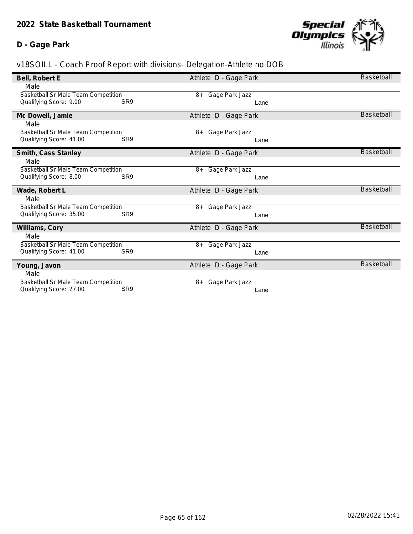### **D - Gage Park**



| Bell, Robert E                                                 |                 | Athlete D - Gage Park  | Basketball        |
|----------------------------------------------------------------|-----------------|------------------------|-------------------|
| Male                                                           |                 |                        |                   |
| <b>Basketball Sr Male Team Competition</b>                     |                 | Gage Park Jazz<br>8+   |                   |
| Qualifying Score: 9.00                                         | SR <sub>9</sub> | Lane                   |                   |
|                                                                |                 |                        |                   |
| Mc Dowell, Jamie                                               |                 | Athlete D - Gage Park  | <b>Basketball</b> |
| Male                                                           |                 |                        |                   |
| Basketball Sr Male Team Competition                            |                 | Gage Park Jazz<br>8+   |                   |
| Qualifying Score: 41.00                                        | SR <sub>9</sub> | Lane                   |                   |
|                                                                |                 |                        |                   |
| Smith, Cass Stanley                                            |                 | Athlete D - Gage Park  | <b>Basketball</b> |
| Male                                                           |                 |                        |                   |
| <b>Basketball Sr Male Team Competition</b>                     |                 | Gage Park Jazz<br>8+   |                   |
| Qualifying Score: 8.00                                         | SR <sub>9</sub> | Lane                   |                   |
|                                                                |                 |                        |                   |
|                                                                |                 |                        |                   |
| Wade, Robert L                                                 |                 | Athlete D - Gage Park  | <b>Basketball</b> |
| Male                                                           |                 |                        |                   |
| Basketball Sr Male Team Competition                            |                 | Gage Park Jazz<br>8+   |                   |
| Qualifying Score: 35.00                                        | SR <sub>9</sub> | Lane                   |                   |
|                                                                |                 |                        | Basketball        |
| Williams, Cory                                                 |                 | Athlete D - Gage Park  |                   |
| Male                                                           |                 |                        |                   |
| Basketball Sr Male Team Competition                            |                 | Gage Park Jazz<br>8+   |                   |
| Qualifying Score: 41.00                                        | SR9             | Lane                   |                   |
| Young, Javon                                                   |                 | Athlete D - Gage Park  | Basketball        |
| Male                                                           |                 |                        |                   |
|                                                                |                 | 8+                     |                   |
| Basketball Sr Male Team Competition<br>Qualifying Score: 27.00 | SR <sub>9</sub> | Gage Park Jazz<br>Lane |                   |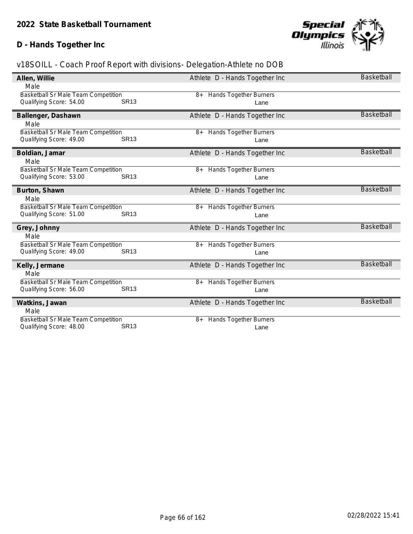### **D - Hands Together Inc**



| Allen, Willie                                                  |             | Athlete D - Hands Together Inc        | <b>Basketball</b> |
|----------------------------------------------------------------|-------------|---------------------------------------|-------------------|
| Male                                                           |             |                                       |                   |
| <b>Basketball Sr Male Team Competition</b>                     |             | 8+ Hands Together Burners             |                   |
| Qualifying Score: 54.00                                        | <b>SR13</b> | Lane                                  |                   |
| Ballenger, Dashawn                                             |             | Athlete D - Hands Together Inc        | <b>Basketball</b> |
| Male                                                           |             |                                       |                   |
| <b>Basketball Sr Male Team Competition</b>                     |             | 8+ Hands Together Burners             |                   |
| Qualifying Score: 49.00                                        | <b>SR13</b> | Lane                                  |                   |
|                                                                |             |                                       |                   |
| Boldian, Jamar                                                 |             | Athlete D - Hands Together Inc        | <b>Basketball</b> |
| Male                                                           |             |                                       |                   |
| Basketball Sr Male Team Competition                            |             | 8+ Hands Together Burners             |                   |
| Qualifying Score: 53.00                                        | <b>SR13</b> | Lane                                  |                   |
| Burton, Shawn                                                  |             | Athlete D - Hands Together Inc        | <b>Basketball</b> |
| Male                                                           |             |                                       |                   |
| Basketball Sr Male Team Competition                            |             | 8+ Hands Together Burners             |                   |
| Qualifying Score: 51.00                                        | <b>SR13</b> | Lane                                  |                   |
|                                                                |             |                                       | <b>Basketball</b> |
| Grey, Johnny                                                   |             | Athlete D - Hands Together Inc        |                   |
| Male                                                           |             |                                       |                   |
| Basketball Sr Male Team Competition<br>Qualifying Score: 49.00 | <b>SR13</b> | <b>Hands Together Burners</b><br>$8+$ |                   |
|                                                                |             | Lane                                  |                   |
| Kelly, Jermane                                                 |             | Athlete D - Hands Together Inc        | <b>Basketball</b> |
| Male                                                           |             |                                       |                   |
| Basketball Sr Male Team Competition                            |             | 8+ Hands Together Burners             |                   |
| Qualifying Score: 56.00                                        | <b>SR13</b> | Lane                                  |                   |
| Watkins, Jawan                                                 |             | Athlete D - Hands Together Inc        | <b>Basketball</b> |
| Male                                                           |             |                                       |                   |
| Basketball Sr Male Team Competition                            |             | Hands Together Burners<br>$8+$        |                   |
| Qualifying Score: 48.00                                        | <b>SR13</b> | Lane                                  |                   |
|                                                                |             |                                       |                   |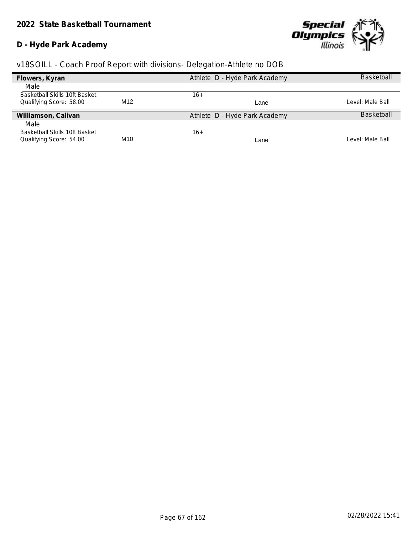### **D - Hyde Park Academy**



| Flowers, Kyran                |     | Athlete D - Hyde Park Academy | <b>Basketball</b> |
|-------------------------------|-----|-------------------------------|-------------------|
| Male                          |     |                               |                   |
| Basketball Skills 10ft Basket |     | 16+                           |                   |
| Qualifying Score: 58.00       | M12 | Lane                          | Level: Male Ball  |
| Williamson, Calivan           |     | Athlete D - Hyde Park Academy | <b>Basketball</b> |
| Male                          |     |                               |                   |
| Basketball Skills 10ft Basket |     | $16+$                         |                   |
| Qualifying Score: 54.00       | M10 | Lane                          | Level: Male Ball  |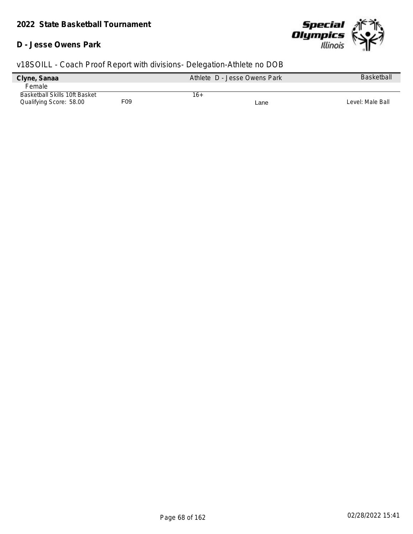#### **D - Jesse Owens Park**



| Clyne, Sanaa                         |     | Athlete D - Jesse Owens Park | <b>Basketball</b> |
|--------------------------------------|-----|------------------------------|-------------------|
| Female                               |     |                              |                   |
| <b>Basketball Skills 10ft Basket</b> |     | 16+                          |                   |
| Qualifying Score: 58.00              | F09 | Lane                         | Level: Male Ball  |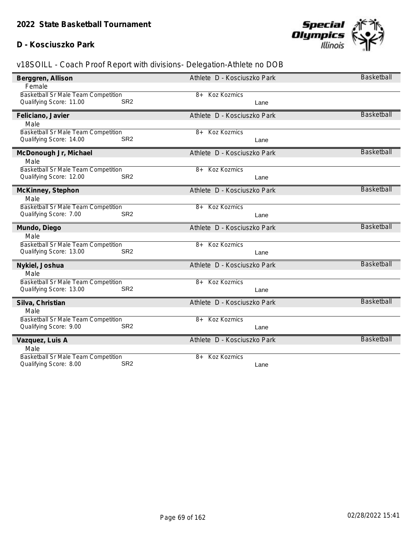#### **D - Kosciuszko Park**



| Berggren, Allison                                                                | Athlete D - Kosciuszko Park | <b>Basketball</b> |
|----------------------------------------------------------------------------------|-----------------------------|-------------------|
| Female                                                                           |                             |                   |
| Basketball Sr Male Team Competition                                              | Koz Kozmics<br>8+           |                   |
| Qualifying Score: 11.00<br>SR <sub>2</sub>                                       | Lane                        |                   |
| Feliciano, Javier                                                                | Athlete D - Kosciuszko Park | <b>Basketball</b> |
| Male                                                                             |                             |                   |
| Basketball Sr Male Team Competition                                              | Koz Kozmics<br>8+           |                   |
| Qualifying Score: 14.00<br>SR <sub>2</sub>                                       | Lane                        |                   |
| McDonough Jr, Michael                                                            | Athlete D - Kosciuszko Park | <b>Basketball</b> |
| Male                                                                             |                             |                   |
| Basketball Sr Male Team Competition                                              | <b>Koz Kozmics</b><br>$8+$  |                   |
| Qualifying Score: 12.00<br>SR <sub>2</sub>                                       | Lane                        |                   |
| McKinney, Stephon                                                                | Athlete D - Kosciuszko Park | <b>Basketball</b> |
| Male                                                                             |                             |                   |
| Basketball Sr Male Team Competition                                              | <b>Koz Kozmics</b><br>8+    |                   |
| Qualifying Score: 7.00<br>SR <sub>2</sub>                                        | Lane                        |                   |
| Mundo, Diego                                                                     | Athlete D - Kosciuszko Park | <b>Basketball</b> |
| Male                                                                             |                             |                   |
| Basketball Sr Male Team Competition                                              | <b>Koz Kozmics</b><br>8+    |                   |
| Qualifying Score: 13.00<br>SR <sub>2</sub>                                       | Lane                        |                   |
| Nykiel, Joshua                                                                   | Athlete D - Kosciuszko Park | <b>Basketball</b> |
| Male                                                                             |                             |                   |
| Basketball Sr Male Team Competition                                              | Koz Kozmics<br>$8+$         |                   |
| Qualifying Score: 13.00<br>SR <sub>2</sub>                                       | Lane                        |                   |
| Silva, Christian                                                                 | Athlete D - Kosciuszko Park | <b>Basketball</b> |
| Male                                                                             |                             |                   |
| <b>Basketball Sr Male Team Competition</b>                                       | Koz Kozmics<br>8+           |                   |
| SR <sub>2</sub><br>Qualifying Score: 9.00                                        | Lane                        |                   |
| Vazquez, Luis A                                                                  | Athlete D - Kosciuszko Park | <b>Basketball</b> |
| Male                                                                             |                             |                   |
| Basketball Sr Male Team Competition<br>SR <sub>2</sub><br>Qualifying Score: 8.00 | <b>Koz Kozmics</b><br>8+    |                   |
|                                                                                  | Lane                        |                   |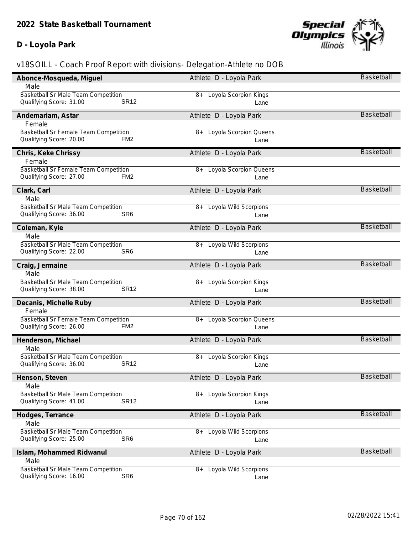### **D - Loyola Park**



| Male<br><b>Basketball Sr Male Team Competition</b><br>8+ Loyola Scorpion Kings<br><b>SR12</b><br>Qualifying Score: 31.00<br>Lane<br><b>Basketball</b><br>Athlete D - Loyola Park<br>Andemariam, Astar<br>Female<br>Basketball Sr Female Team Competition<br>Loyola Scorpion Queens<br>8+<br>Qualifying Score: 20.00<br>FM <sub>2</sub><br>Lane<br><b>Basketball</b><br>Athlete D - Loyola Park<br>Chris, Keke Chrissy<br>Female<br>Basketball Sr Female Team Competition<br>8+ Loyola Scorpion Queens<br>Qualifying Score: 27.00<br>FM <sub>2</sub><br>Lane<br><b>Basketball</b><br>Clark, Carl<br>Athlete D - Loyola Park<br>Male<br>Basketball Sr Male Team Competition<br>8+ Loyola Wild Scorpions<br>Qualifying Score: 36.00<br>SR <sub>6</sub><br>Lane<br><b>Basketball</b><br>Coleman, Kyle<br>Athlete D - Loyola Park<br>Male<br>Basketball Sr Male Team Competition<br>8+ Loyola Wild Scorpions<br>Qualifying Score: 22.00<br>SR <sub>6</sub><br>Lane<br><b>Basketball</b><br>Craig, Jermaine<br>Athlete D - Loyola Park<br>Male<br>Basketball Sr Male Team Competition<br>8+ Loyola Scorpion Kings<br>Qualifying Score: 38.00<br><b>SR12</b><br>Lane<br><b>Basketball</b><br>Decanis, Michelle Ruby<br>Athlete D - Loyola Park<br>Female<br>Basketball Sr Female Team Competition<br>8+ Loyola Scorpion Queens<br>Qualifying Score: 26.00<br>FM <sub>2</sub><br>Lane<br><b>Basketball</b><br>Athlete D - Loyola Park<br>Henderson, Michael<br>Male<br>Basketball Sr Male Team Competition<br>8+ Loyola Scorpion Kings<br>Qualifying Score: 36.00<br><b>SR12</b><br>Lane<br>Basketball<br>Athlete D - Loyola Park<br>Henson, Steven<br>Male<br>Basketball Sr Male Team Competition<br>8+ Loyola Scorpion Kings<br><b>SR12</b><br>Qualifying Score: 41.00<br>Lane<br>Basketball<br>Hodges, Terrance<br>Athlete D - Loyola Park<br>Male<br><b>Basketball Sr Male Team Competition</b><br>Loyola Wild Scorpions<br>8+<br>Qualifying Score: 25.00<br>SR <sub>6</sub><br>Lane<br><b>Basketball</b><br>Islam, Mohammed Ridwanul<br>Athlete D - Loyola Park<br>Male<br>Basketball Sr Male Team Competition<br>8+ Loyola Wild Scorpions<br>SR <sub>6</sub><br>Qualifying Score: 16.00<br>Lane | Abonce-Mosqueda, Miguel | Athlete D - Loyola Park | Basketball |
|-----------------------------------------------------------------------------------------------------------------------------------------------------------------------------------------------------------------------------------------------------------------------------------------------------------------------------------------------------------------------------------------------------------------------------------------------------------------------------------------------------------------------------------------------------------------------------------------------------------------------------------------------------------------------------------------------------------------------------------------------------------------------------------------------------------------------------------------------------------------------------------------------------------------------------------------------------------------------------------------------------------------------------------------------------------------------------------------------------------------------------------------------------------------------------------------------------------------------------------------------------------------------------------------------------------------------------------------------------------------------------------------------------------------------------------------------------------------------------------------------------------------------------------------------------------------------------------------------------------------------------------------------------------------------------------------------------------------------------------------------------------------------------------------------------------------------------------------------------------------------------------------------------------------------------------------------------------------------------------------------------------------------------------------------------------------------------------------------------------------------------------------------------------------------------------------------|-------------------------|-------------------------|------------|
|                                                                                                                                                                                                                                                                                                                                                                                                                                                                                                                                                                                                                                                                                                                                                                                                                                                                                                                                                                                                                                                                                                                                                                                                                                                                                                                                                                                                                                                                                                                                                                                                                                                                                                                                                                                                                                                                                                                                                                                                                                                                                                                                                                                               |                         |                         |            |
|                                                                                                                                                                                                                                                                                                                                                                                                                                                                                                                                                                                                                                                                                                                                                                                                                                                                                                                                                                                                                                                                                                                                                                                                                                                                                                                                                                                                                                                                                                                                                                                                                                                                                                                                                                                                                                                                                                                                                                                                                                                                                                                                                                                               |                         |                         |            |
|                                                                                                                                                                                                                                                                                                                                                                                                                                                                                                                                                                                                                                                                                                                                                                                                                                                                                                                                                                                                                                                                                                                                                                                                                                                                                                                                                                                                                                                                                                                                                                                                                                                                                                                                                                                                                                                                                                                                                                                                                                                                                                                                                                                               |                         |                         |            |
|                                                                                                                                                                                                                                                                                                                                                                                                                                                                                                                                                                                                                                                                                                                                                                                                                                                                                                                                                                                                                                                                                                                                                                                                                                                                                                                                                                                                                                                                                                                                                                                                                                                                                                                                                                                                                                                                                                                                                                                                                                                                                                                                                                                               |                         |                         |            |
|                                                                                                                                                                                                                                                                                                                                                                                                                                                                                                                                                                                                                                                                                                                                                                                                                                                                                                                                                                                                                                                                                                                                                                                                                                                                                                                                                                                                                                                                                                                                                                                                                                                                                                                                                                                                                                                                                                                                                                                                                                                                                                                                                                                               |                         |                         |            |
|                                                                                                                                                                                                                                                                                                                                                                                                                                                                                                                                                                                                                                                                                                                                                                                                                                                                                                                                                                                                                                                                                                                                                                                                                                                                                                                                                                                                                                                                                                                                                                                                                                                                                                                                                                                                                                                                                                                                                                                                                                                                                                                                                                                               |                         |                         |            |
|                                                                                                                                                                                                                                                                                                                                                                                                                                                                                                                                                                                                                                                                                                                                                                                                                                                                                                                                                                                                                                                                                                                                                                                                                                                                                                                                                                                                                                                                                                                                                                                                                                                                                                                                                                                                                                                                                                                                                                                                                                                                                                                                                                                               |                         |                         |            |
|                                                                                                                                                                                                                                                                                                                                                                                                                                                                                                                                                                                                                                                                                                                                                                                                                                                                                                                                                                                                                                                                                                                                                                                                                                                                                                                                                                                                                                                                                                                                                                                                                                                                                                                                                                                                                                                                                                                                                                                                                                                                                                                                                                                               |                         |                         |            |
|                                                                                                                                                                                                                                                                                                                                                                                                                                                                                                                                                                                                                                                                                                                                                                                                                                                                                                                                                                                                                                                                                                                                                                                                                                                                                                                                                                                                                                                                                                                                                                                                                                                                                                                                                                                                                                                                                                                                                                                                                                                                                                                                                                                               |                         |                         |            |
|                                                                                                                                                                                                                                                                                                                                                                                                                                                                                                                                                                                                                                                                                                                                                                                                                                                                                                                                                                                                                                                                                                                                                                                                                                                                                                                                                                                                                                                                                                                                                                                                                                                                                                                                                                                                                                                                                                                                                                                                                                                                                                                                                                                               |                         |                         |            |
|                                                                                                                                                                                                                                                                                                                                                                                                                                                                                                                                                                                                                                                                                                                                                                                                                                                                                                                                                                                                                                                                                                                                                                                                                                                                                                                                                                                                                                                                                                                                                                                                                                                                                                                                                                                                                                                                                                                                                                                                                                                                                                                                                                                               |                         |                         |            |
|                                                                                                                                                                                                                                                                                                                                                                                                                                                                                                                                                                                                                                                                                                                                                                                                                                                                                                                                                                                                                                                                                                                                                                                                                                                                                                                                                                                                                                                                                                                                                                                                                                                                                                                                                                                                                                                                                                                                                                                                                                                                                                                                                                                               |                         |                         |            |
|                                                                                                                                                                                                                                                                                                                                                                                                                                                                                                                                                                                                                                                                                                                                                                                                                                                                                                                                                                                                                                                                                                                                                                                                                                                                                                                                                                                                                                                                                                                                                                                                                                                                                                                                                                                                                                                                                                                                                                                                                                                                                                                                                                                               |                         |                         |            |
|                                                                                                                                                                                                                                                                                                                                                                                                                                                                                                                                                                                                                                                                                                                                                                                                                                                                                                                                                                                                                                                                                                                                                                                                                                                                                                                                                                                                                                                                                                                                                                                                                                                                                                                                                                                                                                                                                                                                                                                                                                                                                                                                                                                               |                         |                         |            |
|                                                                                                                                                                                                                                                                                                                                                                                                                                                                                                                                                                                                                                                                                                                                                                                                                                                                                                                                                                                                                                                                                                                                                                                                                                                                                                                                                                                                                                                                                                                                                                                                                                                                                                                                                                                                                                                                                                                                                                                                                                                                                                                                                                                               |                         |                         |            |
|                                                                                                                                                                                                                                                                                                                                                                                                                                                                                                                                                                                                                                                                                                                                                                                                                                                                                                                                                                                                                                                                                                                                                                                                                                                                                                                                                                                                                                                                                                                                                                                                                                                                                                                                                                                                                                                                                                                                                                                                                                                                                                                                                                                               |                         |                         |            |
|                                                                                                                                                                                                                                                                                                                                                                                                                                                                                                                                                                                                                                                                                                                                                                                                                                                                                                                                                                                                                                                                                                                                                                                                                                                                                                                                                                                                                                                                                                                                                                                                                                                                                                                                                                                                                                                                                                                                                                                                                                                                                                                                                                                               |                         |                         |            |
|                                                                                                                                                                                                                                                                                                                                                                                                                                                                                                                                                                                                                                                                                                                                                                                                                                                                                                                                                                                                                                                                                                                                                                                                                                                                                                                                                                                                                                                                                                                                                                                                                                                                                                                                                                                                                                                                                                                                                                                                                                                                                                                                                                                               |                         |                         |            |
|                                                                                                                                                                                                                                                                                                                                                                                                                                                                                                                                                                                                                                                                                                                                                                                                                                                                                                                                                                                                                                                                                                                                                                                                                                                                                                                                                                                                                                                                                                                                                                                                                                                                                                                                                                                                                                                                                                                                                                                                                                                                                                                                                                                               |                         |                         |            |
|                                                                                                                                                                                                                                                                                                                                                                                                                                                                                                                                                                                                                                                                                                                                                                                                                                                                                                                                                                                                                                                                                                                                                                                                                                                                                                                                                                                                                                                                                                                                                                                                                                                                                                                                                                                                                                                                                                                                                                                                                                                                                                                                                                                               |                         |                         |            |
|                                                                                                                                                                                                                                                                                                                                                                                                                                                                                                                                                                                                                                                                                                                                                                                                                                                                                                                                                                                                                                                                                                                                                                                                                                                                                                                                                                                                                                                                                                                                                                                                                                                                                                                                                                                                                                                                                                                                                                                                                                                                                                                                                                                               |                         |                         |            |
|                                                                                                                                                                                                                                                                                                                                                                                                                                                                                                                                                                                                                                                                                                                                                                                                                                                                                                                                                                                                                                                                                                                                                                                                                                                                                                                                                                                                                                                                                                                                                                                                                                                                                                                                                                                                                                                                                                                                                                                                                                                                                                                                                                                               |                         |                         |            |
|                                                                                                                                                                                                                                                                                                                                                                                                                                                                                                                                                                                                                                                                                                                                                                                                                                                                                                                                                                                                                                                                                                                                                                                                                                                                                                                                                                                                                                                                                                                                                                                                                                                                                                                                                                                                                                                                                                                                                                                                                                                                                                                                                                                               |                         |                         |            |
|                                                                                                                                                                                                                                                                                                                                                                                                                                                                                                                                                                                                                                                                                                                                                                                                                                                                                                                                                                                                                                                                                                                                                                                                                                                                                                                                                                                                                                                                                                                                                                                                                                                                                                                                                                                                                                                                                                                                                                                                                                                                                                                                                                                               |                         |                         |            |
|                                                                                                                                                                                                                                                                                                                                                                                                                                                                                                                                                                                                                                                                                                                                                                                                                                                                                                                                                                                                                                                                                                                                                                                                                                                                                                                                                                                                                                                                                                                                                                                                                                                                                                                                                                                                                                                                                                                                                                                                                                                                                                                                                                                               |                         |                         |            |
|                                                                                                                                                                                                                                                                                                                                                                                                                                                                                                                                                                                                                                                                                                                                                                                                                                                                                                                                                                                                                                                                                                                                                                                                                                                                                                                                                                                                                                                                                                                                                                                                                                                                                                                                                                                                                                                                                                                                                                                                                                                                                                                                                                                               |                         |                         |            |
|                                                                                                                                                                                                                                                                                                                                                                                                                                                                                                                                                                                                                                                                                                                                                                                                                                                                                                                                                                                                                                                                                                                                                                                                                                                                                                                                                                                                                                                                                                                                                                                                                                                                                                                                                                                                                                                                                                                                                                                                                                                                                                                                                                                               |                         |                         |            |
|                                                                                                                                                                                                                                                                                                                                                                                                                                                                                                                                                                                                                                                                                                                                                                                                                                                                                                                                                                                                                                                                                                                                                                                                                                                                                                                                                                                                                                                                                                                                                                                                                                                                                                                                                                                                                                                                                                                                                                                                                                                                                                                                                                                               |                         |                         |            |
|                                                                                                                                                                                                                                                                                                                                                                                                                                                                                                                                                                                                                                                                                                                                                                                                                                                                                                                                                                                                                                                                                                                                                                                                                                                                                                                                                                                                                                                                                                                                                                                                                                                                                                                                                                                                                                                                                                                                                                                                                                                                                                                                                                                               |                         |                         |            |
|                                                                                                                                                                                                                                                                                                                                                                                                                                                                                                                                                                                                                                                                                                                                                                                                                                                                                                                                                                                                                                                                                                                                                                                                                                                                                                                                                                                                                                                                                                                                                                                                                                                                                                                                                                                                                                                                                                                                                                                                                                                                                                                                                                                               |                         |                         |            |
|                                                                                                                                                                                                                                                                                                                                                                                                                                                                                                                                                                                                                                                                                                                                                                                                                                                                                                                                                                                                                                                                                                                                                                                                                                                                                                                                                                                                                                                                                                                                                                                                                                                                                                                                                                                                                                                                                                                                                                                                                                                                                                                                                                                               |                         |                         |            |
|                                                                                                                                                                                                                                                                                                                                                                                                                                                                                                                                                                                                                                                                                                                                                                                                                                                                                                                                                                                                                                                                                                                                                                                                                                                                                                                                                                                                                                                                                                                                                                                                                                                                                                                                                                                                                                                                                                                                                                                                                                                                                                                                                                                               |                         |                         |            |
|                                                                                                                                                                                                                                                                                                                                                                                                                                                                                                                                                                                                                                                                                                                                                                                                                                                                                                                                                                                                                                                                                                                                                                                                                                                                                                                                                                                                                                                                                                                                                                                                                                                                                                                                                                                                                                                                                                                                                                                                                                                                                                                                                                                               |                         |                         |            |
|                                                                                                                                                                                                                                                                                                                                                                                                                                                                                                                                                                                                                                                                                                                                                                                                                                                                                                                                                                                                                                                                                                                                                                                                                                                                                                                                                                                                                                                                                                                                                                                                                                                                                                                                                                                                                                                                                                                                                                                                                                                                                                                                                                                               |                         |                         |            |
|                                                                                                                                                                                                                                                                                                                                                                                                                                                                                                                                                                                                                                                                                                                                                                                                                                                                                                                                                                                                                                                                                                                                                                                                                                                                                                                                                                                                                                                                                                                                                                                                                                                                                                                                                                                                                                                                                                                                                                                                                                                                                                                                                                                               |                         |                         |            |
|                                                                                                                                                                                                                                                                                                                                                                                                                                                                                                                                                                                                                                                                                                                                                                                                                                                                                                                                                                                                                                                                                                                                                                                                                                                                                                                                                                                                                                                                                                                                                                                                                                                                                                                                                                                                                                                                                                                                                                                                                                                                                                                                                                                               |                         |                         |            |
|                                                                                                                                                                                                                                                                                                                                                                                                                                                                                                                                                                                                                                                                                                                                                                                                                                                                                                                                                                                                                                                                                                                                                                                                                                                                                                                                                                                                                                                                                                                                                                                                                                                                                                                                                                                                                                                                                                                                                                                                                                                                                                                                                                                               |                         |                         |            |
|                                                                                                                                                                                                                                                                                                                                                                                                                                                                                                                                                                                                                                                                                                                                                                                                                                                                                                                                                                                                                                                                                                                                                                                                                                                                                                                                                                                                                                                                                                                                                                                                                                                                                                                                                                                                                                                                                                                                                                                                                                                                                                                                                                                               |                         |                         |            |
|                                                                                                                                                                                                                                                                                                                                                                                                                                                                                                                                                                                                                                                                                                                                                                                                                                                                                                                                                                                                                                                                                                                                                                                                                                                                                                                                                                                                                                                                                                                                                                                                                                                                                                                                                                                                                                                                                                                                                                                                                                                                                                                                                                                               |                         |                         |            |
|                                                                                                                                                                                                                                                                                                                                                                                                                                                                                                                                                                                                                                                                                                                                                                                                                                                                                                                                                                                                                                                                                                                                                                                                                                                                                                                                                                                                                                                                                                                                                                                                                                                                                                                                                                                                                                                                                                                                                                                                                                                                                                                                                                                               |                         |                         |            |
|                                                                                                                                                                                                                                                                                                                                                                                                                                                                                                                                                                                                                                                                                                                                                                                                                                                                                                                                                                                                                                                                                                                                                                                                                                                                                                                                                                                                                                                                                                                                                                                                                                                                                                                                                                                                                                                                                                                                                                                                                                                                                                                                                                                               |                         |                         |            |
|                                                                                                                                                                                                                                                                                                                                                                                                                                                                                                                                                                                                                                                                                                                                                                                                                                                                                                                                                                                                                                                                                                                                                                                                                                                                                                                                                                                                                                                                                                                                                                                                                                                                                                                                                                                                                                                                                                                                                                                                                                                                                                                                                                                               |                         |                         |            |
|                                                                                                                                                                                                                                                                                                                                                                                                                                                                                                                                                                                                                                                                                                                                                                                                                                                                                                                                                                                                                                                                                                                                                                                                                                                                                                                                                                                                                                                                                                                                                                                                                                                                                                                                                                                                                                                                                                                                                                                                                                                                                                                                                                                               |                         |                         |            |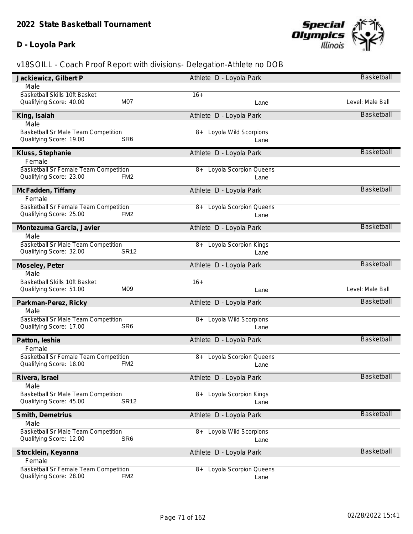### **D - Loyola Park**



| Jackiewicz, Gilbert P                                            |                 | Athlete D - Loyola Park              | Basketball        |
|------------------------------------------------------------------|-----------------|--------------------------------------|-------------------|
| Male                                                             |                 |                                      |                   |
| Basketball Skills 10ft Basket                                    |                 | $16+$                                |                   |
| Qualifying Score: 40.00                                          | M07             | Lane                                 | Level: Male Ball  |
| King, Isaiah                                                     |                 | Athlete D - Loyola Park              | <b>Basketball</b> |
| Male                                                             |                 |                                      |                   |
| Basketball Sr Male Team Competition                              |                 | <b>Loyola Wild Scorpions</b><br>8+   |                   |
| Qualifying Score: 19.00                                          | SR <sub>6</sub> | Lane                                 |                   |
| Kluss, Stephanie                                                 |                 | Athlete D - Loyola Park              | <b>Basketball</b> |
| Female                                                           |                 |                                      |                   |
| Basketball Sr Female Team Competition                            |                 | <b>Loyola Scorpion Queens</b><br>8+  |                   |
| Qualifying Score: 23.00                                          | FM <sub>2</sub> | Lane                                 |                   |
| McFadden, Tiffany                                                |                 | Athlete D - Loyola Park              | <b>Basketball</b> |
| Female                                                           |                 |                                      |                   |
| Basketball Sr Female Team Competition                            |                 | <b>Loyola Scorpion Queens</b><br>8+  |                   |
| Qualifying Score: 25.00                                          | FM <sub>2</sub> | Lane                                 |                   |
| Montezuma Garcia, Javier                                         |                 | Athlete D - Loyola Park              | Basketball        |
| Male                                                             |                 |                                      |                   |
| Basketball Sr Male Team Competition                              |                 | Loyola Scorpion Kings<br>8+          |                   |
| Qualifying Score: 32.00                                          | <b>SR12</b>     | Lane                                 |                   |
| Moseley, Peter                                                   |                 | Athlete D - Loyola Park              | <b>Basketball</b> |
| Male                                                             |                 |                                      |                   |
|                                                                  |                 |                                      |                   |
| Basketball Skills 10ft Basket                                    |                 | $16+$                                |                   |
| Qualifying Score: 51.00                                          | M09             | Lane                                 | Level: Male Ball  |
| Parkman-Perez, Ricky                                             |                 | Athlete D - Loyola Park              | Basketball        |
| Male                                                             |                 |                                      |                   |
| Basketball Sr Male Team Competition                              |                 | 8+ Loyola Wild Scorpions             |                   |
| Qualifying Score: 17.00                                          | SR <sub>6</sub> | Lane                                 |                   |
| Patton, leshia                                                   |                 | Athlete D - Loyola Park              | <b>Basketball</b> |
| Female                                                           |                 |                                      |                   |
| Basketball Sr Female Team Competition                            |                 | Loyola Scorpion Queens<br>8+         |                   |
| Qualifying Score: 18.00                                          | FM <sub>2</sub> | Lane                                 |                   |
| Rivera, Israel                                                   |                 | Athlete D - Loyola Park              | Basketball        |
| Male                                                             |                 |                                      |                   |
| Basketball Sr Male Team Competition                              |                 | Loyola Scorpion Kings<br>$8+$        |                   |
| Qualifying Score: 45.00                                          | <b>SR12</b>     | Lane                                 |                   |
| Smith, Demetrius                                                 |                 | Athlete D - Loyola Park              | Basketball        |
| Male                                                             |                 |                                      |                   |
| Basketball Sr Male Team Competition                              |                 | Loyola Wild Scorpions<br>8+          |                   |
| Qualifying Score: 12.00                                          | SR <sub>6</sub> | Lane                                 |                   |
| Stocklein, Keyanna                                               |                 | Athlete D - Loyola Park              | Basketball        |
| Female                                                           |                 |                                      |                   |
| Basketball Sr Female Team Competition<br>Qualifying Score: 28.00 | FM <sub>2</sub> | Loyola Scorpion Queens<br>8+<br>Lane |                   |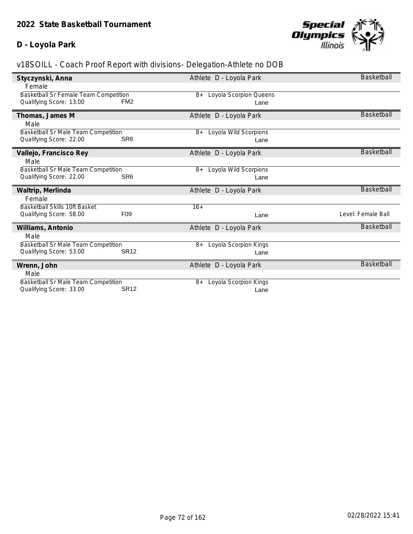### **D - Loyola Park**



| Styczynski, Anna                                                      |                 | Athlete D - Loyola Park             | <b>Basketball</b>  |
|-----------------------------------------------------------------------|-----------------|-------------------------------------|--------------------|
| Female                                                                |                 |                                     |                    |
| Basketball Sr Female Team Competition                                 |                 | <b>Loyola Scorpion Queens</b><br>8+ |                    |
| Qualifying Score: 13.00                                               | FM <sub>2</sub> | Lane                                |                    |
| Thomas, James M                                                       |                 | Athlete D - Loyola Park             | <b>Basketball</b>  |
| Male                                                                  |                 |                                     |                    |
| <b>Basketball Sr Male Team Competition</b>                            |                 | Loyola Wild Scorpions<br>8+         |                    |
| Qualifying Score: 22.00                                               | SR <sub>6</sub> | Lane                                |                    |
| Vallejo, Francisco Rey                                                |                 | Athlete D - Loyola Park             | <b>Basketball</b>  |
| Male                                                                  |                 |                                     |                    |
| Basketball Sr Male Team Competition                                   |                 | Loyola Wild Scorpions<br>$8+$       |                    |
| Qualifying Score: 22.00                                               | SR <sub>6</sub> | Lane                                |                    |
|                                                                       |                 |                                     |                    |
| Waltrip, Merlinda                                                     |                 | Athlete D - Loyola Park             | <b>Basketball</b>  |
| Female                                                                |                 |                                     |                    |
| <b>Basketball Skills 10ft Basket</b>                                  |                 | $16+$                               |                    |
| Qualifying Score: 58.00                                               | F <sub>09</sub> | Lane                                | Level: Female Ball |
| Williams, Antonio                                                     |                 | Athlete D - Loyola Park             | <b>Basketball</b>  |
| Male                                                                  |                 |                                     |                    |
| Basketball Sr Male Team Competition                                   |                 | Loyola Scorpion Kings<br>$8+$       |                    |
| Qualifying Score: 53.00                                               | <b>SR12</b>     | Lane                                |                    |
| Wrenn, John                                                           |                 | Athlete D - Loyola Park             | <b>Basketball</b>  |
| Male                                                                  |                 |                                     |                    |
| <b>Basketball Sr Male Team Competition</b><br>Qualifying Score: 33.00 | <b>SR12</b>     | Loyola Scorpion Kings<br>$8+$       |                    |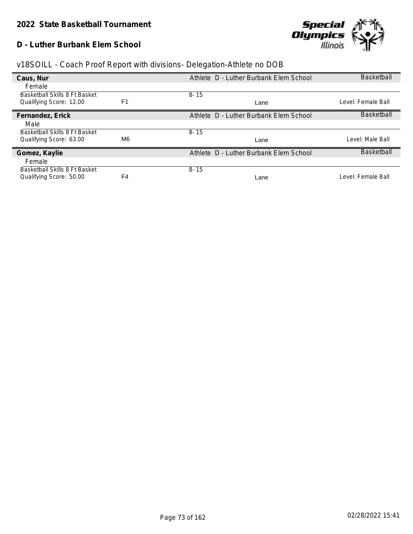#### **D - Luther Burbank Elem School**



| v18SOILL - Coach Proof Report with divisions- Delegation-Athlete no DOB |
|-------------------------------------------------------------------------|
|-------------------------------------------------------------------------|

| Caus, Nur                     |                | Athlete D - Luther Burbank Elem School | <b>Basketball</b>  |
|-------------------------------|----------------|----------------------------------------|--------------------|
| Female                        |                |                                        |                    |
| Basketball Skills 8 Ft Basket |                | $8 - 15$                               |                    |
| Qualifying Score: 12.00       | F <sub>1</sub> | Lane                                   | Level: Female Ball |
| Fernandez, Erick              |                | Athlete D - Luther Burbank Elem School | <b>Basketball</b>  |
| Male                          |                |                                        |                    |
| Basketball Skills 8 Ft Basket |                | $8 - 15$                               |                    |
| Qualifying Score: 63.00       | M6.            | Lane                                   | Level: Male Ball   |
| Gomez, Kaylie                 |                | Athlete D - Luther Burbank Elem School | <b>Basketball</b>  |
| Female                        |                |                                        |                    |
| Basketball Skills 8 Ft Basket |                | $8 - 15$                               |                    |
| Qualifying Score: 50.00       | F <sub>4</sub> | Lane                                   | Level: Female Ball |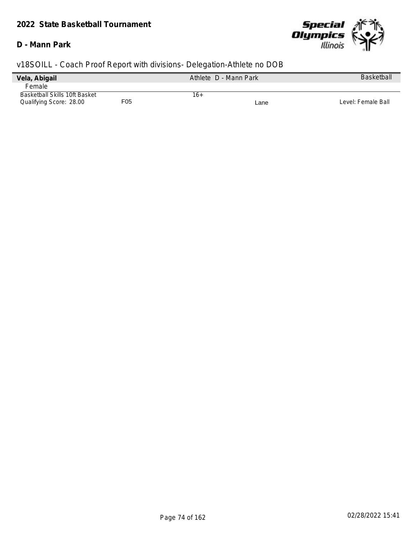### *2022 State Basketball Tournament*

#### **D - Mann Park**



| Vela, Abigail                 |     | Athlete D - Mann Park |      | <b>Basketball</b>  |
|-------------------------------|-----|-----------------------|------|--------------------|
| Female                        |     |                       |      |                    |
| Basketball Skills 10ft Basket |     | 16+                   |      |                    |
| Qualifying Score: 28.00       | F05 |                       | Lane | Level: Female Ball |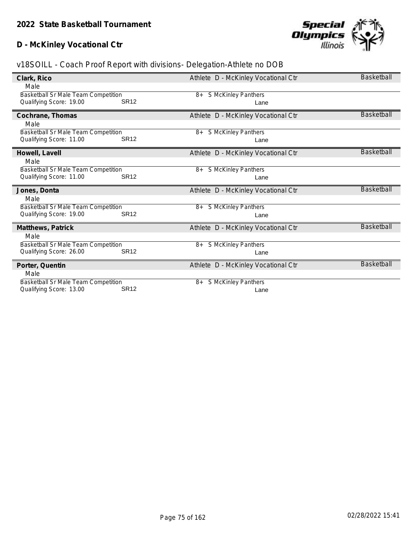### **D - McKinley Vocational Ctr**



| Clark, Rico                                                    |             | Athlete D - McKinley Vocational Ctr | <b>Basketball</b> |
|----------------------------------------------------------------|-------------|-------------------------------------|-------------------|
| Male                                                           |             |                                     |                   |
|                                                                |             |                                     |                   |
| Basketball Sr Male Team Competition                            |             | S McKinley Panthers<br>8+           |                   |
| Qualifying Score: 19.00                                        | <b>SR12</b> | Lane                                |                   |
|                                                                |             |                                     |                   |
| Cochrane, Thomas                                               |             | Athlete D - McKinley Vocational Ctr | <b>Basketball</b> |
| Male                                                           |             |                                     |                   |
| <b>Basketball Sr Male Team Competition</b>                     |             | <b>S McKinley Panthers</b><br>8+    |                   |
| Qualifying Score: 11.00                                        | <b>SR12</b> | Lane                                |                   |
|                                                                |             |                                     |                   |
| Howell, Lavell                                                 |             | Athlete D - McKinley Vocational Ctr | <b>Basketball</b> |
|                                                                |             |                                     |                   |
| Male                                                           |             |                                     |                   |
| Basketball Sr Male Team Competition                            |             | <b>S McKinley Panthers</b><br>8+    |                   |
| Qualifying Score: 11.00                                        | <b>SR12</b> | Lane                                |                   |
|                                                                |             |                                     |                   |
|                                                                |             |                                     |                   |
| Jones, Donta                                                   |             | Athlete D - McKinley Vocational Ctr | <b>Basketball</b> |
|                                                                |             |                                     |                   |
| Male                                                           |             |                                     |                   |
| Basketball Sr Male Team Competition                            |             | <b>S McKinley Panthers</b><br>8+    |                   |
| Qualifying Score: 19.00                                        | <b>SR12</b> | Lane                                |                   |
|                                                                |             |                                     |                   |
| Matthews, Patrick                                              |             | Athlete D - McKinley Vocational Ctr | Basketball        |
| Male                                                           |             |                                     |                   |
| Basketball Sr Male Team Competition                            |             | S McKinley Panthers<br>8+           |                   |
| Qualifying Score: 26.00                                        | <b>SR12</b> | Lane                                |                   |
|                                                                |             |                                     |                   |
| Porter, Quentin                                                |             | Athlete D - McKinley Vocational Ctr | <b>Basketball</b> |
|                                                                |             |                                     |                   |
| Male                                                           |             |                                     |                   |
| Basketball Sr Male Team Competition<br>Qualifying Score: 13.00 | <b>SR12</b> | S McKinley Panthers<br>8+<br>Lane   |                   |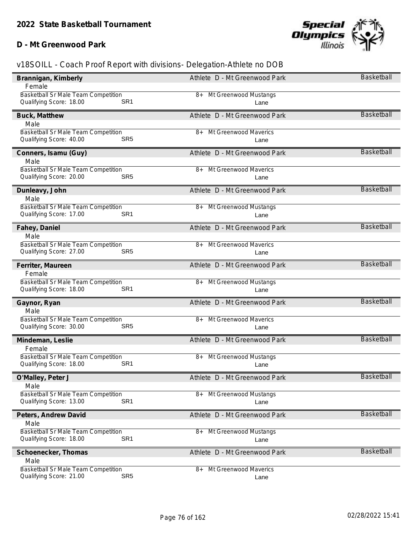### **D - Mt Greenwood Park**



| Brannigan, Kimberly                                                                      | Athlete D - Mt Greenwood Park         | Basketball        |
|------------------------------------------------------------------------------------------|---------------------------------------|-------------------|
| Female                                                                                   |                                       |                   |
| <b>Basketball Sr Male Team Competition</b><br>SR <sub>1</sub><br>Qualifying Score: 18.00 | Mt Greenwood Mustangs<br>8+<br>Lane   |                   |
| Buck, Matthew                                                                            | Athlete D - Mt Greenwood Park         | <b>Basketball</b> |
| Male                                                                                     |                                       |                   |
| Basketball Sr Male Team Competition<br>Qualifying Score: 40.00<br>SR <sub>5</sub>        | Mt Greenwood Maverics<br>$8+$<br>Lane |                   |
| Conners, Isamu (Guy)<br>Male                                                             | Athlete D - Mt Greenwood Park         | <b>Basketball</b> |
| Basketball Sr Male Team Competition<br>Qualifying Score: 20.00<br>SR <sub>5</sub>        | Mt Greenwood Maverics<br>8+<br>Lane   |                   |
| Dunleavy, John<br>Male                                                                   | Athlete D - Mt Greenwood Park         | <b>Basketball</b> |
| Basketball Sr Male Team Competition<br>SR <sub>1</sub><br>Qualifying Score: 17.00        | 8+ Mt Greenwood Mustangs<br>Lane      |                   |
| Fahey, Daniel                                                                            | Athlete D - Mt Greenwood Park         | <b>Basketball</b> |
| Male                                                                                     |                                       |                   |
| Basketball Sr Male Team Competition<br>Qualifying Score: 27.00<br>SR <sub>5</sub>        | Mt Greenwood Maverics<br>8+<br>Lane   |                   |
| Ferriter, Maureen                                                                        | Athlete D - Mt Greenwood Park         | <b>Basketball</b> |
| Female                                                                                   |                                       |                   |
| Basketball Sr Male Team Competition<br>Qualifying Score: 18.00<br>SR <sub>1</sub>        | Mt Greenwood Mustangs<br>8+<br>Lane   |                   |
| Gaynor, Ryan                                                                             | Athlete D - Mt Greenwood Park         | <b>Basketball</b> |
| Male                                                                                     |                                       |                   |
| <b>Basketball Sr Male Team Competition</b>                                               | Mt Greenwood Maverics<br>8+           |                   |
| Qualifying Score: 30.00<br>SR <sub>5</sub>                                               | Lane                                  |                   |
| Mindeman, Leslie                                                                         | Athlete D - Mt Greenwood Park         | <b>Basketball</b> |
| Female                                                                                   |                                       |                   |
| Basketball Sr Male Team Competition<br>Qualifying Score: 18.00<br>SR <sub>1</sub>        | Mt Greenwood Mustangs<br>8+<br>Lane   |                   |
| O'Malley, Peter J<br>Male                                                                | Athlete D - Mt Greenwood Park         | Basketball        |
| <b>Basketball Sr Male Team Competition</b><br>SR <sub>1</sub><br>Qualifying Score: 13.00 | Mt Greenwood Mustangs<br>$8+$<br>Lane |                   |
| Peters, Andrew David<br>Male                                                             | Athlete D - Mt Greenwood Park         | <b>Basketball</b> |
| Basketball Sr Male Team Competition                                                      | Mt Greenwood Mustangs<br>$8+$         |                   |
| SR <sub>1</sub><br>Qualifying Score: 18.00                                               | Lane                                  |                   |
| Schoenecker, Thomas                                                                      | Athlete D - Mt Greenwood Park         | <b>Basketball</b> |
| Male                                                                                     |                                       |                   |
| Basketball Sr Male Team Competition<br>SR <sub>5</sub><br>Qualifying Score: 21.00        | Mt Greenwood Maverics<br>8+<br>Lane   |                   |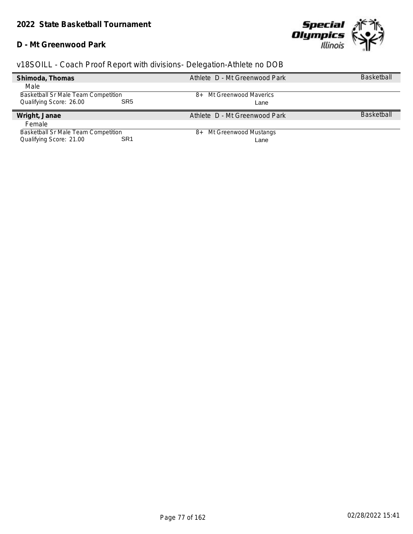#### **D - Mt Greenwood Park**



| Shimoda, Thomas                            | Athlete D - Mt Greenwood Park | <b>Basketball</b> |
|--------------------------------------------|-------------------------------|-------------------|
| Male                                       |                               |                   |
| Basketball Sr Male Team Competition        | 8+ Mt Greenwood Maverics      |                   |
| Qualifying Score: 26.00<br>SR <sub>5</sub> | Lane                          |                   |
| Wright, Janae                              | Athlete D - Mt Greenwood Park | <b>Basketball</b> |
| Female                                     |                               |                   |
| <b>Basketball Sr Male Team Competition</b> | Mt Greenwood Mustangs<br>8+   |                   |
| Qualifying Score: 21.00<br>SR1             | Lane                          |                   |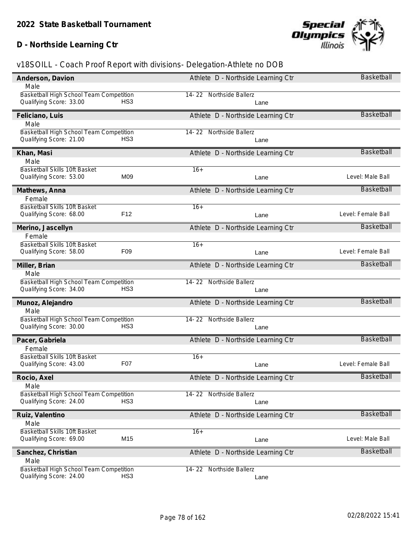### **D - Northside Learning Ctr**



| Anderson, Davion                           | Athlete D - Northside Learning Ctr | Basketball         |
|--------------------------------------------|------------------------------------|--------------------|
| Male                                       |                                    |                    |
| Basketball High School Team Competition    | 14-22 Northside Ballerz            |                    |
| Qualifying Score: 33.00<br>HS <sub>3</sub> | Lane                               |                    |
| Feliciano, Luis                            | Athlete D - Northside Learning Ctr | <b>Basketball</b>  |
| Male                                       |                                    |                    |
| Basketball High School Team Competition    | 14-22<br>Northside Ballerz         |                    |
| Qualifying Score: 21.00<br>HS <sub>3</sub> | Lane                               |                    |
| Khan, Masi                                 | Athlete D - Northside Learning Ctr | <b>Basketball</b>  |
| Male                                       |                                    |                    |
| Basketball Skills 10ft Basket              | $16+$                              |                    |
| M09<br>Qualifying Score: 53.00             | Lane                               | Level: Male Ball   |
| Mathews, Anna                              | Athlete D - Northside Learning Ctr | <b>Basketball</b>  |
| Female                                     |                                    |                    |
| Basketball Skills 10ft Basket              | $16+$                              |                    |
| F12<br>Qualifying Score: 68.00             | Lane                               | Level: Female Ball |
| Merino, Jascellyn                          | Athlete D - Northside Learning Ctr | Basketball         |
| Female                                     |                                    |                    |
| Basketball Skills 10ft Basket              | $16+$                              |                    |
| Qualifying Score: 58.00<br>F <sub>09</sub> | Lane                               | Level: Female Ball |
| Miller, Brian                              | Athlete D - Northside Learning Ctr | <b>Basketball</b>  |
| Male                                       |                                    |                    |
| Basketball High School Team Competition    | 14-22 Northside Ballerz            |                    |
| Qualifying Score: 34.00<br>HS <sub>3</sub> | Lane                               |                    |
| Munoz, Alejandro                           | Athlete D - Northside Learning Ctr | <b>Basketball</b>  |
| Male                                       |                                    |                    |
| Basketball High School Team Competition    | 14-22 Northside Ballerz            |                    |
| Qualifying Score: 30.00<br>HS <sub>3</sub> | Lane                               |                    |
| Pacer, Gabriela                            | Athlete D - Northside Learning Ctr | <b>Basketball</b>  |
| Female                                     |                                    |                    |
| Basketball Skills 10ft Basket              | $16+$                              |                    |
| F07<br>Qualifying Score: 43.00             | Lane                               | Level: Female Ball |
| Rocio, Axel                                | Athlete D - Northside Learning Ctr | <b>Basketball</b>  |
| Male                                       |                                    |                    |
| Basketball High School Team Competition    | 14-22 Northside Ballerz            |                    |
| HS <sub>3</sub><br>Qualifying Score: 24.00 | Lane                               |                    |
| Ruiz, Valentino                            | Athlete D - Northside Learning Ctr | <b>Basketball</b>  |
| Male                                       |                                    |                    |
| Basketball Skills 10ft Basket              | $16+$                              |                    |
| M15<br>Qualifying Score: 69.00             | Lane                               | Level: Male Ball   |
| Sanchez, Christian                         | Athlete D - Northside Learning Ctr | <b>Basketball</b>  |
| Male                                       |                                    |                    |
| Basketball High School Team Competition    | 14-22 Northside Ballerz            |                    |
| Qualifying Score: 24.00<br>HS <sub>3</sub> | Lane                               |                    |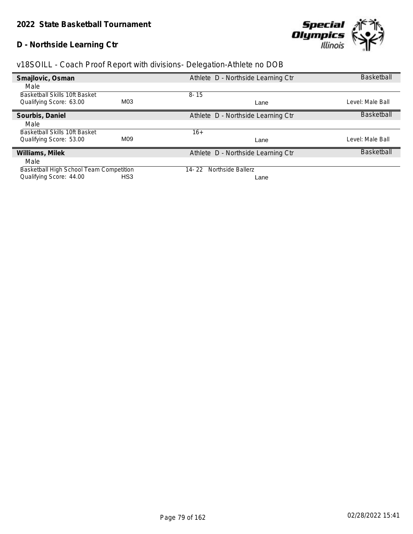### **D - Northside Learning Ctr**



| Smajlovic, Osman                        |                 | Athlete D - Northside Learning Ctr | <b>Basketball</b> |
|-----------------------------------------|-----------------|------------------------------------|-------------------|
| Male                                    |                 |                                    |                   |
| <b>Basketball Skills 10ft Basket</b>    |                 | $8 - 15$                           |                   |
| Qualifying Score: 63.00                 | M03             | Lane                               | Level: Male Ball  |
| Sourbis, Daniel                         |                 | Athlete D - Northside Learning Ctr | <b>Basketball</b> |
| Male                                    |                 |                                    |                   |
| Basketball Skills 10ft Basket           |                 | $16+$                              |                   |
| Qualifying Score: 53.00                 | M <sub>09</sub> | Lane                               | Level: Male Ball  |
| Williams, Milek                         |                 | Athlete D - Northside Learning Ctr | <b>Basketball</b> |
| Male                                    |                 |                                    |                   |
| Basketball High School Team Competition |                 | Northside Ballerz<br>$14 - 22$     |                   |
| Qualifying Score: 44.00                 | HS3             | Lane                               |                   |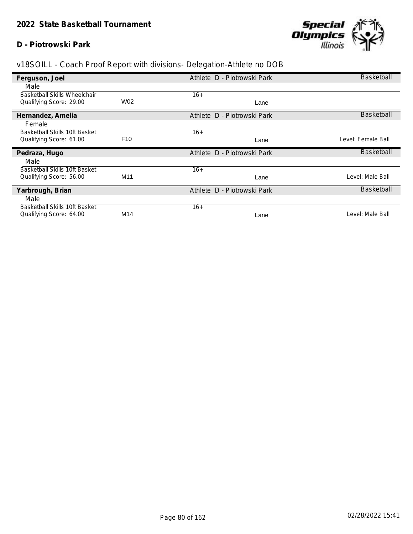#### **D - Piotrowski Park**



| Ferguson, Joel                                           |                 | Athlete D - Piotrowski Park | Basketball         |
|----------------------------------------------------------|-----------------|-----------------------------|--------------------|
| Male                                                     |                 |                             |                    |
| <b>Basketball Skills Wheelchair</b>                      |                 | $16+$                       |                    |
| Qualifying Score: 29.00                                  | W02             | Lane                        |                    |
| Hernandez, Amelia                                        |                 | Athlete D - Piotrowski Park | Basketball         |
| Female                                                   |                 |                             |                    |
| Basketball Skills 10ft Basket                            |                 | $16+$                       |                    |
| Qualifying Score: 61.00                                  | F <sub>10</sub> | Lane                        | Level: Female Ball |
|                                                          |                 |                             |                    |
| Pedraza, Hugo                                            |                 | Athlete D - Piotrowski Park | Basketball         |
| Male                                                     |                 |                             |                    |
| <b>Basketball Skills 10ft Basket</b>                     |                 | $16+$                       |                    |
| Qualifying Score: 56.00                                  | M <sub>11</sub> | Lane                        | Level: Male Ball   |
| Yarbrough, Brian                                         |                 | Athlete D - Piotrowski Park | Basketball         |
| Male                                                     |                 |                             |                    |
| Basketball Skills 10ft Basket<br>Qualifying Score: 64.00 | M14             | $16+$                       | Level: Male Ball   |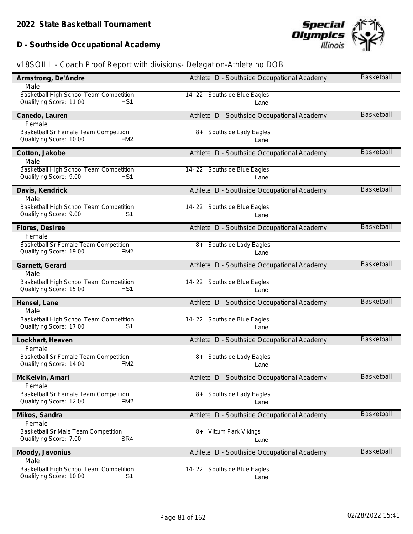# **D - Southside Occupational Academy**



| Armstrong, De'Andre                        | Athlete D - Southside Occupational Academy | <b>Basketball</b> |
|--------------------------------------------|--------------------------------------------|-------------------|
| Male                                       |                                            |                   |
| Basketball High School Team Competition    | 14-22 Southside Blue Eagles                |                   |
| Qualifying Score: 11.00<br>HS1             | Lane                                       |                   |
| Canedo, Lauren                             | Athlete D - Southside Occupational Academy | <b>Basketball</b> |
| Female                                     |                                            |                   |
| Basketball Sr Female Team Competition      | Southside Lady Eagles<br>8+                |                   |
| Qualifying Score: 10.00<br>FM <sub>2</sub> | Lane                                       |                   |
| Cotton, Jakobe                             | Athlete D - Southside Occupational Academy | <b>Basketball</b> |
| Male                                       |                                            |                   |
| Basketball High School Team Competition    | 14-22 Southside Blue Eagles                |                   |
| Qualifying Score: 9.00<br>HS <sub>1</sub>  | Lane                                       |                   |
| Davis, Kendrick                            | Athlete D - Southside Occupational Academy | <b>Basketball</b> |
| Male                                       |                                            |                   |
| Basketball High School Team Competition    | 14-22 Southside Blue Eagles                |                   |
| Qualifying Score: 9.00<br>HS <sub>1</sub>  | Lane                                       |                   |
| Flores, Desiree                            | Athlete D - Southside Occupational Academy | <b>Basketball</b> |
| Female                                     |                                            |                   |
| Basketball Sr Female Team Competition      | Southside Lady Eagles<br>8+                |                   |
| Qualifying Score: 19.00<br>FM <sub>2</sub> | Lane                                       |                   |
| Garnett, Gerard                            | Athlete D - Southside Occupational Academy | Basketball        |
| Male                                       |                                            |                   |
| Basketball High School Team Competition    | 14-22 Southside Blue Eagles                |                   |
| Qualifying Score: 15.00<br>HS <sub>1</sub> | Lane                                       |                   |
| Hensel, Lane                               | Athlete D - Southside Occupational Academy | <b>Basketball</b> |
| Male                                       |                                            |                   |
| Basketball High School Team Competition    | 14-22 Southside Blue Eagles                |                   |
| Qualifying Score: 17.00<br>HS <sub>1</sub> | Lane                                       |                   |
| Lockhart, Heaven                           | Athlete D - Southside Occupational Academy | <b>Basketball</b> |
| Female                                     |                                            |                   |
| Basketball Sr Female Team Competition      | Southside Lady Eagles<br>8+                |                   |
| Qualifying Score: 14.00<br>FM <sub>2</sub> | Lane                                       |                   |
| McKelvin, Amari                            | Athlete D - Southside Occupational Academy | <b>Basketball</b> |
| Female                                     |                                            |                   |
| Basketball Sr Female Team Competition      | Southside Lady Eagles<br>8+                |                   |
| Qualifying Score: 12.00<br>FM <sub>2</sub> | Lane                                       |                   |
| Mikos, Sandra                              | Athlete D - Southside Occupational Academy | Basketball        |
| Female                                     |                                            |                   |
| <b>Basketball Sr Male Team Competition</b> | Vittum Park Vikings<br>8+                  |                   |
| SR4<br>Qualifying Score: 7.00              | Lane                                       |                   |
| Moody, Javonius                            | Athlete D - Southside Occupational Academy | Basketball        |
| Male                                       |                                            |                   |
| Basketball High School Team Competition    | 14-22 Southside Blue Eagles                |                   |
| Qualifying Score: 10.00<br>HS <sub>1</sub> | Lane                                       |                   |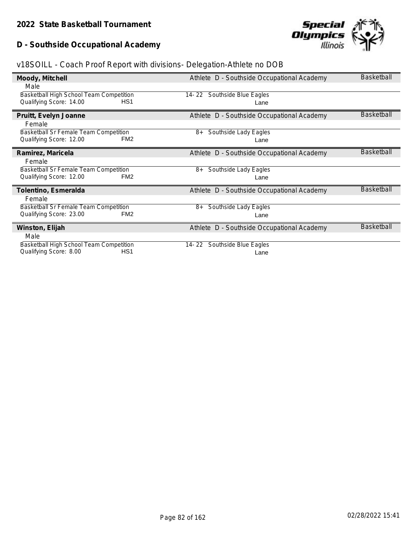# **D - Southside Occupational Academy**



|  | v18SOILL - Coach Proof Report with divisions- Delegation-Athlete no DOB |  |
|--|-------------------------------------------------------------------------|--|
|  |                                                                         |  |

| Moody, Mitchell                              | Athlete D - Southside Occupational Academy | <b>Basketball</b> |
|----------------------------------------------|--------------------------------------------|-------------------|
| Male                                         |                                            |                   |
| Basketball High School Team Competition      | Southside Blue Eagles<br>14- 22            |                   |
| Qualifying Score: 14.00<br>HS <sub>1</sub>   | Lane                                       |                   |
| Pruitt, Evelyn Joanne                        | Athlete D - Southside Occupational Academy | <b>Basketball</b> |
| Female                                       |                                            |                   |
| <b>Basketball Sr Female Team Competition</b> | Southside Lady Eagles<br>8+                |                   |
| FM <sub>2</sub><br>Qualifying Score: 12.00   | Lane                                       |                   |
| Ramirez, Maricela                            | Athlete D - Southside Occupational Academy | <b>Basketball</b> |
| Female                                       |                                            |                   |
| <b>Basketball Sr Female Team Competition</b> | Southside Lady Eagles<br>8+                |                   |
| Qualifying Score: 12.00<br>FM <sub>2</sub>   | Lane                                       |                   |
| Tolentino, Esmeralda                         | Athlete D - Southside Occupational Academy | <b>Basketball</b> |
| Female                                       |                                            |                   |
| Basketball Sr Female Team Competition        | Southside Lady Eagles<br>8+                |                   |
| Qualifying Score: 23.00<br>FM <sub>2</sub>   | Lane                                       |                   |
| Winston, Elijah                              | Athlete D - Southside Occupational Academy | <b>Basketball</b> |
| Male                                         |                                            |                   |
| Basketball High School Team Competition      | Southside Blue Eagles<br>14-22             |                   |
| Qualifying Score: 8.00<br>HS <sub>1</sub>    | Lane                                       |                   |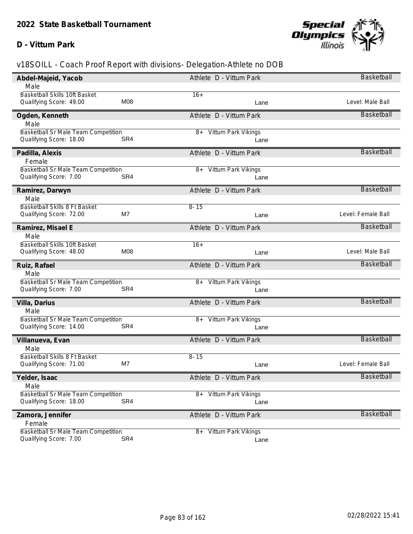#### **D - Vittum Park**



| Abdel-Majeid, Yacob                        |     | Athlete D - Vittum Park     | Basketball         |
|--------------------------------------------|-----|-----------------------------|--------------------|
| Male                                       |     |                             |                    |
| Basketball Skills 10ft Basket              |     | $16+$                       |                    |
| Qualifying Score: 49.00                    | M08 | Lane                        | Level: Male Ball   |
| Ogden, Kenneth                             |     | Athlete D - Vittum Park     | <b>Basketball</b>  |
| Male                                       |     |                             |                    |
| Basketball Sr Male Team Competition        |     | Vittum Park Vikings<br>8+   |                    |
| Qualifying Score: 18.00                    | SR4 | Lane                        |                    |
| Padilla, Alexis                            |     | Athlete D - Vittum Park     | <b>Basketball</b>  |
| Female                                     |     |                             |                    |
| Basketball Sr Male Team Competition        |     | 8+ Vittum Park Vikings      |                    |
| Qualifying Score: 7.00                     | SR4 | Lane                        |                    |
| Ramirez, Darwyn                            |     | Athlete D - Vittum Park     | Basketball         |
| Male                                       |     |                             |                    |
| Basketball Skills 8 Ft Basket              |     | $8 - 15$                    |                    |
| Qualifying Score: 72.00                    | M7  | Lane                        | Level: Female Ball |
| Ramirez, Misael E                          |     | Athlete D - Vittum Park     | <b>Basketball</b>  |
| Male                                       |     |                             |                    |
| Basketball Skills 10ft Basket              |     | $16+$                       |                    |
| Qualifying Score: 48.00                    | M08 | Lane                        | Level: Male Ball   |
| Ruiz, Rafael                               |     | Athlete D - Vittum Park     | <b>Basketball</b>  |
| Male                                       |     |                             |                    |
| Basketball Sr Male Team Competition        |     | Vittum Park Vikings<br>8+   |                    |
| Qualifying Score: 7.00                     | SR4 | Lane                        |                    |
| Villa, Darius                              |     | Athlete D - Vittum Park     | <b>Basketball</b>  |
| Male                                       |     |                             |                    |
| <b>Basketball Sr Male Team Competition</b> |     | 8+ Vittum Park Vikings      |                    |
| Qualifying Score: 14.00                    | SR4 | Lane                        |                    |
| Villanueva, Evan                           |     | Athlete D - Vittum Park     | <b>Basketball</b>  |
| Male                                       |     |                             |                    |
| Basketball Skills 8 Ft Basket              |     | $8 - 15$                    |                    |
| Qualifying Score: 71.00                    | M7  | Lane                        | Level: Female Ball |
| Yelder, Isaac                              |     | Athlete D - Vittum Park     | <b>Basketball</b>  |
| Male                                       |     |                             |                    |
| <b>Basketball Sr Male Team Competition</b> |     | 8+ Vittum Park Vikings      |                    |
| Qualifying Score: 18.00                    | SR4 | Lane                        |                    |
| Zamora, Jennifer                           |     | Athlete D - Vittum Park     | Basketball         |
| Female                                     |     |                             |                    |
| Basketball Sr Male Team Competition        |     | Vittum Park Vikings<br>$8+$ |                    |
| Qualifying Score: 7.00                     | SR4 | Lane                        |                    |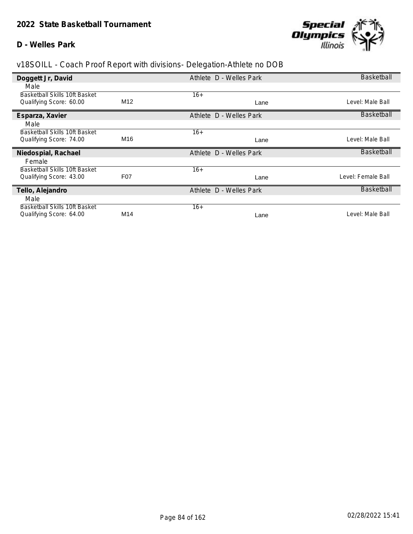#### **D - Welles Park**



| Doggett Jr, David                                        |                 | Athlete D - Welles Park | <b>Basketball</b>  |
|----------------------------------------------------------|-----------------|-------------------------|--------------------|
| Male                                                     |                 |                         |                    |
| Basketball Skills 10ft Basket                            |                 | $16+$                   |                    |
| Qualifying Score: 60.00                                  | M <sub>12</sub> | Lane                    | Level: Male Ball   |
| Esparza, Xavier                                          |                 | Athlete D - Welles Park | Basketball         |
| Male                                                     |                 |                         |                    |
| <b>Basketball Skills 10ft Basket</b>                     |                 | $16+$                   |                    |
| Qualifying Score: 74.00                                  | M16             | Lane                    | Level: Male Ball   |
| Niedospial, Rachael                                      |                 | Athlete D - Welles Park | <b>Basketball</b>  |
|                                                          |                 |                         |                    |
| Female                                                   |                 |                         |                    |
| Basketball Skills 10ft Basket                            |                 | $16+$                   |                    |
| Qualifying Score: 43.00                                  | F07             | Lane                    | Level: Female Ball |
| Tello, Alejandro                                         |                 | Athlete D - Welles Park | Basketball         |
| Male                                                     |                 |                         |                    |
| Basketball Skills 10ft Basket<br>Qualifying Score: 64.00 | M14             | $16+$                   | Level: Male Ball   |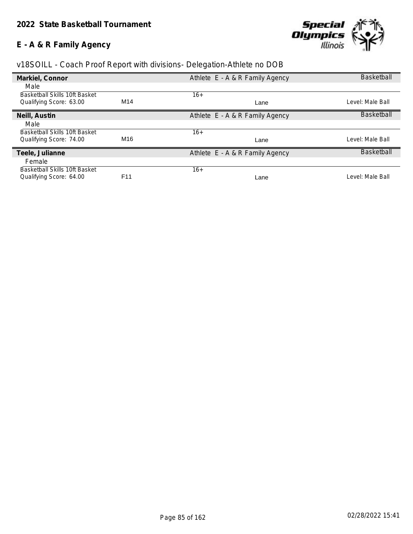# **E - A & R Family Agency**



| Markiel, Connor                      |                 | Athlete E - A & R Family Agency | <b>Basketball</b> |
|--------------------------------------|-----------------|---------------------------------|-------------------|
| Male                                 |                 |                                 |                   |
| Basketball Skills 10ft Basket        |                 | $16+$                           |                   |
| Qualifying Score: 63.00              | M14             | Lane                            | Level: Male Ball  |
| Neill, Austin                        |                 | Athlete E - A & R Family Agency | <b>Basketball</b> |
| Male                                 |                 |                                 |                   |
| Basketball Skills 10ft Basket        |                 | $16+$                           |                   |
| Qualifying Score: 74.00              | M16             | Lane                            | Level: Male Ball  |
| Teele, Julianne                      |                 | Athlete E - A & R Family Agency | <b>Basketball</b> |
| Female                               |                 |                                 |                   |
| <b>Basketball Skills 10ft Basket</b> |                 | $16+$                           |                   |
| Qualifying Score: 64.00              | F <sub>11</sub> | Lane                            | Level: Male Ball  |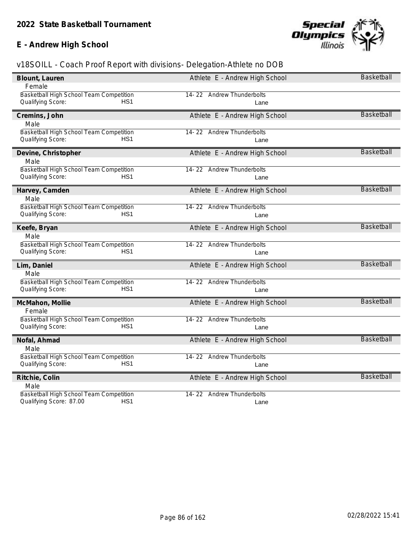### **E - Andrew High School**



| Blount, Lauren                                                                  | Athlete E - Andrew High School | <b>Basketball</b> |
|---------------------------------------------------------------------------------|--------------------------------|-------------------|
| Female                                                                          |                                |                   |
| Basketball High School Team Competition                                         | 14-22 Andrew Thunderbolts      |                   |
| Qualifying Score:<br>HS <sub>1</sub>                                            | Lane                           |                   |
| Cremins, John                                                                   | Athlete E - Andrew High School | <b>Basketball</b> |
| Male                                                                            |                                |                   |
| Basketball High School Team Competition                                         | 14-22 Andrew Thunderbolts      |                   |
| Qualifying Score:<br>HS <sub>1</sub>                                            | Lane                           |                   |
|                                                                                 |                                |                   |
| Devine, Christopher                                                             | Athlete E - Andrew High School | <b>Basketball</b> |
| Male                                                                            |                                |                   |
| Basketball High School Team Competition                                         | 14-22 Andrew Thunderbolts      |                   |
| HS <sub>1</sub><br>Qualifying Score:                                            | Lane                           |                   |
| Harvey, Camden                                                                  | Athlete E - Andrew High School | <b>Basketball</b> |
| Male                                                                            |                                |                   |
| Basketball High School Team Competition                                         | 14-22 Andrew Thunderbolts      |                   |
| HS <sub>1</sub><br>Qualifying Score:                                            | Lane                           |                   |
|                                                                                 |                                |                   |
| Keefe, Bryan                                                                    | Athlete E - Andrew High School | <b>Basketball</b> |
| Male                                                                            |                                |                   |
| Basketball High School Team Competition                                         | 14-22 Andrew Thunderbolts      |                   |
| Qualifying Score:<br>HS <sub>1</sub>                                            | Lane                           |                   |
| Lim, Daniel                                                                     | Athlete E - Andrew High School | <b>Basketball</b> |
| Male                                                                            |                                |                   |
| Basketball High School Team Competition                                         | 14-22 Andrew Thunderbolts      |                   |
| Qualifying Score:<br>HS <sub>1</sub>                                            | Lane                           |                   |
|                                                                                 |                                | <b>Basketball</b> |
| McMahon, Mollie                                                                 | Athlete E - Andrew High School |                   |
| Female                                                                          |                                |                   |
| Basketball High School Team Competition<br>Qualifying Score:<br>HS <sub>1</sub> | 14-22 Andrew Thunderbolts      |                   |
|                                                                                 | Lane                           |                   |
| Nofal, Ahmad                                                                    | Athlete E - Andrew High School | Basketball        |
| Male                                                                            |                                |                   |
| Basketball High School Team Competition                                         | 14-22 Andrew Thunderbolts      |                   |
| Qualifying Score:<br>HS <sub>1</sub>                                            | Lane                           |                   |
| Ritchie, Colin                                                                  | Athlete E - Andrew High School | <b>Basketball</b> |
| Male                                                                            |                                |                   |
| Basketball High School Team Competition                                         | 14-22 Andrew Thunderbolts      |                   |
| HS <sub>1</sub><br>Qualifying Score: 87.00                                      | Lane                           |                   |
|                                                                                 |                                |                   |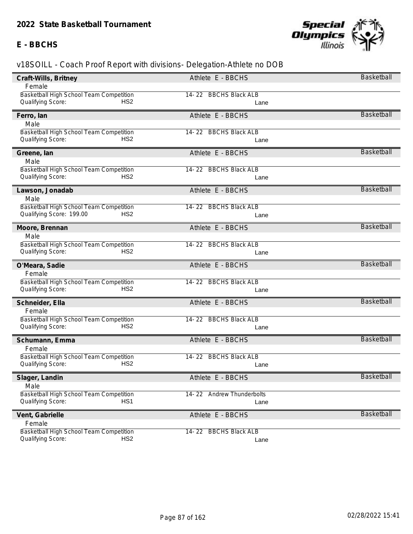#### **E - BBCHS**



| Craft-Wills, Britney                           | Athlete E - BBCHS         | Basketball        |
|------------------------------------------------|---------------------------|-------------------|
| Female                                         |                           |                   |
| <b>Basketball High School Team Competition</b> | 14-22 BBCHS Black ALB     |                   |
| Qualifying Score:<br>HS <sub>2</sub>           | Lane                      |                   |
| Ferro, lan                                     | Athlete E - BBCHS         | Basketball        |
| Male                                           |                           |                   |
| Basketball High School Team Competition        | 14-22 BBCHS Black ALB     |                   |
| Qualifying Score:<br>HS <sub>2</sub>           | Lane                      |                   |
| Greene, Ian                                    | Athlete E - BBCHS         | Basketball        |
| Male                                           |                           |                   |
| Basketball High School Team Competition        | 14-22 BBCHS Black ALB     |                   |
| Qualifying Score:<br>HS <sub>2</sub>           | Lane                      |                   |
| Lawson, Jonadab                                | Athlete E - BBCHS         | <b>Basketball</b> |
| Male                                           |                           |                   |
| Basketball High School Team Competition        | 14-22 BBCHS Black ALB     |                   |
| Qualifying Score: 199.00<br>HS <sub>2</sub>    | Lane                      |                   |
| Moore, Brennan                                 | Athlete E - BBCHS         | Basketball        |
| Male                                           |                           |                   |
| Basketball High School Team Competition        | 14-22 BBCHS Black ALB     |                   |
| Qualifying Score:<br>HS <sub>2</sub>           | Lane                      |                   |
| O'Meara, Sadie                                 | Athlete E - BBCHS         | Basketball        |
| Female                                         |                           |                   |
| Basketball High School Team Competition        | 14-22 BBCHS Black ALB     |                   |
| Qualifying Score:<br>HS <sub>2</sub>           | Lane                      |                   |
| Schneider, Ella                                | Athlete E - BBCHS         | Basketball        |
| Female                                         |                           |                   |
| Basketball High School Team Competition        | 14-22 BBCHS Black ALB     |                   |
| HS <sub>2</sub><br>Qualifying Score:           | Lane                      |                   |
| Schumann, Emma                                 | Athlete E - BBCHS         | Basketball        |
| Female                                         |                           |                   |
| Basketball High School Team Competition        | 14-22 BBCHS Black ALB     |                   |
| HS <sub>2</sub><br>Qualifying Score:           | Lane                      |                   |
| Slager, Landin                                 | Athlete E - BBCHS         | <b>Basketball</b> |
| Male                                           |                           |                   |
| Basketball High School Team Competition        | 14-22 Andrew Thunderbolts |                   |
| HS <sub>1</sub><br>Qualifying Score:           | Lane                      |                   |
| Vent, Gabrielle                                | Athlete E - BBCHS         | Basketball        |
| Female                                         |                           |                   |
| Basketball High School Team Competition        | 14-22 BBCHS Black ALB     |                   |
| HS <sub>2</sub><br>Qualifying Score:           | Lane                      |                   |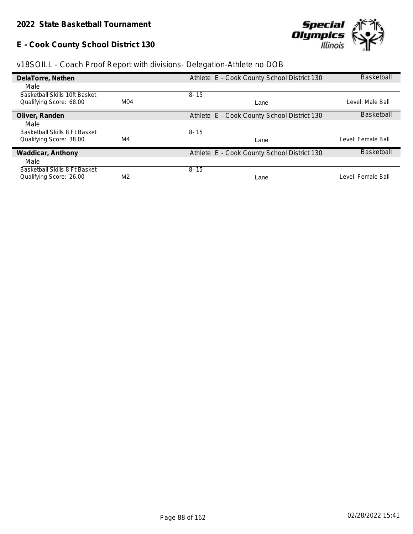# **E - Cook County School District 130**



| v18SOILL - Coach Proof Report with divisions- Delegation-Athlete no DOB |  |  |  |  |
|-------------------------------------------------------------------------|--|--|--|--|
|                                                                         |  |  |  |  |

| DelaTorre, Nathen             |                | Athlete E - Cook County School District 130 | <b>Basketball</b>  |
|-------------------------------|----------------|---------------------------------------------|--------------------|
| Male                          |                |                                             |                    |
| Basketball Skills 10ft Basket |                | $8 - 15$                                    |                    |
| Qualifying Score: 68.00       | M04            | Lane                                        | Level: Male Ball   |
| Oliver, Randen                |                | Athlete E - Cook County School District 130 | <b>Basketball</b>  |
| Male                          |                |                                             |                    |
| Basketball Skills 8 Ft Basket |                | $8 - 15$                                    |                    |
| Qualifying Score: 38.00       | M4             | Lane                                        | Level: Female Ball |
| Waddicar, Anthony             |                | Athlete E - Cook County School District 130 | <b>Basketball</b>  |
| Male                          |                |                                             |                    |
| Basketball Skills 8 Ft Basket |                | $8 - 15$                                    |                    |
| Qualifying Score: 26.00       | M <sub>2</sub> | Lane                                        | Level: Female Ball |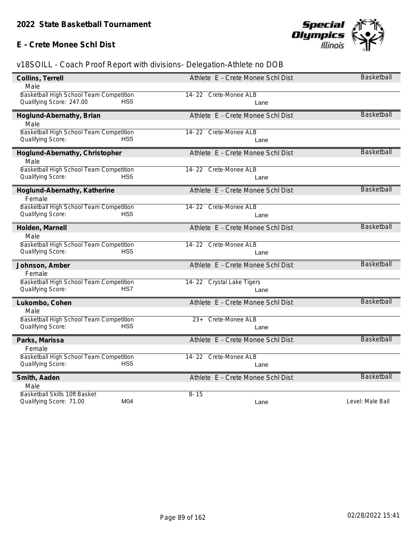### **E - Crete Monee Schl Dist**



| Collins, Terrell                           | Athlete E - Crete Monee Schl Dist | Basketball        |
|--------------------------------------------|-----------------------------------|-------------------|
| Male                                       |                                   |                   |
| Basketball High School Team Competition    | 14-22 Crete-Monee ALB             |                   |
| Qualifying Score: 247.00<br>HS5            | Lane                              |                   |
| Hoglund-Abernathy, Brian                   | Athlete E - Crete Monee Schl Dist | <b>Basketball</b> |
| Male                                       |                                   |                   |
| Basketball High School Team Competition    | 14-22 Crete-Monee ALB             |                   |
| Qualifying Score:<br>HS <sub>5</sub>       | Lane                              |                   |
| Hoglund-Abernathy, Christopher             | Athlete E - Crete Monee Schl Dist | Basketball        |
| Male                                       |                                   |                   |
| Basketball High School Team Competition    | 14-22 Crete-Monee ALB             |                   |
| HS <sub>5</sub><br>Qualifying Score:       | Lane                              |                   |
| Hoglund-Abernathy, Katherine               | Athlete E - Crete Monee Schl Dist | <b>Basketball</b> |
| Female                                     |                                   |                   |
| Basketball High School Team Competition    | 14-22 Crete-Monee ALB             |                   |
| Qualifying Score:<br>HS <sub>5</sub>       | Lane                              |                   |
| Holden, Marnell                            | Athlete E - Crete Monee Schl Dist | <b>Basketball</b> |
| Male                                       |                                   |                   |
| Basketball High School Team Competition    | 14-22 Crete-Monee ALB             |                   |
| Qualifying Score:<br>HS <sub>5</sub>       | Lane                              |                   |
| Johnson, Amber                             | Athlete E - Crete Monee Schl Dist | <b>Basketball</b> |
| Female                                     |                                   |                   |
| Basketball High School Team Competition    | 14-22 Crystal Lake Tigers         |                   |
| Qualifying Score:<br>HS7                   | Lane                              |                   |
| Lukombo, Cohen                             | Athlete E - Crete Monee Schl Dist | <b>Basketball</b> |
| Male                                       |                                   |                   |
| Basketball High School Team Competition    | 23+ Crete-Monee ALB               |                   |
| HS <sub>5</sub><br>Qualifying Score:       | Lane                              |                   |
| Parks, Marissa                             | Athlete E - Crete Monee Schl Dist | <b>Basketball</b> |
| Female                                     |                                   |                   |
| Basketball High School Team Competition    | 14-22 Crete-Monee ALB             |                   |
| Qualifying Score:<br>HS <sub>5</sub>       | Lane                              |                   |
| Smith, Aaden                               | Athlete E - Crete Monee Schl Dist | <b>Basketball</b> |
| Male                                       |                                   |                   |
| Basketball Skills 10ft Basket              | $8 - 15$                          |                   |
| M <sub>04</sub><br>Qualifying Score: 71.00 | Lane                              | Level: Male Ball  |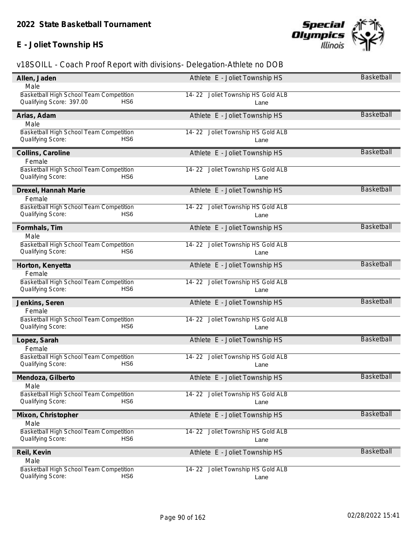# **E - Joliet Township HS**



| Allen, Jaden                                | Athlete E - Joliet Township HS    | Basketball        |
|---------------------------------------------|-----------------------------------|-------------------|
| Male                                        |                                   |                   |
| Basketball High School Team Competition     | 14-22 Joliet Township HS Gold ALB |                   |
| Qualifying Score: 397.00<br>HS <sub>6</sub> | Lane                              |                   |
| Arias, Adam                                 | Athlete E - Joliet Township HS    | <b>Basketball</b> |
| Male                                        |                                   |                   |
| Basketball High School Team Competition     | 14-22 Joliet Township HS Gold ALB |                   |
| Qualifying Score:<br>HS <sub>6</sub>        | Lane                              |                   |
| Collins, Caroline                           | Athlete E - Joliet Township HS    | <b>Basketball</b> |
| Female                                      |                                   |                   |
| Basketball High School Team Competition     | 14-22 Joliet Township HS Gold ALB |                   |
| HS <sub>6</sub><br>Qualifying Score:        | Lane                              |                   |
| Drexel, Hannah Marie                        | Athlete E - Joliet Township HS    | <b>Basketball</b> |
| Female                                      |                                   |                   |
| Basketball High School Team Competition     | 14-22 Joliet Township HS Gold ALB |                   |
| Qualifying Score:<br>HS <sub>6</sub>        | Lane                              |                   |
| Formhals, Tim                               | Athlete E - Joliet Township HS    | Basketball        |
| Male                                        |                                   |                   |
| Basketball High School Team Competition     | 14-22 Joliet Township HS Gold ALB |                   |
| Qualifying Score:<br>HS6                    | Lane                              |                   |
| Horton, Kenyetta                            | Athlete E - Joliet Township HS    | <b>Basketball</b> |
| Female                                      |                                   |                   |
| Basketball High School Team Competition     | 14-22 Joliet Township HS Gold ALB |                   |
| Qualifying Score:<br>HS <sub>6</sub>        | Lane                              |                   |
| Jenkins, Seren                              | Athlete E - Joliet Township HS    | <b>Basketball</b> |
| Female                                      |                                   |                   |
| Basketball High School Team Competition     | 14-22 Joliet Township HS Gold ALB |                   |
| Qualifying Score:<br>HS <sub>6</sub>        | Lane                              |                   |
| Lopez, Sarah                                | Athlete E - Joliet Township HS    | <b>Basketball</b> |
| Female                                      |                                   |                   |
| Basketball High School Team Competition     | 14-22 Joliet Township HS Gold ALB |                   |
| Qualifying Score:<br>HS6                    | Lane                              |                   |
| Mendoza, Gilberto                           | Athlete E - Joliet Township HS    | Basketball        |
| Male                                        |                                   |                   |
| Basketball High School Team Competition     | 14-22 Joliet Township HS Gold ALB |                   |
| Qualifying Score:<br>HS <sub>6</sub>        | Lane                              |                   |
| Mixon, Christopher                          | Athlete E - Joliet Township HS    | Basketball        |
| Male                                        |                                   |                   |
| Basketball High School Team Competition     | 14-22 Joliet Township HS Gold ALB |                   |
| HS <sub>6</sub><br>Qualifying Score:        | Lane                              |                   |
| Reil, Kevin                                 | Athlete E - Joliet Township HS    | <b>Basketball</b> |
| Male                                        |                                   |                   |
| Basketball High School Team Competition     | 14-22 Joliet Township HS Gold ALB |                   |
| Qualifying Score:<br>HS6                    | Lane                              |                   |
|                                             |                                   |                   |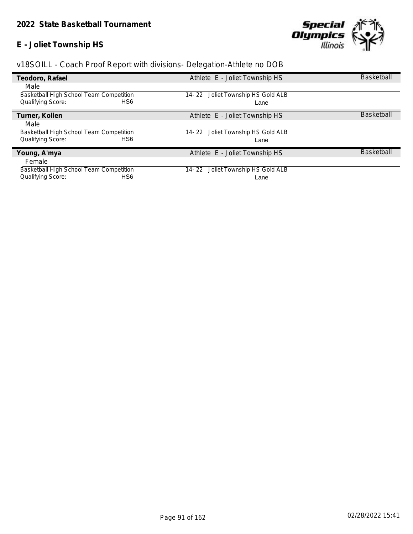### **E - Joliet Township HS**



| Teodoro, Rafael                                | Athlete E - Joliet Township HS        | <b>Basketball</b> |
|------------------------------------------------|---------------------------------------|-------------------|
| Male                                           |                                       |                   |
| Basketball High School Team Competition        | 14-22 Joliet Township HS Gold ALB     |                   |
| HS <sub>6</sub><br>Qualifying Score:           | Lane                                  |                   |
| Turner, Kollen                                 | Athlete E - Joliet Township HS        | <b>Basketball</b> |
| Male                                           |                                       |                   |
| Basketball High School Team Competition        | Joliet Township HS Gold ALB<br>14- 22 |                   |
| Qualifying Score:<br>HS <sub>6</sub>           | Lane                                  |                   |
| Young, A'mya                                   | Athlete E - Joliet Township HS        | <b>Basketball</b> |
| Female                                         |                                       |                   |
| <b>Basketball High School Team Competition</b> | Joliet Township HS Gold ALB<br>14-22  |                   |
| Qualifying Score:<br>HS <sub>6</sub>           | Lane                                  |                   |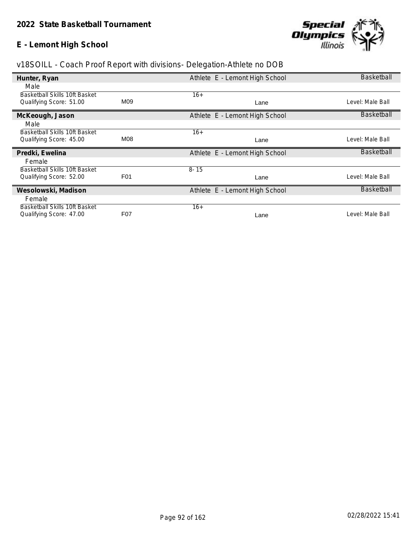### **E - Lemont High School**



| Hunter, Ryan                  |                  | Athlete E - Lemont High School | Basketball        |
|-------------------------------|------------------|--------------------------------|-------------------|
| Male                          |                  |                                |                   |
| Basketball Skills 10ft Basket |                  | $16+$                          |                   |
| Qualifying Score: 51.00       | M09              | Lane                           | Level: Male Ball  |
| McKeough, Jason               |                  | Athlete E - Lemont High School | <b>Basketball</b> |
| Male                          |                  |                                |                   |
| Basketball Skills 10ft Basket |                  | $16+$                          |                   |
| Qualifying Score: 45.00       | M08              | Lane                           | Level: Male Ball  |
| Predki, Ewelina               |                  | Athlete E - Lemont High School | <b>Basketball</b> |
| Female                        |                  |                                |                   |
| Basketball Skills 10ft Basket |                  | $8 - 15$                       |                   |
| Qualifying Score: 52.00       | F <sub>0</sub> 1 | Lane                           | _evel: Male Ball  |
| Wesolowski, Madison           |                  | Athlete E - Lemont High School | <b>Basketball</b> |
| Female                        |                  |                                |                   |
| Basketball Skills 10ft Basket |                  | $16+$                          |                   |
| Qualifying Score: 47.00       | F07              | Lane                           | _evel: Male Ball  |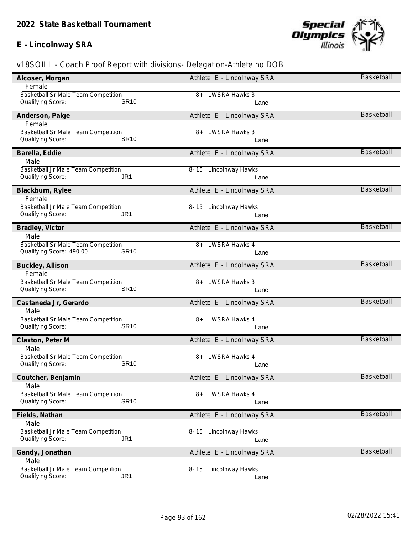

| Alcoser, Morgan                            | Athlete E - Lincolnway SRA      | Basketball        |
|--------------------------------------------|---------------------------------|-------------------|
| Female                                     |                                 |                   |
| <b>Basketball Sr Male Team Competition</b> | <b>LWSRA Hawks 3</b><br>8+      |                   |
| <b>SR10</b><br>Qualifying Score:           | Lane                            |                   |
| Anderson, Paige                            | Athlete E - Lincolnway SRA      | <b>Basketball</b> |
| Female                                     |                                 |                   |
| Basketball Sr Male Team Competition        | <b>LWSRA Hawks 3</b><br>$8+$    |                   |
| <b>SR10</b><br>Qualifying Score:           | Lane                            |                   |
| Barella, Eddie                             | Athlete E - Lincolnway SRA      | <b>Basketball</b> |
| Male                                       |                                 |                   |
| Basketball Jr Male Team Competition        | 8-15 Lincolnway Hawks           |                   |
| Qualifying Score:<br>JR1                   | Lane                            |                   |
| Blackburn, Rylee                           | Athlete E - Lincolnway SRA      | <b>Basketball</b> |
| Female                                     |                                 |                   |
| Basketball Jr Male Team Competition        | 8-15 Lincolnway Hawks           |                   |
| Qualifying Score:<br>JR1                   | Lane                            |                   |
| Bradley, Victor                            | Athlete E - Lincolnway SRA      | <b>Basketball</b> |
| Male                                       |                                 |                   |
| Basketball Sr Male Team Competition        | <b>LWSRA Hawks 4</b><br>8+      |                   |
| Qualifying Score: 490.00<br><b>SR10</b>    | Lane                            |                   |
| Buckley, Allison                           | Athlete E - Lincolnway SRA      | <b>Basketball</b> |
| Female                                     |                                 |                   |
| Basketball Sr Male Team Competition        | <b>LWSRA Hawks 3</b><br>$8+$    |                   |
| Qualifying Score:<br><b>SR10</b>           | Lane                            |                   |
| Castaneda Jr, Gerardo                      | Athlete E - Lincolnway SRA      | <b>Basketball</b> |
| Male                                       |                                 |                   |
| Basketball Sr Male Team Competition        | <b>LWSRA Hawks 4</b><br>8+      |                   |
| <b>SR10</b><br>Qualifying Score:           | Lane                            |                   |
| Claxton, Peter M                           | Athlete E - Lincolnway SRA      | <b>Basketball</b> |
| Male                                       |                                 |                   |
| Basketball Sr Male Team Competition        | <b>LWSRA Hawks 4</b><br>8+      |                   |
| <b>SR10</b><br>Qualifying Score:           | Lane                            |                   |
| Coutcher, Benjamin                         | Athlete E - Lincolnway SRA      | Basketball        |
| Male                                       |                                 |                   |
| <b>Basketball Sr Male Team Competition</b> | <b>LWSRA Hawks 4</b><br>8+      |                   |
| <b>SR10</b><br>Qualifying Score:           | Lane                            |                   |
| Fields, Nathan                             | Athlete E - Lincolnway SRA      | <b>Basketball</b> |
| Male                                       |                                 |                   |
| Basketball Jr Male Team Competition        | <b>Lincolnway Hawks</b><br>8-15 |                   |
| JR <sub>1</sub><br>Qualifying Score:       | Lane                            |                   |
| Gandy, Jonathan                            | Athlete E - Lincolnway SRA      | Basketball        |
| Male                                       |                                 |                   |
| Basketball Jr Male Team Competition        | <b>Lincolnway Hawks</b><br>8-15 |                   |
| JR <sub>1</sub><br>Qualifying Score:       | Lane                            |                   |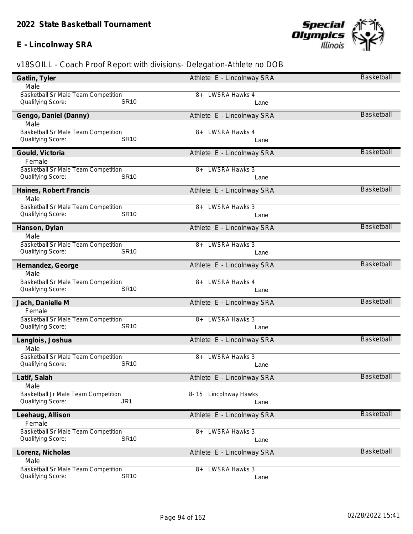

| Gatlin, Tyler                              | Athlete E - Lincolnway SRA   | <b>Basketball</b> |
|--------------------------------------------|------------------------------|-------------------|
| Male                                       |                              |                   |
| <b>Basketball Sr Male Team Competition</b> | 8+ LWSRA Hawks 4             |                   |
| <b>SR10</b><br>Qualifying Score:           | Lane                         |                   |
| Gengo, Daniel (Danny)                      | Athlete E - Lincolnway SRA   | <b>Basketball</b> |
| Male                                       |                              |                   |
| Basketball Sr Male Team Competition        | <b>LWSRA Hawks 4</b><br>8+   |                   |
| <b>SR10</b><br>Qualifying Score:           | Lane                         |                   |
| Gould, Victoria                            | Athlete E - Lincolnway SRA   | <b>Basketball</b> |
| Female                                     |                              |                   |
| Basketball Sr Male Team Competition        | <b>LWSRA Hawks 3</b><br>8+   |                   |
| <b>SR10</b><br>Qualifying Score:           | Lane                         |                   |
| Haines, Robert Francis                     | Athlete E - Lincolnway SRA   | <b>Basketball</b> |
| Male                                       |                              |                   |
| <b>Basketball Sr Male Team Competition</b> | <b>LWSRA Hawks 3</b><br>8+   |                   |
| <b>SR10</b><br>Qualifying Score:           | Lane                         |                   |
| Hanson, Dylan                              | Athlete E - Lincolnway SRA   | <b>Basketball</b> |
| Male                                       |                              |                   |
| Basketball Sr Male Team Competition        | <b>LWSRA Hawks 3</b><br>8+   |                   |
| Qualifying Score:<br><b>SR10</b>           | Lane                         |                   |
| Hernandez, George                          | Athlete E - Lincolnway SRA   | Basketball        |
| Male                                       |                              |                   |
| Basketball Sr Male Team Competition        | <b>LWSRA Hawks 4</b><br>8+   |                   |
| Qualifying Score:<br><b>SR10</b>           | Lane                         |                   |
| Jach, Danielle M                           | Athlete E - Lincolnway SRA   | <b>Basketball</b> |
| Female                                     |                              |                   |
| Basketball Sr Male Team Competition        | <b>LWSRA Hawks 3</b><br>8+   |                   |
| <b>SR10</b><br>Qualifying Score:           | Lane                         |                   |
| Langlois, Joshua                           | Athlete E - Lincolnway SRA   | <b>Basketball</b> |
| Male                                       |                              |                   |
| Basketball Sr Male Team Competition        | <b>LWSRA Hawks 3</b><br>8+   |                   |
| <b>SR10</b><br>Qualifying Score:           | Lane                         |                   |
| Latif, Salah                               | Athlete E - Lincolnway SRA   | <b>Basketball</b> |
| Male                                       |                              |                   |
| Basketball Jr Male Team Competition        | 8-15 Lincolnway Hawks        |                   |
| JR <sub>1</sub><br>Qualifying Score:       | Lane                         |                   |
| Leehaug, Allison                           | Athlete E - Lincolnway SRA   | <b>Basketball</b> |
| Female                                     |                              |                   |
| Basketball Sr Male Team Competition        | <b>LWSRA Hawks 3</b><br>8+   |                   |
| <b>SR10</b><br>Qualifying Score:           | Lane                         |                   |
| Lorenz, Nicholas                           | Athlete E - Lincolnway SRA   | <b>Basketball</b> |
| Male                                       |                              |                   |
| Basketball Sr Male Team Competition        | <b>LWSRA Hawks 3</b><br>$8+$ |                   |
| <b>SR10</b><br>Qualifying Score:           | Lane                         |                   |
|                                            |                              |                   |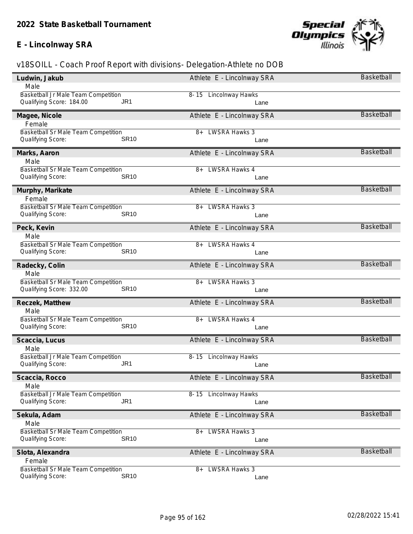

| Ludwin, Jakub                           | Athlete E - Lincolnway SRA   | <b>Basketball</b> |
|-----------------------------------------|------------------------------|-------------------|
| Male                                    |                              |                   |
| Basketball Jr Male Team Competition     | 8-15 Lincolnway Hawks        |                   |
| Qualifying Score: 184.00<br>JR1         | Lane                         |                   |
| Magee, Nicole                           | Athlete E - Lincolnway SRA   | <b>Basketball</b> |
| Female                                  |                              |                   |
| Basketball Sr Male Team Competition     | <b>LWSRA Hawks 3</b><br>$8+$ |                   |
| <b>SR10</b><br>Qualifying Score:        | Lane                         |                   |
| Marks, Aaron                            | Athlete E - Lincolnway SRA   | <b>Basketball</b> |
| Male                                    |                              |                   |
| Basketball Sr Male Team Competition     | <b>LWSRA Hawks 4</b><br>8+   |                   |
| <b>SR10</b><br>Qualifying Score:        | Lane                         |                   |
| Murphy, Marikate                        | Athlete E - Lincolnway SRA   | <b>Basketball</b> |
| Female                                  |                              |                   |
| Basketball Sr Male Team Competition     | <b>LWSRA Hawks 3</b><br>8+   |                   |
| <b>SR10</b><br>Qualifying Score:        | Lane                         |                   |
| Peck, Kevin                             | Athlete E - Lincolnway SRA   | <b>Basketball</b> |
| Male                                    |                              |                   |
| Basketball Sr Male Team Competition     | <b>LWSRA Hawks 4</b><br>8+   |                   |
| Qualifying Score:<br><b>SR10</b>        | Lane                         |                   |
| Radecky, Colin                          | Athlete E - Lincolnway SRA   | <b>Basketball</b> |
| Male                                    |                              |                   |
| Basketball Sr Male Team Competition     | <b>LWSRA Hawks 3</b><br>$8+$ |                   |
| Qualifying Score: 332.00<br><b>SR10</b> | Lane                         |                   |
| Reczek, Matthew                         | Athlete E - Lincolnway SRA   | <b>Basketball</b> |
| Male                                    |                              |                   |
| Basketball Sr Male Team Competition     | <b>LWSRA Hawks 4</b><br>8+   |                   |
| <b>SR10</b><br>Qualifying Score:        | Lane                         |                   |
| Scaccia, Lucus                          | Athlete E - Lincolnway SRA   | <b>Basketball</b> |
| Male                                    |                              |                   |
| Basketball Jr Male Team Competition     | 8-15 Lincolnway Hawks        |                   |
| JR <sub>1</sub><br>Qualifying Score:    | Lane                         |                   |
| Scaccia, Rocco                          | Athlete E - Lincolnway SRA   | Basketball        |
| Male                                    |                              |                   |
| Basketball Jr Male Team Competition     | 8-15 Lincolnway Hawks        |                   |
| JR <sub>1</sub><br>Qualifying Score:    | Lane                         |                   |
| Sekula, Adam                            | Athlete E - Lincolnway SRA   | <b>Basketball</b> |
| Male                                    |                              |                   |
| Basketball Sr Male Team Competition     | <b>LWSRA Hawks 3</b><br>$8+$ |                   |
| <b>SR10</b><br>Qualifying Score:        | Lane                         |                   |
| Slota, Alexandra                        | Athlete E - Lincolnway SRA   | <b>Basketball</b> |
| Female                                  |                              |                   |
| Basketball Sr Male Team Competition     | <b>LWSRA Hawks 3</b><br>$8+$ |                   |
| Qualifying Score:<br><b>SR10</b>        | Lane                         |                   |
|                                         |                              |                   |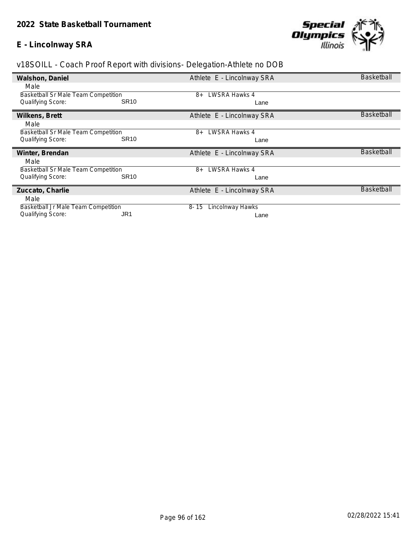

| Walshon, Daniel                            | Athlete E - Lincolnway SRA   | <b>Basketball</b> |
|--------------------------------------------|------------------------------|-------------------|
| Male                                       |                              |                   |
| Basketball Sr Male Team Competition        | LWSRA Hawks 4<br>8+          |                   |
| Qualifying Score:                          | <b>SR10</b><br>Lane          |                   |
| Wilkens, Brett                             | Athlete E - Lincolnway SRA   | <b>Basketball</b> |
| Male                                       |                              |                   |
| <b>Basketball Sr Male Team Competition</b> | LWSRA Hawks 4<br>$8+$        |                   |
| <b>Qualifying Score:</b>                   | <b>SR10</b><br>Lane          |                   |
|                                            |                              |                   |
| Winter, Brendan                            | Athlete E - Lincolnway SRA   | <b>Basketball</b> |
| Male                                       |                              |                   |
| <b>Basketball Sr Male Team Competition</b> | LWSRA Hawks 4<br>$8+$        |                   |
| Qualifying Score:                          | <b>SR10</b><br>Lane          |                   |
| Zuccato, Charlie                           | Athlete E - Lincolnway SRA   | <b>Basketball</b> |
| Male                                       |                              |                   |
| Basketball Jr Male Team Competition        | Lincolnway Hawks<br>$8 - 15$ |                   |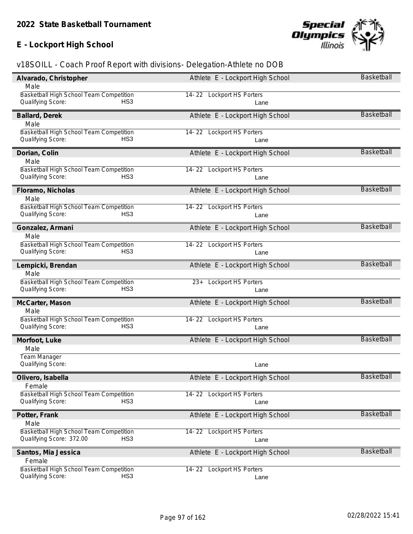### **E - Lockport High School**



| Alvarado, Christopher                                                           | Athlete E - Lockport High School    | <b>Basketball</b> |
|---------------------------------------------------------------------------------|-------------------------------------|-------------------|
| Male                                                                            |                                     |                   |
| Basketball High School Team Competition                                         | 14-22 Lockport HS Porters           |                   |
| Qualifying Score:<br>HS <sub>3</sub>                                            | Lane                                |                   |
| Ballard, Derek                                                                  | Athlete E - Lockport High School    | <b>Basketball</b> |
| Male                                                                            |                                     |                   |
| Basketball High School Team Competition                                         | 14-22 Lockport HS Porters           |                   |
| Qualifying Score:<br>HS <sub>3</sub>                                            | Lane                                |                   |
| Dorian, Colin                                                                   | Athlete E - Lockport High School    | <b>Basketball</b> |
| Male                                                                            |                                     |                   |
| Basketball High School Team Competition                                         | 14-22 Lockport HS Porters           |                   |
| Qualifying Score:<br>HS <sub>3</sub>                                            | Lane                                |                   |
| Floramo, Nicholas                                                               | Athlete E - Lockport High School    | <b>Basketball</b> |
| Male                                                                            |                                     |                   |
| Basketball High School Team Competition                                         | 14-22 Lockport HS Porters           |                   |
| Qualifying Score:<br>HS <sub>3</sub>                                            | Lane                                |                   |
| Gonzalez, Armani                                                                | Athlete E - Lockport High School    | <b>Basketball</b> |
| Male                                                                            |                                     |                   |
| Basketball High School Team Competition                                         | 14-22 Lockport HS Porters           |                   |
| Qualifying Score:<br>HS <sub>3</sub>                                            | Lane                                |                   |
|                                                                                 |                                     | <b>Basketball</b> |
| Lempicki, Brendan<br>Male                                                       | Athlete E - Lockport High School    |                   |
| Basketball High School Team Competition                                         | <b>Lockport HS Porters</b><br>$23+$ |                   |
| Qualifying Score:<br>HS <sub>3</sub>                                            | Lane                                |                   |
|                                                                                 |                                     |                   |
| McCarter, Mason                                                                 | Athlete E - Lockport High School    | <b>Basketball</b> |
| Male                                                                            |                                     |                   |
| Basketball High School Team Competition<br>HS <sub>3</sub><br>Qualifying Score: | 14-22 Lockport HS Porters           |                   |
|                                                                                 | Lane                                |                   |
| Morfoot, Luke                                                                   | Athlete E - Lockport High School    | <b>Basketball</b> |
| Male                                                                            |                                     |                   |
|                                                                                 |                                     |                   |
| Team Manager                                                                    |                                     |                   |
| Qualifying Score:                                                               | Lane                                |                   |
| Olivero, Isabella                                                               | Athlete E - Lockport High School    | <b>Basketball</b> |
| Female                                                                          |                                     |                   |
| Basketball High School Team Competition                                         | 14-22 Lockport HS Porters           |                   |
| Qualifying Score:<br>HS <sub>3</sub>                                            | Lane                                |                   |
|                                                                                 |                                     | <b>Basketball</b> |
| Potter, Frank                                                                   | Athlete E - Lockport High School    |                   |
| Male<br>Basketball High School Team Competition                                 | 14-22 Lockport HS Porters           |                   |
| Qualifying Score: 372.00<br>HS <sub>3</sub>                                     | Lane                                |                   |
|                                                                                 |                                     |                   |
| Santos, Mia Jessica                                                             | Athlete E - Lockport High School    | <b>Basketball</b> |
| Female                                                                          |                                     |                   |
| Basketball High School Team Competition<br>Qualifying Score:<br>HS <sub>3</sub> | 14-22 Lockport HS Porters<br>Lane   |                   |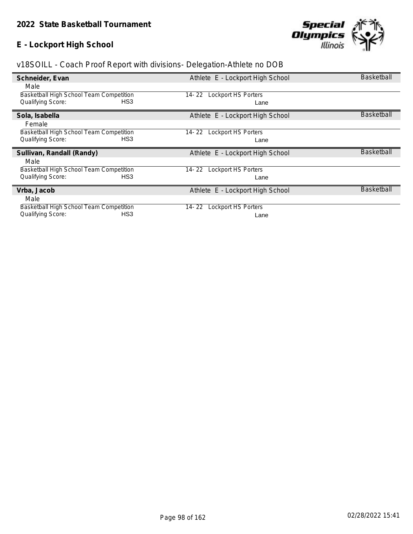# **E - Lockport High School**



| Schneider, Evan                                                                        | Athlete E - Lockport High School     | <b>Basketball</b> |
|----------------------------------------------------------------------------------------|--------------------------------------|-------------------|
| Male                                                                                   |                                      |                   |
| Basketball High School Team Competition                                                | <b>Lockport HS Porters</b><br>14- 22 |                   |
| Qualifying Score:<br>HS <sub>3</sub>                                                   | Lane                                 |                   |
| Sola, Isabella                                                                         | Athlete E - Lockport High School     | <b>Basketball</b> |
| Female                                                                                 |                                      |                   |
| Basketball High School Team Competition                                                | <b>Lockport HS Porters</b><br>14-22  |                   |
| HS <sub>3</sub><br><b>Qualifying Score:</b>                                            | Lane                                 |                   |
|                                                                                        |                                      |                   |
| Sullivan, Randall (Randy)                                                              | Athlete E - Lockport High School     | <b>Basketball</b> |
| Male                                                                                   |                                      |                   |
| Basketball High School Team Competition                                                | <b>Lockport HS Porters</b><br>14- 22 |                   |
| Qualifying Score:<br>HS <sub>3</sub>                                                   | Lane                                 |                   |
| Vrba, Jacob                                                                            | Athlete E - Lockport High School     | <b>Basketball</b> |
| Male                                                                                   |                                      |                   |
| Basketball High School Team Competition<br>HS <sub>3</sub><br><b>Qualifying Score:</b> | <b>Lockport HS Porters</b><br>14- 22 |                   |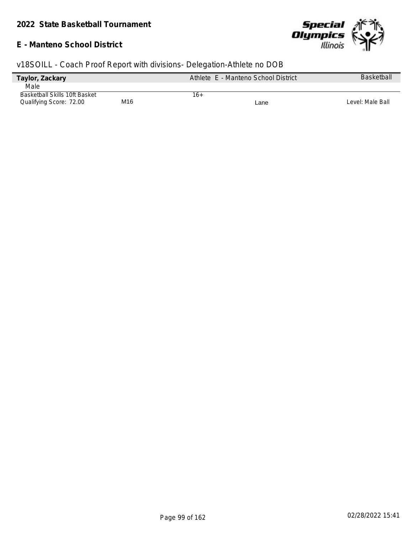#### **E - Manteno School District**



| Taylor, Zackary                      |     | Athlete E - Manteno School District | <b>Basketball</b> |
|--------------------------------------|-----|-------------------------------------|-------------------|
| Male                                 |     |                                     |                   |
| <b>Basketball Skills 10ft Basket</b> |     | 16+                                 |                   |
| Qualifying Score: 72.00              | M16 | Lane                                | Level: Male Ball  |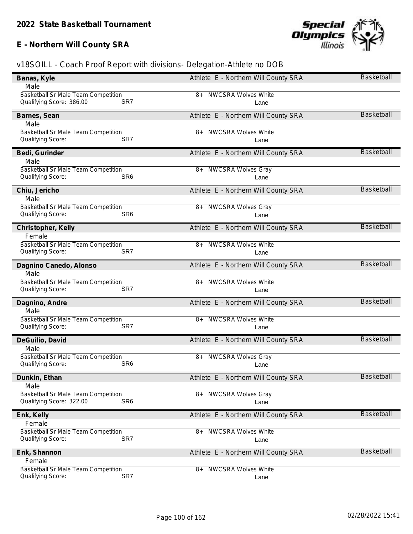# **E - Northern Will County SRA**



| Banas, Kyle                                                            | Athlete E - Northern Will County SRA               | Basketball        |
|------------------------------------------------------------------------|----------------------------------------------------|-------------------|
| Male                                                                   |                                                    |                   |
| Basketball Sr Male Team Competition                                    | <b>NWCSRA Wolves White</b><br>8+                   |                   |
| Qualifying Score: 386.00                                               | SR7<br>Lane                                        |                   |
| Barnes, Sean                                                           | Athlete E - Northern Will County SRA               | <b>Basketball</b> |
| Male                                                                   |                                                    |                   |
| <b>Basketball Sr Male Team Competition</b>                             | <b>NWCSRA Wolves White</b><br>8+                   |                   |
| Qualifying Score:                                                      | SR7<br>Lane                                        |                   |
|                                                                        |                                                    | <b>Basketball</b> |
| Bedi, Gurinder                                                         | Athlete E - Northern Will County SRA               |                   |
| Male                                                                   |                                                    |                   |
| Basketball Sr Male Team Competition<br>Qualifying Score:               | <b>NWCSRA Wolves Gray</b><br>8+<br>SR <sub>6</sub> |                   |
|                                                                        | Lane                                               |                   |
| Chiu, Jericho                                                          | Athlete E - Northern Will County SRA               | <b>Basketball</b> |
| Male                                                                   |                                                    |                   |
| Basketball Sr Male Team Competition                                    | <b>NWCSRA Wolves Gray</b><br>8+                    |                   |
| Qualifying Score:                                                      | SR <sub>6</sub><br>Lane                            |                   |
| Christopher, Kelly                                                     | Athlete E - Northern Will County SRA               | <b>Basketball</b> |
| Female                                                                 |                                                    |                   |
| Basketball Sr Male Team Competition                                    | <b>NWCSRA Wolves White</b><br>8+                   |                   |
| Qualifying Score:                                                      | SR7<br>Lane                                        |                   |
|                                                                        |                                                    |                   |
| Dagnino Canedo, Alonso                                                 | Athlete E - Northern Will County SRA               | Basketball        |
| Male                                                                   |                                                    |                   |
| Basketball Sr Male Team Competition<br>Qualifying Score:               | <b>NWCSRA Wolves White</b><br>8+<br>SR7            |                   |
|                                                                        | Lane                                               |                   |
| Dagnino, Andre                                                         | Athlete E - Northern Will County SRA               | <b>Basketball</b> |
| Male                                                                   |                                                    |                   |
| Basketball Sr Male Team Competition                                    | <b>NWCSRA Wolves White</b><br>8+                   |                   |
| Qualifying Score:                                                      | SR7<br>Lane                                        |                   |
| DeGuilio, David                                                        | Athlete E - Northern Will County SRA               | <b>Basketball</b> |
| Male                                                                   |                                                    |                   |
| Basketball Sr Male Team Competition                                    | <b>NWCSRA Wolves Gray</b><br>8+                    |                   |
| Qualifying Score:                                                      | SR <sub>6</sub><br>Lane                            |                   |
|                                                                        |                                                    | Basketball        |
| Dunkin, Ethan                                                          | Athlete E - Northern Will County SRA               |                   |
| Male                                                                   |                                                    |                   |
| <b>Basketball Sr Male Team Competition</b><br>Qualifying Score: 322.00 | 8+ NWCSRA Wolves Gray<br>SR <sub>6</sub>           |                   |
|                                                                        | Lane                                               |                   |
| Enk, Kelly                                                             | Athlete E - Northern Will County SRA               | Basketball        |
| Female                                                                 |                                                    |                   |
| Basketball Sr Male Team Competition                                    | <b>NWCSRA Wolves White</b><br>8+                   |                   |
| Qualifying Score:                                                      | SR7<br>Lane                                        |                   |
| Enk, Shannon                                                           | Athlete E - Northern Will County SRA               | <b>Basketball</b> |
| Female                                                                 |                                                    |                   |
| <b>Basketball Sr Male Team Competition</b>                             | <b>NWCSRA Wolves White</b><br>8+                   |                   |
| Qualifying Score:                                                      | SR7<br>Lane                                        |                   |
|                                                                        |                                                    |                   |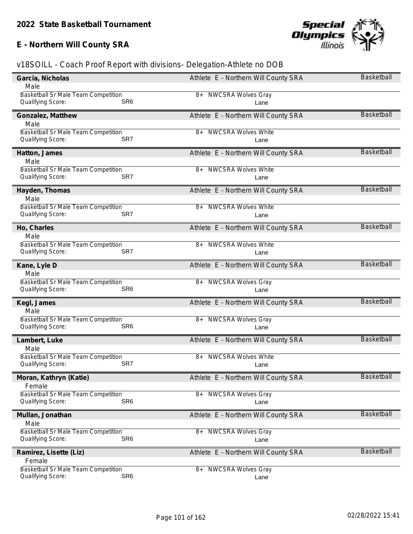# **E - Northern Will County SRA**



| Garcia, Nicholas                           | Athlete E - Northern Will County SRA | Basketball        |
|--------------------------------------------|--------------------------------------|-------------------|
| Male                                       |                                      |                   |
| Basketball Sr Male Team Competition        | 8+ NWCSRA Wolves Gray                |                   |
| SR <sub>6</sub><br>Qualifying Score:       | Lane                                 |                   |
| Gonzalez, Matthew                          | Athlete E - Northern Will County SRA | <b>Basketball</b> |
| Male                                       |                                      |                   |
| Basketball Sr Male Team Competition        | <b>NWCSRA Wolves White</b><br>8+     |                   |
| Qualifying Score:<br>SR7                   | Lane                                 |                   |
|                                            |                                      |                   |
| Hatton, James                              | Athlete E - Northern Will County SRA | Basketball        |
| Male                                       |                                      |                   |
| Basketball Sr Male Team Competition        | <b>NWCSRA Wolves White</b><br>8+     |                   |
| Qualifying Score:<br>SR7                   | Lane                                 |                   |
| Hayden, Thomas                             | Athlete E - Northern Will County SRA | <b>Basketball</b> |
| Male                                       |                                      |                   |
| Basketball Sr Male Team Competition        | <b>NWCSRA Wolves White</b><br>8+     |                   |
| Qualifying Score:<br>SR7                   | Lane                                 |                   |
|                                            |                                      | <b>Basketball</b> |
| Ho, Charles                                | Athlete E - Northern Will County SRA |                   |
| Male                                       |                                      |                   |
| Basketball Sr Male Team Competition<br>SR7 | <b>NWCSRA Wolves White</b><br>8+     |                   |
| Qualifying Score:                          | Lane                                 |                   |
| Kane, Lyle D                               | Athlete E - Northern Will County SRA | <b>Basketball</b> |
| Male                                       |                                      |                   |
| Basketball Sr Male Team Competition        | <b>NWCSRA Wolves Gray</b><br>8+      |                   |
| Qualifying Score:<br>SR <sub>6</sub>       | Lane                                 |                   |
| Kegl, James                                | Athlete E - Northern Will County SRA | <b>Basketball</b> |
| Male                                       |                                      |                   |
| Basketball Sr Male Team Competition        | <b>NWCSRA Wolves Gray</b><br>8+      |                   |
| Qualifying Score:<br>SR <sub>6</sub>       | Lane                                 |                   |
|                                            |                                      |                   |
| Lambert, Luke                              | Athlete E - Northern Will County SRA | <b>Basketball</b> |
| Male                                       |                                      |                   |
| Basketball Sr Male Team Competition<br>SR7 | <b>NWCSRA Wolves White</b><br>8+     |                   |
| Qualifying Score:                          | Lane                                 |                   |
| Moran, Kathryn (Katie)                     | Athlete E - Northern Will County SRA | <b>Basketball</b> |
| Female                                     |                                      |                   |
| Basketball Sr Male Team Competition        | 8+ NWCSRA Wolves Gray                |                   |
| SR <sub>6</sub><br>Qualifying Score:       | Lane                                 |                   |
|                                            | Athlete E - Northern Will County SRA | Basketball        |
| Mullan, Jonathan<br>Male                   |                                      |                   |
| Basketball Sr Male Team Competition        | $8+$                                 |                   |
| SR <sub>6</sub><br>Qualifying Score:       | <b>NWCSRA Wolves Gray</b><br>Lane    |                   |
|                                            |                                      |                   |
| Ramirez, Lisette (Liz)                     | Athlete E - Northern Will County SRA | <b>Basketball</b> |
| Female                                     |                                      |                   |
| Basketball Sr Male Team Competition        | <b>NWCSRA Wolves Gray</b><br>$8+$    |                   |
| SR <sub>6</sub><br>Qualifying Score:       | Lane                                 |                   |
|                                            |                                      |                   |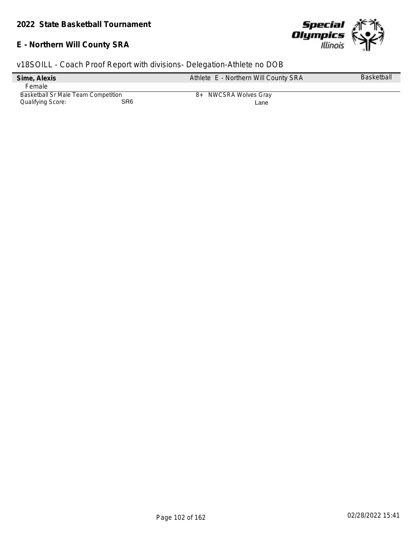### **E - Northern Will County SRA**



|                                     |                 | v18SOILL - Coach Proof Report with divisions- Delegation-Athlete no DOB |                   |
|-------------------------------------|-----------------|-------------------------------------------------------------------------|-------------------|
| Sime, Alexis                        |                 | Athlete E - Northern Will County SRA                                    | <b>Basketball</b> |
| Female                              |                 |                                                                         |                   |
| Basketball Sr Male Team Competition |                 | 8+ NWCSRA Wolves Gray                                                   |                   |
| Qualifying Score:                   | SR <sub>6</sub> | Lane                                                                    |                   |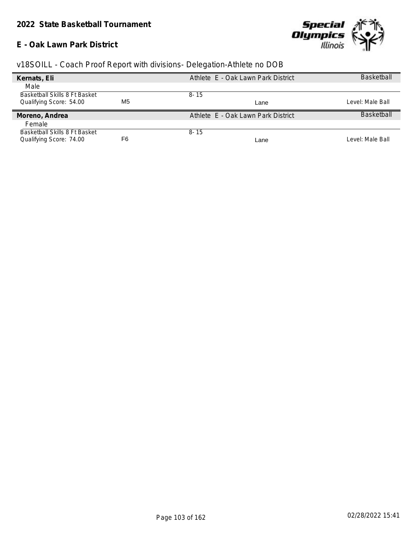#### **E - Oak Lawn Park District**



|  | v18SOILL - Coach Proof Report with divisions- Delegation-Athlete no DOB |
|--|-------------------------------------------------------------------------|
|  |                                                                         |

| Kernats, Eli                  |    | Athlete E - Oak Lawn Park District | <b>Basketball</b> |
|-------------------------------|----|------------------------------------|-------------------|
| Male                          |    |                                    |                   |
| Basketball Skills 8 Ft Basket |    | $8 - 15$                           |                   |
| Qualifying Score: 54.00       | M5 | Lane                               | Level: Male Ball  |
| Moreno, Andrea                |    | Athlete E - Oak Lawn Park District | <b>Basketball</b> |
| Female                        |    |                                    |                   |
|                               |    |                                    |                   |
| Basketball Skills 8 Ft Basket |    | $8 - 15$                           |                   |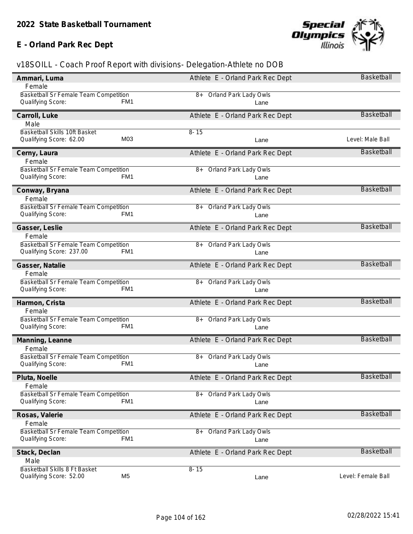### **E - Orland Park Rec Dept**



| Ammari, Luma                                                                  | Athlete E - Orland Park Rec Dept   | Basketball         |
|-------------------------------------------------------------------------------|------------------------------------|--------------------|
| Female                                                                        |                                    |                    |
| Basketball Sr Female Team Competition                                         | 8+ Orland Park Lady Owls           |                    |
| Qualifying Score:<br>FM1                                                      | Lane                               |                    |
| Carroll, Luke                                                                 | Athlete E - Orland Park Rec Dept   | <b>Basketball</b>  |
| Male                                                                          |                                    |                    |
|                                                                               |                                    |                    |
| Basketball Skills 10ft Basket<br>M03<br>Qualifying Score: 62.00               | $8 - 15$                           | Level: Male Ball   |
|                                                                               | Lane                               |                    |
| Cerny, Laura                                                                  | Athlete E - Orland Park Rec Dept   | <b>Basketball</b>  |
| Female                                                                        |                                    |                    |
| Basketball Sr Female Team Competition                                         | <b>Orland Park Lady Owls</b><br>8+ |                    |
| Qualifying Score:<br>FM1                                                      | Lane                               |                    |
|                                                                               |                                    |                    |
| Conway, Bryana                                                                | Athlete E - Orland Park Rec Dept   | <b>Basketball</b>  |
| Female                                                                        |                                    |                    |
| Basketball Sr Female Team Competition                                         | 8+ Orland Park Lady Owls           |                    |
| Qualifying Score:<br>FM1                                                      | Lane                               |                    |
|                                                                               |                                    | <b>Basketball</b>  |
| Gasser, Leslie                                                                | Athlete E - Orland Park Rec Dept   |                    |
| Female                                                                        |                                    |                    |
| Basketball Sr Female Team Competition                                         | <b>Orland Park Lady Owls</b><br>8+ |                    |
| Qualifying Score: 237.00<br>FM1                                               | Lane                               |                    |
| Gasser, Natalie                                                               | Athlete E - Orland Park Rec Dept   | <b>Basketball</b>  |
| Female                                                                        |                                    |                    |
| Basketball Sr Female Team Competition                                         | <b>Orland Park Lady Owls</b><br>8+ |                    |
| Qualifying Score:<br>FM <sub>1</sub>                                          | Lane                               |                    |
|                                                                               |                                    |                    |
| Harmon, Crista                                                                | Athlete E - Orland Park Rec Dept   | <b>Basketball</b>  |
| Female                                                                        |                                    |                    |
| Basketball Sr Female Team Competition                                         | <b>Orland Park Lady Owls</b><br>8+ |                    |
| Qualifying Score:<br>FM1                                                      | Lane                               |                    |
|                                                                               |                                    |                    |
| Manning, Leanne                                                               | Athlete E - Orland Park Rec Dept   | <b>Basketball</b>  |
| Female                                                                        |                                    |                    |
| Basketball Sr Female Team Competition                                         | Orland Park Lady Owls<br>8+        |                    |
| Qualifying Score:<br>FM1                                                      | Lane                               |                    |
|                                                                               | Athlete E - Orland Park Rec Dept   | <b>Basketball</b>  |
| Pluta, Noelle                                                                 |                                    |                    |
| Female                                                                        |                                    |                    |
| Basketball Sr Female Team Competition<br>FM <sub>1</sub><br>Qualifying Score: | Orland Park Lady Owls<br>$8+$      |                    |
|                                                                               | Lane                               |                    |
| Rosas, Valerie                                                                | Athlete E - Orland Park Rec Dept   | <b>Basketball</b>  |
| Female                                                                        |                                    |                    |
| Basketball Sr Female Team Competition                                         | Orland Park Lady Owls<br>$8+$      |                    |
| FM <sub>1</sub><br>Qualifying Score:                                          | Lane                               |                    |
|                                                                               |                                    |                    |
| Stack, Declan                                                                 | Athlete E - Orland Park Rec Dept   | <b>Basketball</b>  |
| Male                                                                          |                                    |                    |
| Basketball Skills 8 Ft Basket                                                 | $8 - 15$                           |                    |
| M <sub>5</sub><br>Qualifying Score: 52.00                                     | Lane                               | Level: Female Ball |
|                                                                               |                                    |                    |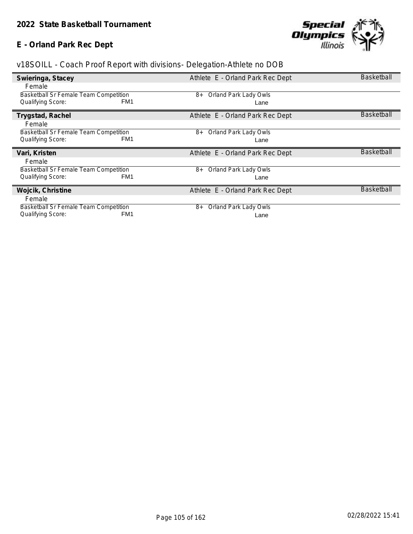# **E - Orland Park Rec Dept**



| Swieringa, Stacey                            | Athlete E - Orland Park Rec Dept | <b>Basketball</b> |
|----------------------------------------------|----------------------------------|-------------------|
| Female                                       |                                  |                   |
| <b>Basketball Sr Female Team Competition</b> | Orland Park Lady Owls<br>8+      |                   |
| Qualifying Score:<br>FM <sub>1</sub>         | Lane                             |                   |
| Trygstad, Rachel                             | Athlete E - Orland Park Rec Dept | <b>Basketball</b> |
| Female                                       |                                  |                   |
| <b>Basketball Sr Female Team Competition</b> | Orland Park Lady Owls<br>8+      |                   |
| FM1<br><b>Qualifying Score:</b>              | Lane                             |                   |
|                                              |                                  |                   |
| Vari, Kristen                                | Athlete E - Orland Park Rec Dept | <b>Basketball</b> |
| Female                                       |                                  |                   |
| <b>Basketball Sr Female Team Competition</b> | Orland Park Lady Owls<br>8+      |                   |
| <b>Qualifying Score:</b><br>FM1              | Lane                             |                   |
| Wojcik, Christine                            | Athlete E - Orland Park Rec Dept | <b>Basketball</b> |
| Female                                       |                                  |                   |
| <b>Basketball Sr Female Team Competition</b> | Orland Park Lady Owls<br>8+      |                   |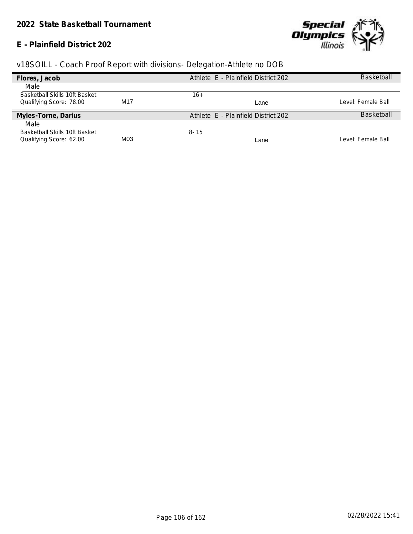#### **E - Plainfield District 202**



| Flores, Jacob                        |     | Athlete E - Plainfield District 202 | <b>Basketball</b>  |
|--------------------------------------|-----|-------------------------------------|--------------------|
| Male                                 |     |                                     |                    |
| <b>Basketball Skills 10ft Basket</b> |     | 16+                                 |                    |
| Qualifying Score: 78.00              | M17 | Lane                                | Level: Female Ball |
| Myles-Torne, Darius                  |     | Athlete E - Plainfield District 202 | <b>Basketball</b>  |
| Male                                 |     |                                     |                    |
| Basketball Skills 10ft Basket        |     | $8 - 15$                            |                    |
| Qualifying Score: 62.00              | M03 | Lane                                | Level: Female Ball |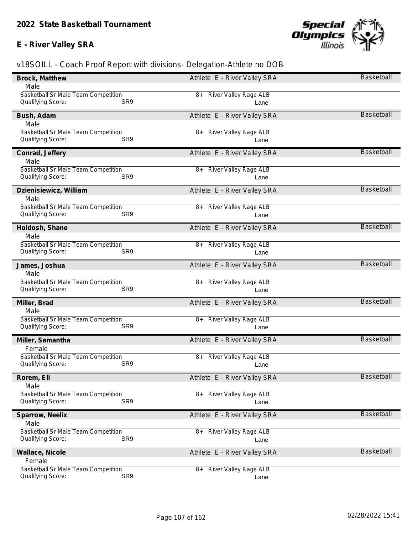# **E - River Valley SRA**



| Brock, Matthew                                    | Athlete E - River Valley SRA         | Basketball        |
|---------------------------------------------------|--------------------------------------|-------------------|
| Male                                              |                                      |                   |
| <b>Basketball Sr Male Team Competition</b>        | <b>River Valley Rage ALB</b><br>8+   |                   |
| Qualifying Score:<br>SR <sub>9</sub>              | Lane                                 |                   |
| Bush, Adam                                        | Athlete E - River Valley SRA         | <b>Basketball</b> |
| Male                                              |                                      |                   |
| <b>Basketball Sr Male Team Competition</b>        | <b>River Valley Rage ALB</b><br>8+   |                   |
| SR9<br>Qualifying Score:                          | Lane                                 |                   |
| Conrad, Jeffery                                   | Athlete E - River Valley SRA         | <b>Basketball</b> |
| Male                                              |                                      |                   |
| Basketball Sr Male Team Competition               | <b>River Valley Rage ALB</b><br>8+   |                   |
| SR9<br>Qualifying Score:                          | Lane                                 |                   |
| Dzienisiewicz, William                            | Athlete E - River Valley SRA         | <b>Basketball</b> |
| Male                                              |                                      |                   |
| Basketball Sr Male Team Competition               | 8+ River Valley Rage ALB             |                   |
| Qualifying Score:<br>SR <sub>9</sub>              | Lane                                 |                   |
| Holdosh, Shane                                    | Athlete E - River Valley SRA         | <b>Basketball</b> |
| Male                                              |                                      |                   |
| Basketball Sr Male Team Competition               | <b>River Valley Rage ALB</b><br>8+   |                   |
| Qualifying Score:<br>SR <sub>9</sub>              | Lane                                 |                   |
| James, Joshua                                     | Athlete E - River Valley SRA         | <b>Basketball</b> |
| Male                                              |                                      |                   |
| Basketball Sr Male Team Competition               | <b>River Valley Rage ALB</b><br>$8+$ |                   |
| Qualifying Score:<br>SR9                          | Lane                                 |                   |
| Miller, Brad                                      | Athlete E - River Valley SRA         | <b>Basketball</b> |
| Male                                              |                                      |                   |
| Basketball Sr Male Team Competition               | <b>River Valley Rage ALB</b><br>8+   |                   |
| Qualifying Score:<br>SR <sub>9</sub>              | Lane                                 |                   |
| Miller, Samantha                                  | Athlete E - River Valley SRA         | <b>Basketball</b> |
| Female                                            |                                      |                   |
| Basketball Sr Male Team Competition               | <b>River Valley Rage ALB</b><br>8+   |                   |
| SR9<br>Qualifying Score:                          | Lane                                 |                   |
| Rorem, Eli                                        | Athlete E - River Valley SRA         | Basketball        |
| Male                                              |                                      |                   |
| <b>Basketball Sr Male Team Competition</b><br>SR9 | <b>River Valley Rage ALB</b><br>$8+$ |                   |
| Qualifying Score:                                 | Lane                                 |                   |
| Sparrow, Neelix                                   | Athlete E - River Valley SRA         | <b>Basketball</b> |
| Male                                              |                                      |                   |
| Basketball Sr Male Team Competition<br>SR9        | <b>River Valley Rage ALB</b><br>$8+$ |                   |
| Qualifying Score:                                 | Lane                                 |                   |
| Wallace, Nicole                                   | Athlete E - River Valley SRA         | Basketball        |
| Female                                            |                                      |                   |
| Basketball Sr Male Team Competition               | <b>River Valley Rage ALB</b><br>8+   |                   |
| SR9<br>Qualifying Score:                          | Lane                                 |                   |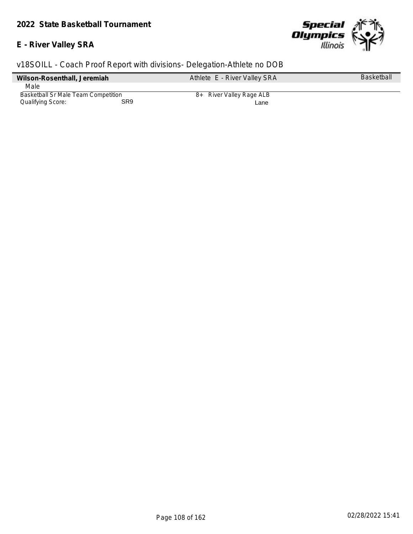### **E - River Valley SRA**



| Wilson-Rosenthall, Jeremiah                |     | Athlete E - River Valley SRA | <b>Basketball</b> |
|--------------------------------------------|-----|------------------------------|-------------------|
| Male                                       |     |                              |                   |
| <b>Basketball Sr Male Team Competition</b> |     | 8+ River Valley Rage ALB     |                   |
| Qualifying Score:                          | SR9 | Lane                         |                   |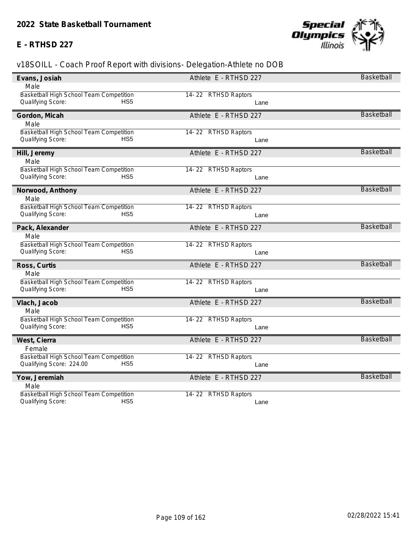### **E - RTHSD 227**



| Male<br>Basketball High School Team Competition<br>14-22 RTHSD Raptors<br>HS <sub>5</sub><br>Qualifying Score:<br>Lane<br><b>Basketball</b><br>Athlete E - RTHSD 227<br>Gordon, Micah<br>Male<br>Basketball High School Team Competition<br>14-22 RTHSD Raptors<br>Qualifying Score:<br>HS5<br>Lane<br><b>Basketball</b><br>Athlete E - RTHSD 227<br>Hill, Jeremy<br>Male<br>Basketball High School Team Competition<br>14-22 RTHSD Raptors<br>Qualifying Score:<br>HS <sub>5</sub><br>Lane<br>Basketball<br>Athlete E - RTHSD 227<br>Norwood, Anthony<br>Male<br>Basketball High School Team Competition<br>14-22 RTHSD Raptors<br>HS5<br>Qualifying Score:<br>Lane<br><b>Basketball</b><br>Pack, Alexander<br>Athlete E - RTHSD 227<br>Male<br>Basketball High School Team Competition<br>14-22 RTHSD Raptors<br>Qualifying Score:<br>HS <sub>5</sub><br>Lane<br><b>Basketball</b><br>Ross, Curtis<br>Athlete E - RTHSD 227<br>Male<br>Basketball High School Team Competition<br>14-22 RTHSD Raptors<br>Qualifying Score:<br>HS <sub>5</sub><br>Lane<br><b>Basketball</b><br>Athlete E - RTHSD 227<br>Vlach, Jacob<br>Male<br>Basketball High School Team Competition<br>14-22 RTHSD Raptors<br>Qualifying Score:<br>HS <sub>5</sub><br>Lane<br><b>Basketball</b><br>Athlete E - RTHSD 227<br>West, Cierra<br>Female<br>Basketball High School Team Competition<br>14-22 RTHSD Raptors<br>HS5<br>Qualifying Score: 224.00<br>Lane<br><b>Basketball</b><br>Athlete E - RTHSD 227<br>Yow, Jeremiah<br>Male<br>Basketball High School Team Competition<br>14-22 RTHSD Raptors<br>HS <sub>5</sub><br>Qualifying Score:<br>Lane | Evans, Josiah | Athlete E - RTHSD 227 | <b>Basketball</b> |
|-------------------------------------------------------------------------------------------------------------------------------------------------------------------------------------------------------------------------------------------------------------------------------------------------------------------------------------------------------------------------------------------------------------------------------------------------------------------------------------------------------------------------------------------------------------------------------------------------------------------------------------------------------------------------------------------------------------------------------------------------------------------------------------------------------------------------------------------------------------------------------------------------------------------------------------------------------------------------------------------------------------------------------------------------------------------------------------------------------------------------------------------------------------------------------------------------------------------------------------------------------------------------------------------------------------------------------------------------------------------------------------------------------------------------------------------------------------------------------------------------------------------------------------------------------------------------------------------------------------------------------|---------------|-----------------------|-------------------|
|                                                                                                                                                                                                                                                                                                                                                                                                                                                                                                                                                                                                                                                                                                                                                                                                                                                                                                                                                                                                                                                                                                                                                                                                                                                                                                                                                                                                                                                                                                                                                                                                                               |               |                       |                   |
|                                                                                                                                                                                                                                                                                                                                                                                                                                                                                                                                                                                                                                                                                                                                                                                                                                                                                                                                                                                                                                                                                                                                                                                                                                                                                                                                                                                                                                                                                                                                                                                                                               |               |                       |                   |
|                                                                                                                                                                                                                                                                                                                                                                                                                                                                                                                                                                                                                                                                                                                                                                                                                                                                                                                                                                                                                                                                                                                                                                                                                                                                                                                                                                                                                                                                                                                                                                                                                               |               |                       |                   |
|                                                                                                                                                                                                                                                                                                                                                                                                                                                                                                                                                                                                                                                                                                                                                                                                                                                                                                                                                                                                                                                                                                                                                                                                                                                                                                                                                                                                                                                                                                                                                                                                                               |               |                       |                   |
|                                                                                                                                                                                                                                                                                                                                                                                                                                                                                                                                                                                                                                                                                                                                                                                                                                                                                                                                                                                                                                                                                                                                                                                                                                                                                                                                                                                                                                                                                                                                                                                                                               |               |                       |                   |
|                                                                                                                                                                                                                                                                                                                                                                                                                                                                                                                                                                                                                                                                                                                                                                                                                                                                                                                                                                                                                                                                                                                                                                                                                                                                                                                                                                                                                                                                                                                                                                                                                               |               |                       |                   |
|                                                                                                                                                                                                                                                                                                                                                                                                                                                                                                                                                                                                                                                                                                                                                                                                                                                                                                                                                                                                                                                                                                                                                                                                                                                                                                                                                                                                                                                                                                                                                                                                                               |               |                       |                   |
|                                                                                                                                                                                                                                                                                                                                                                                                                                                                                                                                                                                                                                                                                                                                                                                                                                                                                                                                                                                                                                                                                                                                                                                                                                                                                                                                                                                                                                                                                                                                                                                                                               |               |                       |                   |
|                                                                                                                                                                                                                                                                                                                                                                                                                                                                                                                                                                                                                                                                                                                                                                                                                                                                                                                                                                                                                                                                                                                                                                                                                                                                                                                                                                                                                                                                                                                                                                                                                               |               |                       |                   |
|                                                                                                                                                                                                                                                                                                                                                                                                                                                                                                                                                                                                                                                                                                                                                                                                                                                                                                                                                                                                                                                                                                                                                                                                                                                                                                                                                                                                                                                                                                                                                                                                                               |               |                       |                   |
|                                                                                                                                                                                                                                                                                                                                                                                                                                                                                                                                                                                                                                                                                                                                                                                                                                                                                                                                                                                                                                                                                                                                                                                                                                                                                                                                                                                                                                                                                                                                                                                                                               |               |                       |                   |
|                                                                                                                                                                                                                                                                                                                                                                                                                                                                                                                                                                                                                                                                                                                                                                                                                                                                                                                                                                                                                                                                                                                                                                                                                                                                                                                                                                                                                                                                                                                                                                                                                               |               |                       |                   |
|                                                                                                                                                                                                                                                                                                                                                                                                                                                                                                                                                                                                                                                                                                                                                                                                                                                                                                                                                                                                                                                                                                                                                                                                                                                                                                                                                                                                                                                                                                                                                                                                                               |               |                       |                   |
|                                                                                                                                                                                                                                                                                                                                                                                                                                                                                                                                                                                                                                                                                                                                                                                                                                                                                                                                                                                                                                                                                                                                                                                                                                                                                                                                                                                                                                                                                                                                                                                                                               |               |                       |                   |
|                                                                                                                                                                                                                                                                                                                                                                                                                                                                                                                                                                                                                                                                                                                                                                                                                                                                                                                                                                                                                                                                                                                                                                                                                                                                                                                                                                                                                                                                                                                                                                                                                               |               |                       |                   |
|                                                                                                                                                                                                                                                                                                                                                                                                                                                                                                                                                                                                                                                                                                                                                                                                                                                                                                                                                                                                                                                                                                                                                                                                                                                                                                                                                                                                                                                                                                                                                                                                                               |               |                       |                   |
|                                                                                                                                                                                                                                                                                                                                                                                                                                                                                                                                                                                                                                                                                                                                                                                                                                                                                                                                                                                                                                                                                                                                                                                                                                                                                                                                                                                                                                                                                                                                                                                                                               |               |                       |                   |
|                                                                                                                                                                                                                                                                                                                                                                                                                                                                                                                                                                                                                                                                                                                                                                                                                                                                                                                                                                                                                                                                                                                                                                                                                                                                                                                                                                                                                                                                                                                                                                                                                               |               |                       |                   |
|                                                                                                                                                                                                                                                                                                                                                                                                                                                                                                                                                                                                                                                                                                                                                                                                                                                                                                                                                                                                                                                                                                                                                                                                                                                                                                                                                                                                                                                                                                                                                                                                                               |               |                       |                   |
|                                                                                                                                                                                                                                                                                                                                                                                                                                                                                                                                                                                                                                                                                                                                                                                                                                                                                                                                                                                                                                                                                                                                                                                                                                                                                                                                                                                                                                                                                                                                                                                                                               |               |                       |                   |
|                                                                                                                                                                                                                                                                                                                                                                                                                                                                                                                                                                                                                                                                                                                                                                                                                                                                                                                                                                                                                                                                                                                                                                                                                                                                                                                                                                                                                                                                                                                                                                                                                               |               |                       |                   |
|                                                                                                                                                                                                                                                                                                                                                                                                                                                                                                                                                                                                                                                                                                                                                                                                                                                                                                                                                                                                                                                                                                                                                                                                                                                                                                                                                                                                                                                                                                                                                                                                                               |               |                       |                   |
|                                                                                                                                                                                                                                                                                                                                                                                                                                                                                                                                                                                                                                                                                                                                                                                                                                                                                                                                                                                                                                                                                                                                                                                                                                                                                                                                                                                                                                                                                                                                                                                                                               |               |                       |                   |
|                                                                                                                                                                                                                                                                                                                                                                                                                                                                                                                                                                                                                                                                                                                                                                                                                                                                                                                                                                                                                                                                                                                                                                                                                                                                                                                                                                                                                                                                                                                                                                                                                               |               |                       |                   |
|                                                                                                                                                                                                                                                                                                                                                                                                                                                                                                                                                                                                                                                                                                                                                                                                                                                                                                                                                                                                                                                                                                                                                                                                                                                                                                                                                                                                                                                                                                                                                                                                                               |               |                       |                   |
|                                                                                                                                                                                                                                                                                                                                                                                                                                                                                                                                                                                                                                                                                                                                                                                                                                                                                                                                                                                                                                                                                                                                                                                                                                                                                                                                                                                                                                                                                                                                                                                                                               |               |                       |                   |
|                                                                                                                                                                                                                                                                                                                                                                                                                                                                                                                                                                                                                                                                                                                                                                                                                                                                                                                                                                                                                                                                                                                                                                                                                                                                                                                                                                                                                                                                                                                                                                                                                               |               |                       |                   |
|                                                                                                                                                                                                                                                                                                                                                                                                                                                                                                                                                                                                                                                                                                                                                                                                                                                                                                                                                                                                                                                                                                                                                                                                                                                                                                                                                                                                                                                                                                                                                                                                                               |               |                       |                   |
|                                                                                                                                                                                                                                                                                                                                                                                                                                                                                                                                                                                                                                                                                                                                                                                                                                                                                                                                                                                                                                                                                                                                                                                                                                                                                                                                                                                                                                                                                                                                                                                                                               |               |                       |                   |
|                                                                                                                                                                                                                                                                                                                                                                                                                                                                                                                                                                                                                                                                                                                                                                                                                                                                                                                                                                                                                                                                                                                                                                                                                                                                                                                                                                                                                                                                                                                                                                                                                               |               |                       |                   |
|                                                                                                                                                                                                                                                                                                                                                                                                                                                                                                                                                                                                                                                                                                                                                                                                                                                                                                                                                                                                                                                                                                                                                                                                                                                                                                                                                                                                                                                                                                                                                                                                                               |               |                       |                   |
|                                                                                                                                                                                                                                                                                                                                                                                                                                                                                                                                                                                                                                                                                                                                                                                                                                                                                                                                                                                                                                                                                                                                                                                                                                                                                                                                                                                                                                                                                                                                                                                                                               |               |                       |                   |
|                                                                                                                                                                                                                                                                                                                                                                                                                                                                                                                                                                                                                                                                                                                                                                                                                                                                                                                                                                                                                                                                                                                                                                                                                                                                                                                                                                                                                                                                                                                                                                                                                               |               |                       |                   |
|                                                                                                                                                                                                                                                                                                                                                                                                                                                                                                                                                                                                                                                                                                                                                                                                                                                                                                                                                                                                                                                                                                                                                                                                                                                                                                                                                                                                                                                                                                                                                                                                                               |               |                       |                   |
|                                                                                                                                                                                                                                                                                                                                                                                                                                                                                                                                                                                                                                                                                                                                                                                                                                                                                                                                                                                                                                                                                                                                                                                                                                                                                                                                                                                                                                                                                                                                                                                                                               |               |                       |                   |
|                                                                                                                                                                                                                                                                                                                                                                                                                                                                                                                                                                                                                                                                                                                                                                                                                                                                                                                                                                                                                                                                                                                                                                                                                                                                                                                                                                                                                                                                                                                                                                                                                               |               |                       |                   |
|                                                                                                                                                                                                                                                                                                                                                                                                                                                                                                                                                                                                                                                                                                                                                                                                                                                                                                                                                                                                                                                                                                                                                                                                                                                                                                                                                                                                                                                                                                                                                                                                                               |               |                       |                   |
|                                                                                                                                                                                                                                                                                                                                                                                                                                                                                                                                                                                                                                                                                                                                                                                                                                                                                                                                                                                                                                                                                                                                                                                                                                                                                                                                                                                                                                                                                                                                                                                                                               |               |                       |                   |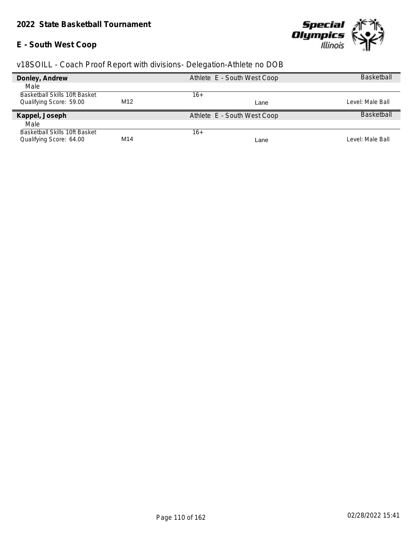### **E - South West Coop**



| Donley, Andrew                       |     | Athlete E - South West Coop | <b>Basketball</b> |
|--------------------------------------|-----|-----------------------------|-------------------|
| Male                                 |     |                             |                   |
| <b>Basketball Skills 10ft Basket</b> |     | 16+                         |                   |
| Qualifying Score: 59.00              | M12 | Lane                        | Level: Male Ball  |
| Kappel, Joseph                       |     | Athlete E - South West Coop | <b>Basketball</b> |
| Male                                 |     |                             |                   |
| <b>Basketball Skills 10ft Basket</b> |     | 16+                         |                   |
| Qualifying Score: 64.00              | M14 | Lane                        | Level: Male Ball  |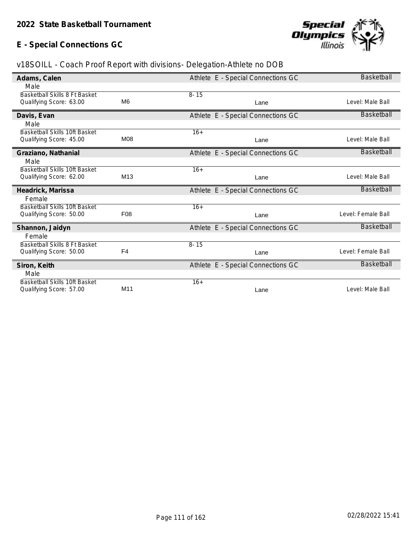### **E - Special Connections GC**



| Adams, Calen                         |                 | Athlete E - Special Connections GC | <b>Basketball</b>  |
|--------------------------------------|-----------------|------------------------------------|--------------------|
| Male                                 |                 |                                    |                    |
| Basketball Skills 8 Ft Basket        |                 | $8 - 15$                           |                    |
|                                      | M <sub>6</sub>  |                                    |                    |
| Qualifying Score: 63.00              |                 | Lane                               | Level: Male Ball   |
| Davis, Evan                          |                 | Athlete E - Special Connections GC | <b>Basketball</b>  |
| Male                                 |                 |                                    |                    |
| Basketball Skills 10ft Basket        |                 | $16+$                              |                    |
| Qualifying Score: 45.00              | <b>M08</b>      | Lane                               | Level: Male Ball   |
|                                      |                 |                                    |                    |
| Graziano, Nathanial                  |                 | Athlete E - Special Connections GC | <b>Basketball</b>  |
| Male                                 |                 |                                    |                    |
| <b>Basketball Skills 10ft Basket</b> |                 | $16+$                              |                    |
| Qualifying Score: 62.00              | M <sub>13</sub> | Lane                               | Level: Male Ball   |
|                                      |                 |                                    |                    |
| Headrick, Marissa                    |                 | Athlete E - Special Connections GC | <b>Basketball</b>  |
| Female                               |                 |                                    |                    |
| <b>Basketball Skills 10ft Basket</b> |                 | $16+$                              |                    |
| Qualifying Score: 50.00              | F08             | Lane                               | Level: Female Ball |
|                                      |                 |                                    |                    |
| Shannon, Jaidyn                      |                 | Athlete E - Special Connections GC | <b>Basketball</b>  |
| Female                               |                 |                                    |                    |
| Basketball Skills 8 Ft Basket        |                 | $8 - 15$                           |                    |
| Qualifying Score: 50.00              | F <sub>4</sub>  | Lane                               | Level: Female Ball |
|                                      |                 |                                    |                    |
| Siron, Keith                         |                 | Athlete E - Special Connections GC | <b>Basketball</b>  |
| Male                                 |                 |                                    |                    |
| Basketball Skills 10ft Basket        |                 | $16+$                              |                    |
| Qualifying Score: 57.00              | M <sub>11</sub> | Lane                               | Level: Male Ball   |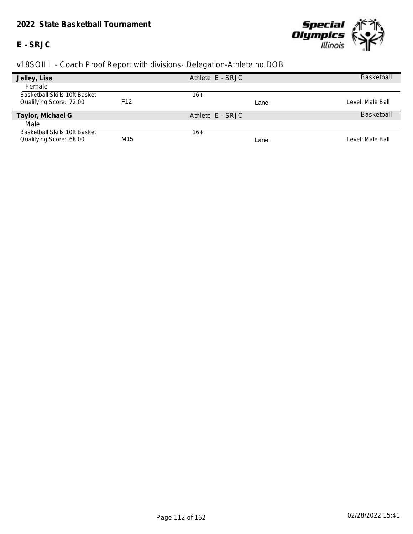#### *2022 State Basketball Tournament*

### **E - SRJC**



| Jelley, Lisa                         |                 | Athlete E - SRJC | <b>Basketball</b> |
|--------------------------------------|-----------------|------------------|-------------------|
| Female                               |                 |                  |                   |
| <b>Basketball Skills 10ft Basket</b> |                 | 16+              |                   |
| Qualifying Score: 72.00              | F <sub>12</sub> | Lane             | Level: Male Ball  |
| Taylor, Michael G                    |                 | Athlete E - SRJC | <b>Baskethall</b> |
| Male                                 |                 |                  |                   |
| Basketball Skills 10ft Basket        |                 | 16+              |                   |
| Qualifying Score: 68.00              | M <sub>15</sub> | Lane             | Level: Male Ball  |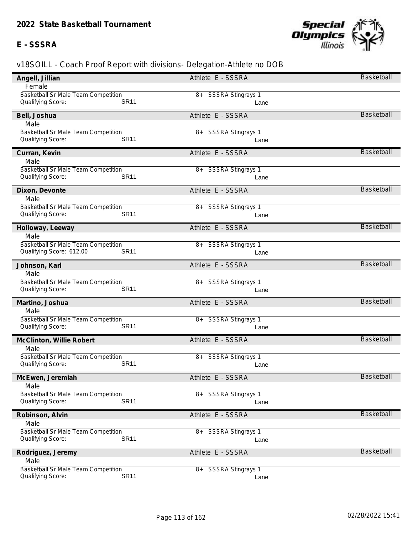### **E - SSSRA**



| Angell, Jillian                                                         | Athlete E - SSSRA            | Basketball        |
|-------------------------------------------------------------------------|------------------------------|-------------------|
| Female                                                                  |                              |                   |
| <b>Basketball Sr Male Team Competition</b>                              | 8+ SSSRA Stingrays 1         |                   |
| <b>SR11</b><br>Qualifying Score:                                        | Lane                         |                   |
| Bell, Joshua                                                            | Athlete E - SSSRA            | <b>Basketball</b> |
| Male                                                                    |                              |                   |
| <b>Basketball Sr Male Team Competition</b>                              | 8+ SSSRA Stingrays 1         |                   |
| <b>SR11</b><br>Qualifying Score:                                        | Lane                         |                   |
| Curran, Kevin                                                           | Athlete E - SSSRA            | <b>Basketball</b> |
| Male                                                                    |                              |                   |
| Basketball Sr Male Team Competition                                     | 8+ SSSRA Stingrays 1         |                   |
| <b>SR11</b><br>Qualifying Score:                                        | Lane                         |                   |
| Dixon, Devonte                                                          | Athlete E - SSSRA            | <b>Basketball</b> |
| Male                                                                    |                              |                   |
| <b>Basketball Sr Male Team Competition</b>                              | 8+ SSSRA Stingrays 1         |                   |
| Qualifying Score:<br><b>SR11</b>                                        | Lane                         |                   |
| Holloway, Leeway                                                        | Athlete E - SSSRA            | <b>Basketball</b> |
| Male                                                                    |                              |                   |
| Basketball Sr Male Team Competition                                     | 8+ SSSRA Stingrays 1         |                   |
| Qualifying Score: 612.00<br><b>SR11</b>                                 | Lane                         |                   |
| Johnson, Karl                                                           | Athlete E - SSSRA            | Basketball        |
| Male                                                                    |                              |                   |
| Basketball Sr Male Team Competition                                     | 8+ SSSRA Stingrays 1         |                   |
| Qualifying Score:<br><b>SR11</b>                                        | Lane                         |                   |
| Martino, Joshua                                                         | Athlete E - SSSRA            | <b>Basketball</b> |
| Male                                                                    |                              |                   |
| Basketball Sr Male Team Competition                                     | 8+ SSSRA Stingrays 1         |                   |
| <b>SR11</b><br>Qualifying Score:                                        | Lane                         |                   |
| McClinton, Willie Robert                                                | Athlete E - SSSRA            | <b>Basketball</b> |
| Male                                                                    |                              |                   |
| Basketball Sr Male Team Competition                                     | 8+ SSSRA Stingrays 1         |                   |
| <b>SR11</b><br>Qualifying Score:                                        | Lane                         |                   |
| McEwen, Jeremiah                                                        | Athlete E - SSSRA            | <b>Basketball</b> |
| Male                                                                    |                              |                   |
| <b>Basketball Sr Male Team Competition</b>                              | 8+ SSSRA Stingrays 1         |                   |
| <b>SR11</b><br>Qualifying Score:                                        | Lane                         |                   |
| Robinson, Alvin                                                         | Athlete E - SSSRA            | <b>Basketball</b> |
|                                                                         |                              |                   |
| Male                                                                    |                              |                   |
| Basketball Sr Male Team Competition                                     | 8+ SSSRA Stingrays 1         |                   |
| <b>SR11</b><br>Qualifying Score:                                        | Lane                         |                   |
| Rodriguez, Jeremy                                                       | Athlete E - SSSRA            | <b>Basketball</b> |
| Male                                                                    |                              |                   |
| Basketball Sr Male Team Competition<br><b>SR11</b><br>Qualifying Score: | 8+ SSSRA Stingrays 1<br>Lane |                   |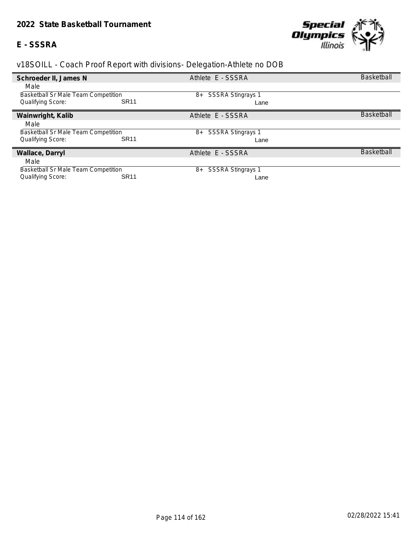# **E - SSSRA**



| Schroeder II, James N               |             | Athlete E - SSSRA              | <b>Basketball</b> |
|-------------------------------------|-------------|--------------------------------|-------------------|
| Male                                |             |                                |                   |
| Basketball Sr Male Team Competition |             | <b>SSSRA Stingrays 1</b><br>8+ |                   |
| <b>Qualifying Score:</b>            | <b>SR11</b> | Lane                           |                   |
| Wainwright, Kalib                   |             | Athlete E - SSSRA              | <b>Basketball</b> |
| Male                                |             |                                |                   |
| Basketball Sr Male Team Competition |             | SSSRA Stingrays 1<br>8+        |                   |
| <b>Qualifying Score:</b>            | <b>SR11</b> | Lane                           |                   |
| Wallace, Darryl                     |             | Athlete E - SSSRA              | <b>Basketball</b> |
| Male                                |             |                                |                   |
| Basketball Sr Male Team Competition |             | <b>SSSRA Stingrays 1</b><br>8+ |                   |
| Qualifying Score:                   | <b>SR11</b> | Lane                           |                   |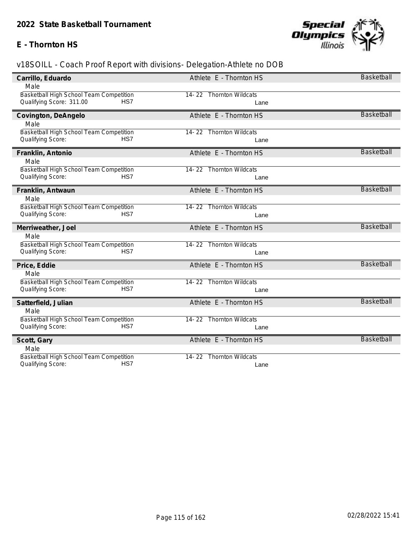### **E - Thornton HS**



| Carrillo, Eduardo                       | Athlete E - Thornton HS               | <b>Basketball</b> |
|-----------------------------------------|---------------------------------------|-------------------|
| Male                                    |                                       |                   |
| Basketball High School Team Competition | 14-22 Thornton Wildcats               |                   |
| Qualifying Score: 311.00<br>HS7         | Lane                                  |                   |
| Covington, DeAngelo                     | Athlete E - Thornton HS               | <b>Basketball</b> |
| Male                                    |                                       |                   |
| Basketball High School Team Competition | 14-22 Thornton Wildcats               |                   |
| HS7<br>Qualifying Score:                | Lane                                  |                   |
| Franklin, Antonio                       | Athlete E - Thornton HS               | <b>Basketball</b> |
| Male                                    |                                       |                   |
| Basketball High School Team Competition | 14-22 Thornton Wildcats               |                   |
| Qualifying Score:<br>HS7                | Lane                                  |                   |
| Franklin, Antwaun                       | Athlete E - Thornton HS               | <b>Basketball</b> |
| Male                                    |                                       |                   |
| Basketball High School Team Competition | 14-22 Thornton Wildcats               |                   |
| HS7<br>Qualifying Score:                | Lane                                  |                   |
| Merriweather, Joel                      | Athlete E - Thornton HS               | <b>Basketball</b> |
| Male                                    |                                       |                   |
| Basketball High School Team Competition | 14-22 Thornton Wildcats               |                   |
| Qualifying Score:<br>HS7                | Lane                                  |                   |
| Price, Eddie                            | Athlete E - Thornton HS               | <b>Basketball</b> |
| Male                                    |                                       |                   |
| Basketball High School Team Competition | 14-22 Thornton Wildcats               |                   |
| Qualifying Score:<br>HS7                | Lane                                  |                   |
| Satterfield, Julian                     | Athlete E - Thornton HS               | <b>Basketball</b> |
| Male                                    |                                       |                   |
| Basketball High School Team Competition | <b>Thornton Wildcats</b><br>$14 - 22$ |                   |
| Qualifying Score:<br>HS7                | Lane                                  |                   |
| Scott, Gary                             | Athlete E - Thornton HS               | <b>Basketball</b> |
| Male                                    |                                       |                   |
| Basketball High School Team Competition | <b>Thornton Wildcats</b><br>$14 - 22$ |                   |
| HS7<br>Qualifying Score:                | Lane                                  |                   |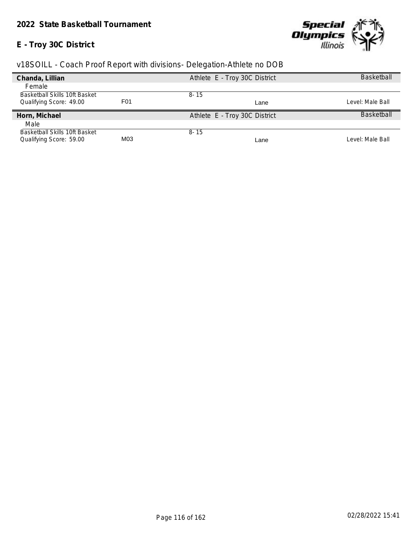### **E - Troy 30C District**



| Chanda, Lillian                      |                  | Athlete E - Troy 30C District | <b>Basketball</b> |
|--------------------------------------|------------------|-------------------------------|-------------------|
| Female                               |                  |                               |                   |
| <b>Basketball Skills 10ft Basket</b> |                  | $8 - 15$                      |                   |
| Qualifying Score: 49.00              | F <sub>0</sub> 1 | Lane                          | Level: Male Ball  |
|                                      |                  |                               |                   |
| Horn, Michael                        |                  | Athlete E - Troy 30C District | <b>Basketball</b> |
| Male                                 |                  |                               |                   |
| <b>Basketball Skills 10ft Basket</b> |                  | $8 - 15$                      |                   |
| Qualifying Score: 59.00              | M03              | Lane                          | Level: Male Ball  |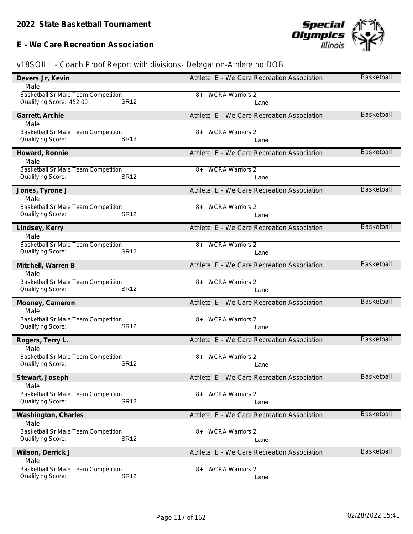**E - We Care Recreation Association**



| <b>Basketball Sr Male Team Competition</b><br><b>WCRA Warriors 2</b><br>8+<br><b>SR12</b><br>Qualifying Score: 452.00<br>Lane<br><b>Basketball</b><br>Athlete E - We Care Recreation Association<br>Garrett, Archie<br>Male<br><b>Basketball Sr Male Team Competition</b><br><b>WCRA Warriors 2</b><br>8+<br><b>SR12</b><br>Qualifying Score:<br>Lane<br><b>Basketball</b><br>Athlete E - We Care Recreation Association<br>Howard, Ronnie<br>Male<br>Basketball Sr Male Team Competition<br><b>WCRA Warriors 2</b><br>8+<br><b>SR12</b><br>Qualifying Score:<br>Lane<br>Basketball<br>Athlete E - We Care Recreation Association<br>Jones, Tyrone J<br>Male<br><b>Basketball Sr Male Team Competition</b><br><b>WCRA Warriors 2</b><br>8+<br><b>SR12</b><br>Qualifying Score:<br>Lane<br><b>Basketball</b><br>Athlete E - We Care Recreation Association<br>Lindsey, Kerry<br>Male<br>Basketball Sr Male Team Competition<br><b>WCRA Warriors 2</b><br>8+<br>Qualifying Score:<br><b>SR12</b><br>Lane<br><b>Basketball</b><br>Mitchell, Warren B<br>Athlete E - We Care Recreation Association<br>Male<br>Basketball Sr Male Team Competition<br><b>WCRA Warriors 2</b><br>8+<br>Qualifying Score:<br><b>SR12</b><br>Lane<br><b>Basketball</b><br>Athlete E - We Care Recreation Association<br>Mooney, Cameron<br>Male<br>Basketball Sr Male Team Competition<br>8+ WCRA Warriors 2<br><b>SR12</b><br>Qualifying Score:<br>Lane<br><b>Basketball</b><br>Athlete E - We Care Recreation Association<br>Rogers, Terry L.<br>Male<br><b>Basketball Sr Male Team Competition</b><br><b>WCRA Warriors 2</b><br>$8+$<br><b>SR12</b><br>Qualifying Score:<br>Lane<br>Athlete E - We Care Recreation Association<br><b>Basketball</b><br>Stewart, Joseph<br>Male<br>Basketball Sr Male Team Competition<br><b>WCRA Warriors 2</b><br>8+<br><b>SR12</b><br>Qualifying Score:<br>Lane<br>Basketball<br>Athlete E - We Care Recreation Association<br>Washington, Charles<br>Male<br>Basketball Sr Male Team Competition<br><b>WCRA Warriors 2</b><br>8+<br><b>SR12</b><br>Qualifying Score:<br>Lane<br><b>Basketball</b><br>Wilson, Derrick J<br>Athlete E - We Care Recreation Association<br>Male<br><b>Basketball Sr Male Team Competition</b><br><b>WCRA Warriors 2</b><br>8+<br><b>SR12</b><br>Qualifying Score:<br>Lane | Devers Jr, Kevin | Athlete E - We Care Recreation Association | <b>Basketball</b> |
|-----------------------------------------------------------------------------------------------------------------------------------------------------------------------------------------------------------------------------------------------------------------------------------------------------------------------------------------------------------------------------------------------------------------------------------------------------------------------------------------------------------------------------------------------------------------------------------------------------------------------------------------------------------------------------------------------------------------------------------------------------------------------------------------------------------------------------------------------------------------------------------------------------------------------------------------------------------------------------------------------------------------------------------------------------------------------------------------------------------------------------------------------------------------------------------------------------------------------------------------------------------------------------------------------------------------------------------------------------------------------------------------------------------------------------------------------------------------------------------------------------------------------------------------------------------------------------------------------------------------------------------------------------------------------------------------------------------------------------------------------------------------------------------------------------------------------------------------------------------------------------------------------------------------------------------------------------------------------------------------------------------------------------------------------------------------------------------------------------------------------------------------------------------------------------------------------------------------------------------------------------------------------------------------------------------------------|------------------|--------------------------------------------|-------------------|
|                                                                                                                                                                                                                                                                                                                                                                                                                                                                                                                                                                                                                                                                                                                                                                                                                                                                                                                                                                                                                                                                                                                                                                                                                                                                                                                                                                                                                                                                                                                                                                                                                                                                                                                                                                                                                                                                                                                                                                                                                                                                                                                                                                                                                                                                                                                       | Male             |                                            |                   |
|                                                                                                                                                                                                                                                                                                                                                                                                                                                                                                                                                                                                                                                                                                                                                                                                                                                                                                                                                                                                                                                                                                                                                                                                                                                                                                                                                                                                                                                                                                                                                                                                                                                                                                                                                                                                                                                                                                                                                                                                                                                                                                                                                                                                                                                                                                                       |                  |                                            |                   |
|                                                                                                                                                                                                                                                                                                                                                                                                                                                                                                                                                                                                                                                                                                                                                                                                                                                                                                                                                                                                                                                                                                                                                                                                                                                                                                                                                                                                                                                                                                                                                                                                                                                                                                                                                                                                                                                                                                                                                                                                                                                                                                                                                                                                                                                                                                                       |                  |                                            |                   |
|                                                                                                                                                                                                                                                                                                                                                                                                                                                                                                                                                                                                                                                                                                                                                                                                                                                                                                                                                                                                                                                                                                                                                                                                                                                                                                                                                                                                                                                                                                                                                                                                                                                                                                                                                                                                                                                                                                                                                                                                                                                                                                                                                                                                                                                                                                                       |                  |                                            |                   |
|                                                                                                                                                                                                                                                                                                                                                                                                                                                                                                                                                                                                                                                                                                                                                                                                                                                                                                                                                                                                                                                                                                                                                                                                                                                                                                                                                                                                                                                                                                                                                                                                                                                                                                                                                                                                                                                                                                                                                                                                                                                                                                                                                                                                                                                                                                                       |                  |                                            |                   |
|                                                                                                                                                                                                                                                                                                                                                                                                                                                                                                                                                                                                                                                                                                                                                                                                                                                                                                                                                                                                                                                                                                                                                                                                                                                                                                                                                                                                                                                                                                                                                                                                                                                                                                                                                                                                                                                                                                                                                                                                                                                                                                                                                                                                                                                                                                                       |                  |                                            |                   |
|                                                                                                                                                                                                                                                                                                                                                                                                                                                                                                                                                                                                                                                                                                                                                                                                                                                                                                                                                                                                                                                                                                                                                                                                                                                                                                                                                                                                                                                                                                                                                                                                                                                                                                                                                                                                                                                                                                                                                                                                                                                                                                                                                                                                                                                                                                                       |                  |                                            |                   |
|                                                                                                                                                                                                                                                                                                                                                                                                                                                                                                                                                                                                                                                                                                                                                                                                                                                                                                                                                                                                                                                                                                                                                                                                                                                                                                                                                                                                                                                                                                                                                                                                                                                                                                                                                                                                                                                                                                                                                                                                                                                                                                                                                                                                                                                                                                                       |                  |                                            |                   |
|                                                                                                                                                                                                                                                                                                                                                                                                                                                                                                                                                                                                                                                                                                                                                                                                                                                                                                                                                                                                                                                                                                                                                                                                                                                                                                                                                                                                                                                                                                                                                                                                                                                                                                                                                                                                                                                                                                                                                                                                                                                                                                                                                                                                                                                                                                                       |                  |                                            |                   |
|                                                                                                                                                                                                                                                                                                                                                                                                                                                                                                                                                                                                                                                                                                                                                                                                                                                                                                                                                                                                                                                                                                                                                                                                                                                                                                                                                                                                                                                                                                                                                                                                                                                                                                                                                                                                                                                                                                                                                                                                                                                                                                                                                                                                                                                                                                                       |                  |                                            |                   |
|                                                                                                                                                                                                                                                                                                                                                                                                                                                                                                                                                                                                                                                                                                                                                                                                                                                                                                                                                                                                                                                                                                                                                                                                                                                                                                                                                                                                                                                                                                                                                                                                                                                                                                                                                                                                                                                                                                                                                                                                                                                                                                                                                                                                                                                                                                                       |                  |                                            |                   |
|                                                                                                                                                                                                                                                                                                                                                                                                                                                                                                                                                                                                                                                                                                                                                                                                                                                                                                                                                                                                                                                                                                                                                                                                                                                                                                                                                                                                                                                                                                                                                                                                                                                                                                                                                                                                                                                                                                                                                                                                                                                                                                                                                                                                                                                                                                                       |                  |                                            |                   |
|                                                                                                                                                                                                                                                                                                                                                                                                                                                                                                                                                                                                                                                                                                                                                                                                                                                                                                                                                                                                                                                                                                                                                                                                                                                                                                                                                                                                                                                                                                                                                                                                                                                                                                                                                                                                                                                                                                                                                                                                                                                                                                                                                                                                                                                                                                                       |                  |                                            |                   |
|                                                                                                                                                                                                                                                                                                                                                                                                                                                                                                                                                                                                                                                                                                                                                                                                                                                                                                                                                                                                                                                                                                                                                                                                                                                                                                                                                                                                                                                                                                                                                                                                                                                                                                                                                                                                                                                                                                                                                                                                                                                                                                                                                                                                                                                                                                                       |                  |                                            |                   |
|                                                                                                                                                                                                                                                                                                                                                                                                                                                                                                                                                                                                                                                                                                                                                                                                                                                                                                                                                                                                                                                                                                                                                                                                                                                                                                                                                                                                                                                                                                                                                                                                                                                                                                                                                                                                                                                                                                                                                                                                                                                                                                                                                                                                                                                                                                                       |                  |                                            |                   |
|                                                                                                                                                                                                                                                                                                                                                                                                                                                                                                                                                                                                                                                                                                                                                                                                                                                                                                                                                                                                                                                                                                                                                                                                                                                                                                                                                                                                                                                                                                                                                                                                                                                                                                                                                                                                                                                                                                                                                                                                                                                                                                                                                                                                                                                                                                                       |                  |                                            |                   |
|                                                                                                                                                                                                                                                                                                                                                                                                                                                                                                                                                                                                                                                                                                                                                                                                                                                                                                                                                                                                                                                                                                                                                                                                                                                                                                                                                                                                                                                                                                                                                                                                                                                                                                                                                                                                                                                                                                                                                                                                                                                                                                                                                                                                                                                                                                                       |                  |                                            |                   |
|                                                                                                                                                                                                                                                                                                                                                                                                                                                                                                                                                                                                                                                                                                                                                                                                                                                                                                                                                                                                                                                                                                                                                                                                                                                                                                                                                                                                                                                                                                                                                                                                                                                                                                                                                                                                                                                                                                                                                                                                                                                                                                                                                                                                                                                                                                                       |                  |                                            |                   |
|                                                                                                                                                                                                                                                                                                                                                                                                                                                                                                                                                                                                                                                                                                                                                                                                                                                                                                                                                                                                                                                                                                                                                                                                                                                                                                                                                                                                                                                                                                                                                                                                                                                                                                                                                                                                                                                                                                                                                                                                                                                                                                                                                                                                                                                                                                                       |                  |                                            |                   |
|                                                                                                                                                                                                                                                                                                                                                                                                                                                                                                                                                                                                                                                                                                                                                                                                                                                                                                                                                                                                                                                                                                                                                                                                                                                                                                                                                                                                                                                                                                                                                                                                                                                                                                                                                                                                                                                                                                                                                                                                                                                                                                                                                                                                                                                                                                                       |                  |                                            |                   |
|                                                                                                                                                                                                                                                                                                                                                                                                                                                                                                                                                                                                                                                                                                                                                                                                                                                                                                                                                                                                                                                                                                                                                                                                                                                                                                                                                                                                                                                                                                                                                                                                                                                                                                                                                                                                                                                                                                                                                                                                                                                                                                                                                                                                                                                                                                                       |                  |                                            |                   |
|                                                                                                                                                                                                                                                                                                                                                                                                                                                                                                                                                                                                                                                                                                                                                                                                                                                                                                                                                                                                                                                                                                                                                                                                                                                                                                                                                                                                                                                                                                                                                                                                                                                                                                                                                                                                                                                                                                                                                                                                                                                                                                                                                                                                                                                                                                                       |                  |                                            |                   |
|                                                                                                                                                                                                                                                                                                                                                                                                                                                                                                                                                                                                                                                                                                                                                                                                                                                                                                                                                                                                                                                                                                                                                                                                                                                                                                                                                                                                                                                                                                                                                                                                                                                                                                                                                                                                                                                                                                                                                                                                                                                                                                                                                                                                                                                                                                                       |                  |                                            |                   |
|                                                                                                                                                                                                                                                                                                                                                                                                                                                                                                                                                                                                                                                                                                                                                                                                                                                                                                                                                                                                                                                                                                                                                                                                                                                                                                                                                                                                                                                                                                                                                                                                                                                                                                                                                                                                                                                                                                                                                                                                                                                                                                                                                                                                                                                                                                                       |                  |                                            |                   |
|                                                                                                                                                                                                                                                                                                                                                                                                                                                                                                                                                                                                                                                                                                                                                                                                                                                                                                                                                                                                                                                                                                                                                                                                                                                                                                                                                                                                                                                                                                                                                                                                                                                                                                                                                                                                                                                                                                                                                                                                                                                                                                                                                                                                                                                                                                                       |                  |                                            |                   |
|                                                                                                                                                                                                                                                                                                                                                                                                                                                                                                                                                                                                                                                                                                                                                                                                                                                                                                                                                                                                                                                                                                                                                                                                                                                                                                                                                                                                                                                                                                                                                                                                                                                                                                                                                                                                                                                                                                                                                                                                                                                                                                                                                                                                                                                                                                                       |                  |                                            |                   |
|                                                                                                                                                                                                                                                                                                                                                                                                                                                                                                                                                                                                                                                                                                                                                                                                                                                                                                                                                                                                                                                                                                                                                                                                                                                                                                                                                                                                                                                                                                                                                                                                                                                                                                                                                                                                                                                                                                                                                                                                                                                                                                                                                                                                                                                                                                                       |                  |                                            |                   |
|                                                                                                                                                                                                                                                                                                                                                                                                                                                                                                                                                                                                                                                                                                                                                                                                                                                                                                                                                                                                                                                                                                                                                                                                                                                                                                                                                                                                                                                                                                                                                                                                                                                                                                                                                                                                                                                                                                                                                                                                                                                                                                                                                                                                                                                                                                                       |                  |                                            |                   |
|                                                                                                                                                                                                                                                                                                                                                                                                                                                                                                                                                                                                                                                                                                                                                                                                                                                                                                                                                                                                                                                                                                                                                                                                                                                                                                                                                                                                                                                                                                                                                                                                                                                                                                                                                                                                                                                                                                                                                                                                                                                                                                                                                                                                                                                                                                                       |                  |                                            |                   |
|                                                                                                                                                                                                                                                                                                                                                                                                                                                                                                                                                                                                                                                                                                                                                                                                                                                                                                                                                                                                                                                                                                                                                                                                                                                                                                                                                                                                                                                                                                                                                                                                                                                                                                                                                                                                                                                                                                                                                                                                                                                                                                                                                                                                                                                                                                                       |                  |                                            |                   |
|                                                                                                                                                                                                                                                                                                                                                                                                                                                                                                                                                                                                                                                                                                                                                                                                                                                                                                                                                                                                                                                                                                                                                                                                                                                                                                                                                                                                                                                                                                                                                                                                                                                                                                                                                                                                                                                                                                                                                                                                                                                                                                                                                                                                                                                                                                                       |                  |                                            |                   |
|                                                                                                                                                                                                                                                                                                                                                                                                                                                                                                                                                                                                                                                                                                                                                                                                                                                                                                                                                                                                                                                                                                                                                                                                                                                                                                                                                                                                                                                                                                                                                                                                                                                                                                                                                                                                                                                                                                                                                                                                                                                                                                                                                                                                                                                                                                                       |                  |                                            |                   |
|                                                                                                                                                                                                                                                                                                                                                                                                                                                                                                                                                                                                                                                                                                                                                                                                                                                                                                                                                                                                                                                                                                                                                                                                                                                                                                                                                                                                                                                                                                                                                                                                                                                                                                                                                                                                                                                                                                                                                                                                                                                                                                                                                                                                                                                                                                                       |                  |                                            |                   |
|                                                                                                                                                                                                                                                                                                                                                                                                                                                                                                                                                                                                                                                                                                                                                                                                                                                                                                                                                                                                                                                                                                                                                                                                                                                                                                                                                                                                                                                                                                                                                                                                                                                                                                                                                                                                                                                                                                                                                                                                                                                                                                                                                                                                                                                                                                                       |                  |                                            |                   |
|                                                                                                                                                                                                                                                                                                                                                                                                                                                                                                                                                                                                                                                                                                                                                                                                                                                                                                                                                                                                                                                                                                                                                                                                                                                                                                                                                                                                                                                                                                                                                                                                                                                                                                                                                                                                                                                                                                                                                                                                                                                                                                                                                                                                                                                                                                                       |                  |                                            |                   |
|                                                                                                                                                                                                                                                                                                                                                                                                                                                                                                                                                                                                                                                                                                                                                                                                                                                                                                                                                                                                                                                                                                                                                                                                                                                                                                                                                                                                                                                                                                                                                                                                                                                                                                                                                                                                                                                                                                                                                                                                                                                                                                                                                                                                                                                                                                                       |                  |                                            |                   |
|                                                                                                                                                                                                                                                                                                                                                                                                                                                                                                                                                                                                                                                                                                                                                                                                                                                                                                                                                                                                                                                                                                                                                                                                                                                                                                                                                                                                                                                                                                                                                                                                                                                                                                                                                                                                                                                                                                                                                                                                                                                                                                                                                                                                                                                                                                                       |                  |                                            |                   |
|                                                                                                                                                                                                                                                                                                                                                                                                                                                                                                                                                                                                                                                                                                                                                                                                                                                                                                                                                                                                                                                                                                                                                                                                                                                                                                                                                                                                                                                                                                                                                                                                                                                                                                                                                                                                                                                                                                                                                                                                                                                                                                                                                                                                                                                                                                                       |                  |                                            |                   |
|                                                                                                                                                                                                                                                                                                                                                                                                                                                                                                                                                                                                                                                                                                                                                                                                                                                                                                                                                                                                                                                                                                                                                                                                                                                                                                                                                                                                                                                                                                                                                                                                                                                                                                                                                                                                                                                                                                                                                                                                                                                                                                                                                                                                                                                                                                                       |                  |                                            |                   |
|                                                                                                                                                                                                                                                                                                                                                                                                                                                                                                                                                                                                                                                                                                                                                                                                                                                                                                                                                                                                                                                                                                                                                                                                                                                                                                                                                                                                                                                                                                                                                                                                                                                                                                                                                                                                                                                                                                                                                                                                                                                                                                                                                                                                                                                                                                                       |                  |                                            |                   |
|                                                                                                                                                                                                                                                                                                                                                                                                                                                                                                                                                                                                                                                                                                                                                                                                                                                                                                                                                                                                                                                                                                                                                                                                                                                                                                                                                                                                                                                                                                                                                                                                                                                                                                                                                                                                                                                                                                                                                                                                                                                                                                                                                                                                                                                                                                                       |                  |                                            |                   |
|                                                                                                                                                                                                                                                                                                                                                                                                                                                                                                                                                                                                                                                                                                                                                                                                                                                                                                                                                                                                                                                                                                                                                                                                                                                                                                                                                                                                                                                                                                                                                                                                                                                                                                                                                                                                                                                                                                                                                                                                                                                                                                                                                                                                                                                                                                                       |                  |                                            |                   |
|                                                                                                                                                                                                                                                                                                                                                                                                                                                                                                                                                                                                                                                                                                                                                                                                                                                                                                                                                                                                                                                                                                                                                                                                                                                                                                                                                                                                                                                                                                                                                                                                                                                                                                                                                                                                                                                                                                                                                                                                                                                                                                                                                                                                                                                                                                                       |                  |                                            |                   |
|                                                                                                                                                                                                                                                                                                                                                                                                                                                                                                                                                                                                                                                                                                                                                                                                                                                                                                                                                                                                                                                                                                                                                                                                                                                                                                                                                                                                                                                                                                                                                                                                                                                                                                                                                                                                                                                                                                                                                                                                                                                                                                                                                                                                                                                                                                                       |                  |                                            |                   |
|                                                                                                                                                                                                                                                                                                                                                                                                                                                                                                                                                                                                                                                                                                                                                                                                                                                                                                                                                                                                                                                                                                                                                                                                                                                                                                                                                                                                                                                                                                                                                                                                                                                                                                                                                                                                                                                                                                                                                                                                                                                                                                                                                                                                                                                                                                                       |                  |                                            |                   |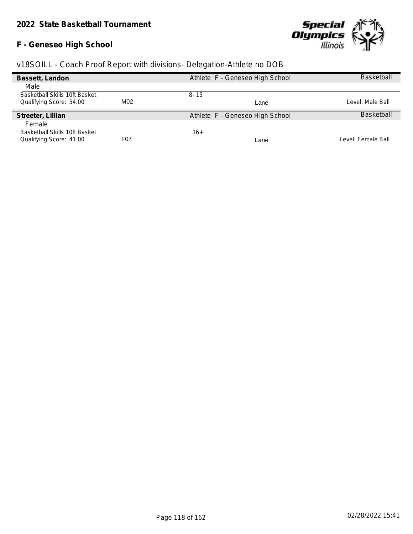### **F - Geneseo High School**



| Bassett, Landon               |                  | Athlete F - Geneseo High School | <b>Basketball</b>  |
|-------------------------------|------------------|---------------------------------|--------------------|
| Male                          |                  |                                 |                    |
| Basketball Skills 10ft Basket |                  | $8 - 15$                        |                    |
| Qualifying Score: 54.00       | M02              | Lane                            | Level: Male Ball   |
| Streeter, Lillian             |                  | Athlete F - Geneseo High School | <b>Basketball</b>  |
| Female                        |                  |                                 |                    |
| Basketball Skills 10ft Basket |                  | $16+$                           |                    |
| Qualifying Score: 41.00       | F <sub>0</sub> 7 | Lane                            | Level: Female Ball |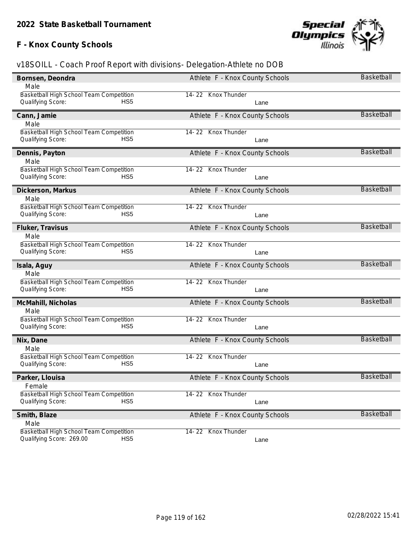# **F - Knox County Schools**



| Bornsen, Deondra                                                                       | Athlete F - Knox County Schools | <b>Basketball</b> |
|----------------------------------------------------------------------------------------|---------------------------------|-------------------|
| Male                                                                                   |                                 |                   |
| Basketball High School Team Competition                                                | 14-22 Knox Thunder              |                   |
| Qualifying Score:<br>HS5                                                               | Lane                            |                   |
| Cann, Jamie                                                                            | Athlete F - Knox County Schools | <b>Basketball</b> |
| Male                                                                                   |                                 |                   |
| Basketball High School Team Competition                                                | 14-22 Knox Thunder              |                   |
| HS <sub>5</sub><br>Qualifying Score:                                                   | Lane                            |                   |
| Dennis, Payton                                                                         | Athlete F - Knox County Schools | <b>Basketball</b> |
| Male                                                                                   |                                 |                   |
| Basketball High School Team Competition                                                | 14-22 Knox Thunder              |                   |
| Qualifying Score:<br>HS5                                                               | Lane                            |                   |
| Dickerson, Markus                                                                      | Athlete F - Knox County Schools | <b>Basketball</b> |
| Male                                                                                   |                                 |                   |
| Basketball High School Team Competition                                                | 14-22 Knox Thunder              |                   |
| Qualifying Score:<br>HS5                                                               | Lane                            |                   |
| Fluker, Travisus                                                                       | Athlete F - Knox County Schools | <b>Basketball</b> |
| Male                                                                                   |                                 |                   |
| Basketball High School Team Competition                                                | 14-22 Knox Thunder              |                   |
| Qualifying Score:<br>HS5                                                               | Lane                            |                   |
| Isala, Aguy                                                                            | Athlete F - Knox County Schools | <b>Basketball</b> |
| Male                                                                                   |                                 |                   |
| Basketball High School Team Competition                                                | 14-22 Knox Thunder              |                   |
|                                                                                        |                                 |                   |
| Qualifying Score:<br>HS <sub>5</sub>                                                   | Lane                            |                   |
| McMahill, Nicholas                                                                     | Athlete F - Knox County Schools | <b>Basketball</b> |
| Male                                                                                   |                                 |                   |
| Basketball High School Team Competition                                                | 14-22 Knox Thunder              |                   |
| Qualifying Score:<br>HS <sub>5</sub>                                                   | Lane                            |                   |
| Nix, Dane                                                                              | Athlete F - Knox County Schools | <b>Basketball</b> |
| Male                                                                                   |                                 |                   |
| Basketball High School Team Competition                                                | 14-22 Knox Thunder              |                   |
| Qualifying Score:<br>HS5                                                               | Lane                            |                   |
| Parker, Llouisa                                                                        | Athlete F - Knox County Schools | <b>Basketball</b> |
| Female                                                                                 |                                 |                   |
| Basketball High School Team Competition                                                | 14-22 Knox Thunder              |                   |
| Qualifying Score:<br>HS <sub>5</sub>                                                   | Lane                            |                   |
| Smith, Blaze                                                                           | Athlete F - Knox County Schools | <b>Basketball</b> |
| Male                                                                                   |                                 |                   |
| Basketball High School Team Competition<br>Qualifying Score: 269.00<br>HS <sub>5</sub> | 14-22 Knox Thunder<br>Lane      |                   |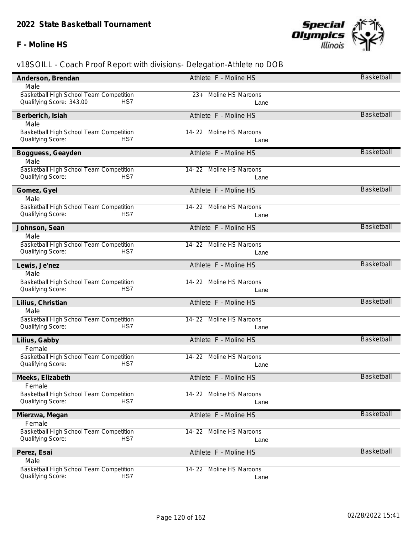### **F - Moline HS**



| Anderson, Brendan                       | Athlete F - Moline HS      | Basketball        |
|-----------------------------------------|----------------------------|-------------------|
| Male                                    |                            |                   |
| Basketball High School Team Competition | 23+ Moline HS Maroons      |                   |
| Qualifying Score: 343.00<br>HS7         | Lane                       |                   |
| Berberich, Isiah                        | Athlete F - Moline HS      | <b>Basketball</b> |
| Male                                    |                            |                   |
| Basketball High School Team Competition | 14-22 Moline HS Maroons    |                   |
| HS7<br>Qualifying Score:                | Lane                       |                   |
| Bogguess, Geayden                       | Athlete F - Moline HS      | Basketball        |
| Male                                    |                            |                   |
| Basketball High School Team Competition | 14-22 Moline HS Maroons    |                   |
| Qualifying Score:<br>HS7                | Lane                       |                   |
| Gomez, Gyel                             | Athlete F - Moline HS      | Basketball        |
| Male                                    |                            |                   |
| Basketball High School Team Competition | 14-22 Moline HS Maroons    |                   |
| HS7<br>Qualifying Score:                | Lane                       |                   |
| Johnson, Sean                           | Athlete F - Moline HS      | <b>Basketball</b> |
| Male                                    |                            |                   |
| Basketball High School Team Competition | 14-22 Moline HS Maroons    |                   |
| Qualifying Score:<br>HS7                | Lane                       |                   |
| Lewis, Je'nez                           | Athlete F - Moline HS      | Basketball        |
| Male                                    |                            |                   |
| Basketball High School Team Competition | 14-22 Moline HS Maroons    |                   |
| Qualifying Score:<br>HS7                | Lane                       |                   |
| Lilius, Christian                       | Athlete F - Moline HS      | <b>Basketball</b> |
| Male                                    |                            |                   |
| Basketball High School Team Competition | 14-22 Moline HS Maroons    |                   |
| Qualifying Score:<br>HS7                | Lane                       |                   |
| Lilius, Gabby                           | Athlete F - Moline HS      | <b>Basketball</b> |
| Female                                  |                            |                   |
| Basketball High School Team Competition | 14-22 Moline HS Maroons    |                   |
| HS7<br>Qualifying Score:                | Lane                       |                   |
| Meeks, Elizabeth                        | Athlete F - Moline HS      | Basketball        |
| Female                                  |                            |                   |
| Basketball High School Team Competition | 14-22 Moline HS Maroons    |                   |
| Qualifying Score:<br>HS7                | Lane                       |                   |
| Mierzwa, Megan                          | Athlete F - Moline HS      | Basketball        |
| Female                                  |                            |                   |
| Basketball High School Team Competition | Moline HS Maroons<br>14-22 |                   |
| HS7<br>Qualifying Score:                | Lane                       |                   |
| Perez, Esai                             | Athlete F - Moline HS      | Basketball        |
| Male                                    |                            |                   |
| Basketball High School Team Competition | 14-22 Moline HS Maroons    |                   |
| HS7<br>Qualifying Score:                | Lane                       |                   |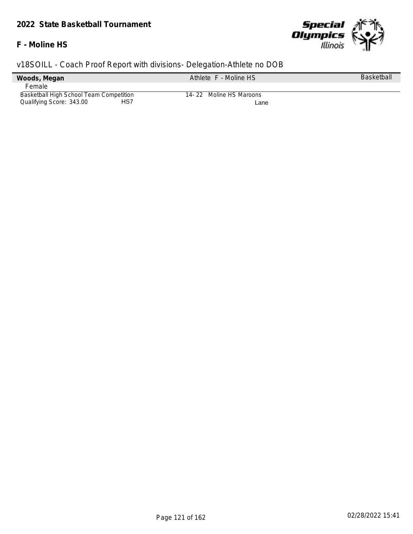#### **F - Moline HS**



| v18SOILL - Coach Proof Report with divisions- Delegation-Athlete no DOB |                       |                   |  |  |  |  |
|-------------------------------------------------------------------------|-----------------------|-------------------|--|--|--|--|
| Woods, Megan                                                            | Athlete F - Moline HS | <b>Basketball</b> |  |  |  |  |
| Female                                                                  |                       |                   |  |  |  |  |
| Basketball High School Team Competition<br>14-22 Moline HS Maroons      |                       |                   |  |  |  |  |
| Qualifying Score: 343.00<br>HS7<br>Lane                                 |                       |                   |  |  |  |  |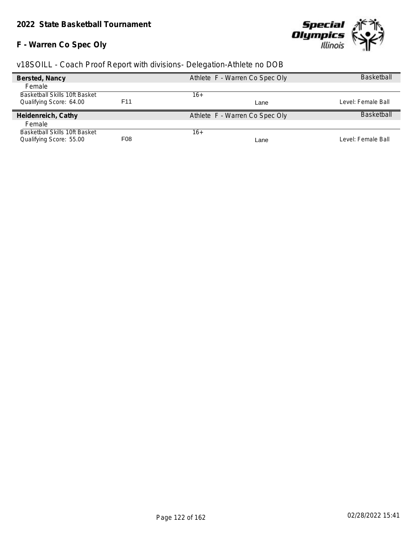# **F - Warren Co Spec Oly**



| Bersted, Nancy                       |                  | Athlete F - Warren Co Spec Oly | <b>Basketball</b>  |
|--------------------------------------|------------------|--------------------------------|--------------------|
| Female                               |                  |                                |                    |
| <b>Basketball Skills 10ft Basket</b> |                  | $16+$                          |                    |
| Qualifying Score: 64.00              | F <sub>11</sub>  | Lane                           | Level: Female Ball |
| Heidenreich, Cathy                   |                  | Athlete F - Warren Co Spec Oly | <b>Basketball</b>  |
| Female                               |                  |                                |                    |
| Basketball Skills 10ft Basket        |                  | 16+                            |                    |
| Qualifying Score: 55.00              | F <sub>0</sub> 8 | Lane                           | Level: Female Ball |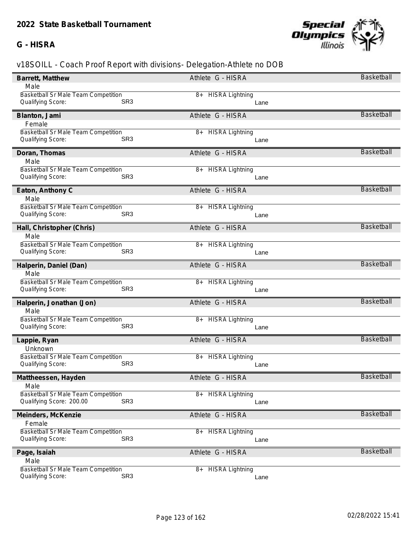### **G - HISRA**



| Barrett, Matthew                            | Athlete G - HISRA            | <b>Basketball</b> |
|---------------------------------------------|------------------------------|-------------------|
| Male                                        |                              |                   |
| <b>Basketball Sr Male Team Competition</b>  | 8+ HISRA Lightning           |                   |
| Qualifying Score:<br>SR <sub>3</sub>        | Lane                         |                   |
| Blanton, Jami                               | Athlete G - HISRA            | <b>Basketball</b> |
| Female                                      |                              |                   |
| <b>Basketball Sr Male Team Competition</b>  | <b>HISRA Lightning</b><br>8+ |                   |
| Qualifying Score:<br>SR <sub>3</sub>        | Lane                         |                   |
| Doran, Thomas                               | Athlete G - HISRA            | <b>Basketball</b> |
| Male                                        |                              |                   |
| Basketball Sr Male Team Competition         | <b>HISRA Lightning</b><br>8+ |                   |
| SR <sub>3</sub><br>Qualifying Score:        | Lane                         |                   |
| Eaton, Anthony C                            | Athlete G - HISRA            | <b>Basketball</b> |
| Male                                        |                              |                   |
| Basketball Sr Male Team Competition         | 8+ HISRA Lightning           |                   |
| SR <sub>3</sub><br>Qualifying Score:        | Lane                         |                   |
| Hall, Christopher (Chris)                   | Athlete G - HISRA            | <b>Basketball</b> |
| Male                                        |                              |                   |
| Basketball Sr Male Team Competition         | 8+ HISRA Lightning           |                   |
| Qualifying Score:<br>SR <sub>3</sub>        | Lane                         |                   |
| Halperin, Daniel (Dan)                      | Athlete G - HISRA            | <b>Basketball</b> |
| Male                                        |                              |                   |
| Basketball Sr Male Team Competition         | 8+ HISRA Lightning           |                   |
| Qualifying Score:<br>SR <sub>3</sub>        | Lane                         |                   |
| Halperin, Jonathan (Jon)                    | Athlete G - HISRA            | <b>Basketball</b> |
| Male                                        |                              |                   |
| Basketball Sr Male Team Competition         | <b>HISRA Lightning</b><br>8+ |                   |
| SR <sub>3</sub><br>Qualifying Score:        | Lane                         |                   |
| Lappie, Ryan                                | Athlete G - HISRA            | <b>Basketball</b> |
| Unknown                                     |                              |                   |
| Basketball Sr Male Team Competition         | <b>HISRA Lightning</b><br>8+ |                   |
| SR <sub>3</sub><br>Qualifying Score:        | Lane                         |                   |
| Mattheessen, Hayden                         | Athlete G - HISRA            | Basketball        |
| Male                                        |                              |                   |
| <b>Basketball Sr Male Team Competition</b>  | <b>HISRA Lightning</b><br>8+ |                   |
| SR <sub>3</sub><br>Qualifying Score: 200.00 | Lane                         |                   |
| Meinders, McKenzie                          | Athlete G - HISRA            | <b>Basketball</b> |
| Female                                      |                              |                   |
| Basketball Sr Male Team Competition         | <b>HISRA Lightning</b><br>8+ |                   |
| SR <sub>3</sub><br>Qualifying Score:        | Lane                         |                   |
| Page, Isaiah                                | Athlete G - HISRA            | <b>Basketball</b> |
| Male                                        |                              |                   |
| Basketball Sr Male Team Competition         | <b>HISRA Lightning</b><br>8+ |                   |
| SR <sub>3</sub><br>Qualifying Score:        | Lane                         |                   |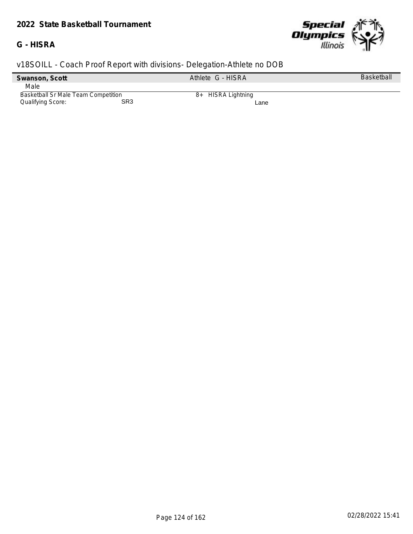#### **G - HISRA**



| Swanson, Scott                      |     | Athlete G - HISRA  | <b>Basketball</b> |
|-------------------------------------|-----|--------------------|-------------------|
| Male                                |     |                    |                   |
| Basketball Sr Male Team Competition |     | 8+ HISRA Lightning |                   |
| Qualifying Score:                   | SR3 | Lane               |                   |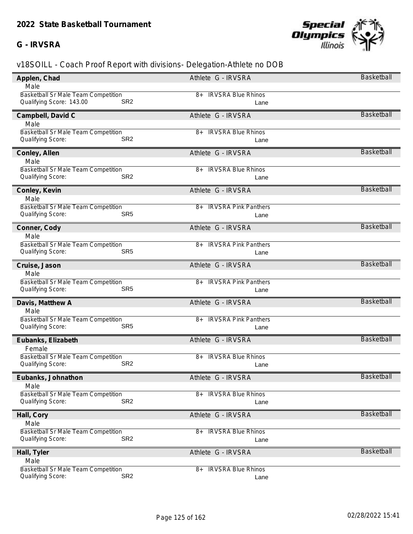#### **G - IRVSRA**



| Applen, Chad                                | Athlete G - IRVSRA                | Basketball        |
|---------------------------------------------|-----------------------------------|-------------------|
| Male                                        |                                   |                   |
| Basketball Sr Male Team Competition         | 8+ IRVSRA Blue Rhinos             |                   |
| SR <sub>2</sub><br>Qualifying Score: 143.00 | Lane                              |                   |
| Campbell, David C                           | Athlete G - IRVSRA                | <b>Basketball</b> |
| Male                                        |                                   |                   |
| Basketball Sr Male Team Competition         | <b>IRVSRA Blue Rhinos</b><br>8+   |                   |
| SR <sub>2</sub><br>Qualifying Score:        | Lane                              |                   |
| Conley, Allen                               | Athlete G - IRVSRA                | <b>Basketball</b> |
| Male                                        |                                   |                   |
| Basketball Sr Male Team Competition         | <b>IRVSRA Blue Rhinos</b><br>8+   |                   |
| SR <sub>2</sub><br>Qualifying Score:        | Lane                              |                   |
| Conley, Kevin                               | Athlete G - IRVSRA                | Basketball        |
| Male                                        |                                   |                   |
| Basketball Sr Male Team Competition         | <b>IRVSRA Pink Panthers</b><br>8+ |                   |
| SR <sub>5</sub><br>Qualifying Score:        | Lane                              |                   |
| Conner, Cody                                | Athlete G - IRVSRA                | <b>Basketball</b> |
| Male                                        |                                   |                   |
| Basketball Sr Male Team Competition         | <b>IRVSRA Pink Panthers</b><br>8+ |                   |
| Qualifying Score:<br>SR <sub>5</sub>        | Lane                              |                   |
| Cruise, Jason                               | Athlete G - IRVSRA                | <b>Basketball</b> |
| Male                                        |                                   |                   |
| <b>Basketball Sr Male Team Competition</b>  | <b>IRVSRA Pink Panthers</b><br>8+ |                   |
| Qualifying Score:<br>SR <sub>5</sub>        | Lane                              |                   |
| Davis, Matthew A                            | Athlete G - IRVSRA                | <b>Basketball</b> |
| Male                                        |                                   |                   |
| Basketball Sr Male Team Competition         | <b>IRVSRA Pink Panthers</b><br>8+ |                   |
| Qualifying Score:<br>SR <sub>5</sub>        | Lane                              |                   |
| Eubanks, Elizabeth                          | Athlete G - IRVSRA                | <b>Basketball</b> |
| Female                                      |                                   |                   |
| Basketball Sr Male Team Competition         | <b>IRVSRA Blue Rhinos</b><br>8+   |                   |
| SR <sub>2</sub><br>Qualifying Score:        | Lane                              |                   |
| Eubanks, Johnathon                          | Athlete G - IRVSRA                | <b>Basketball</b> |
| Male                                        |                                   |                   |
| <b>Basketball Sr Male Team Competition</b>  | 8+ IRVSRA Blue Rhinos             |                   |
| SR <sub>2</sub><br>Qualifying Score:        | Lane                              |                   |
| Hall, Cory                                  | Athlete G - IRVSRA                | Basketball        |
| Male                                        |                                   |                   |
| Basketball Sr Male Team Competition         | <b>IRVSRA Blue Rhinos</b><br>8+   |                   |
| SR <sub>2</sub><br>Qualifying Score:        | Lane                              |                   |
| Hall, Tyler                                 | Athlete G - IRVSRA                | <b>Basketball</b> |
| Male                                        |                                   |                   |
| <b>Basketball Sr Male Team Competition</b>  | <b>IRVSRA Blue Rhinos</b><br>8+   |                   |
| SR <sub>2</sub><br>Qualifying Score:        | Lane                              |                   |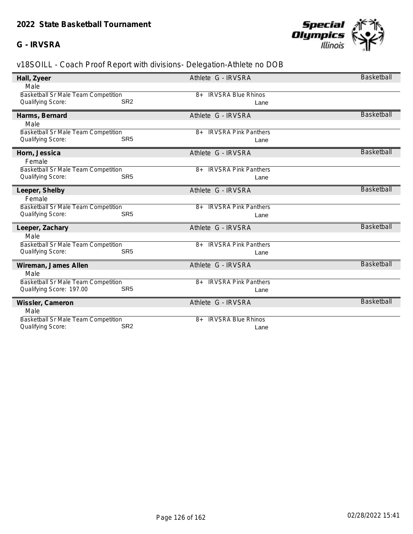### **G - IRVSRA**



| Hall, Zyeer                                 | Athlete G - IRVSRA                   | <b>Basketball</b> |
|---------------------------------------------|--------------------------------------|-------------------|
| Male                                        |                                      |                   |
| <b>Basketball Sr Male Team Competition</b>  | <b>IRVSRA Blue Rhinos</b><br>$8+$    |                   |
| SR <sub>2</sub><br>Qualifying Score:        | Lane                                 |                   |
| Harms, Bernard                              | Athlete G - IRVSRA                   | <b>Basketball</b> |
| Male                                        |                                      |                   |
| Basketball Sr Male Team Competition         | <b>IRVSRA Pink Panthers</b><br>$8+$  |                   |
| SR <sub>5</sub><br>Qualifying Score:        | Lane                                 |                   |
| Horn, Jessica                               | Athlete G - IRVSRA                   | <b>Basketball</b> |
| Female                                      |                                      |                   |
| Basketball Sr Male Team Competition         | <b>IRVSRA Pink Panthers</b><br>$8+$  |                   |
| SR <sub>5</sub><br><b>Qualifying Score:</b> | Lane                                 |                   |
| Leeper, Shelby                              | Athlete G - IRVSRA                   | <b>Basketball</b> |
| Female                                      |                                      |                   |
| Basketball Sr Male Team Competition         | <b>IRVSRA Pink Panthers</b><br>$8+$  |                   |
| SR <sub>5</sub><br>Qualifying Score:        | Lane                                 |                   |
| Leeper, Zachary                             | Athlete G - IRVSRA                   | <b>Basketball</b> |
| Male                                        |                                      |                   |
| Basketball Sr Male Team Competition         | <b>IRVSRA Pink Panthers</b><br>8+    |                   |
| Qualifying Score:<br>SR <sub>5</sub>        | Lane                                 |                   |
| Wireman, James Allen                        | Athlete G - IRVSRA                   | <b>Basketball</b> |
| Male                                        |                                      |                   |
| Basketball Sr Male Team Competition         | <b>IRVSRA Pink Panthers</b><br>8+    |                   |
| Qualifying Score: 197.00<br>SR <sub>5</sub> | Lane                                 |                   |
| Wissler, Cameron                            | Athlete G - IRVSRA                   | <b>Basketball</b> |
| Male                                        |                                      |                   |
| Basketball Sr Male Team Competition         | <b>IRVSRA Blue Rhinos</b><br>$R_{+}$ |                   |
| SR <sub>2</sub><br>Qualifying Score:        | Lane                                 |                   |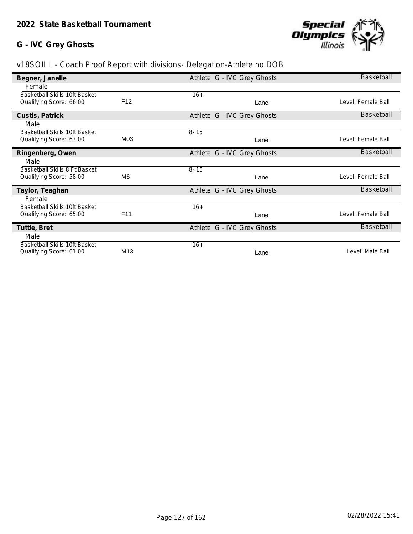### **G - IVC Grey Ghosts**



| Begner, Janelle                      |                 | Athlete G - IVC Grey Ghosts | <b>Basketball</b>  |
|--------------------------------------|-----------------|-----------------------------|--------------------|
| Female                               |                 |                             |                    |
| <b>Basketball Skills 10ft Basket</b> |                 | $16+$                       |                    |
| Qualifying Score: 66.00              | F <sub>12</sub> | Lane                        | Level: Female Ball |
| Custis, Patrick                      |                 | Athlete G - IVC Grey Ghosts | <b>Basketball</b>  |
| Male                                 |                 |                             |                    |
| Basketball Skills 10ft Basket        |                 | $8 - 15$                    |                    |
| Qualifying Score: 63.00              | M03             | Lane                        | Level: Female Ball |
| Ringenberg, Owen                     |                 | Athlete G - IVC Grey Ghosts | <b>Basketball</b>  |
| Male                                 |                 |                             |                    |
| Basketball Skills 8 Ft Basket        |                 | $8 - 15$                    |                    |
| Qualifying Score: 58.00              | M6              | Lane                        | Level: Female Ball |
| Taylor, Teaghan                      |                 | Athlete G - IVC Grey Ghosts | Basketball         |
| Female                               |                 |                             |                    |
| <b>Basketball Skills 10ft Basket</b> |                 | $16+$                       |                    |
| Qualifying Score: 65.00              | F11             | Lane                        | Level: Female Ball |
| Tuttle, Bret                         |                 | Athlete G - IVC Grey Ghosts | Basketball         |
| Male                                 |                 |                             |                    |
| Basketball Skills 10ft Basket        |                 | $16+$                       |                    |
| Qualifying Score: 61.00              | M <sub>13</sub> | Lane                        | Level: Male Ball   |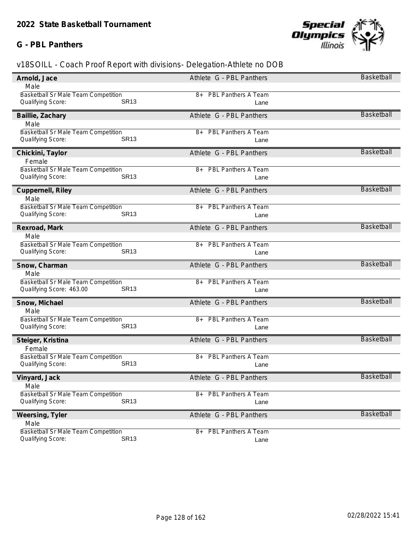#### **G - PBL Panthers**



| Arnold, Jace                               | Athlete G - PBL Panthers           | Basketball        |
|--------------------------------------------|------------------------------------|-------------------|
| Male                                       |                                    |                   |
| Basketball Sr Male Team Competition        | 8+ PBL Panthers A Team             |                   |
| <b>SR13</b><br>Qualifying Score:           | Lane                               |                   |
| Baillie, Zachary                           | Athlete G - PBL Panthers           | <b>Basketball</b> |
| Male                                       |                                    |                   |
| Basketball Sr Male Team Competition        | <b>PBL Panthers A Team</b><br>$8+$ |                   |
| <b>SR13</b><br>Qualifying Score:           | Lane                               |                   |
| Chickini, Taylor                           | Athlete G - PBL Panthers           | <b>Basketball</b> |
| Female                                     |                                    |                   |
| Basketball Sr Male Team Competition        | <b>PBL Panthers A Team</b><br>8+   |                   |
| <b>SR13</b><br>Qualifying Score:           | Lane                               |                   |
| Cuppernell, Riley                          | Athlete G - PBL Panthers           | <b>Basketball</b> |
| Male                                       |                                    |                   |
| Basketball Sr Male Team Competition        | PBL Panthers A Team<br>8+          |                   |
| <b>SR13</b><br>Qualifying Score:           | Lane                               |                   |
| Rexroad, Mark                              | Athlete G - PBL Panthers           | <b>Basketball</b> |
| Male                                       |                                    |                   |
| Basketball Sr Male Team Competition        | <b>PBL Panthers A Team</b><br>8+   |                   |
| Qualifying Score:<br><b>SR13</b>           | Lane                               |                   |
| Snow, Charman                              | Athlete G - PBL Panthers           | <b>Basketball</b> |
| Male                                       |                                    |                   |
| Basketball Sr Male Team Competition        | <b>PBL Panthers A Team</b><br>8+   |                   |
| Qualifying Score: 463.00<br><b>SR13</b>    | Lane                               |                   |
| Snow, Michael                              | Athlete G - PBL Panthers           | <b>Basketball</b> |
| Male                                       |                                    |                   |
| Basketball Sr Male Team Competition        | PBL Panthers A Team<br>8+          |                   |
| <b>SR13</b><br>Qualifying Score:           | Lane                               |                   |
| Steiger, Kristina                          | Athlete G - PBL Panthers           | <b>Basketball</b> |
| Female                                     |                                    |                   |
| Basketball Sr Male Team Competition        | <b>PBL Panthers A Team</b><br>8+   |                   |
| <b>SR13</b><br>Qualifying Score:           | Lane                               |                   |
| Vinyard, Jack                              | Athlete G - PBL Panthers           | <b>Basketball</b> |
| Male                                       |                                    |                   |
| <b>Basketball Sr Male Team Competition</b> | <b>PBL Panthers A Team</b><br>8+   |                   |
| <b>SR13</b><br>Qualifying Score:           | Lane                               |                   |
| Weersing, Tyler                            | Athlete G - PBL Panthers           | <b>Basketball</b> |
| Male                                       |                                    |                   |
| <b>Basketball Sr Male Team Competition</b> | <b>PBL Panthers A Team</b><br>8+   |                   |
| <b>SR13</b><br>Qualifying Score:           | Lane                               |                   |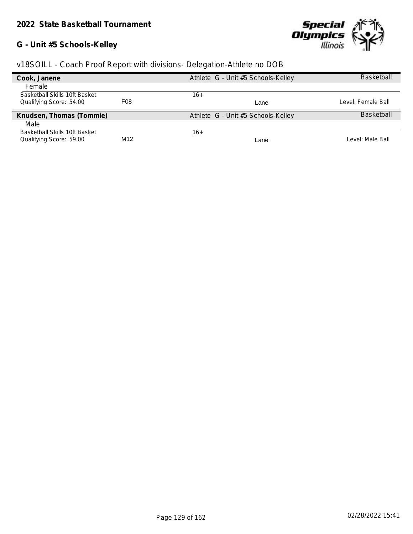# **G - Unit #5 Schools-Kelley**



| v18SOILL - Coach Proof Report with divisions- Delegation-Athlete no DOB |  |  |  |  |
|-------------------------------------------------------------------------|--|--|--|--|
|                                                                         |  |  |  |  |

| Cook, Janene                  |                  | Athlete G - Unit #5 Schools-Kelley | <b>Basketball</b>  |
|-------------------------------|------------------|------------------------------------|--------------------|
| Female                        |                  |                                    |                    |
| Basketball Skills 10ft Basket |                  | 16+                                |                    |
| Qualifying Score: 54.00       | F <sub>0</sub> 8 | Lane                               | Level: Female Ball |
| Knudsen, Thomas (Tommie)      |                  | Athlete G - Unit #5 Schools-Kelley | <b>Basketball</b>  |
| Male                          |                  |                                    |                    |
| Basketball Skills 10ft Basket |                  | 16+                                |                    |
| Qualifying Score: 59.00       | M12              | Lane                               | Level: Male Ball   |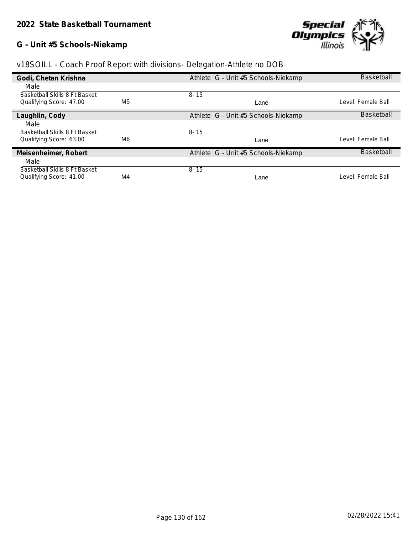# **G - Unit #5 Schools-Niekamp**



| v18SOILL - Coach Proof Report with divisions- Delegation-Athlete no DOB |  |  |  |  |
|-------------------------------------------------------------------------|--|--|--|--|
|                                                                         |  |  |  |  |
|                                                                         |  |  |  |  |
|                                                                         |  |  |  |  |

| Godi, Chetan Krishna          |                | Athlete G - Unit #5 Schools-Niekamp | <b>Basketball</b>  |
|-------------------------------|----------------|-------------------------------------|--------------------|
| Male                          |                |                                     |                    |
| Basketball Skills 8 Ft Basket |                | $8 - 15$                            |                    |
| Qualifying Score: 47.00       | M <sub>5</sub> | Lane                                | Level: Female Ball |
| Laughlin, Cody                |                | Athlete G - Unit #5 Schools-Niekamp | <b>Basketball</b>  |
| Male                          |                |                                     |                    |
| Basketball Skills 8 Ft Basket |                | $8 - 15$                            |                    |
| Qualifying Score: 63.00       | M6             | Lane                                | Level: Female Ball |
| Meisenheimer, Robert          |                | Athlete G - Unit #5 Schools-Niekamp | <b>Basketball</b>  |
| Male                          |                |                                     |                    |
| Basketball Skills 8 Ft Basket |                | $8 - 15$                            |                    |
| Qualifying Score: 41.00       | M4             | Lane                                | Level: Female Ball |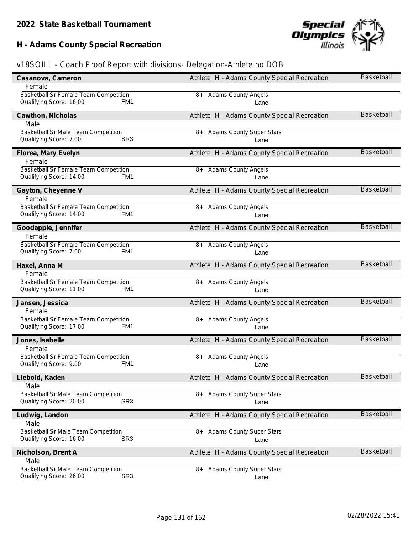# **H - Adams County Special Recreation**



| Casanova, Cameron                                                                        | Athlete H - Adams County Special Recreation   | Basketball        |
|------------------------------------------------------------------------------------------|-----------------------------------------------|-------------------|
| Female                                                                                   |                                               |                   |
| Basketball Sr Female Team Competition<br>Qualifying Score: 16.00<br>FM1                  | 8+ Adams County Angels<br>Lane                |                   |
| Cawthon, Nicholas                                                                        | Athlete H - Adams County Special Recreation   | Basketball        |
| Male                                                                                     |                                               |                   |
| Basketball Sr Male Team Competition<br>SR <sub>3</sub><br>Qualifying Score: 7.00         | <b>Adams County Super Stars</b><br>8+<br>Lane |                   |
| Florea, Mary Evelyn<br>Female                                                            | Athlete H - Adams County Special Recreation   | Basketball        |
| Basketball Sr Female Team Competition<br>Qualifying Score: 14.00<br>FM1                  | 8+ Adams County Angels<br>Lane                |                   |
| Gayton, Cheyenne V<br>Female                                                             | Athlete H - Adams County Special Recreation   | <b>Basketball</b> |
| Basketball Sr Female Team Competition                                                    | <b>Adams County Angels</b><br>8+              |                   |
| Qualifying Score: 14.00<br>FM1                                                           | Lane                                          |                   |
| Goodapple, Jennifer                                                                      | Athlete H - Adams County Special Recreation   | <b>Basketball</b> |
| Female                                                                                   |                                               |                   |
| Basketball Sr Female Team Competition<br>Qualifying Score: 7.00<br>FM <sub>1</sub>       | 8+ Adams County Angels<br>Lane                |                   |
| Haxel, Anna M<br>Female                                                                  | Athlete H - Adams County Special Recreation   | <b>Basketball</b> |
| Basketball Sr Female Team Competition                                                    | <b>Adams County Angels</b><br>$8+$            |                   |
| Qualifying Score: 11.00<br>FM1                                                           | Lane                                          |                   |
| Jansen, Jessica<br>Female                                                                | Athlete H - Adams County Special Recreation   | Basketball        |
| Basketball Sr Female Team Competition                                                    | 8+ Adams County Angels                        |                   |
| Qualifying Score: 17.00<br>FM <sub>1</sub>                                               | Lane                                          |                   |
| Jones, Isabelle                                                                          | Athlete H - Adams County Special Recreation   | Basketball        |
| Female                                                                                   |                                               |                   |
| Basketball Sr Female Team Competition<br>Qualifying Score: 9.00<br>FM1                   | <b>Adams County Angels</b><br>$8+$<br>Lane    |                   |
| Liebold, Kaden<br>Male                                                                   | Athlete H - Adams County Special Recreation   | <b>Basketball</b> |
| <b>Basketball Sr Male Team Competition</b><br>SR <sub>3</sub><br>Qualifying Score: 20.00 | 8+ Adams County Super Stars<br>Lane           |                   |
| Ludwig, Landon                                                                           | Athlete H - Adams County Special Recreation   | Basketball        |
| Male                                                                                     |                                               |                   |
| Basketball Sr Male Team Competition                                                      | 8+ Adams County Super Stars                   |                   |
| SR <sub>3</sub><br>Qualifying Score: 16.00                                               | Lane                                          |                   |
| Nicholson, Brent A                                                                       | Athlete H - Adams County Special Recreation   | <b>Basketball</b> |
| Male<br>Basketball Sr Male Team Competition                                              | 8+ Adams County Super Stars                   |                   |
| SR <sub>3</sub><br>Qualifying Score: 26.00                                               | Lane                                          |                   |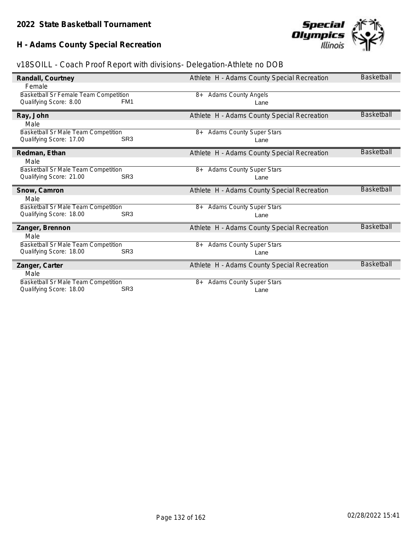# **H - Adams County Special Recreation**



|  | v18SOILL - Coach Proof Report with divisions- Delegation-Athlete no DOB |  |
|--|-------------------------------------------------------------------------|--|
|  |                                                                         |  |
|  |                                                                         |  |
|  |                                                                         |  |

| Randall, Courtney                                              |                 | Athlete H - Adams County Special Recreation | <b>Basketball</b> |
|----------------------------------------------------------------|-----------------|---------------------------------------------|-------------------|
| Female                                                         |                 |                                             |                   |
| Basketball Sr Female Team Competition                          |                 | <b>Adams County Angels</b><br>8+            |                   |
| Qualifying Score: 8.00                                         | FM <sub>1</sub> | Lane                                        |                   |
| Ray, John                                                      |                 | Athlete H - Adams County Special Recreation | <b>Basketball</b> |
| Male                                                           |                 |                                             |                   |
| Basketball Sr Male Team Competition                            |                 | <b>Adams County Super Stars</b><br>8+       |                   |
| Qualifying Score: 17.00                                        | SR <sub>3</sub> | Lane                                        |                   |
| Redman, Ethan                                                  |                 | Athlete H - Adams County Special Recreation | <b>Basketball</b> |
| Male                                                           |                 |                                             |                   |
| Basketball Sr Male Team Competition                            |                 | <b>Adams County Super Stars</b><br>8+       |                   |
| Qualifying Score: 21.00                                        | SR <sub>3</sub> | Lane                                        |                   |
|                                                                |                 |                                             |                   |
| Snow, Camron                                                   |                 | Athlete H - Adams County Special Recreation | <b>Basketball</b> |
| Male                                                           |                 |                                             |                   |
| <b>Basketball Sr Male Team Competition</b>                     |                 | <b>Adams County Super Stars</b><br>8+       |                   |
| Qualifying Score: 18.00                                        | SR <sub>3</sub> | Lane                                        |                   |
| Zanger, Brennon                                                |                 | Athlete H - Adams County Special Recreation | <b>Basketball</b> |
| Male                                                           |                 |                                             |                   |
| Basketball Sr Male Team Competition                            |                 | <b>Adams County Super Stars</b><br>8+       |                   |
| Qualifying Score: 18.00                                        | SR <sub>3</sub> | Lane                                        |                   |
| Zanger, Carter                                                 |                 | Athlete H - Adams County Special Recreation | <b>Basketball</b> |
| Male                                                           |                 |                                             |                   |
| Basketball Sr Male Team Competition<br>Qualifying Score: 18.00 | SR <sub>3</sub> | <b>Adams County Super Stars</b><br>8+       |                   |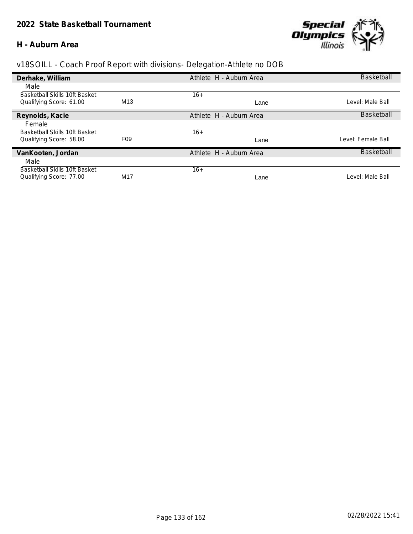#### **H - Auburn Area**



| Derhake, William                     |                 | Athlete H - Auburn Area | <b>Basketball</b>  |
|--------------------------------------|-----------------|-------------------------|--------------------|
| Male                                 |                 |                         |                    |
| Basketball Skills 10ft Basket        |                 | $16+$                   |                    |
| Qualifying Score: 61.00              | M <sub>13</sub> | Lane                    | Level: Male Ball   |
| Reynolds, Kacie                      |                 | Athlete H - Auburn Area | <b>Basketball</b>  |
| Female                               |                 |                         |                    |
| <b>Basketball Skills 10ft Basket</b> |                 | $16+$                   |                    |
| Qualifying Score: 58.00              | F <sub>09</sub> | Lane                    | Level: Female Ball |
| VanKooten, Jordan                    |                 | Athlete H - Auburn Area | <b>Basketball</b>  |
| Male                                 |                 |                         |                    |
| Basketball Skills 10ft Basket        |                 | $16+$                   |                    |
| Qualifying Score: 77.00              | M <sub>17</sub> | Lane                    | Level: Male Ball   |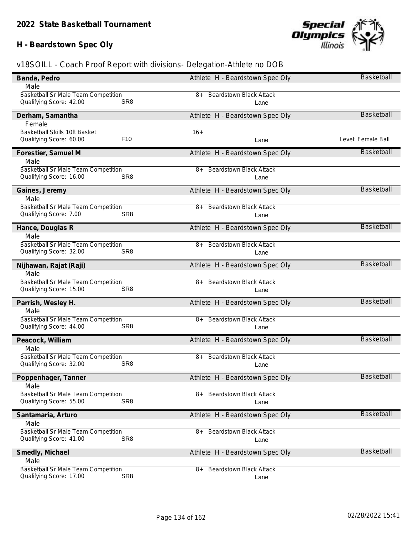# **H - Beardstown Spec Oly**



| Banda, Pedro                               |                 | Athlete H - Beardstown Spec Oly      | Basketball         |
|--------------------------------------------|-----------------|--------------------------------------|--------------------|
| Male                                       |                 |                                      |                    |
| Basketball Sr Male Team Competition        |                 | 8+ Beardstown Black Attack           |                    |
| Qualifying Score: 42.00                    | SR <sub>8</sub> | Lane                                 |                    |
| Derham, Samantha                           |                 | Athlete H - Beardstown Spec Oly      | <b>Basketball</b>  |
| Female                                     |                 |                                      |                    |
| Basketball Skills 10ft Basket              |                 | $16+$                                |                    |
| Qualifying Score: 60.00                    | F <sub>10</sub> | Lane                                 | Level: Female Ball |
| Forestier, Samuel M                        |                 | Athlete H - Beardstown Spec Oly      | Basketball         |
| Male                                       |                 |                                      |                    |
| Basketball Sr Male Team Competition        |                 | <b>Beardstown Black Attack</b><br>8+ |                    |
| Qualifying Score: 16.00                    | SR <sub>8</sub> | Lane                                 |                    |
| Gaines, Jeremy                             |                 | Athlete H - Beardstown Spec Oly      | Basketball         |
| Male                                       |                 |                                      |                    |
| Basketball Sr Male Team Competition        |                 | <b>Beardstown Black Attack</b><br>8+ |                    |
| Qualifying Score: 7.00                     | SR <sub>8</sub> | Lane                                 |                    |
| Hance, Douglas R                           |                 | Athlete H - Beardstown Spec Oly      | <b>Basketball</b>  |
| Male                                       |                 |                                      |                    |
| Basketball Sr Male Team Competition        |                 | <b>Beardstown Black Attack</b><br>8+ |                    |
| Qualifying Score: 32.00                    | SR <sub>8</sub> | Lane                                 |                    |
| Nijhawan, Rajat (Raji)                     |                 | Athlete H - Beardstown Spec Oly      | Basketball         |
| Male                                       |                 |                                      |                    |
| Basketball Sr Male Team Competition        |                 | <b>Beardstown Black Attack</b><br>8+ |                    |
| Qualifying Score: 15.00                    | SR <sub>8</sub> | Lane                                 |                    |
| Parrish, Wesley H.                         |                 | Athlete H - Beardstown Spec Oly      | <b>Basketball</b>  |
| Male                                       |                 |                                      |                    |
| Basketball Sr Male Team Competition        |                 | <b>Beardstown Black Attack</b><br>8+ |                    |
| Qualifying Score: 44.00                    | SR <sub>8</sub> | Lane                                 |                    |
| Peacock, William                           |                 | Athlete H - Beardstown Spec Oly      | <b>Basketball</b>  |
| Male                                       |                 |                                      |                    |
| Basketball Sr Male Team Competition        |                 | <b>Beardstown Black Attack</b><br>8+ |                    |
| Qualifying Score: 32.00                    | SR <sub>8</sub> | Lane                                 |                    |
| Poppenhager, lanner                        |                 | Athlete H - Beardstown Spec Oly      | <b>Basketball</b>  |
| Male                                       |                 |                                      |                    |
| <b>Basketball Sr Male Team Competition</b> |                 | <b>Beardstown Black Attack</b><br>8+ |                    |
| Qualifying Score: 55.00                    | SR <sub>8</sub> | Lane                                 |                    |
| Santamaria, Arturo                         |                 | Athlete H - Beardstown Spec Oly      | Basketball         |
| Male                                       |                 |                                      |                    |
| <b>Basketball Sr Male Team Competition</b> |                 | <b>Beardstown Black Attack</b><br>8+ |                    |
| Qualifying Score: 41.00                    | SR <sub>8</sub> | Lane                                 |                    |
| Smedly, Michael                            |                 | Athlete H - Beardstown Spec Oly      | <b>Basketball</b>  |
| Male                                       |                 |                                      |                    |
| Basketball Sr Male Team Competition        |                 | <b>Beardstown Black Attack</b><br>8+ |                    |
| Qualifying Score: 17.00                    | SR <sub>8</sub> | Lane                                 |                    |
|                                            |                 |                                      |                    |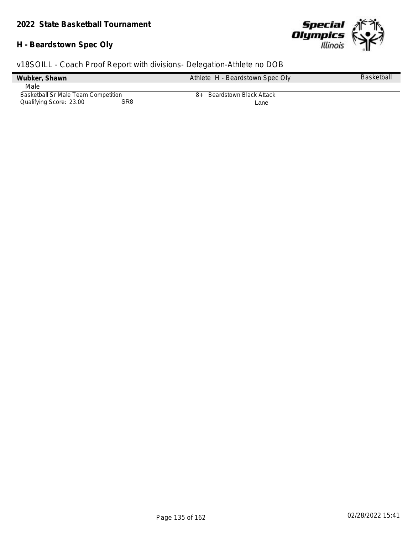### **H - Beardstown Spec Oly**



|                                     |                 | v18SOILL - Coach Proof Report with divisions- Delegation-Athlete no DOB |                   |
|-------------------------------------|-----------------|-------------------------------------------------------------------------|-------------------|
| Wubker, Shawn                       |                 | Athlete H - Beardstown Spec Oly                                         | <b>Basketball</b> |
| Male                                |                 |                                                                         |                   |
| Basketball Sr Male Team Competition |                 | Beardstown Black Attack<br>$8+$                                         |                   |
| Qualifying Score: 23.00             | SR <sub>8</sub> | Lane                                                                    |                   |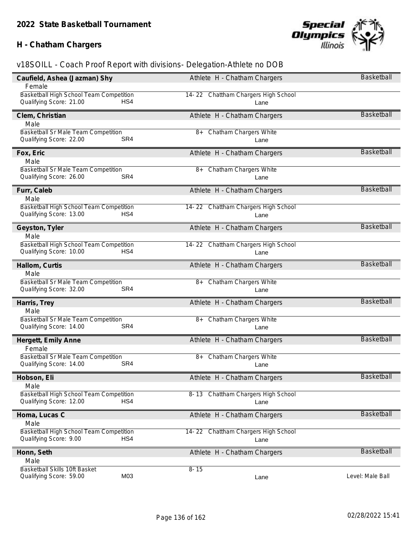# **H - Chatham Chargers**



| Caufield, Ashea (Jazman) Shy               | Athlete H - Chatham Chargers        | Basketball        |
|--------------------------------------------|-------------------------------------|-------------------|
| Female                                     |                                     |                   |
| Basketball High School Team Competition    | 14-22 Chattham Chargers High School |                   |
| Qualifying Score: 21.00<br>HS4             | Lane                                |                   |
| Clem, Christian                            | Athlete H - Chatham Chargers        | <b>Basketball</b> |
| Male                                       |                                     |                   |
| Basketball Sr Male Team Competition        | Chatham Chargers White<br>$8+$      |                   |
| Qualifying Score: 22.00<br>SR4             | Lane                                |                   |
| Fox, Eric                                  | Athlete H - Chatham Chargers        | <b>Basketball</b> |
| Male                                       |                                     |                   |
| Basketball Sr Male Team Competition        | <b>Chatham Chargers White</b><br>8+ |                   |
| Qualifying Score: 26.00<br>SR4             | Lane                                |                   |
| Furr, Caleb                                | Athlete H - Chatham Chargers        | Basketball        |
| Male                                       |                                     |                   |
| Basketball High School Team Competition    | 14-22 Chattham Chargers High School |                   |
| Qualifying Score: 13.00<br>HS4             | Lane                                |                   |
| Geyston, Tyler                             | Athlete H - Chatham Chargers        | <b>Basketball</b> |
| Male                                       |                                     |                   |
| Basketball High School Team Competition    | 14-22 Chattham Chargers High School |                   |
| Qualifying Score: 10.00<br>HS4             | Lane                                |                   |
| Hallom, Curtis                             | Athlete H - Chatham Chargers        | Basketball        |
| Male                                       |                                     |                   |
| Basketball Sr Male Team Competition        | <b>Chatham Chargers White</b><br>8+ |                   |
| Qualifying Score: 32.00<br>SR4             | Lane                                |                   |
| Harris, Trey                               | Athlete H - Chatham Chargers        | <b>Basketball</b> |
| Male                                       |                                     |                   |
| <b>Basketball Sr Male Team Competition</b> | 8+ Chatham Chargers White           |                   |
| SR4<br>Qualifying Score: 14.00             | Lane                                |                   |
| Hergett, Emily Anne                        | Athlete H - Chatham Chargers        | <b>Basketball</b> |
| Female                                     |                                     |                   |
| Basketball Sr Male Team Competition        | Chatham Chargers White<br>8+        |                   |
| Qualifying Score: 14.00<br>SR4             | Lane                                |                   |
| Hobson, Eli                                | Athlete H - Chatham Chargers        | <b>Basketball</b> |
| Male                                       |                                     |                   |
| Basketball High School Team Competition    | 8-13 Chattham Chargers High School  |                   |
| HS4<br>Qualifying Score: 12.00             | Lane                                |                   |
| Homa, Lucas C                              | Athlete H - Chatham Chargers        | Basketball        |
| Male                                       |                                     |                   |
| Basketball High School Team Competition    | 14-22 Chattham Chargers High School |                   |
| Qualifying Score: 9.00<br>HS4              | Lane                                |                   |
| Honn, Seth                                 | Athlete H - Chatham Chargers        | <b>Basketball</b> |
| Male                                       |                                     |                   |
| Basketball Skills 10ft Basket              | $8 - 15$                            |                   |
| M03<br>Qualifying Score: 59.00             | Lane                                | Level: Male Ball  |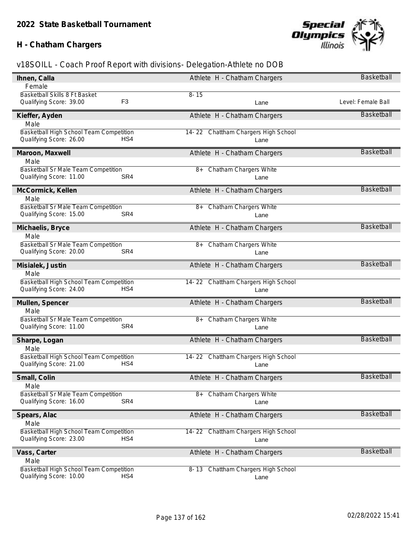# **H - Chatham Chargers**



| Ihnen, Calla                               |                | Athlete H - Chatham Chargers           | <b>Basketball</b>  |
|--------------------------------------------|----------------|----------------------------------------|--------------------|
| Female                                     |                |                                        |                    |
| Basketball Skills 8 Ft Basket              |                | $8 - 15$                               |                    |
| Qualifying Score: 39.00                    | F <sub>3</sub> | Lane                                   | Level: Female Ball |
| Kieffer, Ayden                             |                | Athlete H - Chatham Chargers           | <b>Basketball</b>  |
| Male                                       |                |                                        |                    |
| Basketball High School Team Competition    |                | 14-22 Chattham Chargers High School    |                    |
| Qualifying Score: 26.00                    | HS4            | Lane                                   |                    |
| Maroon, Maxwell                            |                | Athlete H - Chatham Chargers           | <b>Basketball</b>  |
| Male                                       |                |                                        |                    |
| Basketball Sr Male Team Competition        |                | <b>Chatham Chargers White</b><br>8+    |                    |
| Qualifying Score: 11.00                    | SR4            | Lane                                   |                    |
| McCormick, Kellen                          |                | Athlete H - Chatham Chargers           | <b>Basketball</b>  |
| Male                                       |                |                                        |                    |
| Basketball Sr Male Team Competition        |                | <b>Chatham Chargers White</b><br>$8+$  |                    |
| Qualifying Score: 15.00                    | SR4            | Lane                                   |                    |
| Michaelis, Bryce                           |                | Athlete H - Chatham Chargers           | <b>Basketball</b>  |
| Male                                       |                |                                        |                    |
| Basketball Sr Male Team Competition        |                | <b>Chatham Chargers White</b><br>8+    |                    |
| Qualifying Score: 20.00                    | SR4            | Lane                                   |                    |
| Misialek, Justin                           |                | Athlete H - Chatham Chargers           | <b>Basketball</b>  |
| Male                                       |                |                                        |                    |
| Basketball High School Team Competition    |                | 14-22 Chattham Chargers High School    |                    |
| Qualifying Score: 24.00                    | HS4            | Lane                                   |                    |
| Mullen, Spencer                            |                | Athlete H - Chatham Chargers           | <b>Basketball</b>  |
| Male                                       |                |                                        |                    |
| <b>Basketball Sr Male Team Competition</b> |                | Chatham Chargers White<br>8+           |                    |
| Qualifying Score: 11.00                    | SR4            | Lane                                   |                    |
| Sharpe, Logan                              |                | Athlete H - Chatham Chargers           | <b>Basketball</b>  |
| Male                                       |                |                                        |                    |
| Basketball High School Team Competition    |                | 14-22 Chattham Chargers High School    |                    |
| Qualifying Score: 21.00                    | HS4            | Lane                                   |                    |
| Small, Colin                               |                | Athlete H - Chatham Chargers           | <b>Basketball</b>  |
| Male                                       |                |                                        |                    |
| <b>Basketball Sr Male Team Competition</b> |                | <b>Chatham Chargers White</b><br>8+    |                    |
| Qualifying Score: 16.00                    | SR4            | Lane                                   |                    |
| Spears, Alac                               |                | Athlete H - Chatham Chargers           | <b>Basketball</b>  |
| Male                                       |                |                                        |                    |
| Basketball High School Team Competition    |                | 14-22 Chattham Chargers High School    |                    |
| Qualifying Score: 23.00                    | HS4            | Lane                                   |                    |
| Vass, Carter                               |                | Athlete H - Chatham Chargers           | Basketball         |
| Male                                       |                |                                        |                    |
| Basketball High School Team Competition    |                | Chattham Chargers High School<br>8- 13 |                    |
| Qualifying Score: 10.00                    | HS4            | Lane                                   |                    |
|                                            |                |                                        |                    |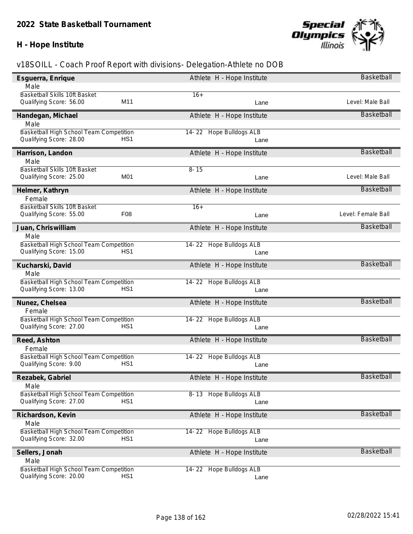### **H - Hope Institute**



| Esguerra, Enrique                          | Athlete H - Hope Institute        | Basketball         |
|--------------------------------------------|-----------------------------------|--------------------|
| Male                                       |                                   |                    |
| Basketball Skills 10ft Basket              | $16+$                             |                    |
| M11<br>Qualifying Score: 56.00             | Lane                              | Level: Male Ball   |
| Handegan, Michael                          | Athlete H - Hope Institute        | <b>Basketball</b>  |
| Male                                       |                                   |                    |
| Basketball High School Team Competition    | <b>Hope Bulldogs ALB</b><br>14-22 |                    |
| HS <sub>1</sub><br>Qualifying Score: 28.00 | Lane                              |                    |
| Harrison, Landon                           | Athlete H - Hope Institute        | <b>Basketball</b>  |
| Male                                       |                                   |                    |
| Basketball Skills 10ft Basket              | $8 - 15$                          |                    |
| M01<br>Qualifying Score: 25.00             | Lane                              | Level: Male Ball   |
| Helmer, Kathryn                            | Athlete H - Hope Institute        | <b>Basketball</b>  |
| Female                                     |                                   |                    |
| Basketball Skills 10ft Basket              | $16+$                             |                    |
| F <sub>08</sub><br>Qualifying Score: 55.00 | Lane                              | Level: Female Ball |
| Juan, Chriswilliam                         | Athlete H - Hope Institute        | Basketball         |
| Male                                       |                                   |                    |
| Basketball High School Team Competition    | 14-22 Hope Bulldogs ALB           |                    |
| Qualifying Score: 15.00<br>HS <sub>1</sub> | Lane                              |                    |
| Kucharski, David                           | Athlete H - Hope Institute        | <b>Basketball</b>  |
| Male                                       |                                   |                    |
| Basketball High School Team Competition    | 14-22 Hope Bulldogs ALB           |                    |
| Qualifying Score: 13.00<br>HS <sub>1</sub> | Lane                              |                    |
| Nunez, Chelsea                             | Athlete H - Hope Institute        | <b>Basketball</b>  |
| Female                                     |                                   |                    |
| Basketball High School Team Competition    | 14-22 Hope Bulldogs ALB           |                    |
| Qualifying Score: 27.00<br>HS <sub>1</sub> | Lane                              |                    |
| Reed, Ashton                               | Athlete H - Hope Institute        | <b>Basketball</b>  |
| Female                                     |                                   |                    |
| Basketball High School Team Competition    | 14-22 Hope Bulldogs ALB           |                    |
| Qualifying Score: 9.00<br>HS <sub>1</sub>  | Lane                              |                    |
| Rezabek, Gabriel                           | Athlete H - Hope Institute        | Basketball         |
| Male                                       |                                   |                    |
| Basketball High School Team Competition    | <b>Hope Bulldogs ALB</b><br>8-13  |                    |
| HS <sub>1</sub><br>Qualifying Score: 27.00 | Lane                              |                    |
| Richardson, Kevin                          | Athlete H - Hope Institute        | Basketball         |
| Male                                       |                                   |                    |
| Basketball High School Team Competition    | 14-22 Hope Bulldogs ALB           |                    |
| Qualifying Score: 32.00<br>HS <sub>1</sub> | Lane                              |                    |
| Sellers, Jonah                             | Athlete H - Hope Institute        | <b>Basketball</b>  |
| Male                                       |                                   |                    |
| Basketball High School Team Competition    | 14-22 Hope Bulldogs ALB           |                    |
| Qualifying Score: 20.00<br>HS <sub>1</sub> | Lane                              |                    |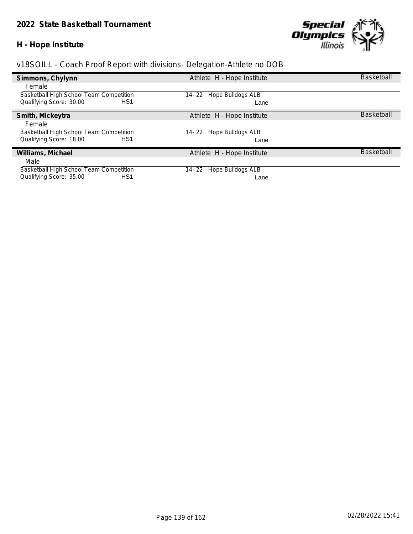### **H - Hope Institute**



| Simmons, Chylynn                               | Athlete H - Hope Institute        | <b>Basketball</b> |
|------------------------------------------------|-----------------------------------|-------------------|
| Female                                         |                                   |                   |
| Basketball High School Team Competition        | <b>Hope Bulldogs ALB</b><br>14-22 |                   |
| Qualifying Score: 30.00<br>HS <sub>1</sub>     | Lane                              |                   |
| Smith, Mickeytra                               | Athlete H - Hope Institute        | <b>Basketball</b> |
| Female                                         |                                   |                   |
| <b>Basketball High School Team Competition</b> | Hope Bulldogs ALB<br>14-22        |                   |
| Qualifying Score: 18.00<br>HS1                 | Lane                              |                   |
| Williams, Michael                              | Athlete H - Hope Institute        | <b>Basketball</b> |
| Male                                           |                                   |                   |
| Basketball High School Team Competition        | Hope Bulldogs ALB<br>14- 22       |                   |
| Qualifying Score: 35.00<br>HS1                 | Lane                              |                   |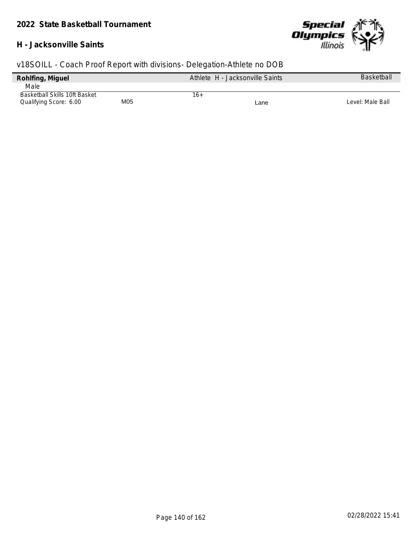#### **H - Jacksonville Saints**



| Rohlfing, Miguel              |     | Athlete H - Jacksonville Saints | <b>Basketball</b> |
|-------------------------------|-----|---------------------------------|-------------------|
| Male                          |     |                                 |                   |
| Basketball Skills 10ft Basket |     | 16+                             |                   |
| Qualifying Score: 6.00        | M05 | Lane                            | Level: Male Ball  |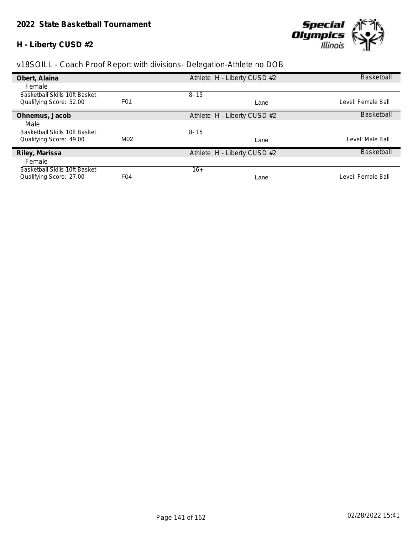### **H - Liberty CUSD #2**



| Obert, Alaina                        |                  | Athlete H - Liberty CUSD #2 | <b>Basketball</b>  |
|--------------------------------------|------------------|-----------------------------|--------------------|
| Female                               |                  |                             |                    |
| Basketball Skills 10ft Basket        |                  | $8 - 15$                    |                    |
| Qualifying Score: 52.00              | F <sub>0</sub> 1 | Lane                        | Level: Female Ball |
| Ohnemus, Jacob                       |                  | Athlete H - Liberty CUSD #2 | <b>Basketball</b>  |
| Male                                 |                  |                             |                    |
| <b>Basketball Skills 10ft Basket</b> |                  | $8 - 15$                    |                    |
| Qualifying Score: 49.00              | M02              | Lane                        | Level: Male Ball   |
| Riley, Marissa                       |                  | Athlete H - Liberty CUSD #2 | <b>Basketball</b>  |
| Female                               |                  |                             |                    |
| Basketball Skills 10ft Basket        |                  | $16+$                       |                    |
| Qualifying Score: 27.00              | F <sub>04</sub>  | Lane                        | Level: Female Ball |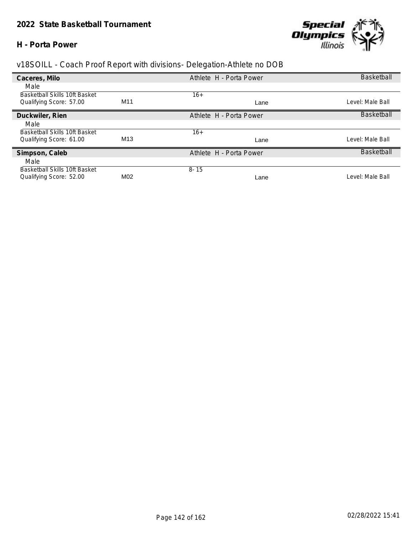#### **H - Porta Power**



| Caceres, Milo                        |                 | Athlete H - Porta Power | <b>Basketball</b> |
|--------------------------------------|-----------------|-------------------------|-------------------|
| Male                                 |                 |                         |                   |
| <b>Basketball Skills 10ft Basket</b> |                 | $16+$                   |                   |
| Qualifying Score: 57.00              | M <sub>11</sub> | Lane                    | Level: Male Ball  |
| Duckwiler, Rien                      |                 | Athlete H - Porta Power | Basketball        |
| Male                                 |                 |                         |                   |
| <b>Basketball Skills 10ft Basket</b> |                 | $16+$                   |                   |
| Qualifying Score: 61.00              | M <sub>13</sub> | Lane                    | Level: Male Ball  |
| Simpson, Caleb                       |                 | Athlete H - Porta Power | <b>Basketball</b> |
| Male                                 |                 |                         |                   |
| Basketball Skills 10ft Basket        |                 | $8 - 15$                |                   |
| Qualifying Score: 52.00              | M <sub>02</sub> | Lane                    | Level: Male Ball  |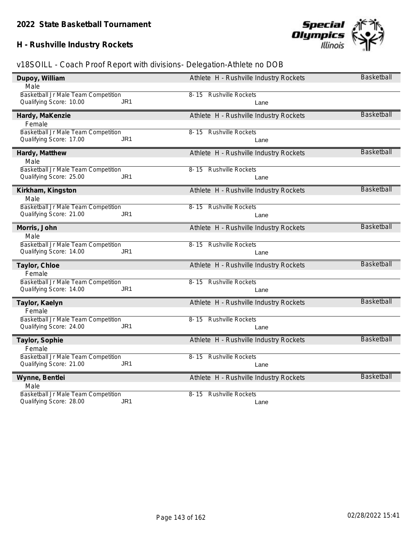# **H - Rushville Industry Rockets**



| Dupoy, William<br>Male                                                            | Athlete H - Rushville Industry Rockets       | <b>Basketball</b> |
|-----------------------------------------------------------------------------------|----------------------------------------------|-------------------|
| Basketball Jr Male Team Competition                                               | 8-15 Rushville Rockets                       |                   |
| Qualifying Score: 10.00<br>JR <sub>1</sub>                                        | Lane                                         |                   |
| Hardy, MaKenzie                                                                   | Athlete H - Rushville Industry Rockets       | <b>Basketball</b> |
| Female                                                                            |                                              |                   |
| Basketball Jr Male Team Competition<br>Qualifying Score: 17.00<br>JR <sub>1</sub> | <b>Rushville Rockets</b><br>$8 - 15$<br>Lane |                   |
| Hardy, Matthew                                                                    | Athlete H - Rushville Industry Rockets       | <b>Basketball</b> |
| Male                                                                              |                                              |                   |
| Basketball Jr Male Team Competition<br>Qualifying Score: 25.00<br>JR1             | 8-15 Rushville Rockets                       |                   |
|                                                                                   | Lane                                         |                   |
| Kirkham, Kingston                                                                 | Athlete H - Rushville Industry Rockets       | <b>Basketball</b> |
| Male<br>Basketball Jr Male Team Competition                                       | 8-15 Rushville Rockets                       |                   |
| Qualifying Score: 21.00<br>JR <sub>1</sub>                                        | Lane                                         |                   |
|                                                                                   |                                              | <b>Basketball</b> |
| Morris, John<br>Male                                                              | Athlete H - Rushville Industry Rockets       |                   |
| Basketball Jr Male Team Competition                                               | 8-15 Rushville Rockets                       |                   |
| Qualifying Score: 14.00<br>JR <sub>1</sub>                                        | Lane                                         |                   |
| Taylor, Chloe                                                                     | Athlete H - Rushville Industry Rockets       | <b>Basketball</b> |
| Female                                                                            |                                              |                   |
| Basketball Jr Male Team Competition                                               | 8-15 Rushville Rockets                       |                   |
| Qualifying Score: 14.00<br>JR <sub>1</sub>                                        | Lane                                         |                   |
| Taylor, Kaelyn                                                                    | Athlete H - Rushville Industry Rockets       | <b>Basketball</b> |
| Female                                                                            |                                              |                   |
| Basketball Jr Male Team Competition<br>Qualifying Score: 24.00<br>JR <sub>1</sub> | <b>Rushville Rockets</b><br>8-15<br>Lane     |                   |
|                                                                                   |                                              |                   |
| Taylor, Sophie<br>Female                                                          | Athlete H - Rushville Industry Rockets       | <b>Basketball</b> |
| Basketball Jr Male Team Competition                                               | <b>Rushville Rockets</b><br>$8 - 15$         |                   |
| Qualifying Score: 21.00<br>JR1                                                    | Lane                                         |                   |
| Wynne, Bentlei                                                                    | Athlete H - Rushville Industry Rockets       | <b>Basketball</b> |
| Male                                                                              |                                              |                   |
| Basketball Jr Male Team Competition                                               | 8-15 Rushville Rockets                       |                   |
| JR <sub>1</sub><br>Qualifying Score: 28.00                                        | Lane                                         |                   |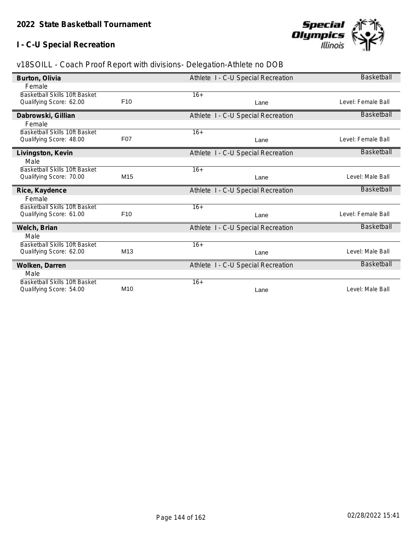### **I - C-U Special Recreation**



| Burton, Olivia                                                  |                 | Athlete I - C-U Special Recreation | <b>Basketball</b>  |
|-----------------------------------------------------------------|-----------------|------------------------------------|--------------------|
| Female                                                          |                 |                                    |                    |
| <b>Basketball Skills 10ft Basket</b>                            |                 | $16+$                              |                    |
| Qualifying Score: 62.00                                         | F <sub>10</sub> | Lane                               | Level: Female Ball |
| Dabrowski, Gillian                                              |                 | Athlete I - C-U Special Recreation | <b>Basketball</b>  |
| Female                                                          |                 |                                    |                    |
| Basketball Skills 10ft Basket                                   |                 | $16+$                              |                    |
| Qualifying Score: 48.00                                         | <b>F07</b>      | Lane                               | Level: Female Ball |
| Livingston, Kevin                                               |                 | Athlete I - C-U Special Recreation | <b>Basketball</b>  |
| Male                                                            |                 |                                    |                    |
| <b>Basketball Skills 10ft Basket</b>                            |                 | $16+$                              |                    |
| Qualifying Score: 70.00                                         | M15             | Lane                               | Level: Male Ball   |
| Rice, Kaydence                                                  |                 | Athlete I - C-U Special Recreation | <b>Basketball</b>  |
| Female                                                          |                 |                                    |                    |
| <b>Basketball Skills 10ft Basket</b>                            |                 | $16+$                              |                    |
| Qualifying Score: 61.00                                         | F <sub>10</sub> | Lane                               | Level: Female Ball |
| Welch, Brian                                                    |                 | Athlete I - C-U Special Recreation | Basketball         |
| Male                                                            |                 |                                    |                    |
| Basketball Skills 10ft Basket                                   |                 | $16+$                              |                    |
| Qualifying Score: 62.00                                         | M13             | Lane                               | Level: Male Ball   |
| Wolken, Darren                                                  |                 | Athlete I - C-U Special Recreation | <b>Basketball</b>  |
|                                                                 |                 |                                    |                    |
| Male                                                            |                 |                                    |                    |
| <b>Basketball Skills 10ft Basket</b><br>Qualifying Score: 54.00 | M <sub>10</sub> | $16+$                              | Level: Male Ball   |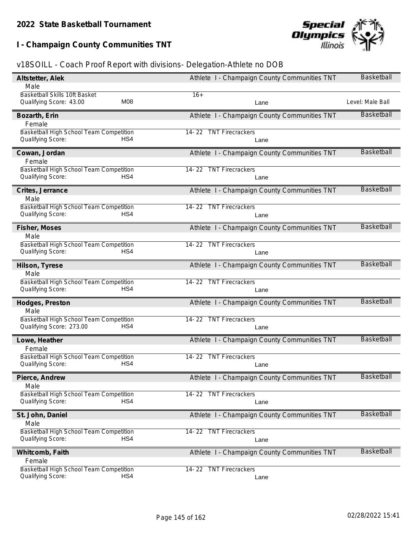**I - Champaign County Communities TNT**



| Altstetter, Alek                                                           | Athlete I - Champaign County Communities TNT | <b>Basketball</b> |
|----------------------------------------------------------------------------|----------------------------------------------|-------------------|
| Male                                                                       |                                              |                   |
| Basketball Skills 10ft Basket<br>M08<br>Qualifying Score: 43.00            | $16+$<br>Lane                                | Level: Male Ball  |
|                                                                            |                                              | <b>Basketball</b> |
| Bozarth, Erin<br>Female                                                    | Athlete I - Champaign County Communities TNT |                   |
| Basketball High School Team Competition<br>Qualifying Score:<br>HS4        | 14-22 TNT Firecrackers<br>Lane               |                   |
| Cowan, Jordan<br>Female                                                    | Athlete I - Champaign County Communities TNT | <b>Basketball</b> |
| Basketball High School Team Competition<br>Qualifying Score:<br>HS4        | 14-22 TNT Firecrackers<br>Lane               |                   |
| Crites, Jerrance<br>Male                                                   | Athlete I - Champaign County Communities TNT | <b>Basketball</b> |
| Basketball High School Team Competition                                    | 14-22 TNT Firecrackers                       |                   |
| Qualifying Score:<br>HS4                                                   | Lane                                         |                   |
| Fisher, Moses<br>Male                                                      | Athlete I - Champaign County Communities TNT | <b>Basketball</b> |
| Basketball High School Team Competition<br>Qualifying Score:<br>HS4        | <b>TNT Firecrackers</b><br>14-22<br>Lane     |                   |
| Hilson, Tyrese                                                             | Athlete I - Champaign County Communities TNT | <b>Basketball</b> |
| Male                                                                       |                                              |                   |
| Basketball High School Team Competition<br>Qualifying Score:<br>HS4        | <b>TNT Firecrackers</b><br>14-22<br>Lane     |                   |
| Hodges, Preston                                                            | Athlete I - Champaign County Communities TNT | <b>Basketball</b> |
| Male                                                                       |                                              |                   |
| Basketball High School Team Competition<br>Qualifying Score: 273.00<br>HS4 | 14-22 TNT Firecrackers<br>Lane               |                   |
| Lowe, Heather<br>Female                                                    | Athlete I - Champaign County Communities TNT | <b>Basketball</b> |
| Basketball High School Team Competition<br>Qualifying Score:<br>HS4        | 14-22 TNT Firecrackers<br>Lane               |                   |
| Pierce, Andrew                                                             | Athlete I - Champaign County Communities TNT | <b>Basketball</b> |
| Male<br>Basketball High School Team Competition                            | 14-22 TNT Firecrackers                       |                   |
| HS4<br>Qualifying Score:                                                   | Lane                                         |                   |
| St. John, Daniel                                                           | Athlete I - Champaign County Communities TNT | <b>Basketball</b> |
| Male                                                                       |                                              |                   |
| Basketball High School Team Competition<br>HS4<br>Qualifying Score:        | 14-22 TNT Firecrackers<br>Lane               |                   |
| Whitcomb, Faith                                                            | Athlete I - Champaign County Communities TNT | <b>Basketball</b> |
| Female                                                                     |                                              |                   |
| Basketball High School Team Competition<br>Qualifying Score:<br>HS4        | 14-22 TNT Firecrackers<br>Lane               |                   |
|                                                                            |                                              |                   |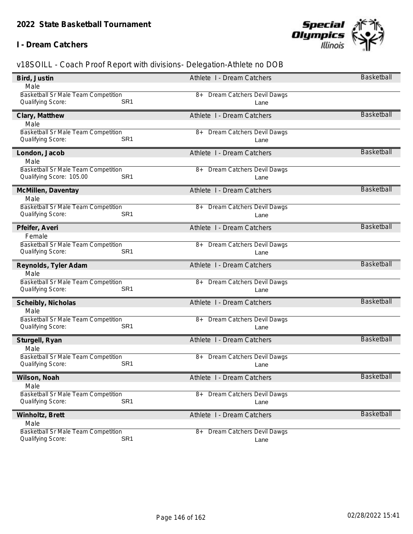### **I - Dream Catchers**



| Bird, Justin                                                                | Athlete I - Dream Catchers              | Basketball        |
|-----------------------------------------------------------------------------|-----------------------------------------|-------------------|
| Male                                                                        |                                         |                   |
| Basketball Sr Male Team Competition                                         | <b>Dream Catchers Devil Dawgs</b><br>8+ |                   |
| Qualifying Score:<br>SR <sub>1</sub>                                        | Lane                                    |                   |
| Clary, Matthew                                                              | Athlete I - Dream Catchers              | <b>Basketball</b> |
| Male                                                                        |                                         |                   |
| Basketball Sr Male Team Competition                                         | Dream Catchers Devil Dawgs<br>8+        |                   |
| SR <sub>1</sub><br>Qualifying Score:                                        | Lane                                    |                   |
| London, Jacob                                                               | Athlete I - Dream Catchers              | <b>Basketball</b> |
| Male                                                                        |                                         |                   |
| Basketball Sr Male Team Competition                                         | <b>Dream Catchers Devil Dawgs</b><br>8+ |                   |
| Qualifying Score: 105.00<br>SR <sub>1</sub>                                 | Lane                                    |                   |
| McMillen, Daventay                                                          | Athlete I - Dream Catchers              | <b>Basketball</b> |
| Male                                                                        |                                         |                   |
| Basketball Sr Male Team Competition                                         | 8+ Dream Catchers Devil Dawgs           |                   |
| Qualifying Score:<br>SR <sub>1</sub>                                        | Lane                                    |                   |
| Pfeifer, Averi                                                              | Athlete I - Dream Catchers              | <b>Basketball</b> |
| Female                                                                      |                                         |                   |
| <b>Basketball Sr Male Team Competition</b>                                  | Dream Catchers Devil Dawgs<br>8+        |                   |
| Qualifying Score:<br>SR <sub>1</sub>                                        | Lane                                    |                   |
|                                                                             |                                         |                   |
|                                                                             |                                         | <b>Basketball</b> |
| Reynolds, Tyler Adam<br>Male                                                | Athlete I - Dream Catchers              |                   |
| Basketball Sr Male Team Competition                                         | Dream Catchers Devil Dawgs<br>8+        |                   |
| Qualifying Score:<br>SR <sub>1</sub>                                        | Lane                                    |                   |
|                                                                             | Athlete I - Dream Catchers              | <b>Basketball</b> |
| Scheibly, Nicholas<br>Male                                                  |                                         |                   |
| Basketball Sr Male Team Competition                                         | 8+ Dream Catchers Devil Dawgs           |                   |
| SR <sub>1</sub><br>Qualifying Score:                                        | Lane                                    |                   |
|                                                                             | Athlete I - Dream Catchers              | <b>Basketball</b> |
| Sturgell, Ryan<br>Male                                                      |                                         |                   |
| <b>Basketball Sr Male Team Competition</b>                                  | Dream Catchers Devil Dawgs<br>8+        |                   |
| SR <sub>1</sub><br>Qualifying Score:                                        | Lane                                    |                   |
|                                                                             |                                         | Basketball        |
| Wilson, Noah<br>Male                                                        | Athlete I - Dream Catchers              |                   |
| Basketball Sr Male Team Competition                                         | Dream Catchers Devil Dawgs<br>8+        |                   |
| SR <sub>1</sub><br>Qualifying Score:                                        | Lane                                    |                   |
|                                                                             | Athlete I - Dream Catchers              | Basketball        |
| Winholtz, Brett<br>Male                                                     |                                         |                   |
| Basketball Sr Male Team Competition<br>SR <sub>1</sub><br>Qualifying Score: | <b>Dream Catchers Devil Dawgs</b><br>8+ |                   |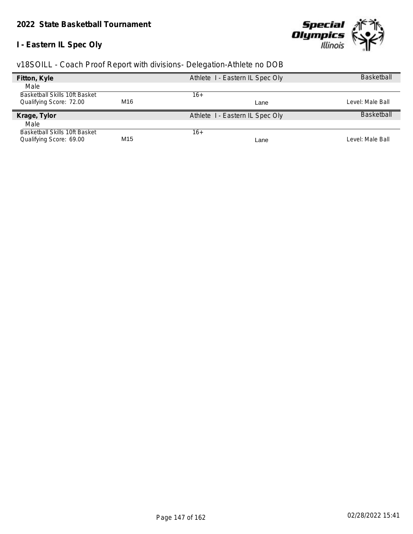# **I - Eastern IL Spec Oly**



| Fitton, Kyle                         |                 | Athlete I - Eastern IL Spec Oly | Basketball        |
|--------------------------------------|-----------------|---------------------------------|-------------------|
| Male                                 |                 |                                 |                   |
| <b>Basketball Skills 10ft Basket</b> |                 | 16+                             |                   |
| Qualifying Score: 72.00              | M16             | Lane                            | Level: Male Ball  |
| Krage, Tylor                         |                 | Athlete I - Eastern IL Spec Oly | <b>Basketball</b> |
| Male                                 |                 |                                 |                   |
| <b>Basketball Skills 10ft Basket</b> |                 | $16+$                           |                   |
| Qualifying Score: 69.00              | M <sub>15</sub> | Lane                            | Level: Male Ball  |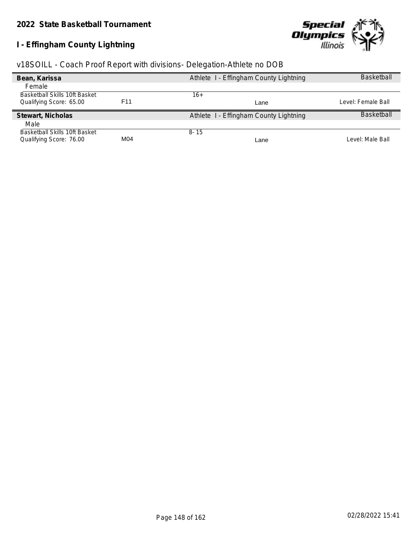# **I - Effingham County Lightning**



| v18SOILL - Coach Proof Report with divisions- Delegation-Athlete no DOB |  |  |  |  |
|-------------------------------------------------------------------------|--|--|--|--|
|                                                                         |  |  |  |  |

| Bean, Karissa                 |                 | Athlete I - Effingham County Lightning | <b>Basketball</b>  |
|-------------------------------|-----------------|----------------------------------------|--------------------|
| Female                        |                 |                                        |                    |
| Basketball Skills 10ft Basket |                 | 16+                                    |                    |
| Qualifying Score: 65.00       | F <sub>11</sub> | Lane                                   | Level: Female Ball |
| Stewart, Nicholas             |                 | Athlete I - Effingham County Lightning | <b>Basketball</b>  |
| Male                          |                 |                                        |                    |
| Basketball Skills 10ft Basket |                 | $8 - 15$                               |                    |
| Qualifying Score: 76.00       | M04             | Lane                                   | Level: Male Ball   |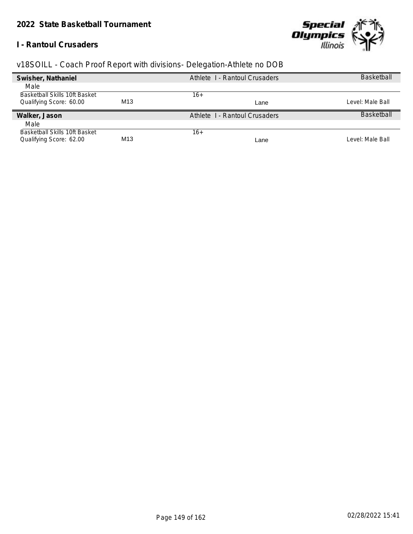### **I - Rantoul Crusaders**



| Swisher, Nathaniel            |     | Athlete 1 - Rantoul Crusaders | <b>Basketball</b> |
|-------------------------------|-----|-------------------------------|-------------------|
| Male                          |     |                               |                   |
| Basketball Skills 10ft Basket |     | 16+                           |                   |
| Qualifying Score: 60.00       | M13 | Lane                          | Level: Male Ball  |
| Walker, Jason                 |     | Athlete 1 - Rantoul Crusaders | <b>Basketball</b> |
| Male                          |     |                               |                   |
| Basketball Skills 10ft Basket |     | 16+                           |                   |
| Qualifying Score: 62.00       | M13 | Lane                          | Level: Male Ball  |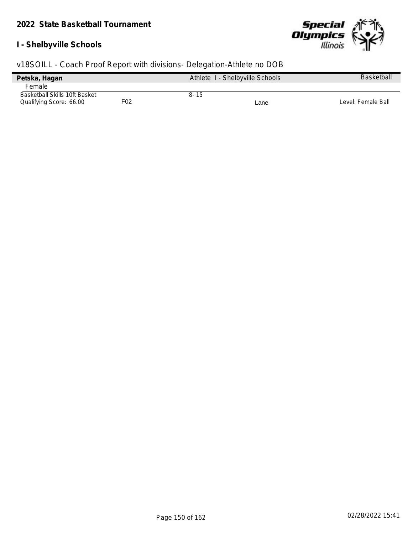## **I - Shelbyville Schools**



| Petska, Hagan                 |     |      | Athlete I - Shelbyville Schools | <b>Basketball</b>  |
|-------------------------------|-----|------|---------------------------------|--------------------|
| <b>Female</b>                 |     |      |                                 |                    |
| Basketball Skills 10ft Basket |     | 8-15 |                                 |                    |
| Qualifying Score: 66.00       | F02 |      | Lane                            | Level: Female Ball |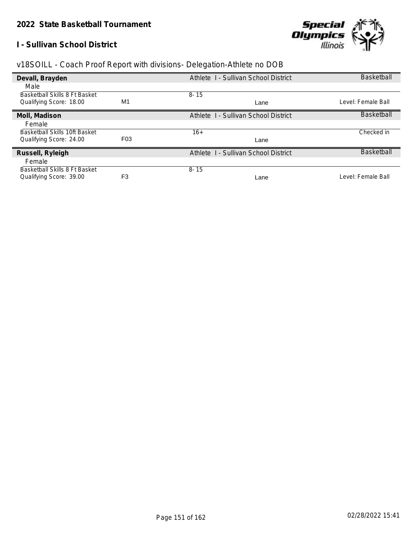### **I - Sullivan School District**



| Devall, Brayden                      |                  | Athlete I - Sullivan School District | <b>Basketball</b>  |
|--------------------------------------|------------------|--------------------------------------|--------------------|
| Male                                 |                  |                                      |                    |
| <b>Basketball Skills 8 Ft Basket</b> |                  | $8 - 15$                             |                    |
| Qualifying Score: 18.00              | M1               | Lane                                 | Level: Female Ball |
| Moll, Madison                        |                  | Athlete I - Sullivan School District | Basketball         |
| Female                               |                  |                                      |                    |
| Basketball Skills 10ft Basket        |                  | $16+$                                | Checked in         |
| Qualifying Score: 24.00              | F <sub>0</sub> 3 | Lane                                 |                    |
| Russell, Ryleigh                     |                  | Athlete I - Sullivan School District | <b>Basketball</b>  |
| Female                               |                  |                                      |                    |
| Basketball Skills 8 Ft Basket        |                  | $8 - 15$                             |                    |
| Qualifying Score: 39.00              | F <sub>3</sub>   | Lane                                 | Level: Female Ball |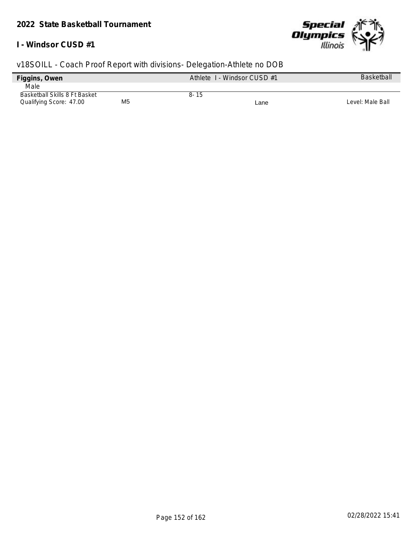### **I - Windsor CUSD #1**



| Figgins, Owen                 |                | Athlete 1 - Windsor CUSD #1 |      | <b>Basketball</b> |
|-------------------------------|----------------|-----------------------------|------|-------------------|
| Male                          |                |                             |      |                   |
| Basketball Skills 8 Ft Basket |                | $8 - 15$                    |      |                   |
| Qualifying Score: 47.00       | M <sub>5</sub> |                             | Lane | Level: Male Ball  |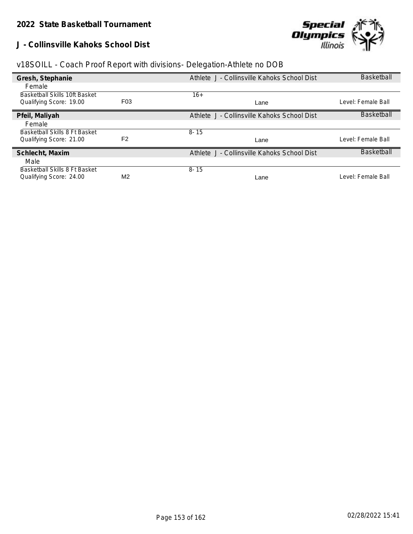**J - Collinsville Kahoks School Dist**



|  | v18SOILL - Coach Proof Report with divisions- Delegation-Athlete no DOB |
|--|-------------------------------------------------------------------------|
|  |                                                                         |

| Gresh, Stephanie              |                  | Athlete J - Collinsville Kahoks School Dist | <b>Basketball</b>  |
|-------------------------------|------------------|---------------------------------------------|--------------------|
| Female                        |                  |                                             |                    |
| Basketball Skills 10ft Basket |                  | $16+$                                       |                    |
| Qualifying Score: 19.00       | F <sub>0</sub> 3 | Lane                                        | Level: Female Ball |
| Pfeil, Maliyah                |                  | Athlete J - Collinsville Kahoks School Dist | Basketball         |
| Female                        |                  |                                             |                    |
| Basketball Skills 8 Ft Basket |                  | $8 - 15$                                    |                    |
| Qualifying Score: 21.00       | F <sub>2</sub>   | Lane                                        | Level: Female Ball |
| Schlecht, Maxim               |                  | Athlete J - Collinsville Kahoks School Dist | <b>Basketball</b>  |
| Male                          |                  |                                             |                    |
| Basketball Skills 8 Ft Basket |                  | $8 - 15$                                    |                    |
| Qualifying Score: 24.00       | M <sub>2</sub>   | Lane                                        | Level: Female Ball |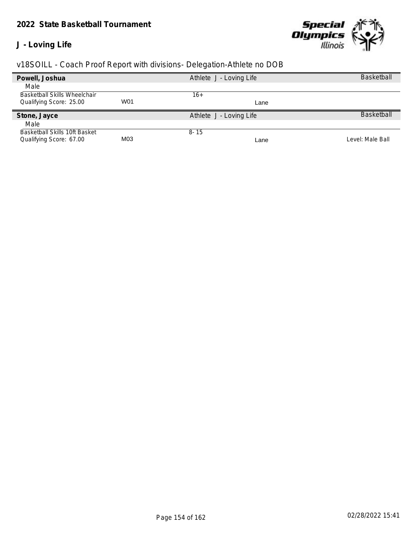### *2022 State Basketball Tournament*

## **J - Loving Life**



|                                     |     |                         | <b>Basketball</b> |
|-------------------------------------|-----|-------------------------|-------------------|
| Powell, Joshua                      |     | Athlete J - Loving Life |                   |
| Male                                |     |                         |                   |
| <b>Basketball Skills Wheelchair</b> |     | 16+                     |                   |
| Qualifying Score: 25.00             | W01 | Lane                    |                   |
| Stone, Jayce                        |     | Athlete J - Loving Life | <b>Basketball</b> |
|                                     |     |                         |                   |
| Male                                |     |                         |                   |
| Basketball Skills 10ft Basket       |     | $8 - 15$                |                   |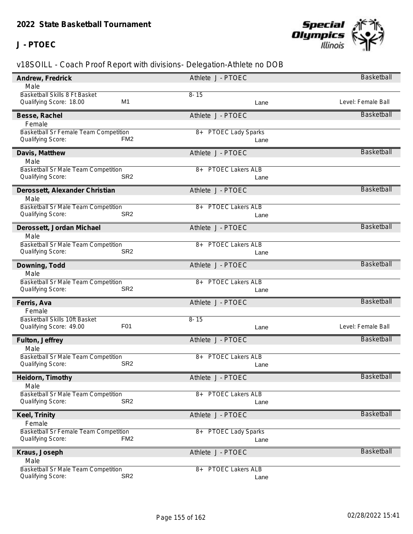## **J - PTOEC**



| Andrew, Fredrick                            | Athlete J - PTOEC                | Basketball         |
|---------------------------------------------|----------------------------------|--------------------|
| Male                                        |                                  |                    |
| Basketball Skills 8 Ft Basket               | $8 - 15$                         |                    |
| M1<br>Qualifying Score: 18.00               | Lane                             | Level: Female Ball |
| Besse, Rachel                               | Athlete J - PTOEC                | <b>Basketball</b>  |
| Female                                      |                                  |                    |
| Basketball Sr Female Team Competition       | <b>PTOEC Lady Sparks</b><br>$8+$ |                    |
| Qualifying Score:<br>FM <sub>2</sub>        | Lane                             |                    |
| Davis, Matthew                              | Athlete J - PTOEC                | <b>Basketball</b>  |
| Male                                        |                                  |                    |
| Basketball Sr Male Team Competition         | <b>PTOEC Lakers ALB</b><br>8+    |                    |
| SR <sub>2</sub><br>Qualifying Score:        | Lane                             |                    |
| Derossett, Alexander Christian              | Athlete J - PTOEC                | <b>Basketball</b>  |
| Male                                        |                                  |                    |
| <b>Basketball Sr Male Team Competition</b>  | 8+ PTOEC Lakers ALB              |                    |
| SR <sub>2</sub><br>Qualifying Score:        | Lane                             |                    |
| Derossett, Jordan Michael                   | Athlete J - PTOEC                | <b>Basketball</b>  |
| Male                                        |                                  |                    |
| Basketball Sr Male Team Competition         | <b>PTOEC Lakers ALB</b><br>8+    |                    |
| Qualifying Score:<br>SR <sub>2</sub>        | Lane                             |                    |
| Downing, Todd                               | Athlete J - PTOEC                | <b>Basketball</b>  |
| Male                                        |                                  |                    |
| Basketball Sr Male Team Competition         | <b>PTOEC Lakers ALB</b><br>8+    |                    |
| Qualifying Score:<br>SR <sub>2</sub>        | Lane                             |                    |
| Ferris, Ava                                 | Athlete J - PTOEC                | <b>Basketball</b>  |
| Female                                      |                                  |                    |
| Basketball Skills 10ft Basket               | $8 - 15$                         |                    |
| F <sub>0</sub> 1<br>Qualifying Score: 49.00 | Lane                             | Level: Female Ball |
| Fulton, Jeffrey                             | Athlete J - PTOEC                | Basketball         |
| Male                                        |                                  |                    |
| Basketball Sr Male Team Competition         | <b>PTOEC Lakers ALB</b><br>$8+$  |                    |
| SR <sub>2</sub><br>Qualifying Score:        | Lane                             |                    |
| Heidorn, Timothy                            | Athlete J - PTOEC                | Basketball         |
| Male                                        |                                  |                    |
| <b>Basketball Sr Male Team Competition</b>  | <b>PTOEC Lakers ALB</b><br>8+    |                    |
| SR <sub>2</sub><br>Qualifying Score:        | Lane                             |                    |
| Keel, Trinity                               | Athlete J - PTOEC                | Basketball         |
| Female                                      |                                  |                    |
| Basketball Sr Female Team Competition       | <b>PTOEC Lady Sparks</b><br>8+   |                    |
| FM <sub>2</sub><br>Qualifying Score:        | Lane                             |                    |
| Kraus, Joseph                               | Athlete J - PTOEC                | <b>Basketball</b>  |
| Male                                        |                                  |                    |
| Basketball Sr Male Team Competition         | <b>PTOEC Lakers ALB</b><br>8+    |                    |
| SR <sub>2</sub><br>Qualifying Score:        | Lane                             |                    |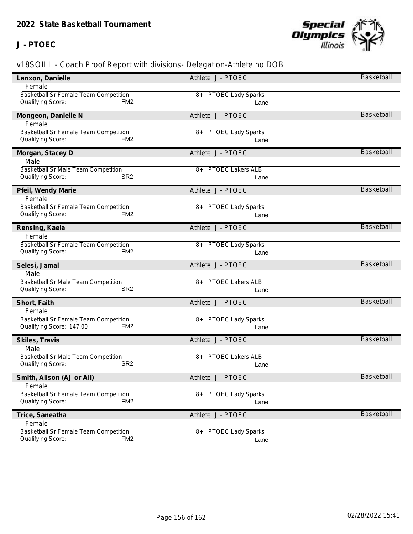## **J - PTOEC**



| Lanxon, Danielle                                                              | Athlete J - PTOEC                | Basketball        |
|-------------------------------------------------------------------------------|----------------------------------|-------------------|
| Female                                                                        |                                  |                   |
| Basketball Sr Female Team Competition                                         | <b>PTOEC Lady Sparks</b><br>8+   |                   |
| Qualifying Score:<br>FM <sub>2</sub>                                          | Lane                             |                   |
| Mongeon, Danielle N                                                           | Athlete J - PTOEC                | <b>Basketball</b> |
| Female                                                                        |                                  |                   |
| Basketball Sr Female Team Competition                                         | <b>PTOEC Lady Sparks</b><br>$8+$ |                   |
| Qualifying Score:<br>FM <sub>2</sub>                                          | Lane                             |                   |
| Morgan, Stacey D                                                              | Athlete J - PTOEC                | <b>Basketball</b> |
| Male                                                                          |                                  |                   |
| Basketball Sr Male Team Competition                                           | <b>PTOEC Lakers ALB</b><br>8+    |                   |
| SR <sub>2</sub><br>Qualifying Score:                                          | Lane                             |                   |
| Pfeil, Wendy Marie                                                            | Athlete J - PTOEC                | <b>Basketball</b> |
| Female                                                                        |                                  |                   |
| Basketball Sr Female Team Competition                                         | 8+ PTOEC Lady Sparks             |                   |
| Qualifying Score:<br>FM <sub>2</sub>                                          | Lane                             |                   |
| Rensing, Kaela                                                                | Athlete J - PTOEC                | <b>Basketball</b> |
| Female                                                                        |                                  |                   |
| Basketball Sr Female Team Competition                                         | <b>PTOEC Lady Sparks</b><br>8+   |                   |
| Qualifying Score:<br>FM <sub>2</sub>                                          | Lane                             |                   |
|                                                                               |                                  |                   |
|                                                                               |                                  |                   |
| Selesi, Jamal                                                                 | Athlete J - PTOEC                | <b>Basketball</b> |
| Male<br>Basketball Sr Male Team Competition                                   | <b>PTOEC Lakers ALB</b><br>$8+$  |                   |
| Qualifying Score:<br>SR <sub>2</sub>                                          | Lane                             |                   |
|                                                                               |                                  | <b>Basketball</b> |
| Short, Faith                                                                  | Athlete J - PTOEC                |                   |
| Female<br>Basketball Sr Female Team Competition                               |                                  |                   |
| FM <sub>2</sub><br>Qualifying Score: 147.00                                   | 8+ PTOEC Lady Sparks<br>Lane     |                   |
|                                                                               |                                  | <b>Basketball</b> |
| Skiles, Travis<br>Male                                                        | Athlete J - PTOEC                |                   |
|                                                                               | <b>PTOEC Lakers ALB</b><br>$8+$  |                   |
| Basketball Sr Male Team Competition<br>SR <sub>2</sub><br>Qualifying Score:   | Lane                             |                   |
|                                                                               |                                  | Basketball        |
| Smith, Alison (AJ or Ali)<br>Female                                           | Athlete J - PTOEC                |                   |
| Basketball Sr Female Team Competition                                         | <b>PTOEC Lady Sparks</b><br>8+   |                   |
| FM <sub>2</sub><br>Qualifying Score:                                          | Lane                             |                   |
|                                                                               | Athlete J - PTOEC                | <b>Basketball</b> |
| Trice, Saneatha<br>Female                                                     |                                  |                   |
| Basketball Sr Female Team Competition<br>FM <sub>2</sub><br>Qualifying Score: | <b>PTOEC Lady Sparks</b><br>$8+$ |                   |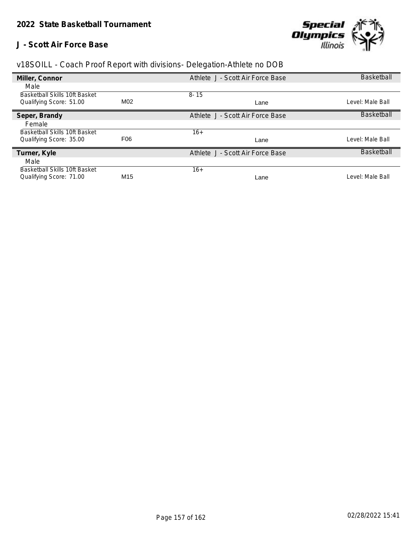### **J - Scott Air Force Base**



| Miller, Connor                |                 | Athlete J - Scott Air Force Base | <b>Basketball</b> |
|-------------------------------|-----------------|----------------------------------|-------------------|
| Male                          |                 |                                  |                   |
| Basketball Skills 10ft Basket |                 | $8 - 15$                         |                   |
| Qualifying Score: 51.00       | M02             | Lane                             | Level: Male Ball  |
| Seper, Brandy                 |                 | Athlete J - Scott Air Force Base | <b>Basketball</b> |
| Female                        |                 |                                  |                   |
| Basketball Skills 10ft Basket |                 | $16+$                            |                   |
| Qualifying Score: 35.00       | F <sub>06</sub> | Lane                             | Level: Male Ball  |
| Turner, Kyle                  |                 | Athlete J - Scott Air Force Base | <b>Basketball</b> |
| Male                          |                 |                                  |                   |
| Basketball Skills 10ft Basket |                 | $16+$                            |                   |
| Qualifying Score: 71.00       | M <sub>15</sub> | Lane                             | Level: Male Ball  |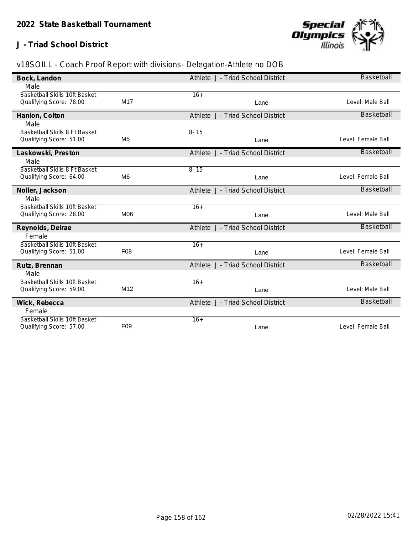## **J - Triad School District**



| Bock, Landon                  |                 | Athlete J - Triad School District | <b>Basketball</b>  |
|-------------------------------|-----------------|-----------------------------------|--------------------|
| Male                          |                 |                                   |                    |
| Basketball Skills 10ft Basket |                 | $16+$                             |                    |
| Qualifying Score: 78.00       | M17             | Lane                              | Level: Male Ball   |
| Hanlon, Colton                |                 | Athlete J - Triad School District | <b>Basketball</b>  |
| Male                          |                 |                                   |                    |
| Basketball Skills 8 Ft Basket |                 | $8 - 15$                          |                    |
| Qualifying Score: 51.00       | M <sub>5</sub>  | Lane                              | Level: Female Ball |
| Laskowski, Preston            |                 | Athlete J - Triad School District | <b>Basketball</b>  |
| Male                          |                 |                                   |                    |
| Basketball Skills 8 Ft Basket |                 | $8 - 15$                          |                    |
| Qualifying Score: 64.00       | M <sub>6</sub>  | Lane                              | Level: Female Ball |
| Noller, Jackson               |                 | Athlete J - Triad School District | <b>Basketball</b>  |
| Male                          |                 |                                   |                    |
| Basketball Skills 10ft Basket |                 | $16+$                             |                    |
| Qualifying Score: 28.00       | M06             | Lane                              | Level: Male Ball   |
| Reynolds, Delrae              |                 | Athlete J - Triad School District | <b>Basketball</b>  |
| Female                        |                 |                                   |                    |
| Basketball Skills 10ft Basket |                 | $16+$                             |                    |
| Qualifying Score: 51.00       | F <sub>08</sub> | Lane                              | Level: Female Ball |
| Rutz, Brennan                 |                 | Athlete J - Triad School District | <b>Basketball</b>  |
| Male                          |                 |                                   |                    |
| Basketball Skills 10ft Basket |                 | $16+$                             |                    |
| Qualifying Score: 59.00       | M12             | Lane                              | Level: Male Ball   |
| Wick, Rebecca                 |                 | Athlete J - Triad School District | <b>Basketball</b>  |
| Female                        |                 |                                   |                    |
| Basketball Skills 10ft Basket |                 | $16+$                             |                    |
| Qualifying Score: 57.00       | F <sub>09</sub> | Lane                              | Level: Female Ball |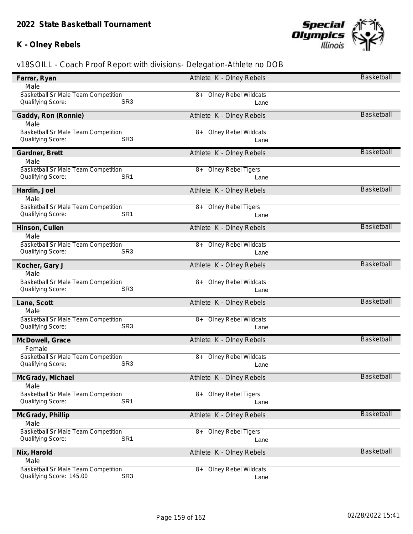## **K - Olney Rebels**



| Farrar, Ryan                                | Athlete K - Olney Rebels          | <b>Basketball</b> |
|---------------------------------------------|-----------------------------------|-------------------|
| Male                                        |                                   |                   |
| Basketball Sr Male Team Competition         | 8+ Olney Rebel Wildcats           |                   |
| SR <sub>3</sub><br>Qualifying Score:        | Lane                              |                   |
| Gaddy, Ron (Ronnie)                         | Athlete K - Olney Rebels          | <b>Basketball</b> |
| Male                                        |                                   |                   |
| Basketball Sr Male Team Competition         | <b>Olney Rebel Wildcats</b><br>8+ |                   |
| SR <sub>3</sub><br>Qualifying Score:        | Lane                              |                   |
| Gardner, Brett                              | Athlete K - Olney Rebels          | <b>Basketball</b> |
| Male                                        |                                   |                   |
| Basketball Sr Male Team Competition         | 8+ Olney Rebel Tigers             |                   |
| SR <sub>1</sub><br>Qualifying Score:        | Lane                              |                   |
| Hardin, Joel                                | Athlete K - Olney Rebels          | Basketball        |
| Male                                        |                                   |                   |
| Basketball Sr Male Team Competition         | 8+ Olney Rebel Tigers             |                   |
| SR <sub>1</sub><br>Qualifying Score:        | Lane                              |                   |
| Hinson, Cullen                              | Athlete K - Olney Rebels          | <b>Basketball</b> |
| Male                                        |                                   |                   |
| Basketball Sr Male Team Competition         | 8+ Olney Rebel Wildcats           |                   |
| Qualifying Score:<br>SR <sub>3</sub>        | Lane                              |                   |
| Kocher, Gary J                              | Athlete K - Olney Rebels          | Basketball        |
| Male                                        |                                   |                   |
| Basketball Sr Male Team Competition         | 8+ Olney Rebel Wildcats           |                   |
| Qualifying Score:<br>SR <sub>3</sub>        | Lane                              |                   |
| Lane, Scott                                 | Athlete K - Olney Rebels          | <b>Basketball</b> |
| Male                                        |                                   |                   |
| Basketball Sr Male Team Competition         | 8+ Olney Rebel Wildcats           |                   |
| SR <sub>3</sub><br>Qualifying Score:        | Lane                              |                   |
| McDowell, Grace                             | Athlete K - Olney Rebels          | <b>Basketball</b> |
| Female                                      |                                   |                   |
| Basketball Sr Male Team Competition         | <b>Olney Rebel Wildcats</b><br>8+ |                   |
| SR <sub>3</sub><br>Qualifying Score:        | Lane                              |                   |
| McGrady, Michael                            | Athlete K - Olney Rebels          | <b>Basketball</b> |
| Male                                        |                                   |                   |
| Basketball Sr Male Team Competition         | 8+ Olney Rebel Tigers             |                   |
| SR <sub>1</sub><br>Qualifying Score:        | Lane                              |                   |
| McGrady, Phillip                            | Athlete K - Olney Rebels          | Basketball        |
| Male                                        |                                   |                   |
| Basketball Sr Male Team Competition         | <b>Olney Rebel Tigers</b><br>$8+$ |                   |
| SR <sub>1</sub><br>Qualifying Score:        | Lane                              |                   |
| Nix, Harold                                 | Athlete K - Olney Rebels          | Basketball        |
| Male                                        |                                   |                   |
| Basketball Sr Male Team Competition         | 8+ Olney Rebel Wildcats           |                   |
| Qualifying Score: 145.00<br>SR <sub>3</sub> | Lane                              |                   |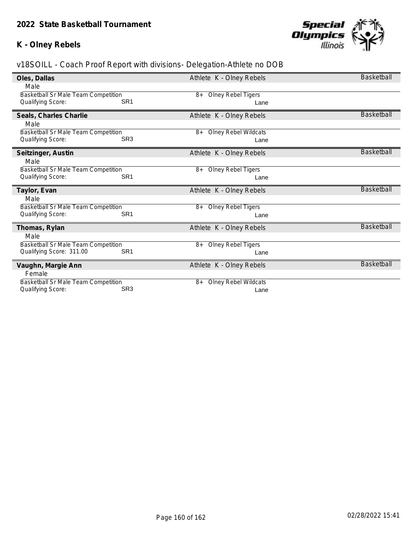## **K - Olney Rebels**



| Oles, Dallas                               |                 | Athlete K - Olney Rebels          | Basketball        |
|--------------------------------------------|-----------------|-----------------------------------|-------------------|
| Male                                       |                 |                                   |                   |
| Basketball Sr Male Team Competition        |                 | <b>Olney Rebel Tigers</b><br>8+   |                   |
| Qualifying Score:                          | SR <sub>1</sub> | Lane                              |                   |
| Seals, Charles Charlie                     |                 | Athlete K - Olney Rebels          | <b>Basketball</b> |
| Male                                       |                 |                                   |                   |
| <b>Basketball Sr Male Team Competition</b> |                 | <b>Olney Rebel Wildcats</b><br>8+ |                   |
| Qualifying Score:                          | SR <sub>3</sub> | Lane                              |                   |
| Seitzinger, Austin                         |                 | Athlete K - Olney Rebels          | <b>Basketball</b> |
| Male                                       |                 |                                   |                   |
| Basketball Sr Male Team Competition        |                 | <b>Olney Rebel Tigers</b><br>$8+$ |                   |
| Qualifying Score:                          | SR <sub>1</sub> | Lane                              |                   |
|                                            |                 |                                   |                   |
| Taylor, Evan                               |                 | Athlete K - Olney Rebels          | <b>Basketball</b> |
| Male                                       |                 |                                   |                   |
| Basketball Sr Male Team Competition        |                 | <b>Olney Rebel Tigers</b><br>8+   |                   |
| Qualifying Score:                          | SR <sub>1</sub> | Lane                              |                   |
| Thomas, Rylan                              |                 | Athlete K - Olney Rebels          | <b>Basketball</b> |
| Male                                       |                 |                                   |                   |
| Basketball Sr Male Team Competition        |                 | <b>Olney Rebel Tigers</b><br>$8+$ |                   |
| Qualifying Score: 311.00                   | SR <sub>1</sub> | Lane                              |                   |
| Vaughn, Margie Ann                         |                 | Athlete K - Olney Rebels          | <b>Basketball</b> |
| Female                                     |                 |                                   |                   |
| Basketball Sr Male Team Competition        | SR <sub>3</sub> | Olney Rebel Wildcats<br>$8+$      |                   |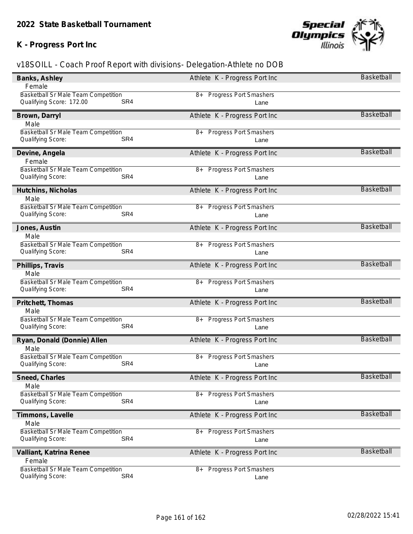## **K - Progress Port Inc**



| Banks, Ashley                                                          | Athlete K - Progress Port Inc         | <b>Basketball</b> |
|------------------------------------------------------------------------|---------------------------------------|-------------------|
| Female                                                                 |                                       |                   |
| Basketball Sr Male Team Competition<br>SR4<br>Qualifying Score: 172.00 | <b>Progress Port Smashers</b><br>8+   |                   |
|                                                                        | Lane                                  |                   |
| Brown, Darryl                                                          | Athlete K - Progress Port Inc         | <b>Basketball</b> |
| Male                                                                   |                                       |                   |
| Basketball Sr Male Team Competition<br>SR4<br>Qualifying Score:        | 8+ Progress Port Smashers<br>Lane     |                   |
|                                                                        |                                       |                   |
| Devine, Angela                                                         | Athlete K - Progress Port Inc         | <b>Basketball</b> |
| Female<br>Basketball Sr Male Team Competition                          | 8+ Progress Port Smashers             |                   |
| SR4<br>Qualifying Score:                                               | Lane                                  |                   |
|                                                                        |                                       |                   |
| Hutchins, Nicholas                                                     | Athlete K - Progress Port Inc         | <b>Basketball</b> |
| Male<br>Basketball Sr Male Team Competition                            | <b>Progress Port Smashers</b><br>8+   |                   |
| Qualifying Score:<br>SR4                                               | Lane                                  |                   |
|                                                                        |                                       | <b>Basketball</b> |
| Jones, Austin<br>Male                                                  | Athlete K - Progress Port Inc         |                   |
| Basketball Sr Male Team Competition                                    | <b>Progress Port Smashers</b><br>8+   |                   |
| Qualifying Score:<br>SR4                                               | Lane                                  |                   |
|                                                                        |                                       | <b>Basketball</b> |
| Phillips, Travis<br>Male                                               | Athlete K - Progress Port Inc         |                   |
| Basketball Sr Male Team Competition                                    | <b>Progress Port Smashers</b><br>8+   |                   |
| Qualifying Score:<br>SR4                                               | Lane                                  |                   |
| Pritchett, Thomas                                                      | Athlete K - Progress Port Inc         | <b>Basketball</b> |
| Male                                                                   |                                       |                   |
| <b>Basketball Sr Male Team Competition</b>                             | 8+ Progress Port Smashers             |                   |
| SR4<br>Qualifying Score:                                               | Lane                                  |                   |
| Ryan, Donald (Donnie) Allen                                            | Athlete K - Progress Port Inc         | <b>Basketball</b> |
| Male                                                                   |                                       |                   |
| Basketball Sr Male Team Competition                                    | <b>Progress Port Smashers</b><br>$8+$ |                   |
| Qualifying Score:<br>SR4                                               | Lane                                  |                   |
| Sneed, Charles                                                         | Athlete K - Progress Port Inc         | <b>Basketball</b> |
| Male                                                                   |                                       |                   |
| <b>Basketball Sr Male Team Competition</b>                             | <b>Progress Port Smashers</b><br>8+   |                   |
| SR4<br>Qualifying Score:                                               | Lane                                  |                   |
| Timmons, Lavelle                                                       | Athlete K - Progress Port Inc         | <b>Basketball</b> |
| Male                                                                   |                                       |                   |
| Basketball Sr Male Team Competition<br>SR4                             | 8+ Progress Port Smashers             |                   |
| Qualifying Score:                                                      | Lane                                  |                   |
| Valliant, Katrina Renee                                                | Athlete K - Progress Port Inc         | <b>Basketball</b> |
| Female                                                                 |                                       |                   |
| Basketball Sr Male Team Competition<br>SR4<br>Qualifying Score:        | 8+ Progress Port Smashers             |                   |
|                                                                        | Lane                                  |                   |